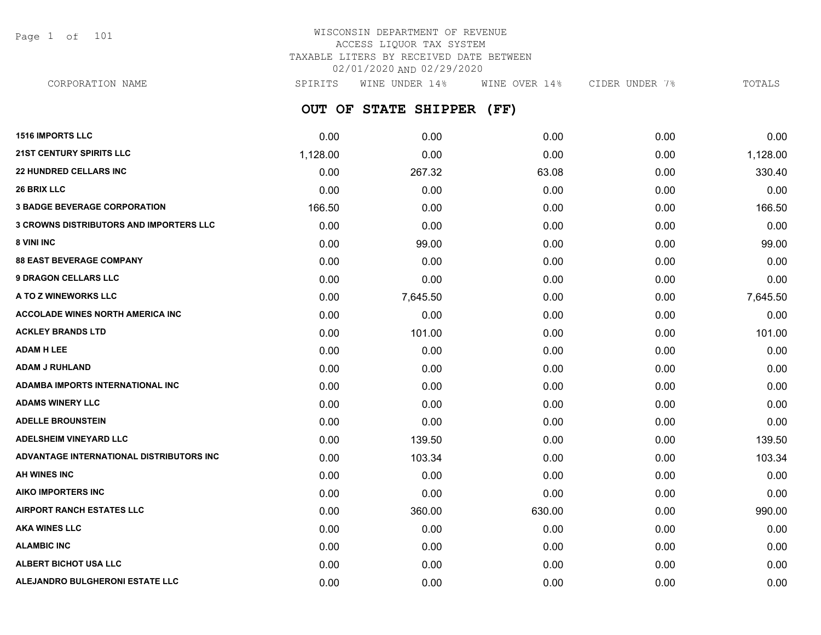Page 1 of 101

# WISCONSIN DEPARTMENT OF REVENUE ACCESS LIQUOR TAX SYSTEM TAXABLE LITERS BY RECEIVED DATE BETWEEN 02/01/2020 AND 02/29/2020

**OUT OF STATE SHIPPER (FF)** CORPORATION NAME SPIRITS WINE UNDER 14% WINE OVER 14% CIDER UNDER 7% TOTALS

| <b>1516 IMPORTS LLC</b>                        | 0.00     | 0.00     | 0.00   | 0.00 | 0.00     |
|------------------------------------------------|----------|----------|--------|------|----------|
| <b>21ST CENTURY SPIRITS LLC</b>                | 1,128.00 | 0.00     | 0.00   | 0.00 | 1,128.00 |
| <b>22 HUNDRED CELLARS INC</b>                  | 0.00     | 267.32   | 63.08  | 0.00 | 330.40   |
| <b>26 BRIX LLC</b>                             | 0.00     | 0.00     | 0.00   | 0.00 | 0.00     |
| <b>3 BADGE BEVERAGE CORPORATION</b>            | 166.50   | 0.00     | 0.00   | 0.00 | 166.50   |
| <b>3 CROWNS DISTRIBUTORS AND IMPORTERS LLC</b> | 0.00     | 0.00     | 0.00   | 0.00 | 0.00     |
| 8 VINI INC                                     | 0.00     | 99.00    | 0.00   | 0.00 | 99.00    |
| <b>88 EAST BEVERAGE COMPANY</b>                | 0.00     | 0.00     | 0.00   | 0.00 | 0.00     |
| <b>9 DRAGON CELLARS LLC</b>                    | 0.00     | 0.00     | 0.00   | 0.00 | 0.00     |
| A TO Z WINEWORKS LLC                           | 0.00     | 7,645.50 | 0.00   | 0.00 | 7,645.50 |
| <b>ACCOLADE WINES NORTH AMERICA INC</b>        | 0.00     | 0.00     | 0.00   | 0.00 | 0.00     |
| <b>ACKLEY BRANDS LTD</b>                       | 0.00     | 101.00   | 0.00   | 0.00 | 101.00   |
| <b>ADAM H LEE</b>                              | 0.00     | 0.00     | 0.00   | 0.00 | 0.00     |
| <b>ADAM J RUHLAND</b>                          | 0.00     | 0.00     | 0.00   | 0.00 | 0.00     |
| <b>ADAMBA IMPORTS INTERNATIONAL INC</b>        | 0.00     | 0.00     | 0.00   | 0.00 | 0.00     |
| <b>ADAMS WINERY LLC</b>                        | 0.00     | 0.00     | 0.00   | 0.00 | 0.00     |
| <b>ADELLE BROUNSTEIN</b>                       | 0.00     | 0.00     | 0.00   | 0.00 | 0.00     |
| <b>ADELSHEIM VINEYARD LLC</b>                  | 0.00     | 139.50   | 0.00   | 0.00 | 139.50   |
| ADVANTAGE INTERNATIONAL DISTRIBUTORS INC       | 0.00     | 103.34   | 0.00   | 0.00 | 103.34   |
| <b>AH WINES INC</b>                            | 0.00     | 0.00     | 0.00   | 0.00 | 0.00     |
| <b>AIKO IMPORTERS INC</b>                      | 0.00     | 0.00     | 0.00   | 0.00 | 0.00     |
| <b>AIRPORT RANCH ESTATES LLC</b>               | 0.00     | 360.00   | 630.00 | 0.00 | 990.00   |
| <b>AKA WINES LLC</b>                           | 0.00     | 0.00     | 0.00   | 0.00 | 0.00     |
| <b>ALAMBIC INC</b>                             | 0.00     | 0.00     | 0.00   | 0.00 | 0.00     |
| ALBERT BICHOT USA LLC                          | 0.00     | 0.00     | 0.00   | 0.00 | 0.00     |
| ALEJANDRO BULGHERONI ESTATE LLC                | 0.00     | 0.00     | 0.00   | 0.00 | 0.00     |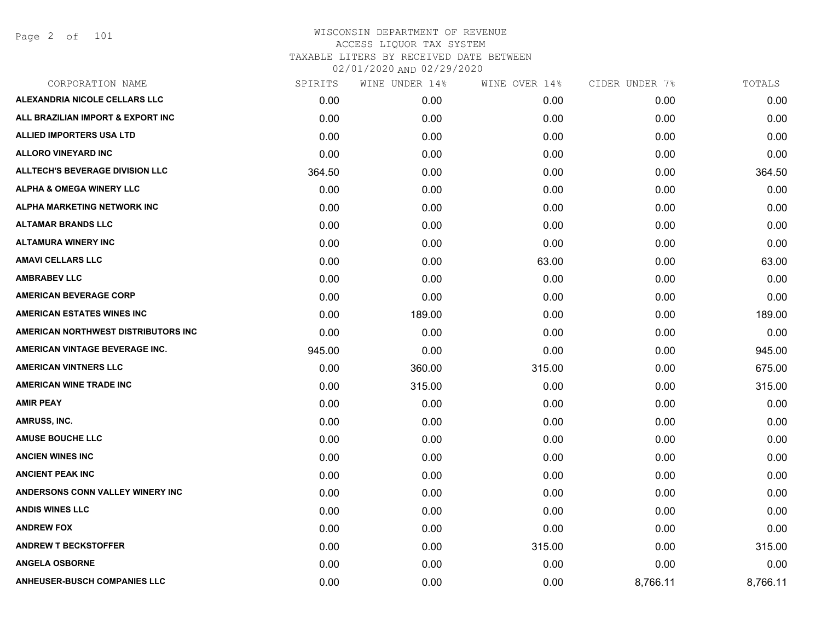| SPIRITS | WINE UNDER 14% | WINE OVER 14% | CIDER UNDER 7% | TOTALS   |
|---------|----------------|---------------|----------------|----------|
| 0.00    | 0.00           | 0.00          | 0.00           | 0.00     |
| 0.00    | 0.00           | 0.00          | 0.00           | 0.00     |
| 0.00    | 0.00           | 0.00          | 0.00           | 0.00     |
| 0.00    | 0.00           | 0.00          | 0.00           | 0.00     |
| 364.50  | 0.00           | 0.00          | 0.00           | 364.50   |
| 0.00    | 0.00           | 0.00          | 0.00           | 0.00     |
| 0.00    | 0.00           | 0.00          | 0.00           | 0.00     |
| 0.00    | 0.00           | 0.00          | 0.00           | 0.00     |
| 0.00    | 0.00           | 0.00          | 0.00           | 0.00     |
| 0.00    | 0.00           | 63.00         | 0.00           | 63.00    |
| 0.00    | 0.00           | 0.00          | 0.00           | 0.00     |
| 0.00    | 0.00           | 0.00          | 0.00           | 0.00     |
| 0.00    | 189.00         | 0.00          | 0.00           | 189.00   |
| 0.00    | 0.00           | 0.00          | 0.00           | 0.00     |
| 945.00  | 0.00           | 0.00          | 0.00           | 945.00   |
| 0.00    | 360.00         | 315.00        | 0.00           | 675.00   |
| 0.00    | 315.00         | 0.00          | 0.00           | 315.00   |
| 0.00    | 0.00           | 0.00          | 0.00           | 0.00     |
| 0.00    | 0.00           | 0.00          | 0.00           | 0.00     |
| 0.00    | 0.00           | 0.00          | 0.00           | 0.00     |
| 0.00    | 0.00           | 0.00          | 0.00           | 0.00     |
| 0.00    | 0.00           | 0.00          | 0.00           | 0.00     |
| 0.00    | 0.00           | 0.00          | 0.00           | 0.00     |
| 0.00    | 0.00           | 0.00          | 0.00           | 0.00     |
| 0.00    | 0.00           | 0.00          | 0.00           | 0.00     |
| 0.00    | 0.00           | 315.00        | 0.00           | 315.00   |
| 0.00    | 0.00           | 0.00          | 0.00           | 0.00     |
| 0.00    | 0.00           | 0.00          | 8,766.11       | 8,766.11 |
|         |                |               |                |          |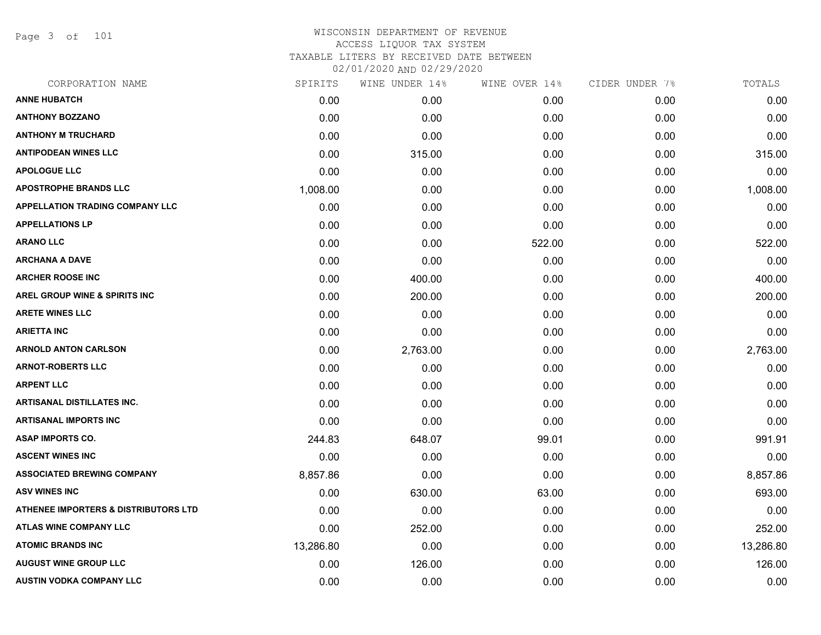Page 3 of 101

| CORPORATION NAME                         | SPIRITS   | WINE UNDER 14% | WINE OVER 14% | CIDER UNDER 7% | TOTALS    |
|------------------------------------------|-----------|----------------|---------------|----------------|-----------|
| <b>ANNE HUBATCH</b>                      | 0.00      | 0.00           | 0.00          | 0.00           | 0.00      |
| <b>ANTHONY BOZZANO</b>                   | 0.00      | 0.00           | 0.00          | 0.00           | 0.00      |
| <b>ANTHONY M TRUCHARD</b>                | 0.00      | 0.00           | 0.00          | 0.00           | 0.00      |
| <b>ANTIPODEAN WINES LLC</b>              | 0.00      | 315.00         | 0.00          | 0.00           | 315.00    |
| <b>APOLOGUE LLC</b>                      | 0.00      | 0.00           | 0.00          | 0.00           | 0.00      |
| <b>APOSTROPHE BRANDS LLC</b>             | 1,008.00  | 0.00           | 0.00          | 0.00           | 1,008.00  |
| <b>APPELLATION TRADING COMPANY LLC</b>   | 0.00      | 0.00           | 0.00          | 0.00           | 0.00      |
| <b>APPELLATIONS LP</b>                   | 0.00      | 0.00           | 0.00          | 0.00           | 0.00      |
| <b>ARANO LLC</b>                         | 0.00      | 0.00           | 522.00        | 0.00           | 522.00    |
| <b>ARCHANA A DAVE</b>                    | 0.00      | 0.00           | 0.00          | 0.00           | 0.00      |
| <b>ARCHER ROOSE INC</b>                  | 0.00      | 400.00         | 0.00          | 0.00           | 400.00    |
| <b>AREL GROUP WINE &amp; SPIRITS INC</b> | 0.00      | 200.00         | 0.00          | 0.00           | 200.00    |
| <b>ARETE WINES LLC</b>                   | 0.00      | 0.00           | 0.00          | 0.00           | 0.00      |
| <b>ARIETTA INC</b>                       | 0.00      | 0.00           | 0.00          | 0.00           | 0.00      |
| <b>ARNOLD ANTON CARLSON</b>              | 0.00      | 2,763.00       | 0.00          | 0.00           | 2,763.00  |
| <b>ARNOT-ROBERTS LLC</b>                 | 0.00      | 0.00           | 0.00          | 0.00           | 0.00      |
| <b>ARPENT LLC</b>                        | 0.00      | 0.00           | 0.00          | 0.00           | 0.00      |
| <b>ARTISANAL DISTILLATES INC.</b>        | 0.00      | 0.00           | 0.00          | 0.00           | 0.00      |
| <b>ARTISANAL IMPORTS INC</b>             | 0.00      | 0.00           | 0.00          | 0.00           | 0.00      |
| <b>ASAP IMPORTS CO.</b>                  | 244.83    | 648.07         | 99.01         | 0.00           | 991.91    |
| <b>ASCENT WINES INC</b>                  | 0.00      | 0.00           | 0.00          | 0.00           | 0.00      |
| <b>ASSOCIATED BREWING COMPANY</b>        | 8,857.86  | 0.00           | 0.00          | 0.00           | 8,857.86  |
| <b>ASV WINES INC</b>                     | 0.00      | 630.00         | 63.00         | 0.00           | 693.00    |
| ATHENEE IMPORTERS & DISTRIBUTORS LTD     | 0.00      | 0.00           | 0.00          | 0.00           | 0.00      |
| <b>ATLAS WINE COMPANY LLC</b>            | 0.00      | 252.00         | 0.00          | 0.00           | 252.00    |
| <b>ATOMIC BRANDS INC</b>                 | 13,286.80 | 0.00           | 0.00          | 0.00           | 13,286.80 |
| <b>AUGUST WINE GROUP LLC</b>             | 0.00      | 126.00         | 0.00          | 0.00           | 126.00    |
| <b>AUSTIN VODKA COMPANY LLC</b>          | 0.00      | 0.00           | 0.00          | 0.00           | 0.00      |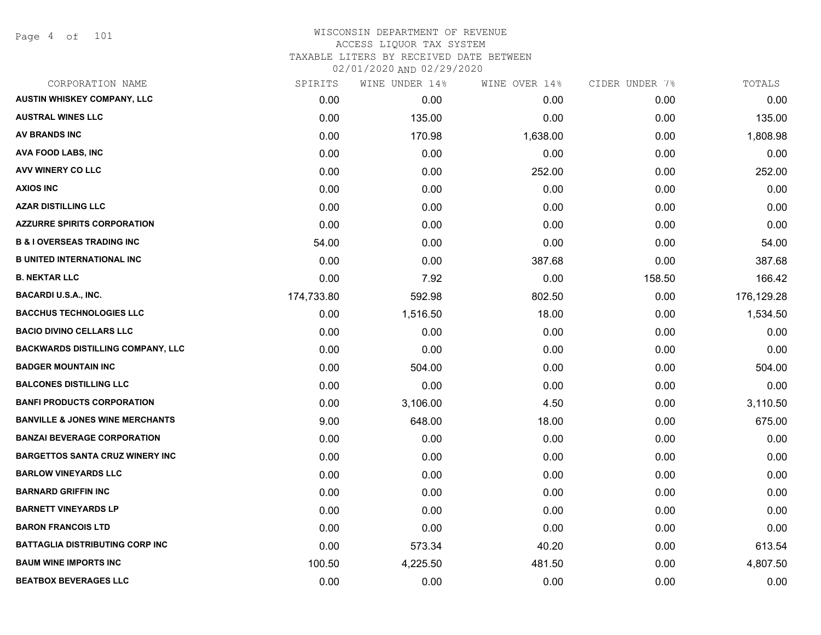Page 4 of 101

| CORPORATION NAME                           | SPIRITS    | WINE UNDER 14% | WINE OVER 14% | CIDER UNDER 7% | TOTALS     |
|--------------------------------------------|------------|----------------|---------------|----------------|------------|
| <b>AUSTIN WHISKEY COMPANY, LLC</b>         | 0.00       | 0.00           | 0.00          | 0.00           | 0.00       |
| <b>AUSTRAL WINES LLC</b>                   | 0.00       | 135.00         | 0.00          | 0.00           | 135.00     |
| AV BRANDS INC                              | 0.00       | 170.98         | 1,638.00      | 0.00           | 1,808.98   |
| <b>AVA FOOD LABS, INC</b>                  | 0.00       | 0.00           | 0.00          | 0.00           | 0.00       |
| AVV WINERY CO LLC                          | 0.00       | 0.00           | 252.00        | 0.00           | 252.00     |
| <b>AXIOS INC</b>                           | 0.00       | 0.00           | 0.00          | 0.00           | 0.00       |
| <b>AZAR DISTILLING LLC</b>                 | 0.00       | 0.00           | 0.00          | 0.00           | 0.00       |
| <b>AZZURRE SPIRITS CORPORATION</b>         | 0.00       | 0.00           | 0.00          | 0.00           | 0.00       |
| <b>B &amp; I OVERSEAS TRADING INC</b>      | 54.00      | 0.00           | 0.00          | 0.00           | 54.00      |
| <b>B UNITED INTERNATIONAL INC</b>          | 0.00       | 0.00           | 387.68        | 0.00           | 387.68     |
| <b>B. NEKTAR LLC</b>                       | 0.00       | 7.92           | 0.00          | 158.50         | 166.42     |
| <b>BACARDI U.S.A., INC.</b>                | 174,733.80 | 592.98         | 802.50        | 0.00           | 176,129.28 |
| <b>BACCHUS TECHNOLOGIES LLC</b>            | 0.00       | 1,516.50       | 18.00         | 0.00           | 1,534.50   |
| <b>BACIO DIVINO CELLARS LLC</b>            | 0.00       | 0.00           | 0.00          | 0.00           | 0.00       |
| <b>BACKWARDS DISTILLING COMPANY, LLC</b>   | 0.00       | 0.00           | 0.00          | 0.00           | 0.00       |
| <b>BADGER MOUNTAIN INC</b>                 | 0.00       | 504.00         | 0.00          | 0.00           | 504.00     |
| <b>BALCONES DISTILLING LLC</b>             | 0.00       | 0.00           | 0.00          | 0.00           | 0.00       |
| <b>BANFI PRODUCTS CORPORATION</b>          | 0.00       | 3,106.00       | 4.50          | 0.00           | 3,110.50   |
| <b>BANVILLE &amp; JONES WINE MERCHANTS</b> | 9.00       | 648.00         | 18.00         | 0.00           | 675.00     |
| <b>BANZAI BEVERAGE CORPORATION</b>         | 0.00       | 0.00           | 0.00          | 0.00           | 0.00       |
| <b>BARGETTOS SANTA CRUZ WINERY INC</b>     | 0.00       | 0.00           | 0.00          | 0.00           | 0.00       |
| <b>BARLOW VINEYARDS LLC</b>                | 0.00       | 0.00           | 0.00          | 0.00           | 0.00       |
| <b>BARNARD GRIFFIN INC</b>                 | 0.00       | 0.00           | 0.00          | 0.00           | 0.00       |
| <b>BARNETT VINEYARDS LP</b>                | 0.00       | 0.00           | 0.00          | 0.00           | 0.00       |
| <b>BARON FRANCOIS LTD</b>                  | 0.00       | 0.00           | 0.00          | 0.00           | 0.00       |
| <b>BATTAGLIA DISTRIBUTING CORP INC</b>     | 0.00       | 573.34         | 40.20         | 0.00           | 613.54     |
| <b>BAUM WINE IMPORTS INC</b>               | 100.50     | 4,225.50       | 481.50        | 0.00           | 4,807.50   |
| <b>BEATBOX BEVERAGES LLC</b>               | 0.00       | 0.00           | 0.00          | 0.00           | 0.00       |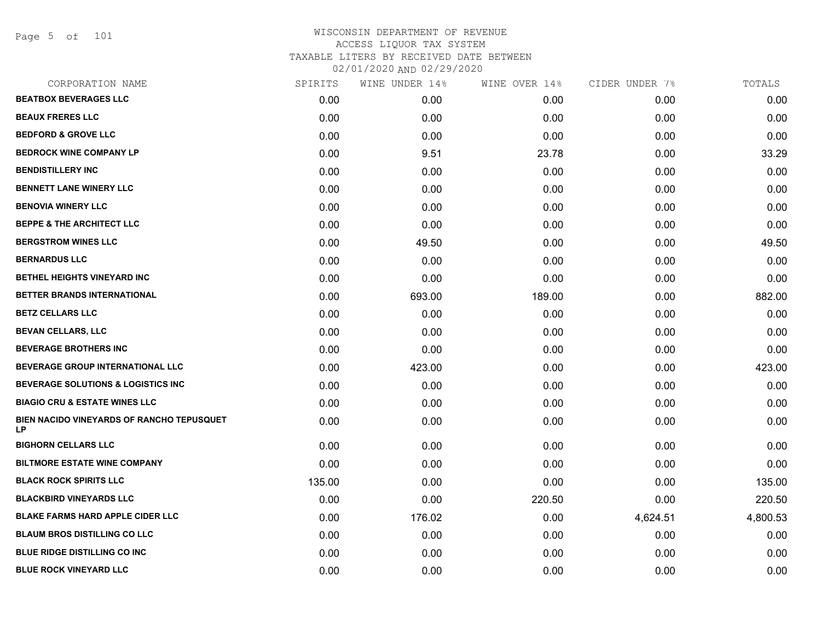Page 5 of 101

| CORPORATION NAME                                       | SPIRITS | WINE UNDER 14% | WINE OVER 14% | CIDER UNDER 7% | TOTALS   |
|--------------------------------------------------------|---------|----------------|---------------|----------------|----------|
| <b>BEATBOX BEVERAGES LLC</b>                           | 0.00    | 0.00           | 0.00          | 0.00           | 0.00     |
| <b>BEAUX FRERES LLC</b>                                | 0.00    | 0.00           | 0.00          | 0.00           | 0.00     |
| <b>BEDFORD &amp; GROVE LLC</b>                         | 0.00    | 0.00           | 0.00          | 0.00           | 0.00     |
| <b>BEDROCK WINE COMPANY LP</b>                         | 0.00    | 9.51           | 23.78         | 0.00           | 33.29    |
| <b>BENDISTILLERY INC</b>                               | 0.00    | 0.00           | 0.00          | 0.00           | 0.00     |
| <b>BENNETT LANE WINERY LLC</b>                         | 0.00    | 0.00           | 0.00          | 0.00           | 0.00     |
| <b>BENOVIA WINERY LLC</b>                              | 0.00    | 0.00           | 0.00          | 0.00           | 0.00     |
| <b>BEPPE &amp; THE ARCHITECT LLC</b>                   | 0.00    | 0.00           | 0.00          | 0.00           | 0.00     |
| <b>BERGSTROM WINES LLC</b>                             | 0.00    | 49.50          | 0.00          | 0.00           | 49.50    |
| <b>BERNARDUS LLC</b>                                   | 0.00    | 0.00           | 0.00          | 0.00           | 0.00     |
| <b>BETHEL HEIGHTS VINEYARD INC</b>                     | 0.00    | 0.00           | 0.00          | 0.00           | 0.00     |
| BETTER BRANDS INTERNATIONAL                            | 0.00    | 693.00         | 189.00        | 0.00           | 882.00   |
| <b>BETZ CELLARS LLC</b>                                | 0.00    | 0.00           | 0.00          | 0.00           | 0.00     |
| BEVAN CELLARS, LLC                                     | 0.00    | 0.00           | 0.00          | 0.00           | 0.00     |
| <b>BEVERAGE BROTHERS INC</b>                           | 0.00    | 0.00           | 0.00          | 0.00           | 0.00     |
| <b>BEVERAGE GROUP INTERNATIONAL LLC</b>                | 0.00    | 423.00         | 0.00          | 0.00           | 423.00   |
| <b>BEVERAGE SOLUTIONS &amp; LOGISTICS INC</b>          | 0.00    | 0.00           | 0.00          | 0.00           | 0.00     |
| <b>BIAGIO CRU &amp; ESTATE WINES LLC</b>               | 0.00    | 0.00           | 0.00          | 0.00           | 0.00     |
| BIEN NACIDO VINEYARDS OF RANCHO TEPUSQUET<br><b>LP</b> | 0.00    | 0.00           | 0.00          | 0.00           | 0.00     |
| <b>BIGHORN CELLARS LLC</b>                             | 0.00    | 0.00           | 0.00          | 0.00           | 0.00     |
| <b>BILTMORE ESTATE WINE COMPANY</b>                    | 0.00    | 0.00           | 0.00          | 0.00           | 0.00     |
| <b>BLACK ROCK SPIRITS LLC</b>                          | 135.00  | 0.00           | 0.00          | 0.00           | 135.00   |
| <b>BLACKBIRD VINEYARDS LLC</b>                         | 0.00    | 0.00           | 220.50        | 0.00           | 220.50   |
| <b>BLAKE FARMS HARD APPLE CIDER LLC</b>                | 0.00    | 176.02         | 0.00          | 4,624.51       | 4,800.53 |
| <b>BLAUM BROS DISTILLING CO LLC</b>                    | 0.00    | 0.00           | 0.00          | 0.00           | 0.00     |
| <b>BLUE RIDGE DISTILLING CO INC</b>                    | 0.00    | 0.00           | 0.00          | 0.00           | 0.00     |
| <b>BLUE ROCK VINEYARD LLC</b>                          | 0.00    | 0.00           | 0.00          | 0.00           | 0.00     |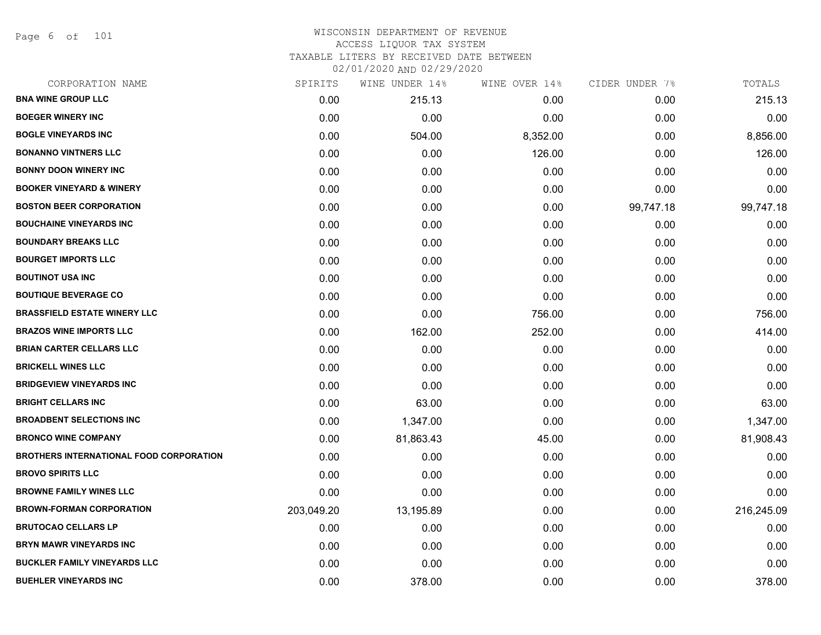Page 6 of 101

| CORPORATION NAME                               | SPIRITS    | WINE UNDER 14% | WINE OVER 14% | CIDER UNDER 7% | TOTALS     |
|------------------------------------------------|------------|----------------|---------------|----------------|------------|
| <b>BNA WINE GROUP LLC</b>                      | 0.00       | 215.13         | 0.00          | 0.00           | 215.13     |
| <b>BOEGER WINERY INC</b>                       | 0.00       | 0.00           | 0.00          | 0.00           | 0.00       |
| <b>BOGLE VINEYARDS INC</b>                     | 0.00       | 504.00         | 8,352.00      | 0.00           | 8,856.00   |
| <b>BONANNO VINTNERS LLC</b>                    | 0.00       | 0.00           | 126.00        | 0.00           | 126.00     |
| <b>BONNY DOON WINERY INC</b>                   | 0.00       | 0.00           | 0.00          | 0.00           | 0.00       |
| <b>BOOKER VINEYARD &amp; WINERY</b>            | 0.00       | 0.00           | 0.00          | 0.00           | 0.00       |
| <b>BOSTON BEER CORPORATION</b>                 | 0.00       | 0.00           | 0.00          | 99,747.18      | 99,747.18  |
| <b>BOUCHAINE VINEYARDS INC</b>                 | 0.00       | 0.00           | 0.00          | 0.00           | 0.00       |
| <b>BOUNDARY BREAKS LLC</b>                     | 0.00       | 0.00           | 0.00          | 0.00           | 0.00       |
| <b>BOURGET IMPORTS LLC</b>                     | 0.00       | 0.00           | 0.00          | 0.00           | 0.00       |
| <b>BOUTINOT USA INC</b>                        | 0.00       | 0.00           | 0.00          | 0.00           | 0.00       |
| <b>BOUTIQUE BEVERAGE CO</b>                    | 0.00       | 0.00           | 0.00          | 0.00           | 0.00       |
| <b>BRASSFIELD ESTATE WINERY LLC</b>            | 0.00       | 0.00           | 756.00        | 0.00           | 756.00     |
| <b>BRAZOS WINE IMPORTS LLC</b>                 | 0.00       | 162.00         | 252.00        | 0.00           | 414.00     |
| <b>BRIAN CARTER CELLARS LLC</b>                | 0.00       | 0.00           | 0.00          | 0.00           | 0.00       |
| <b>BRICKELL WINES LLC</b>                      | 0.00       | 0.00           | 0.00          | 0.00           | 0.00       |
| <b>BRIDGEVIEW VINEYARDS INC</b>                | 0.00       | 0.00           | 0.00          | 0.00           | 0.00       |
| <b>BRIGHT CELLARS INC</b>                      | 0.00       | 63.00          | 0.00          | 0.00           | 63.00      |
| <b>BROADBENT SELECTIONS INC</b>                | 0.00       | 1,347.00       | 0.00          | 0.00           | 1,347.00   |
| <b>BRONCO WINE COMPANY</b>                     | 0.00       | 81,863.43      | 45.00         | 0.00           | 81,908.43  |
| <b>BROTHERS INTERNATIONAL FOOD CORPORATION</b> | 0.00       | 0.00           | 0.00          | 0.00           | 0.00       |
| <b>BROVO SPIRITS LLC</b>                       | 0.00       | 0.00           | 0.00          | 0.00           | 0.00       |
| <b>BROWNE FAMILY WINES LLC</b>                 | 0.00       | 0.00           | 0.00          | 0.00           | 0.00       |
| <b>BROWN-FORMAN CORPORATION</b>                | 203,049.20 | 13,195.89      | 0.00          | 0.00           | 216,245.09 |
| <b>BRUTOCAO CELLARS LP</b>                     | 0.00       | 0.00           | 0.00          | 0.00           | 0.00       |
| <b>BRYN MAWR VINEYARDS INC</b>                 | 0.00       | 0.00           | 0.00          | 0.00           | 0.00       |
| <b>BUCKLER FAMILY VINEYARDS LLC</b>            | 0.00       | 0.00           | 0.00          | 0.00           | 0.00       |
| <b>BUEHLER VINEYARDS INC</b>                   | 0.00       | 378.00         | 0.00          | 0.00           | 378.00     |
|                                                |            |                |               |                |            |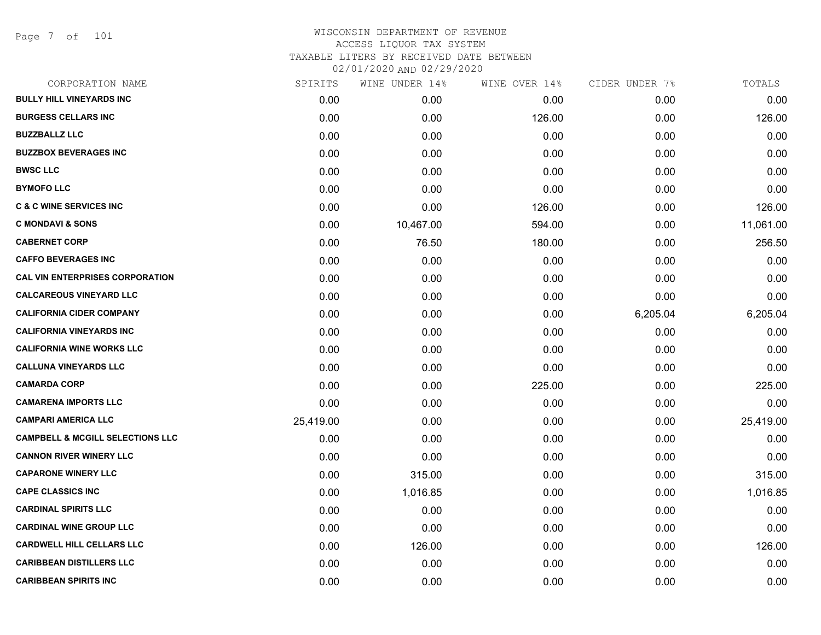Page 7 of 101

| CORPORATION NAME                            | SPIRITS   | WINE UNDER 14% | WINE OVER 14% | CIDER UNDER 7% | TOTALS    |
|---------------------------------------------|-----------|----------------|---------------|----------------|-----------|
| <b>BULLY HILL VINEYARDS INC</b>             | 0.00      | 0.00           | 0.00          | 0.00           | 0.00      |
| <b>BURGESS CELLARS INC</b>                  | 0.00      | 0.00           | 126.00        | 0.00           | 126.00    |
| <b>BUZZBALLZ LLC</b>                        | 0.00      | 0.00           | 0.00          | 0.00           | 0.00      |
| <b>BUZZBOX BEVERAGES INC</b>                | 0.00      | 0.00           | 0.00          | 0.00           | 0.00      |
| <b>BWSC LLC</b>                             | 0.00      | 0.00           | 0.00          | 0.00           | 0.00      |
| <b>BYMOFO LLC</b>                           | 0.00      | 0.00           | 0.00          | 0.00           | 0.00      |
| <b>C &amp; C WINE SERVICES INC</b>          | 0.00      | 0.00           | 126.00        | 0.00           | 126.00    |
| <b>C MONDAVI &amp; SONS</b>                 | 0.00      | 10,467.00      | 594.00        | 0.00           | 11,061.00 |
| <b>CABERNET CORP</b>                        | 0.00      | 76.50          | 180.00        | 0.00           | 256.50    |
| <b>CAFFO BEVERAGES INC</b>                  | 0.00      | 0.00           | 0.00          | 0.00           | 0.00      |
| <b>CAL VIN ENTERPRISES CORPORATION</b>      | 0.00      | 0.00           | 0.00          | 0.00           | 0.00      |
| <b>CALCAREOUS VINEYARD LLC</b>              | 0.00      | 0.00           | 0.00          | 0.00           | 0.00      |
| <b>CALIFORNIA CIDER COMPANY</b>             | 0.00      | 0.00           | 0.00          | 6,205.04       | 6,205.04  |
| <b>CALIFORNIA VINEYARDS INC</b>             | 0.00      | 0.00           | 0.00          | 0.00           | 0.00      |
| <b>CALIFORNIA WINE WORKS LLC</b>            | 0.00      | 0.00           | 0.00          | 0.00           | 0.00      |
| <b>CALLUNA VINEYARDS LLC</b>                | 0.00      | 0.00           | 0.00          | 0.00           | 0.00      |
| <b>CAMARDA CORP</b>                         | 0.00      | 0.00           | 225.00        | 0.00           | 225.00    |
| <b>CAMARENA IMPORTS LLC</b>                 | 0.00      | 0.00           | 0.00          | 0.00           | 0.00      |
| <b>CAMPARI AMERICA LLC</b>                  | 25,419.00 | 0.00           | 0.00          | 0.00           | 25,419.00 |
| <b>CAMPBELL &amp; MCGILL SELECTIONS LLC</b> | 0.00      | 0.00           | 0.00          | 0.00           | 0.00      |
| <b>CANNON RIVER WINERY LLC</b>              | 0.00      | 0.00           | 0.00          | 0.00           | 0.00      |
| <b>CAPARONE WINERY LLC</b>                  | 0.00      | 315.00         | 0.00          | 0.00           | 315.00    |
| <b>CAPE CLASSICS INC</b>                    | 0.00      | 1,016.85       | 0.00          | 0.00           | 1,016.85  |
| <b>CARDINAL SPIRITS LLC</b>                 | 0.00      | 0.00           | 0.00          | 0.00           | 0.00      |
| <b>CARDINAL WINE GROUP LLC</b>              | 0.00      | 0.00           | 0.00          | 0.00           | 0.00      |
| <b>CARDWELL HILL CELLARS LLC</b>            | 0.00      | 126.00         | 0.00          | 0.00           | 126.00    |
| <b>CARIBBEAN DISTILLERS LLC</b>             | 0.00      | 0.00           | 0.00          | 0.00           | 0.00      |
| <b>CARIBBEAN SPIRITS INC</b>                | 0.00      | 0.00           | 0.00          | 0.00           | 0.00      |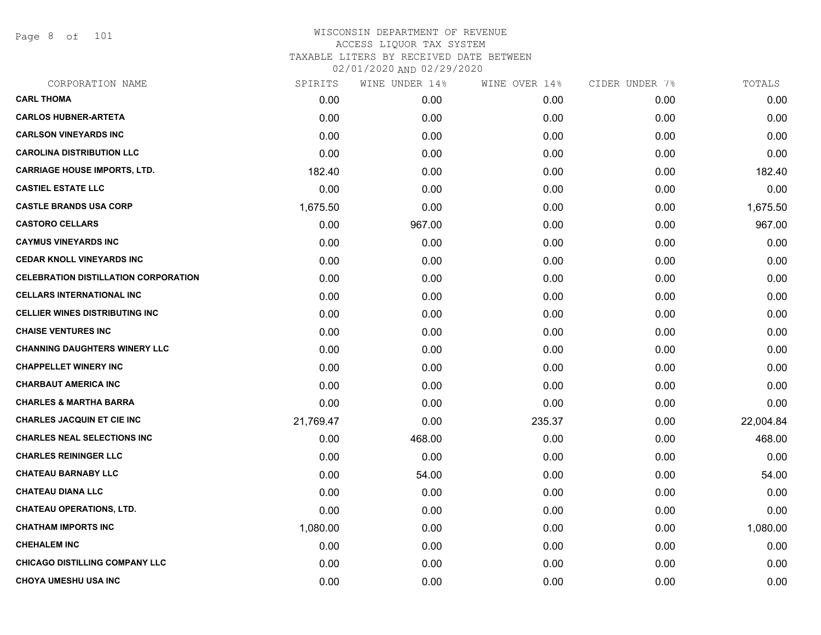Page 8 of 101

| 0.00<br>0.00 | 0.00                                                                                                                                                                                                                                |      |           |
|--------------|-------------------------------------------------------------------------------------------------------------------------------------------------------------------------------------------------------------------------------------|------|-----------|
|              |                                                                                                                                                                                                                                     | 0.00 | 0.00      |
| 0.00         | 0.00                                                                                                                                                                                                                                | 0.00 | 0.00      |
| 0.00         | 0.00                                                                                                                                                                                                                                | 0.00 | 0.00      |
| 0.00         | 0.00                                                                                                                                                                                                                                | 0.00 | 0.00      |
| 0.00         | 0.00                                                                                                                                                                                                                                | 0.00 | 182.40    |
| 0.00         | 0.00                                                                                                                                                                                                                                | 0.00 | 0.00      |
| 0.00         | 0.00                                                                                                                                                                                                                                | 0.00 | 1,675.50  |
| 967.00       | 0.00                                                                                                                                                                                                                                | 0.00 | 967.00    |
| 0.00         | 0.00                                                                                                                                                                                                                                | 0.00 | 0.00      |
| 0.00         | 0.00                                                                                                                                                                                                                                | 0.00 | 0.00      |
| 0.00         | 0.00                                                                                                                                                                                                                                | 0.00 | 0.00      |
| 0.00         | 0.00                                                                                                                                                                                                                                | 0.00 | 0.00      |
| 0.00         | 0.00                                                                                                                                                                                                                                | 0.00 | 0.00      |
| 0.00         | 0.00                                                                                                                                                                                                                                | 0.00 | 0.00      |
| 0.00         | 0.00                                                                                                                                                                                                                                | 0.00 | 0.00      |
| 0.00         | 0.00                                                                                                                                                                                                                                | 0.00 | 0.00      |
| 0.00         | 0.00                                                                                                                                                                                                                                | 0.00 | 0.00      |
| 0.00         | 0.00                                                                                                                                                                                                                                | 0.00 | 0.00      |
| 0.00         | 235.37                                                                                                                                                                                                                              | 0.00 | 22,004.84 |
| 468.00       | 0.00                                                                                                                                                                                                                                | 0.00 | 468.00    |
| 0.00         | 0.00                                                                                                                                                                                                                                | 0.00 | 0.00      |
| 54.00        | 0.00                                                                                                                                                                                                                                | 0.00 | 54.00     |
| 0.00         | 0.00                                                                                                                                                                                                                                | 0.00 | 0.00      |
| 0.00         | 0.00                                                                                                                                                                                                                                | 0.00 | 0.00      |
| 0.00         | 0.00                                                                                                                                                                                                                                | 0.00 | 1,080.00  |
| 0.00         | 0.00                                                                                                                                                                                                                                | 0.00 | 0.00      |
| 0.00         | 0.00                                                                                                                                                                                                                                | 0.00 | 0.00      |
| 0.00         | 0.00                                                                                                                                                                                                                                | 0.00 | 0.00      |
|              | 0.00<br>0.00<br>0.00<br>182.40<br>0.00<br>1,675.50<br>0.00<br>0.00<br>0.00<br>0.00<br>0.00<br>0.00<br>0.00<br>0.00<br>0.00<br>0.00<br>0.00<br>21,769.47<br>0.00<br>0.00<br>0.00<br>0.00<br>0.00<br>1,080.00<br>0.00<br>0.00<br>0.00 |      |           |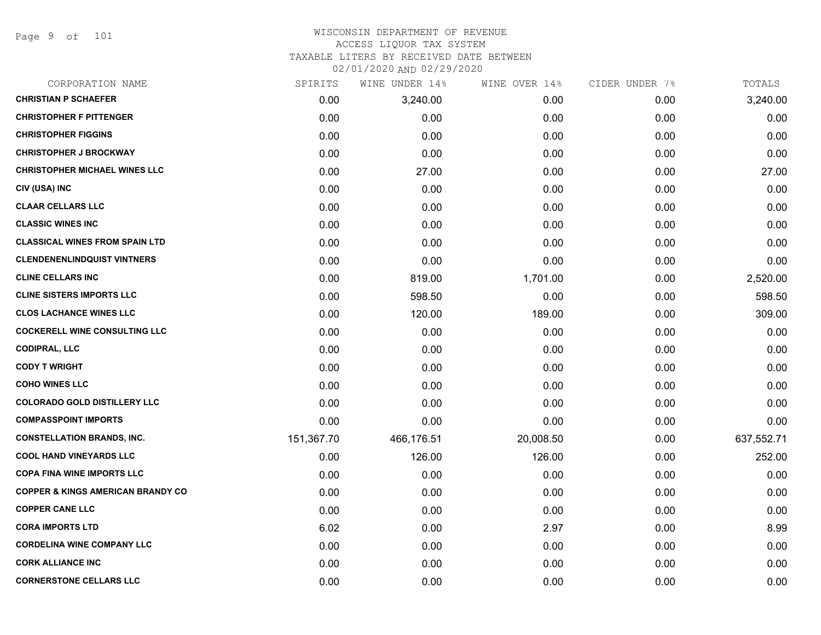Page 9 of 101

#### WISCONSIN DEPARTMENT OF REVENUE ACCESS LIQUOR TAX SYSTEM TAXABLE LITERS BY RECEIVED DATE BETWEEN

02/01/2020 AND 02/29/2020

| CORPORATION NAME                             | SPIRITS    | WINE UNDER 14% | WINE OVER 14% | CIDER UNDER 7% | TOTALS     |
|----------------------------------------------|------------|----------------|---------------|----------------|------------|
| <b>CHRISTIAN P SCHAEFER</b>                  | 0.00       | 3,240.00       | 0.00          | 0.00           | 3,240.00   |
| <b>CHRISTOPHER F PITTENGER</b>               | 0.00       | 0.00           | 0.00          | 0.00           | 0.00       |
| <b>CHRISTOPHER FIGGINS</b>                   | 0.00       | 0.00           | 0.00          | 0.00           | 0.00       |
| <b>CHRISTOPHER J BROCKWAY</b>                | 0.00       | 0.00           | 0.00          | 0.00           | 0.00       |
| <b>CHRISTOPHER MICHAEL WINES LLC</b>         | 0.00       | 27.00          | 0.00          | 0.00           | 27.00      |
| CIV (USA) INC                                | 0.00       | 0.00           | 0.00          | 0.00           | 0.00       |
| <b>CLAAR CELLARS LLC</b>                     | 0.00       | 0.00           | 0.00          | 0.00           | 0.00       |
| <b>CLASSIC WINES INC</b>                     | 0.00       | 0.00           | 0.00          | 0.00           | 0.00       |
| <b>CLASSICAL WINES FROM SPAIN LTD</b>        | 0.00       | 0.00           | 0.00          | 0.00           | 0.00       |
| <b>CLENDENENLINDQUIST VINTNERS</b>           | 0.00       | 0.00           | 0.00          | 0.00           | 0.00       |
| <b>CLINE CELLARS INC</b>                     | 0.00       | 819.00         | 1,701.00      | 0.00           | 2,520.00   |
| <b>CLINE SISTERS IMPORTS LLC</b>             | 0.00       | 598.50         | 0.00          | 0.00           | 598.50     |
| <b>CLOS LACHANCE WINES LLC</b>               | 0.00       | 120.00         | 189.00        | 0.00           | 309.00     |
| <b>COCKERELL WINE CONSULTING LLC</b>         | 0.00       | 0.00           | 0.00          | 0.00           | 0.00       |
| <b>CODIPRAL, LLC</b>                         | 0.00       | 0.00           | 0.00          | 0.00           | 0.00       |
| <b>CODY T WRIGHT</b>                         | 0.00       | 0.00           | 0.00          | 0.00           | 0.00       |
| <b>COHO WINES LLC</b>                        | 0.00       | 0.00           | 0.00          | 0.00           | 0.00       |
| <b>COLORADO GOLD DISTILLERY LLC</b>          | 0.00       | 0.00           | 0.00          | 0.00           | 0.00       |
| <b>COMPASSPOINT IMPORTS</b>                  | 0.00       | 0.00           | 0.00          | 0.00           | 0.00       |
| <b>CONSTELLATION BRANDS, INC.</b>            | 151,367.70 | 466,176.51     | 20,008.50     | 0.00           | 637,552.71 |
| <b>COOL HAND VINEYARDS LLC</b>               | 0.00       | 126.00         | 126.00        | 0.00           | 252.00     |
| <b>COPA FINA WINE IMPORTS LLC</b>            | 0.00       | 0.00           | 0.00          | 0.00           | 0.00       |
| <b>COPPER &amp; KINGS AMERICAN BRANDY CO</b> | 0.00       | 0.00           | 0.00          | 0.00           | 0.00       |
| <b>COPPER CANE LLC</b>                       | 0.00       | 0.00           | 0.00          | 0.00           | 0.00       |
| <b>CORA IMPORTS LTD</b>                      | 6.02       | 0.00           | 2.97          | 0.00           | 8.99       |
| <b>CORDELINA WINE COMPANY LLC</b>            | 0.00       | 0.00           | 0.00          | 0.00           | 0.00       |
| <b>CORK ALLIANCE INC</b>                     | 0.00       | 0.00           | 0.00          | 0.00           | 0.00       |
| <b>CORNERSTONE CELLARS LLC</b>               | 0.00       | 0.00           | 0.00          | 0.00           | 0.00       |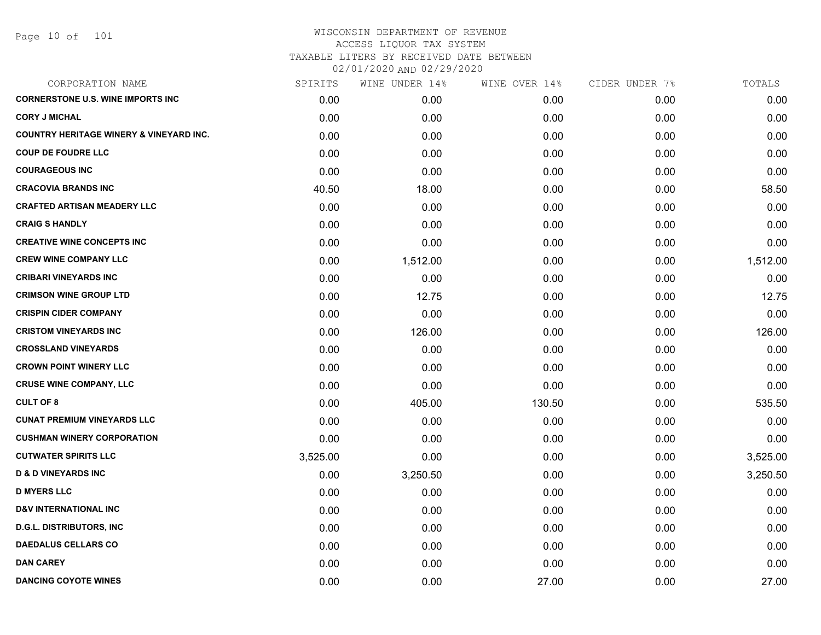Page 10 of 101

| CORPORATION NAME                                   | SPIRITS  | WINE UNDER 14% | WINE OVER 14% | CIDER UNDER 7% | TOTALS   |
|----------------------------------------------------|----------|----------------|---------------|----------------|----------|
| <b>CORNERSTONE U.S. WINE IMPORTS INC</b>           | 0.00     | 0.00           | 0.00          | 0.00           | 0.00     |
| <b>CORY J MICHAL</b>                               | 0.00     | 0.00           | 0.00          | 0.00           | 0.00     |
| <b>COUNTRY HERITAGE WINERY &amp; VINEYARD INC.</b> | 0.00     | 0.00           | 0.00          | 0.00           | 0.00     |
| <b>COUP DE FOUDRE LLC</b>                          | 0.00     | 0.00           | 0.00          | 0.00           | 0.00     |
| <b>COURAGEOUS INC</b>                              | 0.00     | 0.00           | 0.00          | 0.00           | 0.00     |
| <b>CRACOVIA BRANDS INC</b>                         | 40.50    | 18.00          | 0.00          | 0.00           | 58.50    |
| <b>CRAFTED ARTISAN MEADERY LLC</b>                 | 0.00     | 0.00           | 0.00          | 0.00           | 0.00     |
| <b>CRAIG S HANDLY</b>                              | 0.00     | 0.00           | 0.00          | 0.00           | 0.00     |
| <b>CREATIVE WINE CONCEPTS INC</b>                  | 0.00     | 0.00           | 0.00          | 0.00           | 0.00     |
| <b>CREW WINE COMPANY LLC</b>                       | 0.00     | 1,512.00       | 0.00          | 0.00           | 1,512.00 |
| <b>CRIBARI VINEYARDS INC</b>                       | 0.00     | 0.00           | 0.00          | 0.00           | 0.00     |
| <b>CRIMSON WINE GROUP LTD</b>                      | 0.00     | 12.75          | 0.00          | 0.00           | 12.75    |
| <b>CRISPIN CIDER COMPANY</b>                       | 0.00     | 0.00           | 0.00          | 0.00           | 0.00     |
| <b>CRISTOM VINEYARDS INC</b>                       | 0.00     | 126.00         | 0.00          | 0.00           | 126.00   |
| <b>CROSSLAND VINEYARDS</b>                         | 0.00     | 0.00           | 0.00          | 0.00           | 0.00     |
| <b>CROWN POINT WINERY LLC</b>                      | 0.00     | 0.00           | 0.00          | 0.00           | 0.00     |
| <b>CRUSE WINE COMPANY, LLC</b>                     | 0.00     | 0.00           | 0.00          | 0.00           | 0.00     |
| <b>CULT OF 8</b>                                   | 0.00     | 405.00         | 130.50        | 0.00           | 535.50   |
| <b>CUNAT PREMIUM VINEYARDS LLC</b>                 | 0.00     | 0.00           | 0.00          | 0.00           | 0.00     |
| <b>CUSHMAN WINERY CORPORATION</b>                  | 0.00     | 0.00           | 0.00          | 0.00           | 0.00     |
| <b>CUTWATER SPIRITS LLC</b>                        | 3,525.00 | 0.00           | 0.00          | 0.00           | 3,525.00 |
| <b>D &amp; D VINEYARDS INC</b>                     | 0.00     | 3,250.50       | 0.00          | 0.00           | 3,250.50 |
| <b>D MYERS LLC</b>                                 | 0.00     | 0.00           | 0.00          | 0.00           | 0.00     |
| <b>D&amp;V INTERNATIONAL INC</b>                   | 0.00     | 0.00           | 0.00          | 0.00           | 0.00     |
| <b>D.G.L. DISTRIBUTORS, INC</b>                    | 0.00     | 0.00           | 0.00          | 0.00           | 0.00     |
| <b>DAEDALUS CELLARS CO</b>                         | 0.00     | 0.00           | 0.00          | 0.00           | 0.00     |
| <b>DAN CAREY</b>                                   | 0.00     | 0.00           | 0.00          | 0.00           | 0.00     |
| <b>DANCING COYOTE WINES</b>                        | 0.00     | 0.00           | 27.00         | 0.00           | 27.00    |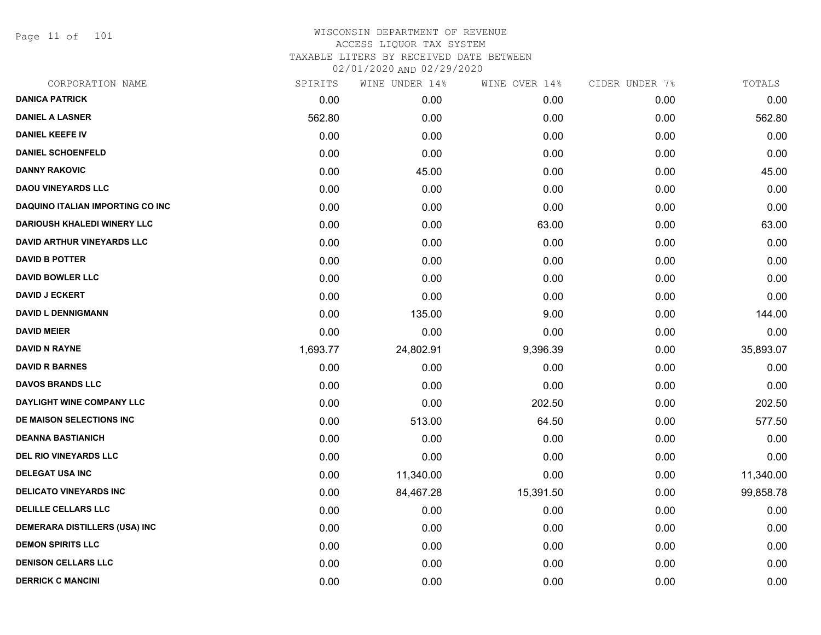Page 11 of 101

|          |           | WINE OVER 14%  | CIDER UNDER 7% | TOTALS    |
|----------|-----------|----------------|----------------|-----------|
| 0.00     | 0.00      | 0.00           | 0.00           | 0.00      |
| 562.80   | 0.00      | 0.00           | 0.00           | 562.80    |
| 0.00     | 0.00      | 0.00           | 0.00           | 0.00      |
| 0.00     | 0.00      | 0.00           | 0.00           | 0.00      |
| 0.00     | 45.00     | 0.00           | 0.00           | 45.00     |
| 0.00     | 0.00      | 0.00           | 0.00           | 0.00      |
| 0.00     | 0.00      | 0.00           | 0.00           | 0.00      |
| 0.00     | 0.00      | 63.00          | 0.00           | 63.00     |
| 0.00     | 0.00      | 0.00           | 0.00           | 0.00      |
| 0.00     | 0.00      | 0.00           | 0.00           | 0.00      |
| 0.00     | 0.00      | 0.00           | 0.00           | 0.00      |
| 0.00     | 0.00      | 0.00           | 0.00           | 0.00      |
| 0.00     | 135.00    | 9.00           | 0.00           | 144.00    |
| 0.00     | 0.00      | 0.00           | 0.00           | 0.00      |
| 1,693.77 | 24,802.91 | 9,396.39       | 0.00           | 35,893.07 |
| 0.00     | 0.00      | 0.00           | 0.00           | 0.00      |
| 0.00     | 0.00      | 0.00           | 0.00           | 0.00      |
| 0.00     | 0.00      | 202.50         | 0.00           | 202.50    |
| 0.00     | 513.00    | 64.50          | 0.00           | 577.50    |
| 0.00     | 0.00      | 0.00           | 0.00           | 0.00      |
| 0.00     | 0.00      | 0.00           | 0.00           | 0.00      |
| 0.00     | 11,340.00 | 0.00           | 0.00           | 11,340.00 |
| 0.00     | 84,467.28 | 15,391.50      | 0.00           | 99,858.78 |
| 0.00     | 0.00      | 0.00           | 0.00           | 0.00      |
| 0.00     | 0.00      | 0.00           | 0.00           | 0.00      |
| 0.00     | 0.00      | 0.00           | 0.00           | 0.00      |
| 0.00     | 0.00      | 0.00           | 0.00           | 0.00      |
| 0.00     | 0.00      | 0.00           | 0.00           | 0.00      |
|          | SPIRITS   | WINE UNDER 14% |                |           |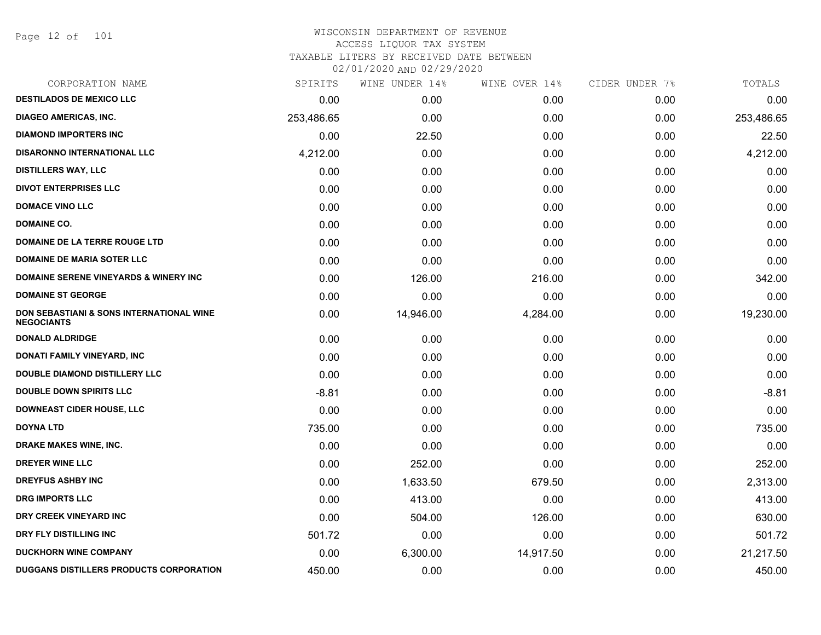Page 12 of 101

## WISCONSIN DEPARTMENT OF REVENUE ACCESS LIQUOR TAX SYSTEM TAXABLE LITERS BY RECEIVED DATE BETWEEN

02/01/2020 AND 02/29/2020

| CORPORATION NAME                                              | SPIRITS    | WINE UNDER 14% | WINE OVER 14% | CIDER UNDER 7% | TOTALS     |
|---------------------------------------------------------------|------------|----------------|---------------|----------------|------------|
| <b>DESTILADOS DE MEXICO LLC</b>                               | 0.00       | 0.00           | 0.00          | 0.00           | 0.00       |
| <b>DIAGEO AMERICAS, INC.</b>                                  | 253,486.65 | 0.00           | 0.00          | 0.00           | 253,486.65 |
| <b>DIAMOND IMPORTERS INC</b>                                  | 0.00       | 22.50          | 0.00          | 0.00           | 22.50      |
| <b>DISARONNO INTERNATIONAL LLC</b>                            | 4,212.00   | 0.00           | 0.00          | 0.00           | 4,212.00   |
| <b>DISTILLERS WAY, LLC</b>                                    | 0.00       | 0.00           | 0.00          | 0.00           | 0.00       |
| <b>DIVOT ENTERPRISES LLC</b>                                  | 0.00       | 0.00           | 0.00          | 0.00           | 0.00       |
| <b>DOMACE VINO LLC</b>                                        | 0.00       | 0.00           | 0.00          | 0.00           | 0.00       |
| <b>DOMAINE CO.</b>                                            | 0.00       | 0.00           | 0.00          | 0.00           | 0.00       |
| DOMAINE DE LA TERRE ROUGE LTD                                 | 0.00       | 0.00           | 0.00          | 0.00           | 0.00       |
| <b>DOMAINE DE MARIA SOTER LLC</b>                             | 0.00       | 0.00           | 0.00          | 0.00           | 0.00       |
| <b>DOMAINE SERENE VINEYARDS &amp; WINERY INC</b>              | 0.00       | 126.00         | 216.00        | 0.00           | 342.00     |
| <b>DOMAINE ST GEORGE</b>                                      | 0.00       | 0.00           | 0.00          | 0.00           | 0.00       |
| DON SEBASTIANI & SONS INTERNATIONAL WINE<br><b>NEGOCIANTS</b> | 0.00       | 14,946.00      | 4,284.00      | 0.00           | 19,230.00  |
| <b>DONALD ALDRIDGE</b>                                        | 0.00       | 0.00           | 0.00          | 0.00           | 0.00       |
| DONATI FAMILY VINEYARD, INC                                   | 0.00       | 0.00           | 0.00          | 0.00           | 0.00       |
| <b>DOUBLE DIAMOND DISTILLERY LLC</b>                          | 0.00       | 0.00           | 0.00          | 0.00           | 0.00       |
| <b>DOUBLE DOWN SPIRITS LLC</b>                                | $-8.81$    | 0.00           | 0.00          | 0.00           | $-8.81$    |
| <b>DOWNEAST CIDER HOUSE, LLC</b>                              | 0.00       | 0.00           | 0.00          | 0.00           | 0.00       |
| <b>DOYNA LTD</b>                                              | 735.00     | 0.00           | 0.00          | 0.00           | 735.00     |
| DRAKE MAKES WINE, INC.                                        | 0.00       | 0.00           | 0.00          | 0.00           | 0.00       |
| DREYER WINE LLC                                               | 0.00       | 252.00         | 0.00          | 0.00           | 252.00     |
| <b>DREYFUS ASHBY INC</b>                                      | 0.00       | 1,633.50       | 679.50        | 0.00           | 2,313.00   |
| <b>DRG IMPORTS LLC</b>                                        | 0.00       | 413.00         | 0.00          | 0.00           | 413.00     |
| DRY CREEK VINEYARD INC                                        | 0.00       | 504.00         | 126.00        | 0.00           | 630.00     |
| DRY FLY DISTILLING INC                                        | 501.72     | 0.00           | 0.00          | 0.00           | 501.72     |
| <b>DUCKHORN WINE COMPANY</b>                                  | 0.00       | 6,300.00       | 14,917.50     | 0.00           | 21,217.50  |
| DUGGANS DISTILLERS PRODUCTS CORPORATION                       | 450.00     | 0.00           | 0.00          | 0.00           | 450.00     |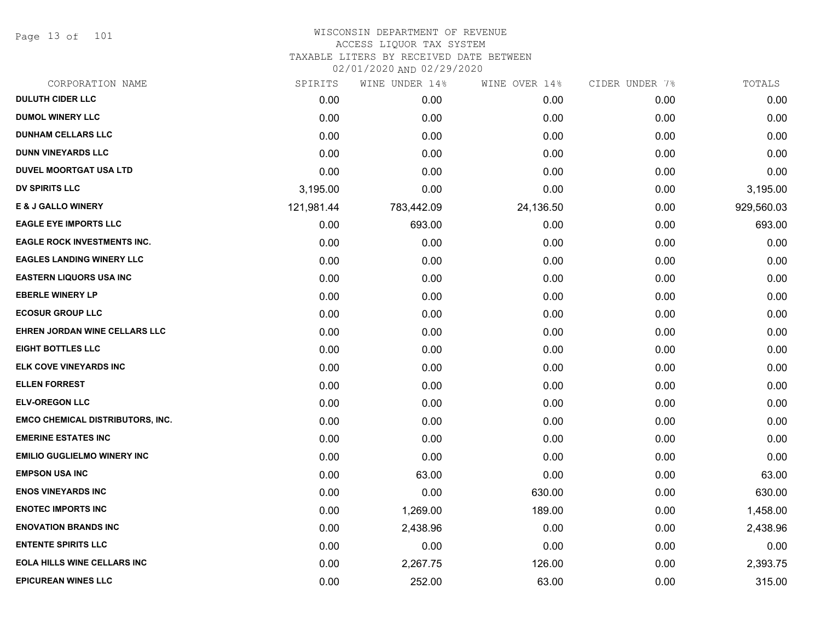Page 13 of 101

# WISCONSIN DEPARTMENT OF REVENUE ACCESS LIQUOR TAX SYSTEM TAXABLE LITERS BY RECEIVED DATE BETWEEN

02/01/2020 AND 02/29/2020

| CORPORATION NAME                        | SPIRITS    | WINE UNDER 14% | WINE OVER 14% | CIDER UNDER 7% | TOTALS     |
|-----------------------------------------|------------|----------------|---------------|----------------|------------|
| <b>DULUTH CIDER LLC</b>                 | 0.00       | 0.00           | 0.00          | 0.00           | 0.00       |
| <b>DUMOL WINERY LLC</b>                 | 0.00       | 0.00           | 0.00          | 0.00           | 0.00       |
| <b>DUNHAM CELLARS LLC</b>               | 0.00       | 0.00           | 0.00          | 0.00           | 0.00       |
| <b>DUNN VINEYARDS LLC</b>               | 0.00       | 0.00           | 0.00          | 0.00           | 0.00       |
| <b>DUVEL MOORTGAT USA LTD</b>           | 0.00       | 0.00           | 0.00          | 0.00           | 0.00       |
| <b>DV SPIRITS LLC</b>                   | 3,195.00   | 0.00           | 0.00          | 0.00           | 3,195.00   |
| <b>E &amp; J GALLO WINERY</b>           | 121,981.44 | 783,442.09     | 24,136.50     | 0.00           | 929,560.03 |
| <b>EAGLE EYE IMPORTS LLC</b>            | 0.00       | 693.00         | 0.00          | 0.00           | 693.00     |
| <b>EAGLE ROCK INVESTMENTS INC.</b>      | 0.00       | 0.00           | 0.00          | 0.00           | 0.00       |
| <b>EAGLES LANDING WINERY LLC</b>        | 0.00       | 0.00           | 0.00          | 0.00           | 0.00       |
| <b>EASTERN LIQUORS USA INC</b>          | 0.00       | 0.00           | 0.00          | 0.00           | 0.00       |
| <b>EBERLE WINERY LP</b>                 | 0.00       | 0.00           | 0.00          | 0.00           | 0.00       |
| <b>ECOSUR GROUP LLC</b>                 | 0.00       | 0.00           | 0.00          | 0.00           | 0.00       |
| EHREN JORDAN WINE CELLARS LLC           | 0.00       | 0.00           | 0.00          | 0.00           | 0.00       |
| <b>EIGHT BOTTLES LLC</b>                | 0.00       | 0.00           | 0.00          | 0.00           | 0.00       |
| ELK COVE VINEYARDS INC                  | 0.00       | 0.00           | 0.00          | 0.00           | 0.00       |
| <b>ELLEN FORREST</b>                    | 0.00       | 0.00           | 0.00          | 0.00           | 0.00       |
| <b>ELV-OREGON LLC</b>                   | 0.00       | 0.00           | 0.00          | 0.00           | 0.00       |
| <b>EMCO CHEMICAL DISTRIBUTORS, INC.</b> | 0.00       | 0.00           | 0.00          | 0.00           | 0.00       |
| <b>EMERINE ESTATES INC</b>              | 0.00       | 0.00           | 0.00          | 0.00           | 0.00       |
| <b>EMILIO GUGLIELMO WINERY INC</b>      | 0.00       | 0.00           | 0.00          | 0.00           | 0.00       |
| <b>EMPSON USA INC</b>                   | 0.00       | 63.00          | 0.00          | 0.00           | 63.00      |
| <b>ENOS VINEYARDS INC</b>               | 0.00       | 0.00           | 630.00        | 0.00           | 630.00     |
| <b>ENOTEC IMPORTS INC</b>               | 0.00       | 1,269.00       | 189.00        | 0.00           | 1,458.00   |
| <b>ENOVATION BRANDS INC</b>             | 0.00       | 2,438.96       | 0.00          | 0.00           | 2,438.96   |
| <b>ENTENTE SPIRITS LLC</b>              | 0.00       | 0.00           | 0.00          | 0.00           | 0.00       |
| <b>EOLA HILLS WINE CELLARS INC</b>      | 0.00       | 2,267.75       | 126.00        | 0.00           | 2,393.75   |
| <b>EPICUREAN WINES LLC</b>              | 0.00       | 252.00         | 63.00         | 0.00           | 315.00     |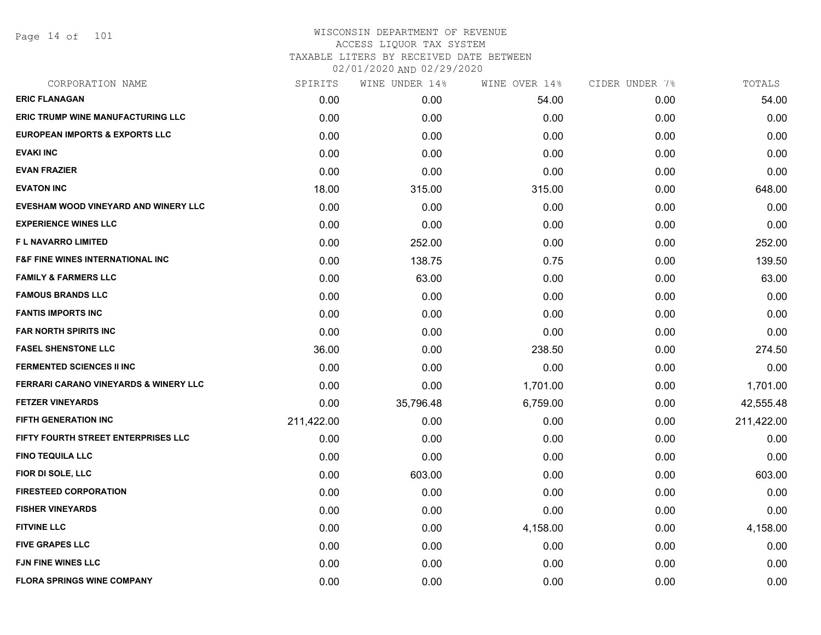Page 14 of 101

| CORPORATION NAME                          | SPIRITS    | WINE UNDER 14% | WINE OVER 14% | CIDER UNDER 7% | TOTALS     |
|-------------------------------------------|------------|----------------|---------------|----------------|------------|
| <b>ERIC FLANAGAN</b>                      | 0.00       | 0.00           | 54.00         | 0.00           | 54.00      |
| <b>ERIC TRUMP WINE MANUFACTURING LLC</b>  | 0.00       | 0.00           | 0.00          | 0.00           | 0.00       |
| <b>EUROPEAN IMPORTS &amp; EXPORTS LLC</b> | 0.00       | 0.00           | 0.00          | 0.00           | 0.00       |
| <b>EVAKI INC</b>                          | 0.00       | 0.00           | 0.00          | 0.00           | 0.00       |
| <b>EVAN FRAZIER</b>                       | 0.00       | 0.00           | 0.00          | 0.00           | 0.00       |
| <b>EVATON INC</b>                         | 18.00      | 315.00         | 315.00        | 0.00           | 648.00     |
| EVESHAM WOOD VINEYARD AND WINERY LLC      | 0.00       | 0.00           | 0.00          | 0.00           | 0.00       |
| <b>EXPERIENCE WINES LLC</b>               | 0.00       | 0.00           | 0.00          | 0.00           | 0.00       |
| F L NAVARRO LIMITED                       | 0.00       | 252.00         | 0.00          | 0.00           | 252.00     |
| F&F FINE WINES INTERNATIONAL INC          | 0.00       | 138.75         | 0.75          | 0.00           | 139.50     |
| <b>FAMILY &amp; FARMERS LLC</b>           | 0.00       | 63.00          | 0.00          | 0.00           | 63.00      |
| <b>FAMOUS BRANDS LLC</b>                  | 0.00       | 0.00           | 0.00          | 0.00           | 0.00       |
| <b>FANTIS IMPORTS INC</b>                 | 0.00       | 0.00           | 0.00          | 0.00           | 0.00       |
| <b>FAR NORTH SPIRITS INC</b>              | 0.00       | 0.00           | 0.00          | 0.00           | 0.00       |
| <b>FASEL SHENSTONE LLC</b>                | 36.00      | 0.00           | 238.50        | 0.00           | 274.50     |
| <b>FERMENTED SCIENCES II INC</b>          | 0.00       | 0.00           | 0.00          | 0.00           | 0.00       |
| FERRARI CARANO VINEYARDS & WINERY LLC     | 0.00       | 0.00           | 1,701.00      | 0.00           | 1,701.00   |
| <b>FETZER VINEYARDS</b>                   | 0.00       | 35,796.48      | 6,759.00      | 0.00           | 42,555.48  |
| <b>FIFTH GENERATION INC</b>               | 211,422.00 | 0.00           | 0.00          | 0.00           | 211,422.00 |
| FIFTY FOURTH STREET ENTERPRISES LLC       | 0.00       | 0.00           | 0.00          | 0.00           | 0.00       |
| <b>FINO TEQUILA LLC</b>                   | 0.00       | 0.00           | 0.00          | 0.00           | 0.00       |
| FIOR DI SOLE, LLC                         | 0.00       | 603.00         | 0.00          | 0.00           | 603.00     |
| <b>FIRESTEED CORPORATION</b>              | 0.00       | 0.00           | 0.00          | 0.00           | 0.00       |
| <b>FISHER VINEYARDS</b>                   | 0.00       | 0.00           | 0.00          | 0.00           | 0.00       |
| <b>FITVINE LLC</b>                        | 0.00       | 0.00           | 4,158.00      | 0.00           | 4,158.00   |
| <b>FIVE GRAPES LLC</b>                    | 0.00       | 0.00           | 0.00          | 0.00           | 0.00       |
| <b>FJN FINE WINES LLC</b>                 | 0.00       | 0.00           | 0.00          | 0.00           | 0.00       |
| <b>FLORA SPRINGS WINE COMPANY</b>         | 0.00       | 0.00           | 0.00          | 0.00           | 0.00       |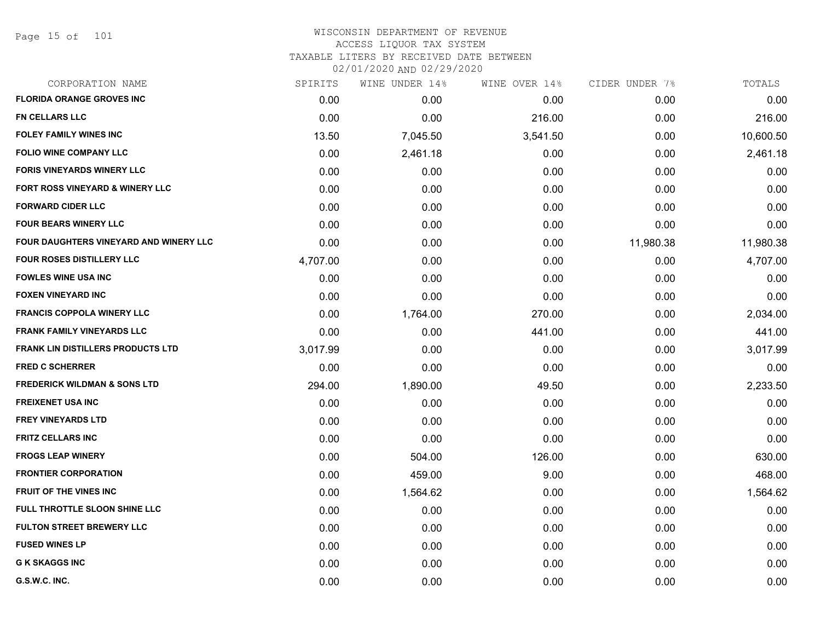| CORPORATION NAME                         | SPIRITS  | WINE UNDER 14% | WINE OVER 14% | CIDER UNDER 7% | TOTALS    |
|------------------------------------------|----------|----------------|---------------|----------------|-----------|
| <b>FLORIDA ORANGE GROVES INC</b>         | 0.00     | 0.00           | 0.00          | 0.00           | 0.00      |
| <b>FN CELLARS LLC</b>                    | 0.00     | 0.00           | 216.00        | 0.00           | 216.00    |
| <b>FOLEY FAMILY WINES INC</b>            | 13.50    | 7,045.50       | 3,541.50      | 0.00           | 10,600.50 |
| <b>FOLIO WINE COMPANY LLC</b>            | 0.00     | 2,461.18       | 0.00          | 0.00           | 2,461.18  |
| <b>FORIS VINEYARDS WINERY LLC</b>        | 0.00     | 0.00           | 0.00          | 0.00           | 0.00      |
| FORT ROSS VINEYARD & WINERY LLC          | 0.00     | 0.00           | 0.00          | 0.00           | 0.00      |
| <b>FORWARD CIDER LLC</b>                 | 0.00     | 0.00           | 0.00          | 0.00           | 0.00      |
| <b>FOUR BEARS WINERY LLC</b>             | 0.00     | 0.00           | 0.00          | 0.00           | 0.00      |
| FOUR DAUGHTERS VINEYARD AND WINERY LLC   | 0.00     | 0.00           | 0.00          | 11,980.38      | 11,980.38 |
| <b>FOUR ROSES DISTILLERY LLC</b>         | 4,707.00 | 0.00           | 0.00          | 0.00           | 4,707.00  |
| <b>FOWLES WINE USA INC</b>               | 0.00     | 0.00           | 0.00          | 0.00           | 0.00      |
| <b>FOXEN VINEYARD INC</b>                | 0.00     | 0.00           | 0.00          | 0.00           | 0.00      |
| <b>FRANCIS COPPOLA WINERY LLC</b>        | 0.00     | 1,764.00       | 270.00        | 0.00           | 2,034.00  |
| <b>FRANK FAMILY VINEYARDS LLC</b>        | 0.00     | 0.00           | 441.00        | 0.00           | 441.00    |
| <b>FRANK LIN DISTILLERS PRODUCTS LTD</b> | 3,017.99 | 0.00           | 0.00          | 0.00           | 3,017.99  |
| <b>FRED C SCHERRER</b>                   | 0.00     | 0.00           | 0.00          | 0.00           | 0.00      |
| <b>FREDERICK WILDMAN &amp; SONS LTD</b>  | 294.00   | 1,890.00       | 49.50         | 0.00           | 2,233.50  |
| <b>FREIXENET USA INC</b>                 | 0.00     | 0.00           | 0.00          | 0.00           | 0.00      |
| <b>FREY VINEYARDS LTD</b>                | 0.00     | 0.00           | 0.00          | 0.00           | 0.00      |
| <b>FRITZ CELLARS INC</b>                 | 0.00     | 0.00           | 0.00          | 0.00           | 0.00      |
| <b>FROGS LEAP WINERY</b>                 | 0.00     | 504.00         | 126.00        | 0.00           | 630.00    |
| <b>FRONTIER CORPORATION</b>              | 0.00     | 459.00         | 9.00          | 0.00           | 468.00    |
| FRUIT OF THE VINES INC                   | 0.00     | 1,564.62       | 0.00          | 0.00           | 1,564.62  |
| FULL THROTTLE SLOON SHINE LLC            | 0.00     | 0.00           | 0.00          | 0.00           | 0.00      |
| <b>FULTON STREET BREWERY LLC</b>         | 0.00     | 0.00           | 0.00          | 0.00           | 0.00      |
| <b>FUSED WINES LP</b>                    | 0.00     | 0.00           | 0.00          | 0.00           | 0.00      |
| <b>G K SKAGGS INC</b>                    | 0.00     | 0.00           | 0.00          | 0.00           | 0.00      |
| G.S.W.C. INC.                            | 0.00     | 0.00           | 0.00          | 0.00           | 0.00      |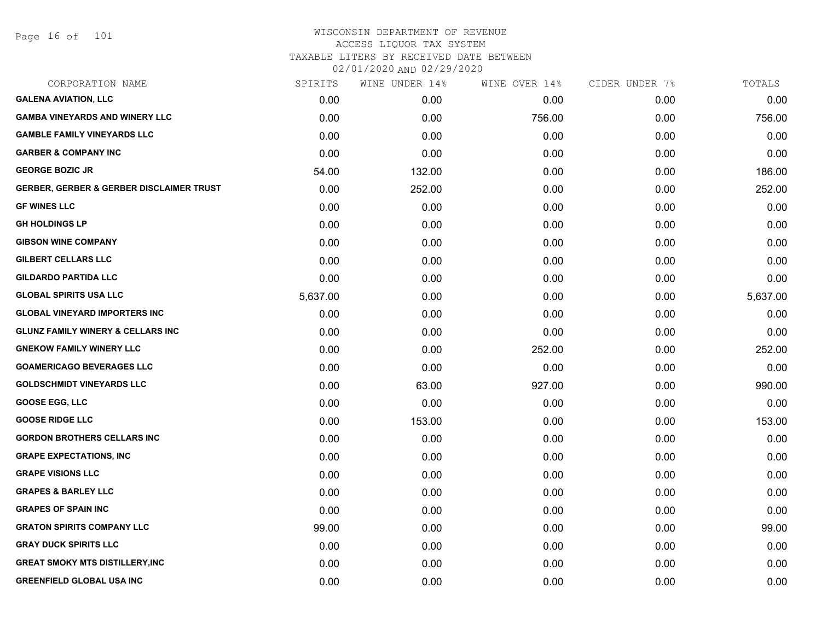Page 16 of 101

# WISCONSIN DEPARTMENT OF REVENUE ACCESS LIQUOR TAX SYSTEM TAXABLE LITERS BY RECEIVED DATE BETWEEN

02/01/2020 AND 02/29/2020

| CORPORATION NAME                                    | SPIRITS  | WINE UNDER 14% | WINE OVER 14% | CIDER UNDER 7% | TOTALS   |
|-----------------------------------------------------|----------|----------------|---------------|----------------|----------|
| <b>GALENA AVIATION, LLC</b>                         | 0.00     | 0.00           | 0.00          | 0.00           | 0.00     |
| <b>GAMBA VINEYARDS AND WINERY LLC</b>               | 0.00     | 0.00           | 756.00        | 0.00           | 756.00   |
| <b>GAMBLE FAMILY VINEYARDS LLC</b>                  | 0.00     | 0.00           | 0.00          | 0.00           | 0.00     |
| <b>GARBER &amp; COMPANY INC</b>                     | 0.00     | 0.00           | 0.00          | 0.00           | 0.00     |
| <b>GEORGE BOZIC JR</b>                              | 54.00    | 132.00         | 0.00          | 0.00           | 186.00   |
| <b>GERBER, GERBER &amp; GERBER DISCLAIMER TRUST</b> | 0.00     | 252.00         | 0.00          | 0.00           | 252.00   |
| <b>GF WINES LLC</b>                                 | 0.00     | 0.00           | 0.00          | 0.00           | 0.00     |
| <b>GH HOLDINGS LP</b>                               | 0.00     | 0.00           | 0.00          | 0.00           | 0.00     |
| <b>GIBSON WINE COMPANY</b>                          | 0.00     | 0.00           | 0.00          | 0.00           | 0.00     |
| <b>GILBERT CELLARS LLC</b>                          | 0.00     | 0.00           | 0.00          | 0.00           | 0.00     |
| <b>GILDARDO PARTIDA LLC</b>                         | 0.00     | 0.00           | 0.00          | 0.00           | 0.00     |
| <b>GLOBAL SPIRITS USA LLC</b>                       | 5,637.00 | 0.00           | 0.00          | 0.00           | 5,637.00 |
| <b>GLOBAL VINEYARD IMPORTERS INC</b>                | 0.00     | 0.00           | 0.00          | 0.00           | 0.00     |
| <b>GLUNZ FAMILY WINERY &amp; CELLARS INC</b>        | 0.00     | 0.00           | 0.00          | 0.00           | 0.00     |
| <b>GNEKOW FAMILY WINERY LLC</b>                     | 0.00     | 0.00           | 252.00        | 0.00           | 252.00   |
| <b>GOAMERICAGO BEVERAGES LLC</b>                    | 0.00     | 0.00           | 0.00          | 0.00           | 0.00     |
| <b>GOLDSCHMIDT VINEYARDS LLC</b>                    | 0.00     | 63.00          | 927.00        | 0.00           | 990.00   |
| <b>GOOSE EGG, LLC</b>                               | 0.00     | 0.00           | 0.00          | 0.00           | 0.00     |
| <b>GOOSE RIDGE LLC</b>                              | 0.00     | 153.00         | 0.00          | 0.00           | 153.00   |
| <b>GORDON BROTHERS CELLARS INC</b>                  | 0.00     | 0.00           | 0.00          | 0.00           | 0.00     |
| <b>GRAPE EXPECTATIONS, INC</b>                      | 0.00     | 0.00           | 0.00          | 0.00           | 0.00     |
| <b>GRAPE VISIONS LLC</b>                            | 0.00     | 0.00           | 0.00          | 0.00           | 0.00     |
| <b>GRAPES &amp; BARLEY LLC</b>                      | 0.00     | 0.00           | 0.00          | 0.00           | 0.00     |
| <b>GRAPES OF SPAIN INC</b>                          | 0.00     | 0.00           | 0.00          | 0.00           | 0.00     |
| <b>GRATON SPIRITS COMPANY LLC</b>                   | 99.00    | 0.00           | 0.00          | 0.00           | 99.00    |
| <b>GRAY DUCK SPIRITS LLC</b>                        | 0.00     | 0.00           | 0.00          | 0.00           | 0.00     |
| <b>GREAT SMOKY MTS DISTILLERY, INC</b>              | 0.00     | 0.00           | 0.00          | 0.00           | 0.00     |
| <b>GREENFIELD GLOBAL USA INC</b>                    | 0.00     | 0.00           | 0.00          | 0.00           | 0.00     |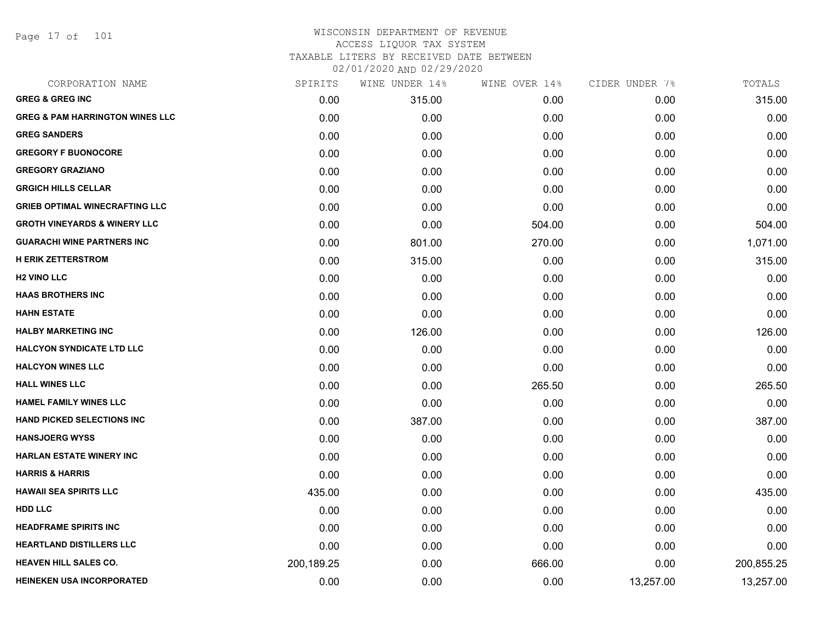Page 17 of 101

| CORPORATION NAME                           | SPIRITS    | WINE UNDER 14% | WINE OVER 14% | CIDER UNDER 7% | TOTALS     |
|--------------------------------------------|------------|----------------|---------------|----------------|------------|
| <b>GREG &amp; GREG INC</b>                 | 0.00       | 315.00         | 0.00          | 0.00           | 315.00     |
| <b>GREG &amp; PAM HARRINGTON WINES LLC</b> | 0.00       | 0.00           | 0.00          | 0.00           | 0.00       |
| <b>GREG SANDERS</b>                        | 0.00       | 0.00           | 0.00          | 0.00           | 0.00       |
| <b>GREGORY F BUONOCORE</b>                 | 0.00       | 0.00           | 0.00          | 0.00           | 0.00       |
| <b>GREGORY GRAZIANO</b>                    | 0.00       | 0.00           | 0.00          | 0.00           | 0.00       |
| <b>GRGICH HILLS CELLAR</b>                 | 0.00       | 0.00           | 0.00          | 0.00           | 0.00       |
| <b>GRIEB OPTIMAL WINECRAFTING LLC</b>      | 0.00       | 0.00           | 0.00          | 0.00           | 0.00       |
| <b>GROTH VINEYARDS &amp; WINERY LLC</b>    | 0.00       | 0.00           | 504.00        | 0.00           | 504.00     |
| <b>GUARACHI WINE PARTNERS INC</b>          | 0.00       | 801.00         | 270.00        | 0.00           | 1,071.00   |
| <b>H ERIK ZETTERSTROM</b>                  | 0.00       | 315.00         | 0.00          | 0.00           | 315.00     |
| <b>H2 VINO LLC</b>                         | 0.00       | 0.00           | 0.00          | 0.00           | 0.00       |
| <b>HAAS BROTHERS INC</b>                   | 0.00       | 0.00           | 0.00          | 0.00           | 0.00       |
| <b>HAHN ESTATE</b>                         | 0.00       | 0.00           | 0.00          | 0.00           | 0.00       |
| <b>HALBY MARKETING INC</b>                 | 0.00       | 126.00         | 0.00          | 0.00           | 126.00     |
| <b>HALCYON SYNDICATE LTD LLC</b>           | 0.00       | 0.00           | 0.00          | 0.00           | 0.00       |
| <b>HALCYON WINES LLC</b>                   | 0.00       | 0.00           | 0.00          | 0.00           | 0.00       |
| <b>HALL WINES LLC</b>                      | 0.00       | 0.00           | 265.50        | 0.00           | 265.50     |
| <b>HAMEL FAMILY WINES LLC</b>              | 0.00       | 0.00           | 0.00          | 0.00           | 0.00       |
| <b>HAND PICKED SELECTIONS INC</b>          | 0.00       | 387.00         | 0.00          | 0.00           | 387.00     |
| <b>HANSJOERG WYSS</b>                      | 0.00       | 0.00           | 0.00          | 0.00           | 0.00       |
| <b>HARLAN ESTATE WINERY INC</b>            | 0.00       | 0.00           | 0.00          | 0.00           | 0.00       |
| <b>HARRIS &amp; HARRIS</b>                 | 0.00       | 0.00           | 0.00          | 0.00           | 0.00       |
| <b>HAWAII SEA SPIRITS LLC</b>              | 435.00     | 0.00           | 0.00          | 0.00           | 435.00     |
| <b>HDD LLC</b>                             | 0.00       | 0.00           | 0.00          | 0.00           | 0.00       |
| <b>HEADFRAME SPIRITS INC</b>               | 0.00       | 0.00           | 0.00          | 0.00           | 0.00       |
| <b>HEARTLAND DISTILLERS LLC</b>            | 0.00       | 0.00           | 0.00          | 0.00           | 0.00       |
| <b>HEAVEN HILL SALES CO.</b>               | 200,189.25 | 0.00           | 666.00        | 0.00           | 200,855.25 |
| <b>HEINEKEN USA INCORPORATED</b>           | 0.00       | 0.00           | 0.00          | 13,257.00      | 13,257.00  |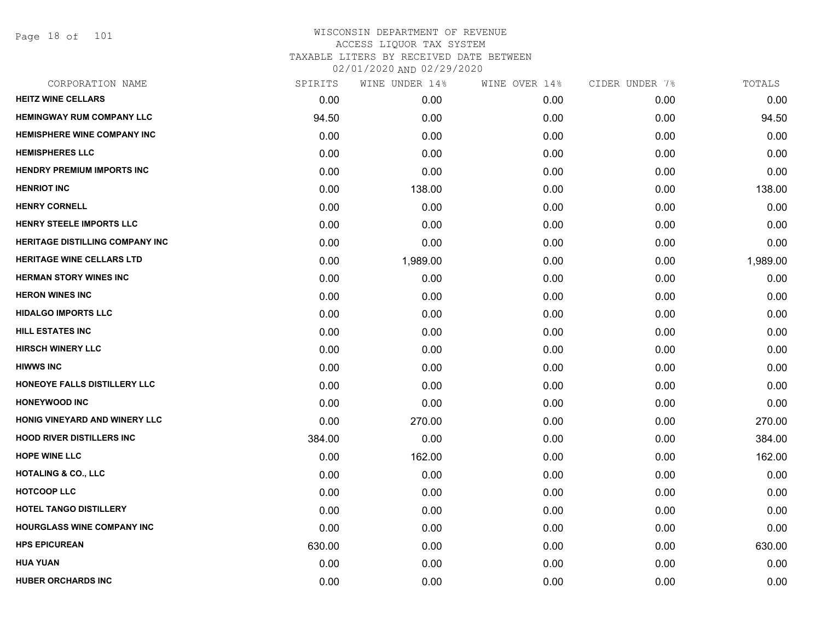Page 18 of 101

| SPIRITS | WINE UNDER 14% | WINE OVER 14% | CIDER UNDER 7% | TOTALS   |
|---------|----------------|---------------|----------------|----------|
| 0.00    | 0.00           | 0.00          | 0.00           | 0.00     |
| 94.50   | 0.00           | 0.00          | 0.00           | 94.50    |
| 0.00    | 0.00           | 0.00          | 0.00           | 0.00     |
| 0.00    | 0.00           | 0.00          | 0.00           | 0.00     |
| 0.00    | 0.00           | 0.00          | 0.00           | 0.00     |
| 0.00    | 138.00         | 0.00          | 0.00           | 138.00   |
| 0.00    | 0.00           | 0.00          | 0.00           | 0.00     |
| 0.00    | 0.00           | 0.00          | 0.00           | 0.00     |
| 0.00    | 0.00           | 0.00          | 0.00           | 0.00     |
| 0.00    | 1,989.00       | 0.00          | 0.00           | 1,989.00 |
| 0.00    | 0.00           | 0.00          | 0.00           | 0.00     |
| 0.00    | 0.00           | 0.00          | 0.00           | 0.00     |
| 0.00    | 0.00           | 0.00          | 0.00           | 0.00     |
| 0.00    | 0.00           | 0.00          | 0.00           | 0.00     |
| 0.00    | 0.00           | 0.00          | 0.00           | 0.00     |
| 0.00    | 0.00           | 0.00          | 0.00           | 0.00     |
| 0.00    | 0.00           | 0.00          | 0.00           | 0.00     |
| 0.00    | 0.00           | 0.00          | 0.00           | 0.00     |
| 0.00    | 270.00         | 0.00          | 0.00           | 270.00   |
| 384.00  | 0.00           | 0.00          | 0.00           | 384.00   |
| 0.00    | 162.00         | 0.00          | 0.00           | 162.00   |
| 0.00    | 0.00           | 0.00          | 0.00           | 0.00     |
| 0.00    | 0.00           | 0.00          | 0.00           | 0.00     |
| 0.00    | 0.00           | 0.00          | 0.00           | 0.00     |
| 0.00    | 0.00           | 0.00          | 0.00           | 0.00     |
| 630.00  | 0.00           | 0.00          | 0.00           | 630.00   |
| 0.00    | 0.00           | 0.00          | 0.00           | 0.00     |
| 0.00    | 0.00           | 0.00          | 0.00           | 0.00     |
|         |                |               |                |          |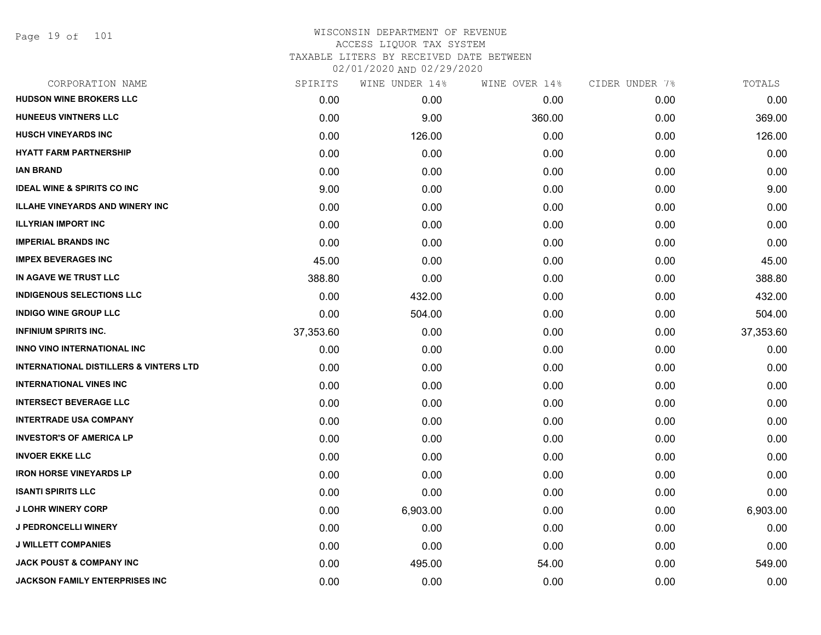Page 19 of 101

| CORPORATION NAME                                  | SPIRITS   | WINE UNDER 14% | WINE OVER 14% | CIDER UNDER 7% | TOTALS    |
|---------------------------------------------------|-----------|----------------|---------------|----------------|-----------|
| <b>HUDSON WINE BROKERS LLC</b>                    | 0.00      | 0.00           | 0.00          | 0.00           | 0.00      |
| <b>HUNEEUS VINTNERS LLC</b>                       | 0.00      | 9.00           | 360.00        | 0.00           | 369.00    |
| <b>HUSCH VINEYARDS INC</b>                        | 0.00      | 126.00         | 0.00          | 0.00           | 126.00    |
| <b>HYATT FARM PARTNERSHIP</b>                     | 0.00      | 0.00           | 0.00          | 0.00           | 0.00      |
| <b>IAN BRAND</b>                                  | 0.00      | 0.00           | 0.00          | 0.00           | 0.00      |
| <b>IDEAL WINE &amp; SPIRITS CO INC</b>            | 9.00      | 0.00           | 0.00          | 0.00           | 9.00      |
| <b>ILLAHE VINEYARDS AND WINERY INC</b>            | 0.00      | 0.00           | 0.00          | 0.00           | 0.00      |
| <b>ILLYRIAN IMPORT INC</b>                        | 0.00      | 0.00           | 0.00          | 0.00           | 0.00      |
| <b>IMPERIAL BRANDS INC</b>                        | 0.00      | 0.00           | 0.00          | 0.00           | 0.00      |
| <b>IMPEX BEVERAGES INC</b>                        | 45.00     | 0.00           | 0.00          | 0.00           | 45.00     |
| IN AGAVE WE TRUST LLC                             | 388.80    | 0.00           | 0.00          | 0.00           | 388.80    |
| <b>INDIGENOUS SELECTIONS LLC</b>                  | 0.00      | 432.00         | 0.00          | 0.00           | 432.00    |
| <b>INDIGO WINE GROUP LLC</b>                      | 0.00      | 504.00         | 0.00          | 0.00           | 504.00    |
| <b>INFINIUM SPIRITS INC.</b>                      | 37,353.60 | 0.00           | 0.00          | 0.00           | 37,353.60 |
| <b>INNO VINO INTERNATIONAL INC</b>                | 0.00      | 0.00           | 0.00          | 0.00           | 0.00      |
| <b>INTERNATIONAL DISTILLERS &amp; VINTERS LTD</b> | 0.00      | 0.00           | 0.00          | 0.00           | 0.00      |
| <b>INTERNATIONAL VINES INC.</b>                   | 0.00      | 0.00           | 0.00          | 0.00           | 0.00      |
| <b>INTERSECT BEVERAGE LLC</b>                     | 0.00      | 0.00           | 0.00          | 0.00           | 0.00      |
| <b>INTERTRADE USA COMPANY</b>                     | 0.00      | 0.00           | 0.00          | 0.00           | 0.00      |
| <b>INVESTOR'S OF AMERICA LP</b>                   | 0.00      | 0.00           | 0.00          | 0.00           | 0.00      |
| <b>INVOER EKKE LLC</b>                            | 0.00      | 0.00           | 0.00          | 0.00           | 0.00      |
| <b>IRON HORSE VINEYARDS LP</b>                    | 0.00      | 0.00           | 0.00          | 0.00           | 0.00      |
| <b>ISANTI SPIRITS LLC</b>                         | 0.00      | 0.00           | 0.00          | 0.00           | 0.00      |
| <b>J LOHR WINERY CORP</b>                         | 0.00      | 6,903.00       | 0.00          | 0.00           | 6,903.00  |
| <b>J PEDRONCELLI WINERY</b>                       | 0.00      | 0.00           | 0.00          | 0.00           | 0.00      |
| <b>J WILLETT COMPANIES</b>                        | 0.00      | 0.00           | 0.00          | 0.00           | 0.00      |
| <b>JACK POUST &amp; COMPANY INC</b>               | 0.00      | 495.00         | 54.00         | 0.00           | 549.00    |
| <b>JACKSON FAMILY ENTERPRISES INC</b>             | 0.00      | 0.00           | 0.00          | 0.00           | 0.00      |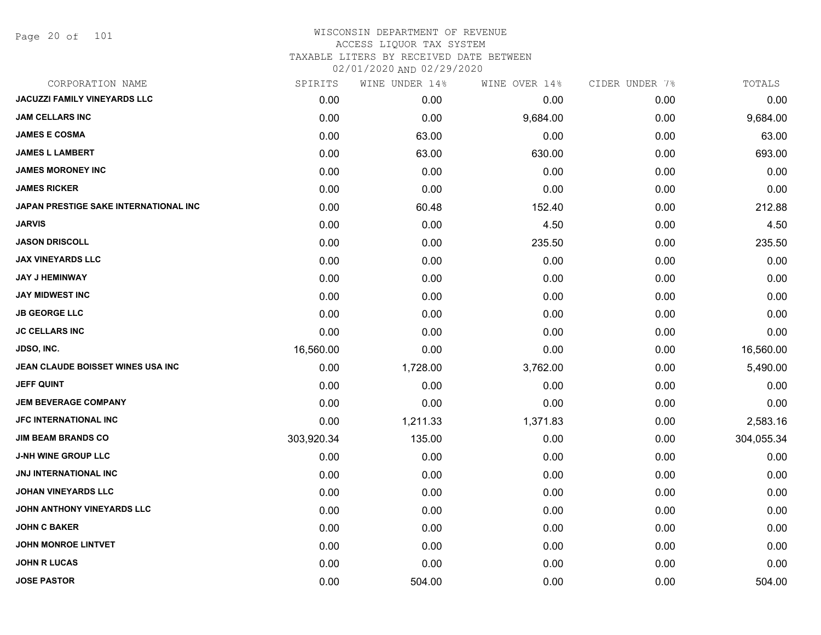Page 20 of 101

| CORPORATION NAME                      | SPIRITS    | WINE UNDER 14% | WINE OVER 14% | CIDER UNDER 7% | TOTALS     |
|---------------------------------------|------------|----------------|---------------|----------------|------------|
| <b>JACUZZI FAMILY VINEYARDS LLC</b>   | 0.00       | 0.00           | 0.00          | 0.00           | 0.00       |
| <b>JAM CELLARS INC</b>                | 0.00       | 0.00           | 9,684.00      | 0.00           | 9,684.00   |
| <b>JAMES E COSMA</b>                  | 0.00       | 63.00          | 0.00          | 0.00           | 63.00      |
| <b>JAMES L LAMBERT</b>                | 0.00       | 63.00          | 630.00        | 0.00           | 693.00     |
| <b>JAMES MORONEY INC</b>              | 0.00       | 0.00           | 0.00          | 0.00           | 0.00       |
| <b>JAMES RICKER</b>                   | 0.00       | 0.00           | 0.00          | 0.00           | 0.00       |
| JAPAN PRESTIGE SAKE INTERNATIONAL INC | 0.00       | 60.48          | 152.40        | 0.00           | 212.88     |
| JARVIS                                | 0.00       | 0.00           | 4.50          | 0.00           | 4.50       |
| <b>JASON DRISCOLL</b>                 | 0.00       | 0.00           | 235.50        | 0.00           | 235.50     |
| <b>JAX VINEYARDS LLC</b>              | 0.00       | 0.00           | 0.00          | 0.00           | 0.00       |
| <b>JAY J HEMINWAY</b>                 | 0.00       | 0.00           | 0.00          | 0.00           | 0.00       |
| JAY MIDWEST INC                       | 0.00       | 0.00           | 0.00          | 0.00           | 0.00       |
| <b>JB GEORGE LLC</b>                  | 0.00       | 0.00           | 0.00          | 0.00           | 0.00       |
| <b>JC CELLARS INC</b>                 | 0.00       | 0.00           | 0.00          | 0.00           | 0.00       |
| JDSO, INC.                            | 16,560.00  | 0.00           | 0.00          | 0.00           | 16,560.00  |
| JEAN CLAUDE BOISSET WINES USA INC     | 0.00       | 1,728.00       | 3,762.00      | 0.00           | 5,490.00   |
| JEFF QUINT                            | 0.00       | 0.00           | 0.00          | 0.00           | 0.00       |
| <b>JEM BEVERAGE COMPANY</b>           | 0.00       | 0.00           | 0.00          | 0.00           | 0.00       |
| JFC INTERNATIONAL INC                 | 0.00       | 1,211.33       | 1,371.83      | 0.00           | 2,583.16   |
| <b>JIM BEAM BRANDS CO</b>             | 303,920.34 | 135.00         | 0.00          | 0.00           | 304,055.34 |
| <b>J-NH WINE GROUP LLC</b>            | 0.00       | 0.00           | 0.00          | 0.00           | 0.00       |
| JNJ INTERNATIONAL INC                 | 0.00       | 0.00           | 0.00          | 0.00           | 0.00       |
| <b>JOHAN VINEYARDS LLC</b>            | 0.00       | 0.00           | 0.00          | 0.00           | 0.00       |
| JOHN ANTHONY VINEYARDS LLC            | 0.00       | 0.00           | 0.00          | 0.00           | 0.00       |
| <b>JOHN C BAKER</b>                   | 0.00       | 0.00           | 0.00          | 0.00           | 0.00       |
| <b>JOHN MONROE LINTVET</b>            | 0.00       | 0.00           | 0.00          | 0.00           | 0.00       |
| <b>JOHN R LUCAS</b>                   | 0.00       | 0.00           | 0.00          | 0.00           | 0.00       |
| <b>JOSE PASTOR</b>                    | 0.00       | 504.00         | 0.00          | 0.00           | 504.00     |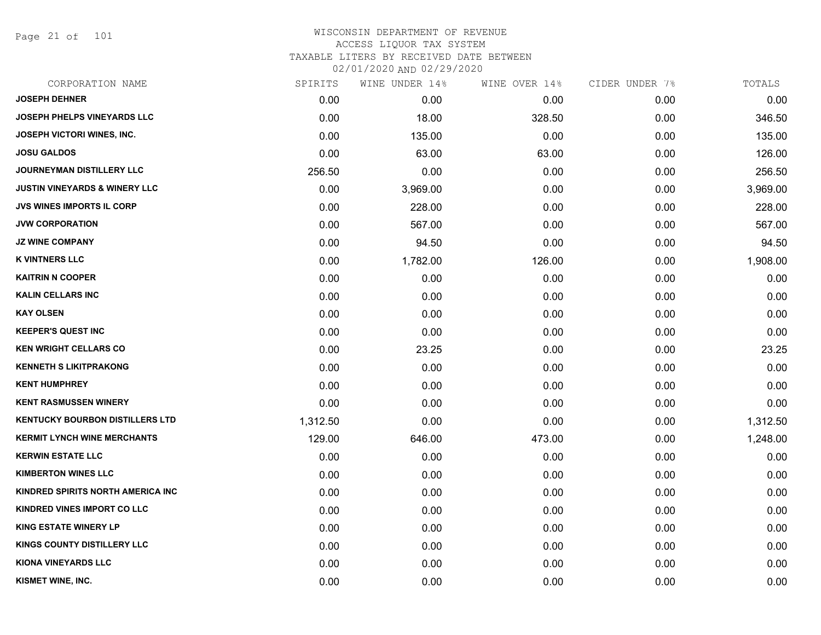Page 21 of 101

| CORPORATION NAME                         | SPIRITS  | WINE UNDER 14% | WINE OVER 14% | CIDER UNDER 7% | TOTALS   |
|------------------------------------------|----------|----------------|---------------|----------------|----------|
| <b>JOSEPH DEHNER</b>                     | 0.00     | 0.00           | 0.00          | 0.00           | 0.00     |
| <b>JOSEPH PHELPS VINEYARDS LLC</b>       | 0.00     | 18.00          | 328.50        | 0.00           | 346.50   |
| <b>JOSEPH VICTORI WINES, INC.</b>        | 0.00     | 135.00         | 0.00          | 0.00           | 135.00   |
| <b>JOSU GALDOS</b>                       | 0.00     | 63.00          | 63.00         | 0.00           | 126.00   |
| JOURNEYMAN DISTILLERY LLC                | 256.50   | 0.00           | 0.00          | 0.00           | 256.50   |
| <b>JUSTIN VINEYARDS &amp; WINERY LLC</b> | 0.00     | 3,969.00       | 0.00          | 0.00           | 3,969.00 |
| <b>JVS WINES IMPORTS IL CORP</b>         | 0.00     | 228.00         | 0.00          | 0.00           | 228.00   |
| <b>JVW CORPORATION</b>                   | 0.00     | 567.00         | 0.00          | 0.00           | 567.00   |
| <b>JZ WINE COMPANY</b>                   | 0.00     | 94.50          | 0.00          | 0.00           | 94.50    |
| <b>K VINTNERS LLC</b>                    | 0.00     | 1,782.00       | 126.00        | 0.00           | 1,908.00 |
| <b>KAITRIN N COOPER</b>                  | 0.00     | 0.00           | 0.00          | 0.00           | 0.00     |
| <b>KALIN CELLARS INC</b>                 | 0.00     | 0.00           | 0.00          | 0.00           | 0.00     |
| <b>KAY OLSEN</b>                         | 0.00     | 0.00           | 0.00          | 0.00           | 0.00     |
| <b>KEEPER'S QUEST INC</b>                | 0.00     | 0.00           | 0.00          | 0.00           | 0.00     |
| <b>KEN WRIGHT CELLARS CO</b>             | 0.00     | 23.25          | 0.00          | 0.00           | 23.25    |
| <b>KENNETH S LIKITPRAKONG</b>            | 0.00     | 0.00           | 0.00          | 0.00           | 0.00     |
| <b>KENT HUMPHREY</b>                     | 0.00     | 0.00           | 0.00          | 0.00           | 0.00     |
| <b>KENT RASMUSSEN WINERY</b>             | 0.00     | 0.00           | 0.00          | 0.00           | 0.00     |
| <b>KENTUCKY BOURBON DISTILLERS LTD</b>   | 1,312.50 | 0.00           | 0.00          | 0.00           | 1,312.50 |
| <b>KERMIT LYNCH WINE MERCHANTS</b>       | 129.00   | 646.00         | 473.00        | 0.00           | 1,248.00 |
| <b>KERWIN ESTATE LLC</b>                 | 0.00     | 0.00           | 0.00          | 0.00           | 0.00     |
| <b>KIMBERTON WINES LLC</b>               | 0.00     | 0.00           | 0.00          | 0.00           | 0.00     |
| <b>KINDRED SPIRITS NORTH AMERICA INC</b> | 0.00     | 0.00           | 0.00          | 0.00           | 0.00     |
| KINDRED VINES IMPORT CO LLC              | 0.00     | 0.00           | 0.00          | 0.00           | 0.00     |
| <b>KING ESTATE WINERY LP</b>             | 0.00     | 0.00           | 0.00          | 0.00           | 0.00     |
| <b>KINGS COUNTY DISTILLERY LLC</b>       | 0.00     | 0.00           | 0.00          | 0.00           | 0.00     |
| <b>KIONA VINEYARDS LLC</b>               | 0.00     | 0.00           | 0.00          | 0.00           | 0.00     |
| KISMET WINE, INC.                        | 0.00     | 0.00           | 0.00          | 0.00           | 0.00     |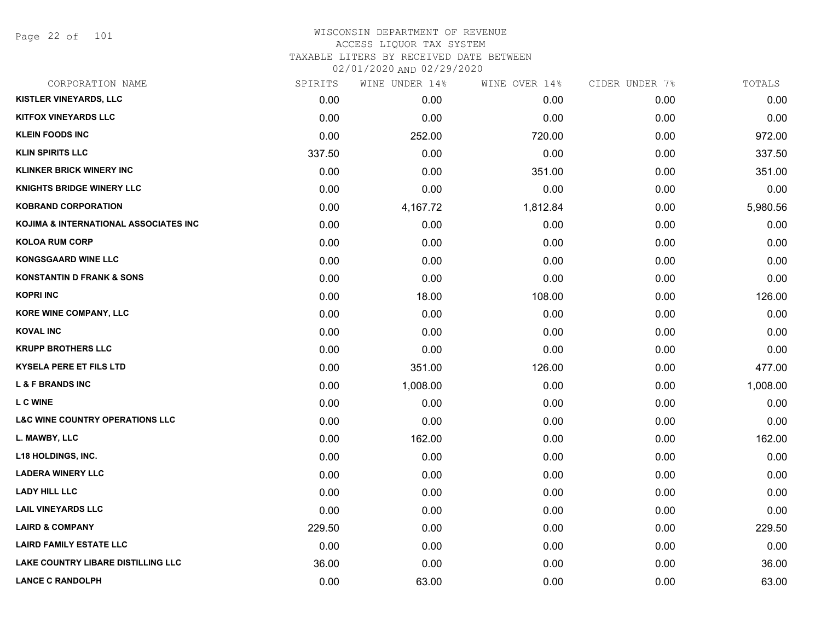Page 22 of 101

| CORPORATION NAME                           | SPIRITS | WINE UNDER 14% | WINE OVER 14% | CIDER UNDER 7% | TOTALS   |
|--------------------------------------------|---------|----------------|---------------|----------------|----------|
| KISTLER VINEYARDS, LLC                     | 0.00    | 0.00           | 0.00          | 0.00           | 0.00     |
| <b>KITFOX VINEYARDS LLC</b>                | 0.00    | 0.00           | 0.00          | 0.00           | 0.00     |
| <b>KLEIN FOODS INC</b>                     | 0.00    | 252.00         | 720.00        | 0.00           | 972.00   |
| <b>KLIN SPIRITS LLC</b>                    | 337.50  | 0.00           | 0.00          | 0.00           | 337.50   |
| <b>KLINKER BRICK WINERY INC</b>            | 0.00    | 0.00           | 351.00        | 0.00           | 351.00   |
| <b>KNIGHTS BRIDGE WINERY LLC</b>           | 0.00    | 0.00           | 0.00          | 0.00           | 0.00     |
| <b>KOBRAND CORPORATION</b>                 | 0.00    | 4,167.72       | 1,812.84      | 0.00           | 5,980.56 |
| KOJIMA & INTERNATIONAL ASSOCIATES INC      | 0.00    | 0.00           | 0.00          | 0.00           | 0.00     |
| <b>KOLOA RUM CORP</b>                      | 0.00    | 0.00           | 0.00          | 0.00           | 0.00     |
| <b>KONGSGAARD WINE LLC</b>                 | 0.00    | 0.00           | 0.00          | 0.00           | 0.00     |
| <b>KONSTANTIN D FRANK &amp; SONS</b>       | 0.00    | 0.00           | 0.00          | 0.00           | 0.00     |
| <b>KOPRI INC</b>                           | 0.00    | 18.00          | 108.00        | 0.00           | 126.00   |
| KORE WINE COMPANY, LLC                     | 0.00    | 0.00           | 0.00          | 0.00           | 0.00     |
| <b>KOVAL INC</b>                           | 0.00    | 0.00           | 0.00          | 0.00           | 0.00     |
| <b>KRUPP BROTHERS LLC</b>                  | 0.00    | 0.00           | 0.00          | 0.00           | 0.00     |
| <b>KYSELA PERE ET FILS LTD</b>             | 0.00    | 351.00         | 126.00        | 0.00           | 477.00   |
| <b>L &amp; F BRANDS INC</b>                | 0.00    | 1,008.00       | 0.00          | 0.00           | 1,008.00 |
| <b>LC WINE</b>                             | 0.00    | 0.00           | 0.00          | 0.00           | 0.00     |
| <b>L&amp;C WINE COUNTRY OPERATIONS LLC</b> | 0.00    | 0.00           | 0.00          | 0.00           | 0.00     |
| L. MAWBY, LLC                              | 0.00    | 162.00         | 0.00          | 0.00           | 162.00   |
| <b>L18 HOLDINGS, INC.</b>                  | 0.00    | 0.00           | 0.00          | 0.00           | 0.00     |
| <b>LADERA WINERY LLC</b>                   | 0.00    | 0.00           | 0.00          | 0.00           | 0.00     |
| <b>LADY HILL LLC</b>                       | 0.00    | 0.00           | 0.00          | 0.00           | 0.00     |
| <b>LAIL VINEYARDS LLC</b>                  | 0.00    | 0.00           | 0.00          | 0.00           | 0.00     |
| <b>LAIRD &amp; COMPANY</b>                 | 229.50  | 0.00           | 0.00          | 0.00           | 229.50   |
| <b>LAIRD FAMILY ESTATE LLC</b>             | 0.00    | 0.00           | 0.00          | 0.00           | 0.00     |
| <b>LAKE COUNTRY LIBARE DISTILLING LLC</b>  | 36.00   | 0.00           | 0.00          | 0.00           | 36.00    |
| <b>LANCE C RANDOLPH</b>                    | 0.00    | 63.00          | 0.00          | 0.00           | 63.00    |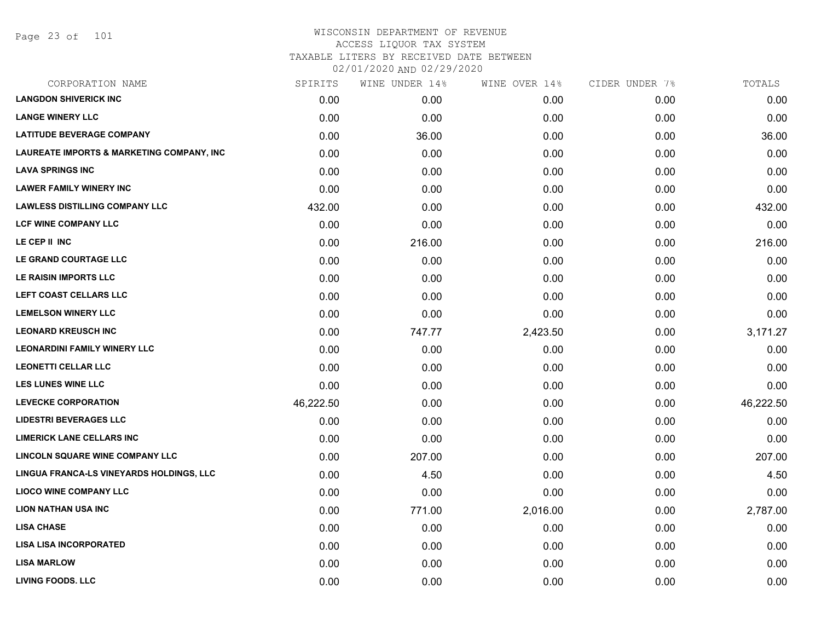| CORPORATION NAME                          | SPIRITS   | WINE UNDER 14% | WINE OVER 14% | CIDER UNDER 7% | TOTALS    |
|-------------------------------------------|-----------|----------------|---------------|----------------|-----------|
| <b>LANGDON SHIVERICK INC</b>              | 0.00      | 0.00           | 0.00          | 0.00           | 0.00      |
| <b>LANGE WINERY LLC</b>                   | 0.00      | 0.00           | 0.00          | 0.00           | 0.00      |
| <b>LATITUDE BEVERAGE COMPANY</b>          | 0.00      | 36.00          | 0.00          | 0.00           | 36.00     |
| LAUREATE IMPORTS & MARKETING COMPANY, INC | 0.00      | 0.00           | 0.00          | 0.00           | 0.00      |
| <b>LAVA SPRINGS INC</b>                   | 0.00      | 0.00           | 0.00          | 0.00           | 0.00      |
| <b>LAWER FAMILY WINERY INC</b>            | 0.00      | 0.00           | 0.00          | 0.00           | 0.00      |
| <b>LAWLESS DISTILLING COMPANY LLC</b>     | 432.00    | 0.00           | 0.00          | 0.00           | 432.00    |
| <b>LCF WINE COMPANY LLC</b>               | 0.00      | 0.00           | 0.00          | 0.00           | 0.00      |
| LE CEP II INC                             | 0.00      | 216.00         | 0.00          | 0.00           | 216.00    |
| LE GRAND COURTAGE LLC                     | 0.00      | 0.00           | 0.00          | 0.00           | 0.00      |
| LE RAISIN IMPORTS LLC                     | 0.00      | 0.00           | 0.00          | 0.00           | 0.00      |
| LEFT COAST CELLARS LLC                    | 0.00      | 0.00           | 0.00          | 0.00           | 0.00      |
| <b>LEMELSON WINERY LLC</b>                | 0.00      | 0.00           | 0.00          | 0.00           | 0.00      |
| <b>LEONARD KREUSCH INC</b>                | 0.00      | 747.77         | 2,423.50      | 0.00           | 3,171.27  |
| <b>LEONARDINI FAMILY WINERY LLC</b>       | 0.00      | 0.00           | 0.00          | 0.00           | 0.00      |
| <b>LEONETTI CELLAR LLC</b>                | 0.00      | 0.00           | 0.00          | 0.00           | 0.00      |
| <b>LES LUNES WINE LLC</b>                 | 0.00      | 0.00           | 0.00          | 0.00           | 0.00      |
| <b>LEVECKE CORPORATION</b>                | 46,222.50 | 0.00           | 0.00          | 0.00           | 46,222.50 |
| <b>LIDESTRI BEVERAGES LLC</b>             | 0.00      | 0.00           | 0.00          | 0.00           | 0.00      |
| <b>LIMERICK LANE CELLARS INC</b>          | 0.00      | 0.00           | 0.00          | 0.00           | 0.00      |
| <b>LINCOLN SQUARE WINE COMPANY LLC</b>    | 0.00      | 207.00         | 0.00          | 0.00           | 207.00    |
| LINGUA FRANCA-LS VINEYARDS HOLDINGS, LLC  | 0.00      | 4.50           | 0.00          | 0.00           | 4.50      |
| <b>LIOCO WINE COMPANY LLC</b>             | 0.00      | 0.00           | 0.00          | 0.00           | 0.00      |
| <b>LION NATHAN USA INC</b>                | 0.00      | 771.00         | 2,016.00      | 0.00           | 2,787.00  |
| <b>LISA CHASE</b>                         | 0.00      | 0.00           | 0.00          | 0.00           | 0.00      |
| <b>LISA LISA INCORPORATED</b>             | 0.00      | 0.00           | 0.00          | 0.00           | 0.00      |
| <b>LISA MARLOW</b>                        | 0.00      | 0.00           | 0.00          | 0.00           | 0.00      |
| <b>LIVING FOODS. LLC</b>                  | 0.00      | 0.00           | 0.00          | 0.00           | 0.00      |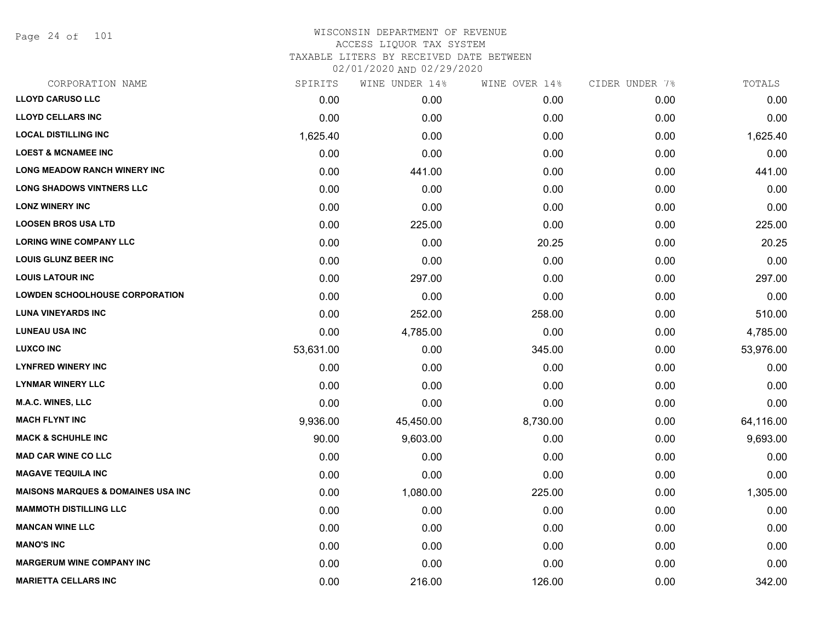Page 24 of 101

| CORPORATION NAME                              | SPIRITS   | WINE UNDER 14% | WINE OVER 14% | CIDER UNDER 7% | TOTALS    |
|-----------------------------------------------|-----------|----------------|---------------|----------------|-----------|
| <b>LLOYD CARUSO LLC</b>                       | 0.00      | 0.00           | 0.00          | 0.00           | 0.00      |
| <b>LLOYD CELLARS INC</b>                      | 0.00      | 0.00           | 0.00          | 0.00           | 0.00      |
| <b>LOCAL DISTILLING INC</b>                   | 1,625.40  | 0.00           | 0.00          | 0.00           | 1,625.40  |
| <b>LOEST &amp; MCNAMEE INC</b>                | 0.00      | 0.00           | 0.00          | 0.00           | 0.00      |
| LONG MEADOW RANCH WINERY INC                  | 0.00      | 441.00         | 0.00          | 0.00           | 441.00    |
| <b>LONG SHADOWS VINTNERS LLC</b>              | 0.00      | 0.00           | 0.00          | 0.00           | 0.00      |
| <b>LONZ WINERY INC</b>                        | 0.00      | 0.00           | 0.00          | 0.00           | 0.00      |
| <b>LOOSEN BROS USA LTD</b>                    | 0.00      | 225.00         | 0.00          | 0.00           | 225.00    |
| <b>LORING WINE COMPANY LLC</b>                | 0.00      | 0.00           | 20.25         | 0.00           | 20.25     |
| <b>LOUIS GLUNZ BEER INC</b>                   | 0.00      | 0.00           | 0.00          | 0.00           | 0.00      |
| <b>LOUIS LATOUR INC</b>                       | 0.00      | 297.00         | 0.00          | 0.00           | 297.00    |
| <b>LOWDEN SCHOOLHOUSE CORPORATION</b>         | 0.00      | 0.00           | 0.00          | 0.00           | 0.00      |
| <b>LUNA VINEYARDS INC</b>                     | 0.00      | 252.00         | 258.00        | 0.00           | 510.00    |
| <b>LUNEAU USA INC</b>                         | 0.00      | 4,785.00       | 0.00          | 0.00           | 4,785.00  |
| <b>LUXCO INC</b>                              | 53,631.00 | 0.00           | 345.00        | 0.00           | 53,976.00 |
| <b>LYNFRED WINERY INC</b>                     | 0.00      | 0.00           | 0.00          | 0.00           | 0.00      |
| <b>LYNMAR WINERY LLC</b>                      | 0.00      | 0.00           | 0.00          | 0.00           | 0.00      |
| <b>M.A.C. WINES, LLC</b>                      | 0.00      | 0.00           | 0.00          | 0.00           | 0.00      |
| <b>MACH FLYNT INC</b>                         | 9,936.00  | 45,450.00      | 8,730.00      | 0.00           | 64,116.00 |
| <b>MACK &amp; SCHUHLE INC</b>                 | 90.00     | 9,603.00       | 0.00          | 0.00           | 9,693.00  |
| <b>MAD CAR WINE CO LLC</b>                    | 0.00      | 0.00           | 0.00          | 0.00           | 0.00      |
| <b>MAGAVE TEQUILA INC</b>                     | 0.00      | 0.00           | 0.00          | 0.00           | 0.00      |
| <b>MAISONS MARQUES &amp; DOMAINES USA INC</b> | 0.00      | 1,080.00       | 225.00        | 0.00           | 1,305.00  |
| <b>MAMMOTH DISTILLING LLC</b>                 | 0.00      | 0.00           | 0.00          | 0.00           | 0.00      |
| <b>MANCAN WINE LLC</b>                        | 0.00      | 0.00           | 0.00          | 0.00           | 0.00      |
| <b>MANO'S INC</b>                             | 0.00      | 0.00           | 0.00          | 0.00           | 0.00      |
| <b>MARGERUM WINE COMPANY INC</b>              | 0.00      | 0.00           | 0.00          | 0.00           | 0.00      |
| <b>MARIETTA CELLARS INC</b>                   | 0.00      | 216.00         | 126.00        | 0.00           | 342.00    |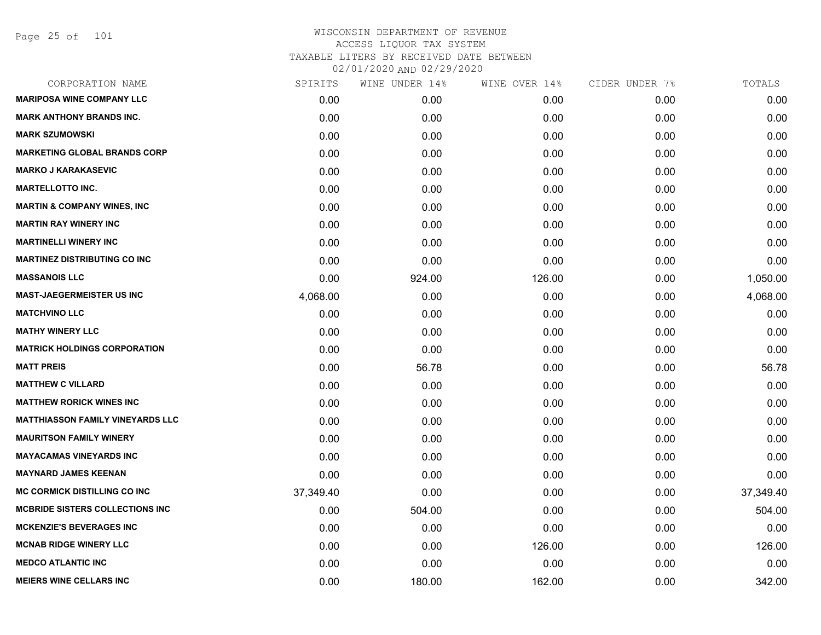| CORPORATION NAME                        | SPIRITS   | WINE UNDER 14% | WINE OVER 14% | CIDER UNDER 7% | TOTALS    |
|-----------------------------------------|-----------|----------------|---------------|----------------|-----------|
| <b>MARIPOSA WINE COMPANY LLC</b>        | 0.00      | 0.00           | 0.00          | 0.00           | 0.00      |
| <b>MARK ANTHONY BRANDS INC.</b>         | 0.00      | 0.00           | 0.00          | 0.00           | 0.00      |
| <b>MARK SZUMOWSKI</b>                   | 0.00      | 0.00           | 0.00          | 0.00           | 0.00      |
| <b>MARKETING GLOBAL BRANDS CORP</b>     | 0.00      | 0.00           | 0.00          | 0.00           | 0.00      |
| <b>MARKO J KARAKASEVIC</b>              | 0.00      | 0.00           | 0.00          | 0.00           | 0.00      |
| <b>MARTELLOTTO INC.</b>                 | 0.00      | 0.00           | 0.00          | 0.00           | 0.00      |
| <b>MARTIN &amp; COMPANY WINES, INC</b>  | 0.00      | 0.00           | 0.00          | 0.00           | 0.00      |
| <b>MARTIN RAY WINERY INC</b>            | 0.00      | 0.00           | 0.00          | 0.00           | 0.00      |
| <b>MARTINELLI WINERY INC</b>            | 0.00      | 0.00           | 0.00          | 0.00           | 0.00      |
| <b>MARTINEZ DISTRIBUTING CO INC</b>     | 0.00      | 0.00           | 0.00          | 0.00           | 0.00      |
| <b>MASSANOIS LLC</b>                    | 0.00      | 924.00         | 126.00        | 0.00           | 1,050.00  |
| <b>MAST-JAEGERMEISTER US INC</b>        | 4,068.00  | 0.00           | 0.00          | 0.00           | 4,068.00  |
| <b>MATCHVINO LLC</b>                    | 0.00      | 0.00           | 0.00          | 0.00           | 0.00      |
| <b>MATHY WINERY LLC</b>                 | 0.00      | 0.00           | 0.00          | 0.00           | 0.00      |
| <b>MATRICK HOLDINGS CORPORATION</b>     | 0.00      | 0.00           | 0.00          | 0.00           | 0.00      |
| <b>MATT PREIS</b>                       | 0.00      | 56.78          | 0.00          | 0.00           | 56.78     |
| <b>MATTHEW C VILLARD</b>                | 0.00      | 0.00           | 0.00          | 0.00           | 0.00      |
| <b>MATTHEW RORICK WINES INC</b>         | 0.00      | 0.00           | 0.00          | 0.00           | 0.00      |
| <b>MATTHIASSON FAMILY VINEYARDS LLC</b> | 0.00      | 0.00           | 0.00          | 0.00           | 0.00      |
| <b>MAURITSON FAMILY WINERY</b>          | 0.00      | 0.00           | 0.00          | 0.00           | 0.00      |
| <b>MAYACAMAS VINEYARDS INC</b>          | 0.00      | 0.00           | 0.00          | 0.00           | 0.00      |
| <b>MAYNARD JAMES KEENAN</b>             | 0.00      | 0.00           | 0.00          | 0.00           | 0.00      |
| <b>MC CORMICK DISTILLING CO INC</b>     | 37,349.40 | 0.00           | 0.00          | 0.00           | 37,349.40 |
| <b>MCBRIDE SISTERS COLLECTIONS INC</b>  | 0.00      | 504.00         | 0.00          | 0.00           | 504.00    |
| <b>MCKENZIE'S BEVERAGES INC</b>         | 0.00      | 0.00           | 0.00          | 0.00           | 0.00      |
| <b>MCNAB RIDGE WINERY LLC</b>           | 0.00      | 0.00           | 126.00        | 0.00           | 126.00    |
| <b>MEDCO ATLANTIC INC</b>               | 0.00      | 0.00           | 0.00          | 0.00           | 0.00      |
| <b>MEIERS WINE CELLARS INC</b>          | 0.00      | 180.00         | 162.00        | 0.00           | 342.00    |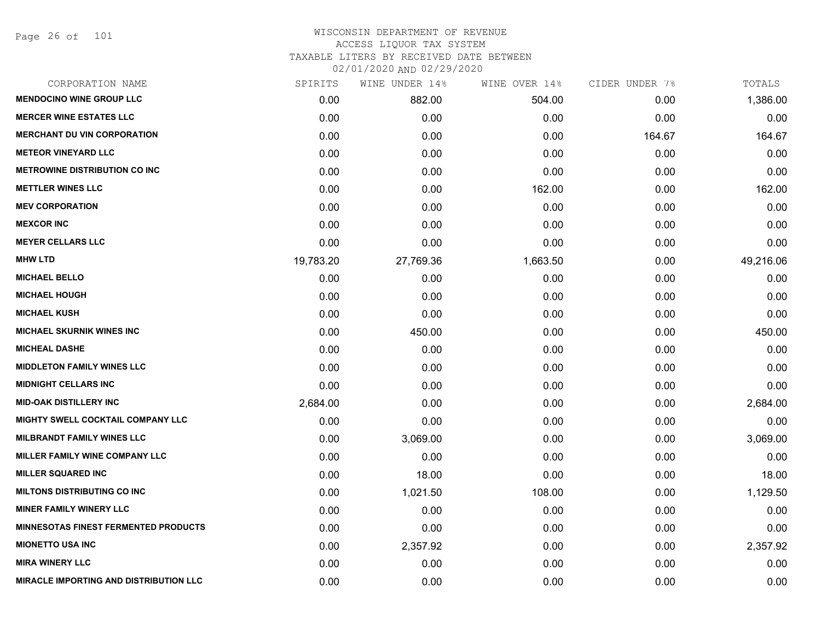Page 26 of 101

| CORPORATION NAME                       | SPIRITS   | WINE UNDER 14% | WINE OVER 14% | CIDER UNDER 7% | TOTALS    |
|----------------------------------------|-----------|----------------|---------------|----------------|-----------|
| <b>MENDOCINO WINE GROUP LLC</b>        | 0.00      | 882.00         | 504.00        | 0.00           | 1,386.00  |
| <b>MERCER WINE ESTATES LLC</b>         | 0.00      | 0.00           | 0.00          | 0.00           | 0.00      |
| <b>MERCHANT DU VIN CORPORATION</b>     | 0.00      | 0.00           | 0.00          | 164.67         | 164.67    |
| <b>METEOR VINEYARD LLC</b>             | 0.00      | 0.00           | 0.00          | 0.00           | 0.00      |
| <b>METROWINE DISTRIBUTION CO INC</b>   | 0.00      | 0.00           | 0.00          | 0.00           | 0.00      |
| <b>METTLER WINES LLC</b>               | 0.00      | 0.00           | 162.00        | 0.00           | 162.00    |
| <b>MEV CORPORATION</b>                 | 0.00      | 0.00           | 0.00          | 0.00           | 0.00      |
| <b>MEXCOR INC</b>                      | 0.00      | 0.00           | 0.00          | 0.00           | 0.00      |
| <b>MEYER CELLARS LLC</b>               | 0.00      | 0.00           | 0.00          | 0.00           | 0.00      |
| <b>MHW LTD</b>                         | 19,783.20 | 27,769.36      | 1,663.50      | 0.00           | 49,216.06 |
| <b>MICHAEL BELLO</b>                   | 0.00      | 0.00           | 0.00          | 0.00           | 0.00      |
| <b>MICHAEL HOUGH</b>                   | 0.00      | 0.00           | 0.00          | 0.00           | 0.00      |
| <b>MICHAEL KUSH</b>                    | 0.00      | 0.00           | 0.00          | 0.00           | 0.00      |
| <b>MICHAEL SKURNIK WINES INC</b>       | 0.00      | 450.00         | 0.00          | 0.00           | 450.00    |
| <b>MICHEAL DASHE</b>                   | 0.00      | 0.00           | 0.00          | 0.00           | 0.00      |
| <b>MIDDLETON FAMILY WINES LLC</b>      | 0.00      | 0.00           | 0.00          | 0.00           | 0.00      |
| <b>MIDNIGHT CELLARS INC</b>            | 0.00      | 0.00           | 0.00          | 0.00           | 0.00      |
| <b>MID-OAK DISTILLERY INC</b>          | 2,684.00  | 0.00           | 0.00          | 0.00           | 2,684.00  |
| MIGHTY SWELL COCKTAIL COMPANY LLC      | 0.00      | 0.00           | 0.00          | 0.00           | 0.00      |
| MILBRANDT FAMILY WINES LLC             | 0.00      | 3,069.00       | 0.00          | 0.00           | 3,069.00  |
| MILLER FAMILY WINE COMPANY LLC         | 0.00      | 0.00           | 0.00          | 0.00           | 0.00      |
| <b>MILLER SQUARED INC</b>              | 0.00      | 18.00          | 0.00          | 0.00           | 18.00     |
| <b>MILTONS DISTRIBUTING CO INC</b>     | 0.00      | 1,021.50       | 108.00        | 0.00           | 1,129.50  |
| <b>MINER FAMILY WINERY LLC</b>         | 0.00      | 0.00           | 0.00          | 0.00           | 0.00      |
| MINNESOTAS FINEST FERMENTED PRODUCTS   | 0.00      | 0.00           | 0.00          | 0.00           | 0.00      |
| <b>MIONETTO USA INC</b>                | 0.00      | 2,357.92       | 0.00          | 0.00           | 2,357.92  |
| <b>MIRA WINERY LLC</b>                 | 0.00      | 0.00           | 0.00          | 0.00           | 0.00      |
| MIRACLE IMPORTING AND DISTRIBUTION LLC | 0.00      | 0.00           | 0.00          | 0.00           | 0.00      |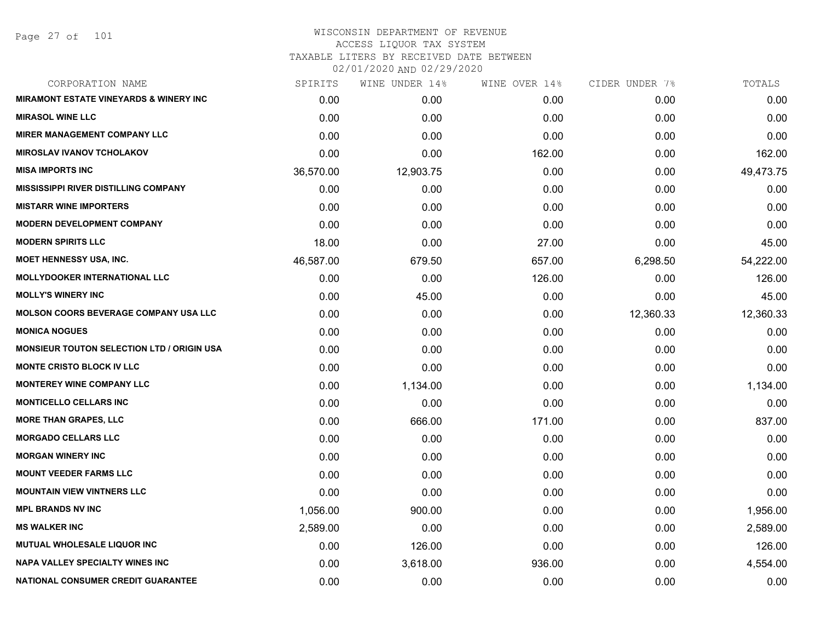Page 27 of 101

| CORPORATION NAME                                  | SPIRITS   | WINE UNDER 14% | WINE OVER 14% | CIDER UNDER 7% | TOTALS    |
|---------------------------------------------------|-----------|----------------|---------------|----------------|-----------|
| <b>MIRAMONT ESTATE VINEYARDS &amp; WINERY INC</b> | 0.00      | 0.00           | 0.00          | 0.00           | 0.00      |
| <b>MIRASOL WINE LLC</b>                           | 0.00      | 0.00           | 0.00          | 0.00           | 0.00      |
| <b>MIRER MANAGEMENT COMPANY LLC</b>               | 0.00      | 0.00           | 0.00          | 0.00           | 0.00      |
| <b>MIROSLAV IVANOV TCHOLAKOV</b>                  | 0.00      | 0.00           | 162.00        | 0.00           | 162.00    |
| <b>MISA IMPORTS INC</b>                           | 36,570.00 | 12,903.75      | 0.00          | 0.00           | 49,473.75 |
| <b>MISSISSIPPI RIVER DISTILLING COMPANY</b>       | 0.00      | 0.00           | 0.00          | 0.00           | 0.00      |
| <b>MISTARR WINE IMPORTERS</b>                     | 0.00      | 0.00           | 0.00          | 0.00           | 0.00      |
| <b>MODERN DEVELOPMENT COMPANY</b>                 | 0.00      | 0.00           | 0.00          | 0.00           | 0.00      |
| <b>MODERN SPIRITS LLC</b>                         | 18.00     | 0.00           | 27.00         | 0.00           | 45.00     |
| <b>MOET HENNESSY USA, INC.</b>                    | 46,587.00 | 679.50         | 657.00        | 6,298.50       | 54,222.00 |
| <b>MOLLYDOOKER INTERNATIONAL LLC</b>              | 0.00      | 0.00           | 126.00        | 0.00           | 126.00    |
| <b>MOLLY'S WINERY INC</b>                         | 0.00      | 45.00          | 0.00          | 0.00           | 45.00     |
| <b>MOLSON COORS BEVERAGE COMPANY USA LLC</b>      | 0.00      | 0.00           | 0.00          | 12,360.33      | 12,360.33 |
| <b>MONICA NOGUES</b>                              | 0.00      | 0.00           | 0.00          | 0.00           | 0.00      |
| <b>MONSIEUR TOUTON SELECTION LTD / ORIGIN USA</b> | 0.00      | 0.00           | 0.00          | 0.00           | 0.00      |
| <b>MONTE CRISTO BLOCK IV LLC</b>                  | 0.00      | 0.00           | 0.00          | 0.00           | 0.00      |
| <b>MONTEREY WINE COMPANY LLC</b>                  | 0.00      | 1,134.00       | 0.00          | 0.00           | 1,134.00  |
| <b>MONTICELLO CELLARS INC</b>                     | 0.00      | 0.00           | 0.00          | 0.00           | 0.00      |
| <b>MORE THAN GRAPES, LLC</b>                      | 0.00      | 666.00         | 171.00        | 0.00           | 837.00    |
| <b>MORGADO CELLARS LLC</b>                        | 0.00      | 0.00           | 0.00          | 0.00           | 0.00      |
| <b>MORGAN WINERY INC</b>                          | 0.00      | 0.00           | 0.00          | 0.00           | 0.00      |
| <b>MOUNT VEEDER FARMS LLC</b>                     | 0.00      | 0.00           | 0.00          | 0.00           | 0.00      |
| <b>MOUNTAIN VIEW VINTNERS LLC</b>                 | 0.00      | 0.00           | 0.00          | 0.00           | 0.00      |
| <b>MPL BRANDS NV INC</b>                          | 1,056.00  | 900.00         | 0.00          | 0.00           | 1,956.00  |
| <b>MS WALKER INC</b>                              | 2,589.00  | 0.00           | 0.00          | 0.00           | 2,589.00  |
| MUTUAL WHOLESALE LIQUOR INC                       | 0.00      | 126.00         | 0.00          | 0.00           | 126.00    |
| NAPA VALLEY SPECIALTY WINES INC                   | 0.00      | 3,618.00       | 936.00        | 0.00           | 4,554.00  |
| NATIONAL CONSUMER CREDIT GUARANTEE                | 0.00      | 0.00           | 0.00          | 0.00           | 0.00      |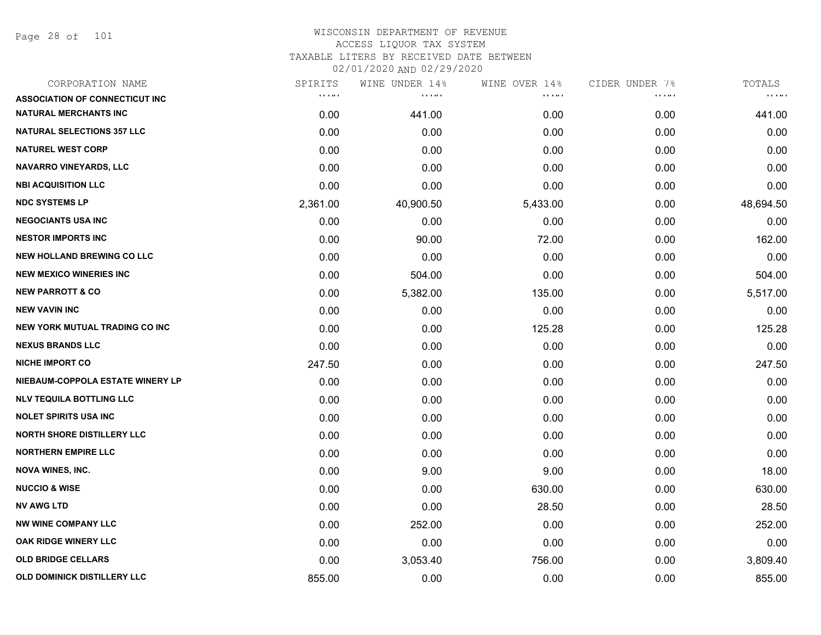Page 28 of 101

| SPIRITS                                        | WINE UNDER 14% |          | CIDER UNDER 7% | TOTALS    |
|------------------------------------------------|----------------|----------|----------------|-----------|
| $\mathbf{r}$ , $\mathbf{r}$ , and $\mathbf{r}$ | <b>COLOR</b>   | .        | .              | $\cdots$  |
| 0.00                                           | 441.00         | 0.00     | 0.00           | 441.00    |
| 0.00                                           | 0.00           | 0.00     | 0.00           | 0.00      |
| 0.00                                           | 0.00           | 0.00     | 0.00           | 0.00      |
| 0.00                                           | 0.00           | 0.00     | 0.00           | 0.00      |
| 0.00                                           | 0.00           | 0.00     | 0.00           | 0.00      |
| 2,361.00                                       | 40,900.50      | 5,433.00 | 0.00           | 48,694.50 |
| 0.00                                           | 0.00           | 0.00     | 0.00           | 0.00      |
| 0.00                                           | 90.00          | 72.00    | 0.00           | 162.00    |
| 0.00                                           | 0.00           | 0.00     | 0.00           | 0.00      |
| 0.00                                           | 504.00         | 0.00     | 0.00           | 504.00    |
| 0.00                                           | 5,382.00       | 135.00   | 0.00           | 5,517.00  |
| 0.00                                           | 0.00           | 0.00     | 0.00           | 0.00      |
| 0.00                                           | 0.00           | 125.28   | 0.00           | 125.28    |
| 0.00                                           | 0.00           | 0.00     | 0.00           | 0.00      |
| 247.50                                         | 0.00           | 0.00     | 0.00           | 247.50    |
| 0.00                                           | 0.00           | 0.00     | 0.00           | 0.00      |
| 0.00                                           | 0.00           | 0.00     | 0.00           | 0.00      |
| 0.00                                           | 0.00           | 0.00     | 0.00           | 0.00      |
| 0.00                                           | 0.00           | 0.00     | 0.00           | 0.00      |
| 0.00                                           | 0.00           | 0.00     | 0.00           | 0.00      |
| 0.00                                           | 9.00           | 9.00     | 0.00           | 18.00     |
| 0.00                                           | 0.00           | 630.00   | 0.00           | 630.00    |
| 0.00                                           | 0.00           | 28.50    | 0.00           | 28.50     |
| 0.00                                           | 252.00         | 0.00     | 0.00           | 252.00    |
| 0.00                                           | 0.00           | 0.00     | 0.00           | 0.00      |
| 0.00                                           | 3,053.40       | 756.00   | 0.00           | 3,809.40  |
| 855.00                                         | 0.00           | 0.00     | 0.00           | 855.00    |
|                                                |                |          | WINE OVER 14%  |           |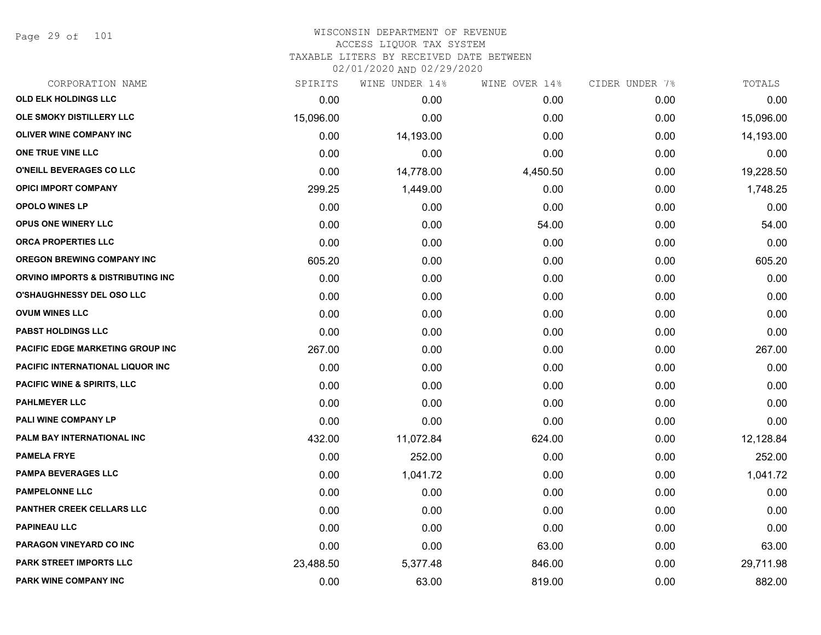Page 29 of 101

| CORPORATION NAME                        | SPIRITS   | WINE UNDER 14% | WINE OVER 14% | CIDER UNDER 7% | TOTALS    |
|-----------------------------------------|-----------|----------------|---------------|----------------|-----------|
| OLD ELK HOLDINGS LLC                    | 0.00      | 0.00           | 0.00          | 0.00           | 0.00      |
| OLE SMOKY DISTILLERY LLC                | 15,096.00 | 0.00           | 0.00          | 0.00           | 15,096.00 |
| <b>OLIVER WINE COMPANY INC</b>          | 0.00      | 14,193.00      | 0.00          | 0.00           | 14,193.00 |
| ONE TRUE VINE LLC                       | 0.00      | 0.00           | 0.00          | 0.00           | 0.00      |
| O'NEILL BEVERAGES CO LLC                | 0.00      | 14,778.00      | 4,450.50      | 0.00           | 19,228.50 |
| <b>OPICI IMPORT COMPANY</b>             | 299.25    | 1,449.00       | 0.00          | 0.00           | 1,748.25  |
| <b>OPOLO WINES LP</b>                   | 0.00      | 0.00           | 0.00          | 0.00           | 0.00      |
| <b>OPUS ONE WINERY LLC</b>              | 0.00      | 0.00           | 54.00         | 0.00           | 54.00     |
| <b>ORCA PROPERTIES LLC</b>              | 0.00      | 0.00           | 0.00          | 0.00           | 0.00      |
| <b>OREGON BREWING COMPANY INC</b>       | 605.20    | 0.00           | 0.00          | 0.00           | 605.20    |
| ORVINO IMPORTS & DISTRIBUTING INC       | 0.00      | 0.00           | 0.00          | 0.00           | 0.00      |
| <b>O'SHAUGHNESSY DEL OSO LLC</b>        | 0.00      | 0.00           | 0.00          | 0.00           | 0.00      |
| <b>OVUM WINES LLC</b>                   | 0.00      | 0.00           | 0.00          | 0.00           | 0.00      |
| <b>PABST HOLDINGS LLC</b>               | 0.00      | 0.00           | 0.00          | 0.00           | 0.00      |
| <b>PACIFIC EDGE MARKETING GROUP INC</b> | 267.00    | 0.00           | 0.00          | 0.00           | 267.00    |
| PACIFIC INTERNATIONAL LIQUOR INC        | 0.00      | 0.00           | 0.00          | 0.00           | 0.00      |
| <b>PACIFIC WINE &amp; SPIRITS, LLC</b>  | 0.00      | 0.00           | 0.00          | 0.00           | 0.00      |
| <b>PAHLMEYER LLC</b>                    | 0.00      | 0.00           | 0.00          | 0.00           | 0.00      |
| PALI WINE COMPANY LP                    | 0.00      | 0.00           | 0.00          | 0.00           | 0.00      |
| PALM BAY INTERNATIONAL INC              | 432.00    | 11,072.84      | 624.00        | 0.00           | 12,128.84 |
| <b>PAMELA FRYE</b>                      | 0.00      | 252.00         | 0.00          | 0.00           | 252.00    |
| <b>PAMPA BEVERAGES LLC</b>              | 0.00      | 1,041.72       | 0.00          | 0.00           | 1,041.72  |
| <b>PAMPELONNE LLC</b>                   | 0.00      | 0.00           | 0.00          | 0.00           | 0.00      |
| PANTHER CREEK CELLARS LLC               | 0.00      | 0.00           | 0.00          | 0.00           | 0.00      |
| <b>PAPINEAU LLC</b>                     | 0.00      | 0.00           | 0.00          | 0.00           | 0.00      |
| PARAGON VINEYARD CO INC                 | 0.00      | 0.00           | 63.00         | 0.00           | 63.00     |
| <b>PARK STREET IMPORTS LLC</b>          | 23,488.50 | 5,377.48       | 846.00        | 0.00           | 29,711.98 |
| <b>PARK WINE COMPANY INC</b>            | 0.00      | 63.00          | 819.00        | 0.00           | 882.00    |
|                                         |           |                |               |                |           |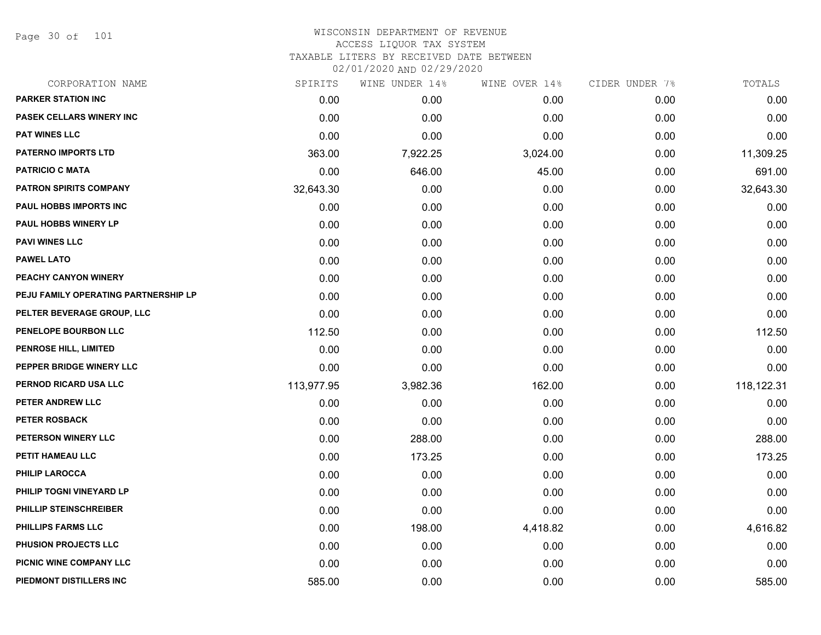Page 30 of 101

| CORPORATION NAME                     | SPIRITS    | WINE UNDER 14% | WINE OVER 14% | CIDER UNDER 7% | TOTALS     |
|--------------------------------------|------------|----------------|---------------|----------------|------------|
| <b>PARKER STATION INC</b>            | 0.00       | 0.00           | 0.00          | 0.00           | 0.00       |
| PASEK CELLARS WINERY INC             | 0.00       | 0.00           | 0.00          | 0.00           | 0.00       |
| <b>PAT WINES LLC</b>                 | 0.00       | 0.00           | 0.00          | 0.00           | 0.00       |
| <b>PATERNO IMPORTS LTD</b>           | 363.00     | 7,922.25       | 3,024.00      | 0.00           | 11,309.25  |
| <b>PATRICIO C MATA</b>               | 0.00       | 646.00         | 45.00         | 0.00           | 691.00     |
| <b>PATRON SPIRITS COMPANY</b>        | 32,643.30  | 0.00           | 0.00          | 0.00           | 32,643.30  |
| PAUL HOBBS IMPORTS INC               | 0.00       | 0.00           | 0.00          | 0.00           | 0.00       |
| <b>PAUL HOBBS WINERY LP</b>          | 0.00       | 0.00           | 0.00          | 0.00           | 0.00       |
| <b>PAVI WINES LLC</b>                | 0.00       | 0.00           | 0.00          | 0.00           | 0.00       |
| <b>PAWEL LATO</b>                    | 0.00       | 0.00           | 0.00          | 0.00           | 0.00       |
| PEACHY CANYON WINERY                 | 0.00       | 0.00           | 0.00          | 0.00           | 0.00       |
| PEJU FAMILY OPERATING PARTNERSHIP LP | 0.00       | 0.00           | 0.00          | 0.00           | 0.00       |
| PELTER BEVERAGE GROUP, LLC           | 0.00       | 0.00           | 0.00          | 0.00           | 0.00       |
| PENELOPE BOURBON LLC                 | 112.50     | 0.00           | 0.00          | 0.00           | 112.50     |
| PENROSE HILL, LIMITED                | 0.00       | 0.00           | 0.00          | 0.00           | 0.00       |
| PEPPER BRIDGE WINERY LLC             | 0.00       | 0.00           | 0.00          | 0.00           | 0.00       |
| PERNOD RICARD USA LLC                | 113,977.95 | 3,982.36       | 162.00        | 0.00           | 118,122.31 |
| PETER ANDREW LLC                     | 0.00       | 0.00           | 0.00          | 0.00           | 0.00       |
| PETER ROSBACK                        | 0.00       | 0.00           | 0.00          | 0.00           | 0.00       |
| PETERSON WINERY LLC                  | 0.00       | 288.00         | 0.00          | 0.00           | 288.00     |
| PETIT HAMEAU LLC                     | 0.00       | 173.25         | 0.00          | 0.00           | 173.25     |
| <b>PHILIP LAROCCA</b>                | 0.00       | 0.00           | 0.00          | 0.00           | 0.00       |
| PHILIP TOGNI VINEYARD LP             | 0.00       | 0.00           | 0.00          | 0.00           | 0.00       |
| PHILLIP STEINSCHREIBER               | 0.00       | 0.00           | 0.00          | 0.00           | 0.00       |
| PHILLIPS FARMS LLC                   | 0.00       | 198.00         | 4,418.82      | 0.00           | 4,616.82   |
| PHUSION PROJECTS LLC                 | 0.00       | 0.00           | 0.00          | 0.00           | 0.00       |
| PICNIC WINE COMPANY LLC              | 0.00       | 0.00           | 0.00          | 0.00           | 0.00       |
| PIEDMONT DISTILLERS INC              | 585.00     | 0.00           | 0.00          | 0.00           | 585.00     |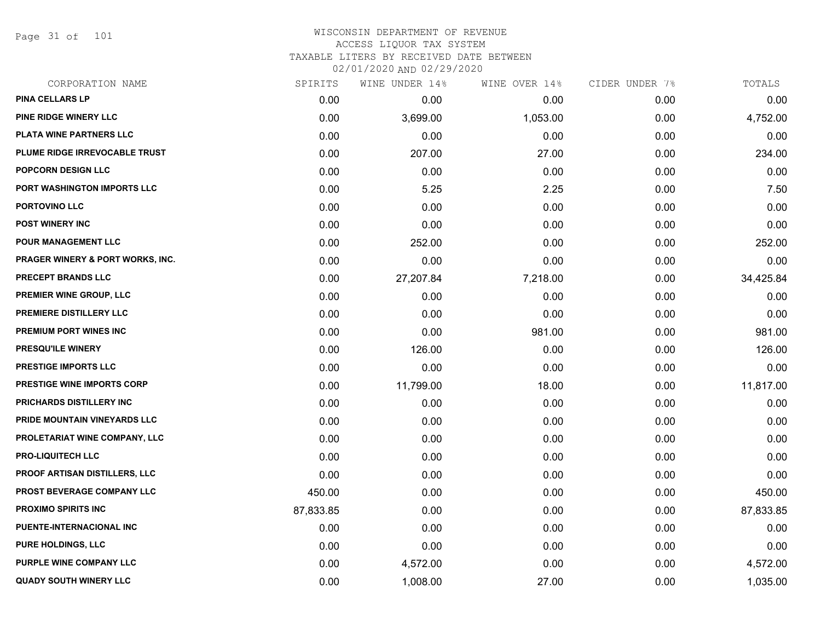Page 31 of 101

| CORPORATION NAME                  | SPIRITS   | WINE UNDER 14% | WINE OVER 14% | CIDER UNDER 7% | TOTALS    |
|-----------------------------------|-----------|----------------|---------------|----------------|-----------|
| <b>PINA CELLARS LP</b>            | 0.00      | 0.00           | 0.00          | 0.00           | 0.00      |
| PINE RIDGE WINERY LLC             | 0.00      | 3,699.00       | 1,053.00      | 0.00           | 4,752.00  |
| <b>PLATA WINE PARTNERS LLC</b>    | 0.00      | 0.00           | 0.00          | 0.00           | 0.00      |
| PLUME RIDGE IRREVOCABLE TRUST     | 0.00      | 207.00         | 27.00         | 0.00           | 234.00    |
| <b>POPCORN DESIGN LLC</b>         | 0.00      | 0.00           | 0.00          | 0.00           | 0.00      |
| PORT WASHINGTON IMPORTS LLC       | 0.00      | 5.25           | 2.25          | 0.00           | 7.50      |
| <b>PORTOVINO LLC</b>              | 0.00      | 0.00           | 0.00          | 0.00           | 0.00      |
| <b>POST WINERY INC</b>            | 0.00      | 0.00           | 0.00          | 0.00           | 0.00      |
| POUR MANAGEMENT LLC               | 0.00      | 252.00         | 0.00          | 0.00           | 252.00    |
| PRAGER WINERY & PORT WORKS, INC.  | 0.00      | 0.00           | 0.00          | 0.00           | 0.00      |
| PRECEPT BRANDS LLC                | 0.00      | 27,207.84      | 7,218.00      | 0.00           | 34,425.84 |
| PREMIER WINE GROUP, LLC           | 0.00      | 0.00           | 0.00          | 0.00           | 0.00      |
| PREMIERE DISTILLERY LLC           | 0.00      | 0.00           | 0.00          | 0.00           | 0.00      |
| PREMIUM PORT WINES INC            | 0.00      | 0.00           | 981.00        | 0.00           | 981.00    |
| PRESQU'ILE WINERY                 | 0.00      | 126.00         | 0.00          | 0.00           | 126.00    |
| PRESTIGE IMPORTS LLC              | 0.00      | 0.00           | 0.00          | 0.00           | 0.00      |
| <b>PRESTIGE WINE IMPORTS CORP</b> | 0.00      | 11,799.00      | 18.00         | 0.00           | 11,817.00 |
| PRICHARDS DISTILLERY INC          | 0.00      | 0.00           | 0.00          | 0.00           | 0.00      |
| PRIDE MOUNTAIN VINEYARDS LLC      | 0.00      | 0.00           | 0.00          | 0.00           | 0.00      |
| PROLETARIAT WINE COMPANY, LLC     | 0.00      | 0.00           | 0.00          | 0.00           | 0.00      |
| <b>PRO-LIQUITECH LLC</b>          | 0.00      | 0.00           | 0.00          | 0.00           | 0.00      |
| PROOF ARTISAN DISTILLERS, LLC     | 0.00      | 0.00           | 0.00          | 0.00           | 0.00      |
| PROST BEVERAGE COMPANY LLC        | 450.00    | 0.00           | 0.00          | 0.00           | 450.00    |
| <b>PROXIMO SPIRITS INC</b>        | 87,833.85 | 0.00           | 0.00          | 0.00           | 87,833.85 |
| PUENTE-INTERNACIONAL INC          | 0.00      | 0.00           | 0.00          | 0.00           | 0.00      |
| <b>PURE HOLDINGS, LLC</b>         | 0.00      | 0.00           | 0.00          | 0.00           | 0.00      |
| <b>PURPLE WINE COMPANY LLC</b>    | 0.00      | 4,572.00       | 0.00          | 0.00           | 4,572.00  |
| <b>QUADY SOUTH WINERY LLC</b>     | 0.00      | 1,008.00       | 27.00         | 0.00           | 1,035.00  |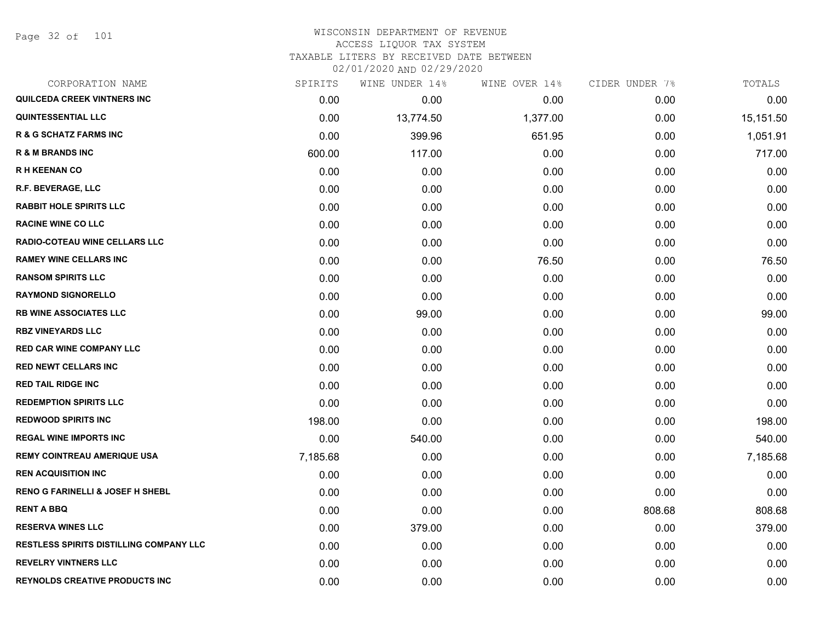Page 32 of 101

| CORPORATION NAME                               | SPIRITS  | WINE UNDER 14% | WINE OVER 14% | CIDER UNDER 7% | TOTALS    |
|------------------------------------------------|----------|----------------|---------------|----------------|-----------|
| <b>QUILCEDA CREEK VINTNERS INC</b>             | 0.00     | 0.00           | 0.00          | 0.00           | 0.00      |
| <b>QUINTESSENTIAL LLC</b>                      | 0.00     | 13,774.50      | 1,377.00      | 0.00           | 15,151.50 |
| <b>R &amp; G SCHATZ FARMS INC</b>              | 0.00     | 399.96         | 651.95        | 0.00           | 1,051.91  |
| <b>R &amp; M BRANDS INC</b>                    | 600.00   | 117.00         | 0.00          | 0.00           | 717.00    |
| <b>RH KEENAN CO</b>                            | 0.00     | 0.00           | 0.00          | 0.00           | 0.00      |
| R.F. BEVERAGE, LLC                             | 0.00     | 0.00           | 0.00          | 0.00           | 0.00      |
| <b>RABBIT HOLE SPIRITS LLC</b>                 | 0.00     | 0.00           | 0.00          | 0.00           | 0.00      |
| <b>RACINE WINE CO LLC</b>                      | 0.00     | 0.00           | 0.00          | 0.00           | 0.00      |
| RADIO-COTEAU WINE CELLARS LLC                  | 0.00     | 0.00           | 0.00          | 0.00           | 0.00      |
| <b>RAMEY WINE CELLARS INC</b>                  | 0.00     | 0.00           | 76.50         | 0.00           | 76.50     |
| <b>RANSOM SPIRITS LLC</b>                      | 0.00     | 0.00           | 0.00          | 0.00           | 0.00      |
| <b>RAYMOND SIGNORELLO</b>                      | 0.00     | 0.00           | 0.00          | 0.00           | 0.00      |
| <b>RB WINE ASSOCIATES LLC</b>                  | 0.00     | 99.00          | 0.00          | 0.00           | 99.00     |
| <b>RBZ VINEYARDS LLC</b>                       | 0.00     | 0.00           | 0.00          | 0.00           | 0.00      |
| <b>RED CAR WINE COMPANY LLC</b>                | 0.00     | 0.00           | 0.00          | 0.00           | 0.00      |
| <b>RED NEWT CELLARS INC</b>                    | 0.00     | 0.00           | 0.00          | 0.00           | 0.00      |
| <b>RED TAIL RIDGE INC</b>                      | 0.00     | 0.00           | 0.00          | 0.00           | 0.00      |
| <b>REDEMPTION SPIRITS LLC</b>                  | 0.00     | 0.00           | 0.00          | 0.00           | 0.00      |
| <b>REDWOOD SPIRITS INC</b>                     | 198.00   | 0.00           | 0.00          | 0.00           | 198.00    |
| <b>REGAL WINE IMPORTS INC</b>                  | 0.00     | 540.00         | 0.00          | 0.00           | 540.00    |
| <b>REMY COINTREAU AMERIQUE USA</b>             | 7,185.68 | 0.00           | 0.00          | 0.00           | 7,185.68  |
| <b>REN ACQUISITION INC</b>                     | 0.00     | 0.00           | 0.00          | 0.00           | 0.00      |
| <b>RENO G FARINELLI &amp; JOSEF H SHEBL</b>    | 0.00     | 0.00           | 0.00          | 0.00           | 0.00      |
| <b>RENT A BBQ</b>                              | 0.00     | 0.00           | 0.00          | 808.68         | 808.68    |
| <b>RESERVA WINES LLC</b>                       | 0.00     | 379.00         | 0.00          | 0.00           | 379.00    |
| <b>RESTLESS SPIRITS DISTILLING COMPANY LLC</b> | 0.00     | 0.00           | 0.00          | 0.00           | 0.00      |
| <b>REVELRY VINTNERS LLC</b>                    | 0.00     | 0.00           | 0.00          | 0.00           | 0.00      |
| <b>REYNOLDS CREATIVE PRODUCTS INC</b>          | 0.00     | 0.00           | 0.00          | 0.00           | 0.00      |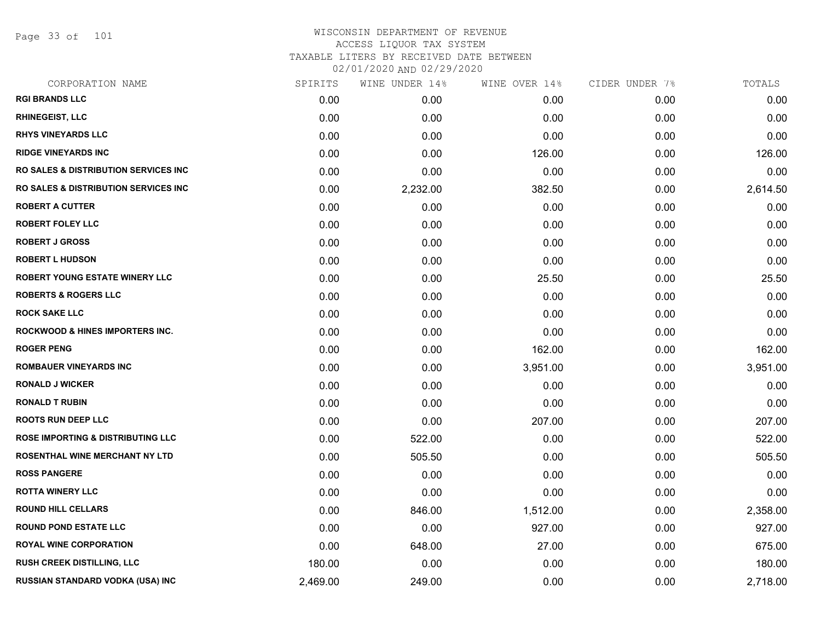Page 33 of 101

| CORPORATION NAME                                 | SPIRITS  | WINE UNDER 14% | WINE OVER 14% | CIDER UNDER 7% | TOTALS   |
|--------------------------------------------------|----------|----------------|---------------|----------------|----------|
| <b>RGI BRANDS LLC</b>                            | 0.00     | 0.00           | 0.00          | 0.00           | 0.00     |
| <b>RHINEGEIST, LLC</b>                           | 0.00     | 0.00           | 0.00          | 0.00           | 0.00     |
| <b>RHYS VINEYARDS LLC</b>                        | 0.00     | 0.00           | 0.00          | 0.00           | 0.00     |
| <b>RIDGE VINEYARDS INC</b>                       | 0.00     | 0.00           | 126.00        | 0.00           | 126.00   |
| <b>RO SALES &amp; DISTRIBUTION SERVICES INC</b>  | 0.00     | 0.00           | 0.00          | 0.00           | 0.00     |
| <b>RO SALES &amp; DISTRIBUTION SERVICES INC.</b> | 0.00     | 2,232.00       | 382.50        | 0.00           | 2,614.50 |
| <b>ROBERT A CUTTER</b>                           | 0.00     | 0.00           | 0.00          | 0.00           | 0.00     |
| <b>ROBERT FOLEY LLC</b>                          | 0.00     | 0.00           | 0.00          | 0.00           | 0.00     |
| <b>ROBERT J GROSS</b>                            | 0.00     | 0.00           | 0.00          | 0.00           | 0.00     |
| <b>ROBERT L HUDSON</b>                           | 0.00     | 0.00           | 0.00          | 0.00           | 0.00     |
| ROBERT YOUNG ESTATE WINERY LLC                   | 0.00     | 0.00           | 25.50         | 0.00           | 25.50    |
| <b>ROBERTS &amp; ROGERS LLC</b>                  | 0.00     | 0.00           | 0.00          | 0.00           | 0.00     |
| <b>ROCK SAKE LLC</b>                             | 0.00     | 0.00           | 0.00          | 0.00           | 0.00     |
| <b>ROCKWOOD &amp; HINES IMPORTERS INC.</b>       | 0.00     | 0.00           | 0.00          | 0.00           | 0.00     |
| <b>ROGER PENG</b>                                | 0.00     | 0.00           | 162.00        | 0.00           | 162.00   |
| <b>ROMBAUER VINEYARDS INC</b>                    | 0.00     | 0.00           | 3,951.00      | 0.00           | 3,951.00 |
| <b>RONALD J WICKER</b>                           | 0.00     | 0.00           | 0.00          | 0.00           | 0.00     |
| <b>RONALD T RUBIN</b>                            | 0.00     | 0.00           | 0.00          | 0.00           | 0.00     |
| <b>ROOTS RUN DEEP LLC</b>                        | 0.00     | 0.00           | 207.00        | 0.00           | 207.00   |
| <b>ROSE IMPORTING &amp; DISTRIBUTING LLC</b>     | 0.00     | 522.00         | 0.00          | 0.00           | 522.00   |
| ROSENTHAL WINE MERCHANT NY LTD                   | 0.00     | 505.50         | 0.00          | 0.00           | 505.50   |
| <b>ROSS PANGERE</b>                              | 0.00     | 0.00           | 0.00          | 0.00           | 0.00     |
| <b>ROTTA WINERY LLC</b>                          | 0.00     | 0.00           | 0.00          | 0.00           | 0.00     |
| <b>ROUND HILL CELLARS</b>                        | 0.00     | 846.00         | 1,512.00      | 0.00           | 2,358.00 |
| <b>ROUND POND ESTATE LLC</b>                     | 0.00     | 0.00           | 927.00        | 0.00           | 927.00   |
| <b>ROYAL WINE CORPORATION</b>                    | 0.00     | 648.00         | 27.00         | 0.00           | 675.00   |
| <b>RUSH CREEK DISTILLING, LLC</b>                | 180.00   | 0.00           | 0.00          | 0.00           | 180.00   |
| RUSSIAN STANDARD VODKA (USA) INC                 | 2,469.00 | 249.00         | 0.00          | 0.00           | 2,718.00 |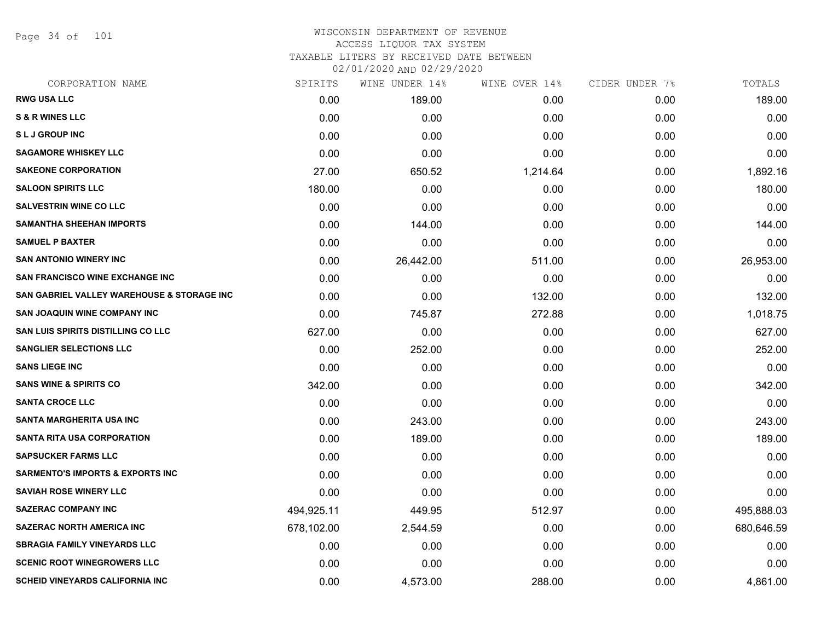Page 34 of 101

# WISCONSIN DEPARTMENT OF REVENUE ACCESS LIQUOR TAX SYSTEM TAXABLE LITERS BY RECEIVED DATE BETWEEN

02/01/2020 AND 02/29/2020

| CORPORATION NAME                            | SPIRITS    | WINE UNDER 14% | WINE OVER 14% | CIDER UNDER 7% | TOTALS     |
|---------------------------------------------|------------|----------------|---------------|----------------|------------|
| <b>RWG USA LLC</b>                          | 0.00       | 189.00         | 0.00          | 0.00           | 189.00     |
| <b>S &amp; R WINES LLC</b>                  | 0.00       | 0.00           | 0.00          | 0.00           | 0.00       |
| <b>SLJ GROUP INC</b>                        | 0.00       | 0.00           | 0.00          | 0.00           | 0.00       |
| <b>SAGAMORE WHISKEY LLC</b>                 | 0.00       | 0.00           | 0.00          | 0.00           | 0.00       |
| <b>SAKEONE CORPORATION</b>                  | 27.00      | 650.52         | 1,214.64      | 0.00           | 1,892.16   |
| <b>SALOON SPIRITS LLC</b>                   | 180.00     | 0.00           | 0.00          | 0.00           | 180.00     |
| <b>SALVESTRIN WINE CO LLC</b>               | 0.00       | 0.00           | 0.00          | 0.00           | 0.00       |
| <b>SAMANTHA SHEEHAN IMPORTS</b>             | 0.00       | 144.00         | 0.00          | 0.00           | 144.00     |
| <b>SAMUEL P BAXTER</b>                      | 0.00       | 0.00           | 0.00          | 0.00           | 0.00       |
| <b>SAN ANTONIO WINERY INC</b>               | 0.00       | 26,442.00      | 511.00        | 0.00           | 26,953.00  |
| <b>SAN FRANCISCO WINE EXCHANGE INC</b>      | 0.00       | 0.00           | 0.00          | 0.00           | 0.00       |
| SAN GABRIEL VALLEY WAREHOUSE & STORAGE INC  | 0.00       | 0.00           | 132.00        | 0.00           | 132.00     |
| <b>SAN JOAQUIN WINE COMPANY INC</b>         | 0.00       | 745.87         | 272.88        | 0.00           | 1,018.75   |
| <b>SAN LUIS SPIRITS DISTILLING CO LLC</b>   | 627.00     | 0.00           | 0.00          | 0.00           | 627.00     |
| <b>SANGLIER SELECTIONS LLC</b>              | 0.00       | 252.00         | 0.00          | 0.00           | 252.00     |
| <b>SANS LIEGE INC</b>                       | 0.00       | 0.00           | 0.00          | 0.00           | 0.00       |
| <b>SANS WINE &amp; SPIRITS CO</b>           | 342.00     | 0.00           | 0.00          | 0.00           | 342.00     |
| <b>SANTA CROCE LLC</b>                      | 0.00       | 0.00           | 0.00          | 0.00           | 0.00       |
| <b>SANTA MARGHERITA USA INC</b>             | 0.00       | 243.00         | 0.00          | 0.00           | 243.00     |
| <b>SANTA RITA USA CORPORATION</b>           | 0.00       | 189.00         | 0.00          | 0.00           | 189.00     |
| <b>SAPSUCKER FARMS LLC</b>                  | 0.00       | 0.00           | 0.00          | 0.00           | 0.00       |
| <b>SARMENTO'S IMPORTS &amp; EXPORTS INC</b> | 0.00       | 0.00           | 0.00          | 0.00           | 0.00       |
| <b>SAVIAH ROSE WINERY LLC</b>               | 0.00       | 0.00           | 0.00          | 0.00           | 0.00       |
| <b>SAZERAC COMPANY INC</b>                  | 494,925.11 | 449.95         | 512.97        | 0.00           | 495,888.03 |
| <b>SAZERAC NORTH AMERICA INC</b>            | 678,102.00 | 2,544.59       | 0.00          | 0.00           | 680,646.59 |
| <b>SBRAGIA FAMILY VINEYARDS LLC</b>         | 0.00       | 0.00           | 0.00          | 0.00           | 0.00       |
| <b>SCENIC ROOT WINEGROWERS LLC</b>          | 0.00       | 0.00           | 0.00          | 0.00           | 0.00       |
| <b>SCHEID VINEYARDS CALIFORNIA INC</b>      | 0.00       | 4,573.00       | 288.00        | 0.00           | 4,861.00   |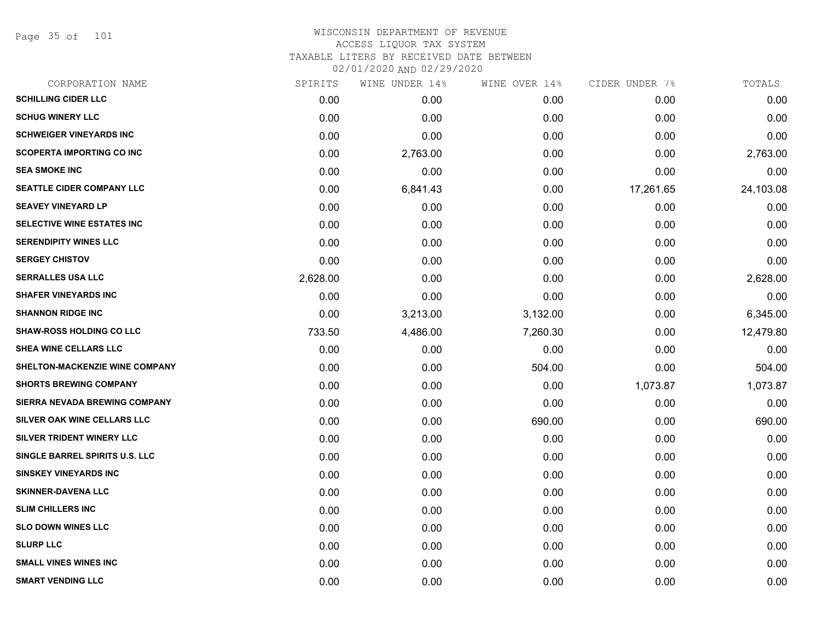Page 35 of 101

| CORPORATION NAME                  | SPIRITS  | WINE UNDER 14% | WINE OVER 14% | CIDER UNDER 7% | TOTALS    |
|-----------------------------------|----------|----------------|---------------|----------------|-----------|
| <b>SCHILLING CIDER LLC</b>        | 0.00     | 0.00           | 0.00          | 0.00           | 0.00      |
| <b>SCHUG WINERY LLC</b>           | 0.00     | 0.00           | 0.00          | 0.00           | 0.00      |
| <b>SCHWEIGER VINEYARDS INC</b>    | 0.00     | 0.00           | 0.00          | 0.00           | 0.00      |
| <b>SCOPERTA IMPORTING CO INC</b>  | 0.00     | 2,763.00       | 0.00          | 0.00           | 2,763.00  |
| <b>SEA SMOKE INC</b>              | 0.00     | 0.00           | 0.00          | 0.00           | 0.00      |
| SEATTLE CIDER COMPANY LLC         | 0.00     | 6,841.43       | 0.00          | 17,261.65      | 24,103.08 |
| <b>SEAVEY VINEYARD LP</b>         | 0.00     | 0.00           | 0.00          | 0.00           | 0.00      |
| <b>SELECTIVE WINE ESTATES INC</b> | 0.00     | 0.00           | 0.00          | 0.00           | 0.00      |
| <b>SERENDIPITY WINES LLC</b>      | 0.00     | 0.00           | 0.00          | 0.00           | 0.00      |
| <b>SERGEY CHISTOV</b>             | 0.00     | 0.00           | 0.00          | 0.00           | 0.00      |
| <b>SERRALLES USA LLC</b>          | 2,628.00 | 0.00           | 0.00          | 0.00           | 2,628.00  |
| <b>SHAFER VINEYARDS INC</b>       | 0.00     | 0.00           | 0.00          | 0.00           | 0.00      |
| <b>SHANNON RIDGE INC</b>          | 0.00     | 3,213.00       | 3,132.00      | 0.00           | 6,345.00  |
| <b>SHAW-ROSS HOLDING CO LLC</b>   | 733.50   | 4,486.00       | 7,260.30      | 0.00           | 12,479.80 |
| <b>SHEA WINE CELLARS LLC</b>      | 0.00     | 0.00           | 0.00          | 0.00           | 0.00      |
| SHELTON-MACKENZIE WINE COMPANY    | 0.00     | 0.00           | 504.00        | 0.00           | 504.00    |
| <b>SHORTS BREWING COMPANY</b>     | 0.00     | 0.00           | 0.00          | 1,073.87       | 1,073.87  |
| SIERRA NEVADA BREWING COMPANY     | 0.00     | 0.00           | 0.00          | 0.00           | 0.00      |
| SILVER OAK WINE CELLARS LLC       | 0.00     | 0.00           | 690.00        | 0.00           | 690.00    |
| SILVER TRIDENT WINERY LLC         | 0.00     | 0.00           | 0.00          | 0.00           | 0.00      |
| SINGLE BARREL SPIRITS U.S. LLC    | 0.00     | 0.00           | 0.00          | 0.00           | 0.00      |
| <b>SINSKEY VINEYARDS INC</b>      | 0.00     | 0.00           | 0.00          | 0.00           | 0.00      |
| <b>SKINNER-DAVENA LLC</b>         | 0.00     | 0.00           | 0.00          | 0.00           | 0.00      |
| <b>SLIM CHILLERS INC</b>          | 0.00     | 0.00           | 0.00          | 0.00           | 0.00      |
| <b>SLO DOWN WINES LLC</b>         | 0.00     | 0.00           | 0.00          | 0.00           | 0.00      |
| <b>SLURP LLC</b>                  | 0.00     | 0.00           | 0.00          | 0.00           | 0.00      |
| <b>SMALL VINES WINES INC</b>      | 0.00     | 0.00           | 0.00          | 0.00           | 0.00      |
| <b>SMART VENDING LLC</b>          | 0.00     | 0.00           | 0.00          | 0.00           | 0.00      |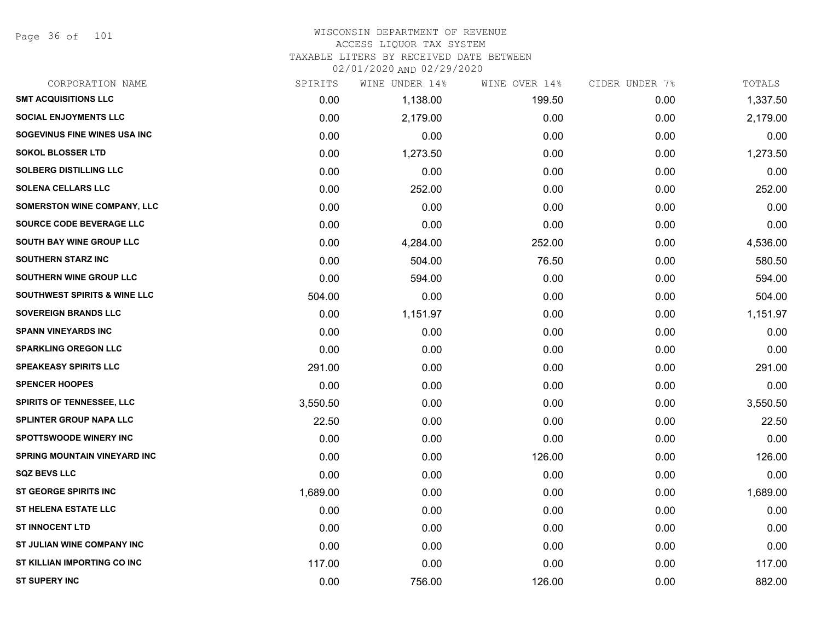Page 36 of 101

# WISCONSIN DEPARTMENT OF REVENUE ACCESS LIQUOR TAX SYSTEM

TAXABLE LITERS BY RECEIVED DATE BETWEEN

02/01/2020 AND 02/29/2020

| CORPORATION NAME                        | SPIRITS  | WINE UNDER 14% | WINE OVER 14% | CIDER UNDER 7% | TOTALS   |
|-----------------------------------------|----------|----------------|---------------|----------------|----------|
| <b>SMT ACQUISITIONS LLC</b>             | 0.00     | 1,138.00       | 199.50        | 0.00           | 1,337.50 |
| <b>SOCIAL ENJOYMENTS LLC</b>            | 0.00     | 2,179.00       | 0.00          | 0.00           | 2,179.00 |
| SOGEVINUS FINE WINES USA INC            | 0.00     | 0.00           | 0.00          | 0.00           | 0.00     |
| <b>SOKOL BLOSSER LTD</b>                | 0.00     | 1,273.50       | 0.00          | 0.00           | 1,273.50 |
| <b>SOLBERG DISTILLING LLC</b>           | 0.00     | 0.00           | 0.00          | 0.00           | 0.00     |
| <b>SOLENA CELLARS LLC</b>               | 0.00     | 252.00         | 0.00          | 0.00           | 252.00   |
| <b>SOMERSTON WINE COMPANY, LLC</b>      | 0.00     | 0.00           | 0.00          | 0.00           | 0.00     |
| SOURCE CODE BEVERAGE LLC                | 0.00     | 0.00           | 0.00          | 0.00           | 0.00     |
| <b>SOUTH BAY WINE GROUP LLC</b>         | 0.00     | 4,284.00       | 252.00        | 0.00           | 4,536.00 |
| <b>SOUTHERN STARZ INC</b>               | 0.00     | 504.00         | 76.50         | 0.00           | 580.50   |
| SOUTHERN WINE GROUP LLC                 | 0.00     | 594.00         | 0.00          | 0.00           | 594.00   |
| <b>SOUTHWEST SPIRITS &amp; WINE LLC</b> | 504.00   | 0.00           | 0.00          | 0.00           | 504.00   |
| <b>SOVEREIGN BRANDS LLC</b>             | 0.00     | 1,151.97       | 0.00          | 0.00           | 1,151.97 |
| <b>SPANN VINEYARDS INC</b>              | 0.00     | 0.00           | 0.00          | 0.00           | 0.00     |
| <b>SPARKLING OREGON LLC</b>             | 0.00     | 0.00           | 0.00          | 0.00           | 0.00     |
| <b>SPEAKEASY SPIRITS LLC</b>            | 291.00   | 0.00           | 0.00          | 0.00           | 291.00   |
| <b>SPENCER HOOPES</b>                   | 0.00     | 0.00           | 0.00          | 0.00           | 0.00     |
| <b>SPIRITS OF TENNESSEE, LLC</b>        | 3,550.50 | 0.00           | 0.00          | 0.00           | 3,550.50 |
| <b>SPLINTER GROUP NAPA LLC</b>          | 22.50    | 0.00           | 0.00          | 0.00           | 22.50    |
| <b>SPOTTSWOODE WINERY INC</b>           | 0.00     | 0.00           | 0.00          | 0.00           | 0.00     |
| <b>SPRING MOUNTAIN VINEYARD INC</b>     | 0.00     | 0.00           | 126.00        | 0.00           | 126.00   |
| <b>SQZ BEVS LLC</b>                     | 0.00     | 0.00           | 0.00          | 0.00           | 0.00     |
| ST GEORGE SPIRITS INC                   | 1,689.00 | 0.00           | 0.00          | 0.00           | 1,689.00 |
| <b>ST HELENA ESTATE LLC</b>             | 0.00     | 0.00           | 0.00          | 0.00           | 0.00     |
| <b>ST INNOCENT LTD</b>                  | 0.00     | 0.00           | 0.00          | 0.00           | 0.00     |
| ST JULIAN WINE COMPANY INC              | 0.00     | 0.00           | 0.00          | 0.00           | 0.00     |
| ST KILLIAN IMPORTING CO INC             | 117.00   | 0.00           | 0.00          | 0.00           | 117.00   |
| <b>ST SUPERY INC</b>                    | 0.00     | 756.00         | 126.00        | 0.00           | 882.00   |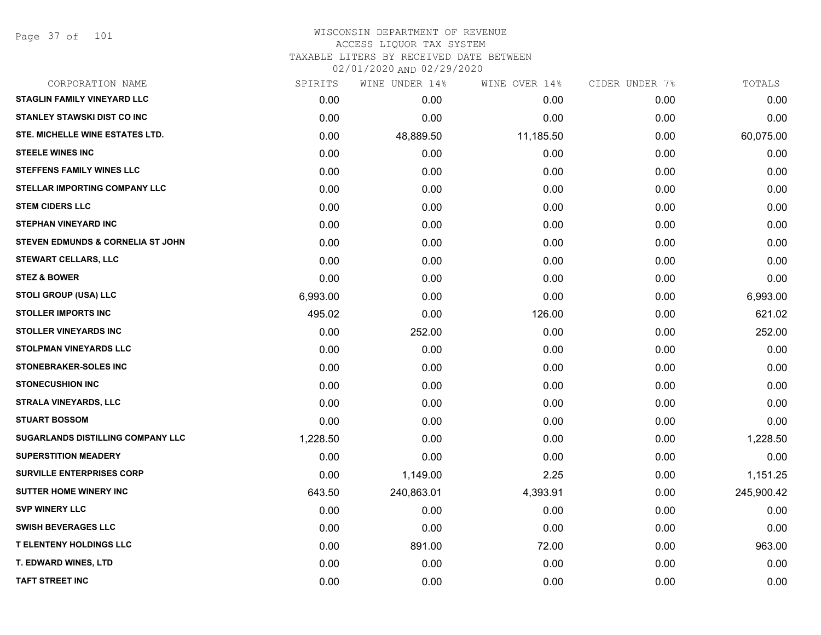Page 37 of 101

# WISCONSIN DEPARTMENT OF REVENUE ACCESS LIQUOR TAX SYSTEM TAXABLE LITERS BY RECEIVED DATE BETWEEN

| CORPORATION NAME                         | SPIRITS  | WINE UNDER 14% | WINE OVER 14% | CIDER UNDER 7% | TOTALS     |
|------------------------------------------|----------|----------------|---------------|----------------|------------|
| STAGLIN FAMILY VINEYARD LLC              | 0.00     | 0.00           | 0.00          | 0.00           | 0.00       |
| <b>STANLEY STAWSKI DIST CO INC</b>       | 0.00     | 0.00           | 0.00          | 0.00           | 0.00       |
| STE. MICHELLE WINE ESTATES LTD.          | 0.00     | 48,889.50      | 11,185.50     | 0.00           | 60,075.00  |
| <b>STEELE WINES INC</b>                  | 0.00     | 0.00           | 0.00          | 0.00           | 0.00       |
| <b>STEFFENS FAMILY WINES LLC</b>         | 0.00     | 0.00           | 0.00          | 0.00           | 0.00       |
| <b>STELLAR IMPORTING COMPANY LLC</b>     | 0.00     | 0.00           | 0.00          | 0.00           | 0.00       |
| <b>STEM CIDERS LLC</b>                   | 0.00     | 0.00           | 0.00          | 0.00           | 0.00       |
| <b>STEPHAN VINEYARD INC</b>              | 0.00     | 0.00           | 0.00          | 0.00           | 0.00       |
| STEVEN EDMUNDS & CORNELIA ST JOHN        | 0.00     | 0.00           | 0.00          | 0.00           | 0.00       |
| <b>STEWART CELLARS, LLC</b>              | 0.00     | 0.00           | 0.00          | 0.00           | 0.00       |
| <b>STEZ &amp; BOWER</b>                  | 0.00     | 0.00           | 0.00          | 0.00           | 0.00       |
| STOLI GROUP (USA) LLC                    | 6,993.00 | 0.00           | 0.00          | 0.00           | 6,993.00   |
| <b>STOLLER IMPORTS INC</b>               | 495.02   | 0.00           | 126.00        | 0.00           | 621.02     |
| <b>STOLLER VINEYARDS INC</b>             | 0.00     | 252.00         | 0.00          | 0.00           | 252.00     |
| <b>STOLPMAN VINEYARDS LLC</b>            | 0.00     | 0.00           | 0.00          | 0.00           | 0.00       |
| STONEBRAKER-SOLES INC                    | 0.00     | 0.00           | 0.00          | 0.00           | 0.00       |
| <b>STONECUSHION INC</b>                  | 0.00     | 0.00           | 0.00          | 0.00           | 0.00       |
| STRALA VINEYARDS, LLC                    | 0.00     | 0.00           | 0.00          | 0.00           | 0.00       |
| <b>STUART BOSSOM</b>                     | 0.00     | 0.00           | 0.00          | 0.00           | 0.00       |
| <b>SUGARLANDS DISTILLING COMPANY LLC</b> | 1,228.50 | 0.00           | 0.00          | 0.00           | 1,228.50   |
| <b>SUPERSTITION MEADERY</b>              | 0.00     | 0.00           | 0.00          | 0.00           | 0.00       |
| <b>SURVILLE ENTERPRISES CORP</b>         | 0.00     | 1,149.00       | 2.25          | 0.00           | 1,151.25   |
| <b>SUTTER HOME WINERY INC</b>            | 643.50   | 240,863.01     | 4,393.91      | 0.00           | 245,900.42 |
| <b>SVP WINERY LLC</b>                    | 0.00     | 0.00           | 0.00          | 0.00           | 0.00       |
| <b>SWISH BEVERAGES LLC</b>               | 0.00     | 0.00           | 0.00          | 0.00           | 0.00       |
| <b>T ELENTENY HOLDINGS LLC</b>           | 0.00     | 891.00         | 72.00         | 0.00           | 963.00     |
| T. EDWARD WINES, LTD                     | 0.00     | 0.00           | 0.00          | 0.00           | 0.00       |
| <b>TAFT STREET INC</b>                   | 0.00     | 0.00           | 0.00          | 0.00           | 0.00       |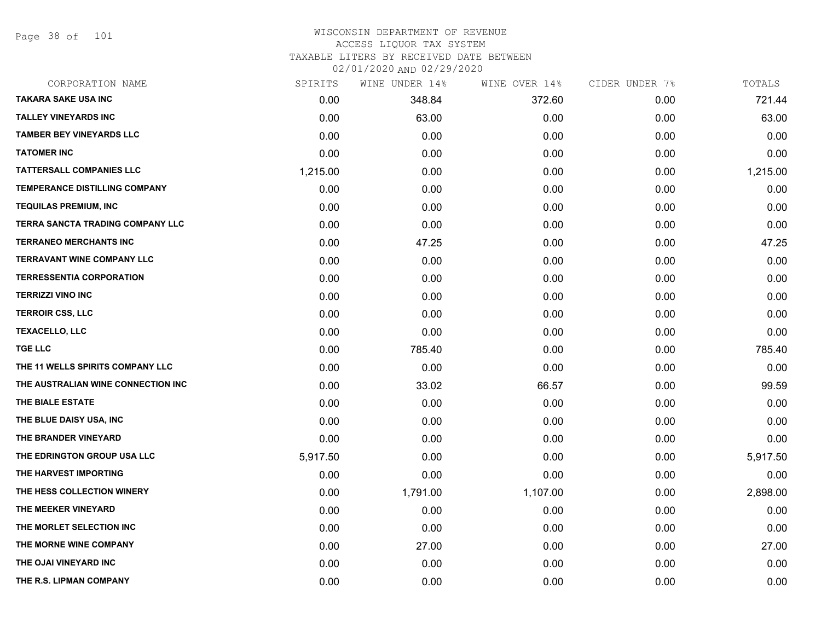Page 38 of 101

| CORPORATION NAME                   | SPIRITS  | WINE UNDER 14% | WINE OVER 14% | CIDER UNDER 7% | TOTALS   |
|------------------------------------|----------|----------------|---------------|----------------|----------|
| <b>TAKARA SAKE USA INC</b>         | 0.00     | 348.84         | 372.60        | 0.00           | 721.44   |
| <b>TALLEY VINEYARDS INC</b>        | 0.00     | 63.00          | 0.00          | 0.00           | 63.00    |
| <b>TAMBER BEY VINEYARDS LLC</b>    | 0.00     | 0.00           | 0.00          | 0.00           | 0.00     |
| <b>TATOMER INC</b>                 | 0.00     | 0.00           | 0.00          | 0.00           | 0.00     |
| <b>TATTERSALL COMPANIES LLC</b>    | 1,215.00 | 0.00           | 0.00          | 0.00           | 1,215.00 |
| TEMPERANCE DISTILLING COMPANY      | 0.00     | 0.00           | 0.00          | 0.00           | 0.00     |
| <b>TEQUILAS PREMIUM, INC</b>       | 0.00     | 0.00           | 0.00          | 0.00           | 0.00     |
| TERRA SANCTA TRADING COMPANY LLC   | 0.00     | 0.00           | 0.00          | 0.00           | 0.00     |
| <b>TERRANEO MERCHANTS INC</b>      | 0.00     | 47.25          | 0.00          | 0.00           | 47.25    |
| <b>TERRAVANT WINE COMPANY LLC</b>  | 0.00     | 0.00           | 0.00          | 0.00           | 0.00     |
| <b>TERRESSENTIA CORPORATION</b>    | 0.00     | 0.00           | 0.00          | 0.00           | 0.00     |
| <b>TERRIZZI VINO INC</b>           | 0.00     | 0.00           | 0.00          | 0.00           | 0.00     |
| <b>TERROIR CSS, LLC</b>            | 0.00     | 0.00           | 0.00          | 0.00           | 0.00     |
| <b>TEXACELLO, LLC</b>              | 0.00     | 0.00           | 0.00          | 0.00           | 0.00     |
| <b>TGE LLC</b>                     | 0.00     | 785.40         | 0.00          | 0.00           | 785.40   |
| THE 11 WELLS SPIRITS COMPANY LLC   | 0.00     | 0.00           | 0.00          | 0.00           | 0.00     |
| THE AUSTRALIAN WINE CONNECTION INC | 0.00     | 33.02          | 66.57         | 0.00           | 99.59    |
| THE BIALE ESTATE                   | 0.00     | 0.00           | 0.00          | 0.00           | 0.00     |
| THE BLUE DAISY USA, INC            | 0.00     | 0.00           | 0.00          | 0.00           | 0.00     |
| THE BRANDER VINEYARD               | 0.00     | 0.00           | 0.00          | 0.00           | 0.00     |
| THE EDRINGTON GROUP USA LLC        | 5,917.50 | 0.00           | 0.00          | 0.00           | 5,917.50 |
| THE HARVEST IMPORTING              | 0.00     | 0.00           | 0.00          | 0.00           | 0.00     |
| THE HESS COLLECTION WINERY         | 0.00     | 1,791.00       | 1,107.00      | 0.00           | 2,898.00 |
| THE MEEKER VINEYARD                | 0.00     | 0.00           | 0.00          | 0.00           | 0.00     |
| THE MORLET SELECTION INC           | 0.00     | 0.00           | 0.00          | 0.00           | 0.00     |
| THE MORNE WINE COMPANY             | 0.00     | 27.00          | 0.00          | 0.00           | 27.00    |
| THE OJAI VINEYARD INC              | 0.00     | 0.00           | 0.00          | 0.00           | 0.00     |
| THE R.S. LIPMAN COMPANY            | 0.00     | 0.00           | 0.00          | 0.00           | 0.00     |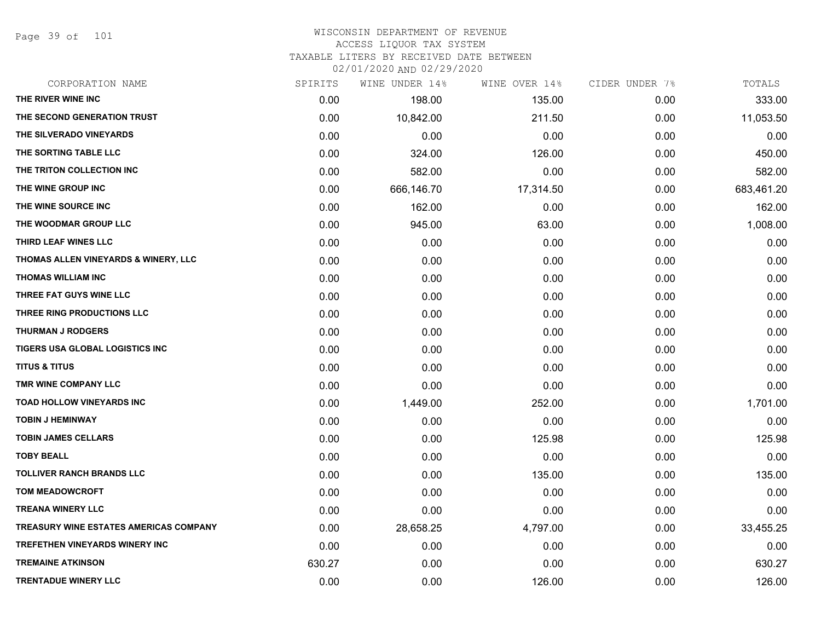Page 39 of 101

| CORPORATION NAME                       | SPIRITS | WINE UNDER 14% | WINE OVER 14% | CIDER UNDER 7% | TOTALS     |
|----------------------------------------|---------|----------------|---------------|----------------|------------|
| THE RIVER WINE INC                     | 0.00    | 198.00         | 135.00        | 0.00           | 333.00     |
| THE SECOND GENERATION TRUST            | 0.00    | 10,842.00      | 211.50        | 0.00           | 11,053.50  |
| THE SILVERADO VINEYARDS                | 0.00    | 0.00           | 0.00          | 0.00           | 0.00       |
| THE SORTING TABLE LLC                  | 0.00    | 324.00         | 126.00        | 0.00           | 450.00     |
| THE TRITON COLLECTION INC              | 0.00    | 582.00         | 0.00          | 0.00           | 582.00     |
| THE WINE GROUP INC                     | 0.00    | 666,146.70     | 17,314.50     | 0.00           | 683,461.20 |
| THE WINE SOURCE INC                    | 0.00    | 162.00         | 0.00          | 0.00           | 162.00     |
| THE WOODMAR GROUP LLC                  | 0.00    | 945.00         | 63.00         | 0.00           | 1,008.00   |
| THIRD LEAF WINES LLC                   | 0.00    | 0.00           | 0.00          | 0.00           | 0.00       |
| THOMAS ALLEN VINEYARDS & WINERY, LLC   | 0.00    | 0.00           | 0.00          | 0.00           | 0.00       |
| <b>THOMAS WILLIAM INC</b>              | 0.00    | 0.00           | 0.00          | 0.00           | 0.00       |
| THREE FAT GUYS WINE LLC                | 0.00    | 0.00           | 0.00          | 0.00           | 0.00       |
| THREE RING PRODUCTIONS LLC             | 0.00    | 0.00           | 0.00          | 0.00           | 0.00       |
| <b>THURMAN J RODGERS</b>               | 0.00    | 0.00           | 0.00          | 0.00           | 0.00       |
| TIGERS USA GLOBAL LOGISTICS INC        | 0.00    | 0.00           | 0.00          | 0.00           | 0.00       |
| <b>TITUS &amp; TITUS</b>               | 0.00    | 0.00           | 0.00          | 0.00           | 0.00       |
| TMR WINE COMPANY LLC                   | 0.00    | 0.00           | 0.00          | 0.00           | 0.00       |
| <b>TOAD HOLLOW VINEYARDS INC</b>       | 0.00    | 1,449.00       | 252.00        | 0.00           | 1,701.00   |
| <b>TOBIN J HEMINWAY</b>                | 0.00    | 0.00           | 0.00          | 0.00           | 0.00       |
| <b>TOBIN JAMES CELLARS</b>             | 0.00    | 0.00           | 125.98        | 0.00           | 125.98     |
| <b>TOBY BEALL</b>                      | 0.00    | 0.00           | 0.00          | 0.00           | 0.00       |
| <b>TOLLIVER RANCH BRANDS LLC</b>       | 0.00    | 0.00           | 135.00        | 0.00           | 135.00     |
| <b>TOM MEADOWCROFT</b>                 | 0.00    | 0.00           | 0.00          | 0.00           | 0.00       |
| <b>TREANA WINERY LLC</b>               | 0.00    | 0.00           | 0.00          | 0.00           | 0.00       |
| TREASURY WINE ESTATES AMERICAS COMPANY | 0.00    | 28,658.25      | 4,797.00      | 0.00           | 33,455.25  |
| TREFETHEN VINEYARDS WINERY INC         | 0.00    | 0.00           | 0.00          | 0.00           | 0.00       |
| <b>TREMAINE ATKINSON</b>               | 630.27  | 0.00           | 0.00          | 0.00           | 630.27     |
| <b>TRENTADUE WINERY LLC</b>            | 0.00    | 0.00           | 126.00        | 0.00           | 126.00     |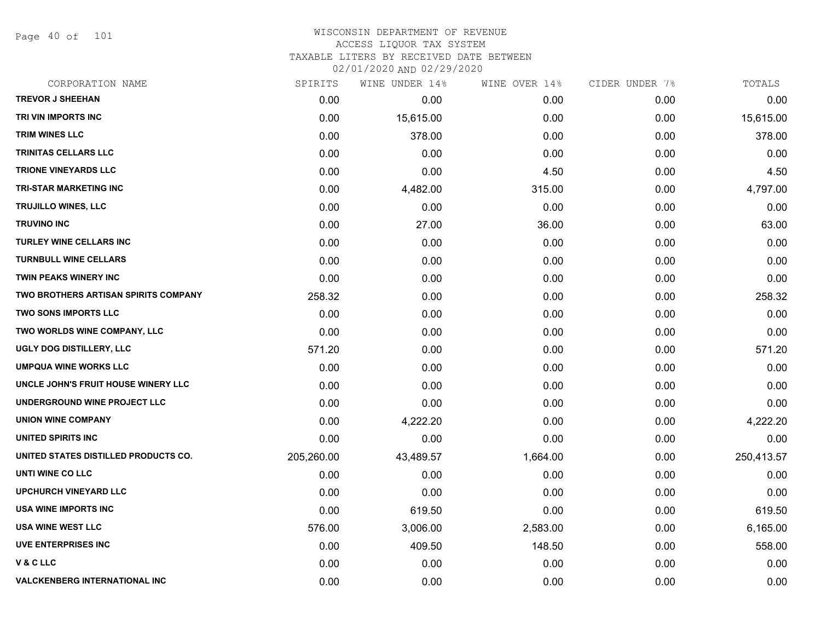Page 40 of 101

### WISCONSIN DEPARTMENT OF REVENUE ACCESS LIQUOR TAX SYSTEM TAXABLE LITERS BY RECEIVED DATE BETWEEN

| CORPORATION NAME                     | SPIRITS    | WINE UNDER 14% | WINE OVER 14% | CIDER UNDER 7% | TOTALS     |
|--------------------------------------|------------|----------------|---------------|----------------|------------|
| <b>TREVOR J SHEEHAN</b>              | 0.00       | 0.00           | 0.00          | 0.00           | 0.00       |
| TRI VIN IMPORTS INC                  | 0.00       | 15,615.00      | 0.00          | 0.00           | 15,615.00  |
| TRIM WINES LLC                       | 0.00       | 378.00         | 0.00          | 0.00           | 378.00     |
| TRINITAS CELLARS LLC                 | 0.00       | 0.00           | 0.00          | 0.00           | 0.00       |
| <b>TRIONE VINEYARDS LLC</b>          | 0.00       | 0.00           | 4.50          | 0.00           | 4.50       |
| <b>TRI-STAR MARKETING INC</b>        | 0.00       | 4,482.00       | 315.00        | 0.00           | 4,797.00   |
| TRUJILLO WINES, LLC                  | 0.00       | 0.00           | 0.00          | 0.00           | 0.00       |
| <b>TRUVINO INC</b>                   | 0.00       | 27.00          | 36.00         | 0.00           | 63.00      |
| <b>TURLEY WINE CELLARS INC</b>       | 0.00       | 0.00           | 0.00          | 0.00           | 0.00       |
| <b>TURNBULL WINE CELLARS</b>         | 0.00       | 0.00           | 0.00          | 0.00           | 0.00       |
| <b>TWIN PEAKS WINERY INC</b>         | 0.00       | 0.00           | 0.00          | 0.00           | 0.00       |
| TWO BROTHERS ARTISAN SPIRITS COMPANY | 258.32     | 0.00           | 0.00          | 0.00           | 258.32     |
| <b>TWO SONS IMPORTS LLC</b>          | 0.00       | 0.00           | 0.00          | 0.00           | 0.00       |
| TWO WORLDS WINE COMPANY, LLC         | 0.00       | 0.00           | 0.00          | 0.00           | 0.00       |
| UGLY DOG DISTILLERY, LLC             | 571.20     | 0.00           | 0.00          | 0.00           | 571.20     |
| <b>UMPQUA WINE WORKS LLC</b>         | 0.00       | 0.00           | 0.00          | 0.00           | 0.00       |
| UNCLE JOHN'S FRUIT HOUSE WINERY LLC  | 0.00       | 0.00           | 0.00          | 0.00           | 0.00       |
| UNDERGROUND WINE PROJECT LLC         | 0.00       | 0.00           | 0.00          | 0.00           | 0.00       |
| <b>UNION WINE COMPANY</b>            | 0.00       | 4,222.20       | 0.00          | 0.00           | 4,222.20   |
| UNITED SPIRITS INC                   | 0.00       | 0.00           | 0.00          | 0.00           | 0.00       |
| UNITED STATES DISTILLED PRODUCTS CO. | 205,260.00 | 43,489.57      | 1,664.00      | 0.00           | 250,413.57 |
| UNTI WINE CO LLC                     | 0.00       | 0.00           | 0.00          | 0.00           | 0.00       |
| <b>UPCHURCH VINEYARD LLC</b>         | 0.00       | 0.00           | 0.00          | 0.00           | 0.00       |
| USA WINE IMPORTS INC                 | 0.00       | 619.50         | 0.00          | 0.00           | 619.50     |
| <b>USA WINE WEST LLC</b>             | 576.00     | 3,006.00       | 2,583.00      | 0.00           | 6,165.00   |
| <b>UVE ENTERPRISES INC</b>           | 0.00       | 409.50         | 148.50        | 0.00           | 558.00     |
| <b>V&amp;CLLC</b>                    | 0.00       | 0.00           | 0.00          | 0.00           | 0.00       |
| <b>VALCKENBERG INTERNATIONAL INC</b> | 0.00       | 0.00           | 0.00          | 0.00           | 0.00       |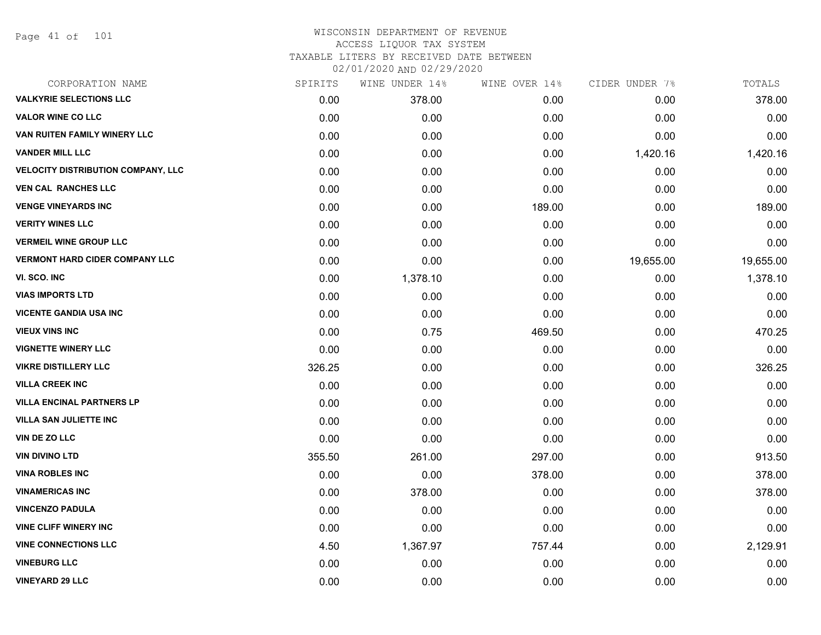| CORPORATION NAME                          | SPIRITS | WINE UNDER 14% | WINE OVER 14% | CIDER UNDER 7% | TOTALS    |
|-------------------------------------------|---------|----------------|---------------|----------------|-----------|
| <b>VALKYRIE SELECTIONS LLC</b>            | 0.00    | 378.00         | 0.00          | 0.00           | 378.00    |
| <b>VALOR WINE CO LLC</b>                  | 0.00    | 0.00           | 0.00          | 0.00           | 0.00      |
| VAN RUITEN FAMILY WINERY LLC              | 0.00    | 0.00           | 0.00          | 0.00           | 0.00      |
| <b>VANDER MILL LLC</b>                    | 0.00    | 0.00           | 0.00          | 1,420.16       | 1,420.16  |
| <b>VELOCITY DISTRIBUTION COMPANY, LLC</b> | 0.00    | 0.00           | 0.00          | 0.00           | 0.00      |
| <b>VEN CAL RANCHES LLC</b>                | 0.00    | 0.00           | 0.00          | 0.00           | 0.00      |
| <b>VENGE VINEYARDS INC</b>                | 0.00    | 0.00           | 189.00        | 0.00           | 189.00    |
| <b>VERITY WINES LLC</b>                   | 0.00    | 0.00           | 0.00          | 0.00           | 0.00      |
| <b>VERMEIL WINE GROUP LLC</b>             | 0.00    | 0.00           | 0.00          | 0.00           | 0.00      |
| <b>VERMONT HARD CIDER COMPANY LLC</b>     | 0.00    | 0.00           | 0.00          | 19,655.00      | 19,655.00 |
| VI. SCO. INC                              | 0.00    | 1,378.10       | 0.00          | 0.00           | 1,378.10  |
| <b>VIAS IMPORTS LTD</b>                   | 0.00    | 0.00           | 0.00          | 0.00           | 0.00      |
| <b>VICENTE GANDIA USA INC</b>             | 0.00    | 0.00           | 0.00          | 0.00           | 0.00      |
| <b>VIEUX VINS INC</b>                     | 0.00    | 0.75           | 469.50        | 0.00           | 470.25    |
| <b>VIGNETTE WINERY LLC</b>                | 0.00    | 0.00           | 0.00          | 0.00           | 0.00      |
| <b>VIKRE DISTILLERY LLC</b>               | 326.25  | 0.00           | 0.00          | 0.00           | 326.25    |
| <b>VILLA CREEK INC</b>                    | 0.00    | 0.00           | 0.00          | 0.00           | 0.00      |
| <b>VILLA ENCINAL PARTNERS LP</b>          | 0.00    | 0.00           | 0.00          | 0.00           | 0.00      |
| <b>VILLA SAN JULIETTE INC</b>             | 0.00    | 0.00           | 0.00          | 0.00           | 0.00      |
| VIN DE ZO LLC                             | 0.00    | 0.00           | 0.00          | 0.00           | 0.00      |
| <b>VIN DIVINO LTD</b>                     | 355.50  | 261.00         | 297.00        | 0.00           | 913.50    |
| <b>VINA ROBLES INC</b>                    | 0.00    | 0.00           | 378.00        | 0.00           | 378.00    |
| <b>VINAMERICAS INC</b>                    | 0.00    | 378.00         | 0.00          | 0.00           | 378.00    |
| <b>VINCENZO PADULA</b>                    | 0.00    | 0.00           | 0.00          | 0.00           | 0.00      |
| <b>VINE CLIFF WINERY INC</b>              | 0.00    | 0.00           | 0.00          | 0.00           | 0.00      |
| <b>VINE CONNECTIONS LLC</b>               | 4.50    | 1,367.97       | 757.44        | 0.00           | 2,129.91  |
| <b>VINEBURG LLC</b>                       | 0.00    | 0.00           | 0.00          | 0.00           | 0.00      |
| <b>VINEYARD 29 LLC</b>                    | 0.00    | 0.00           | 0.00          | 0.00           | 0.00      |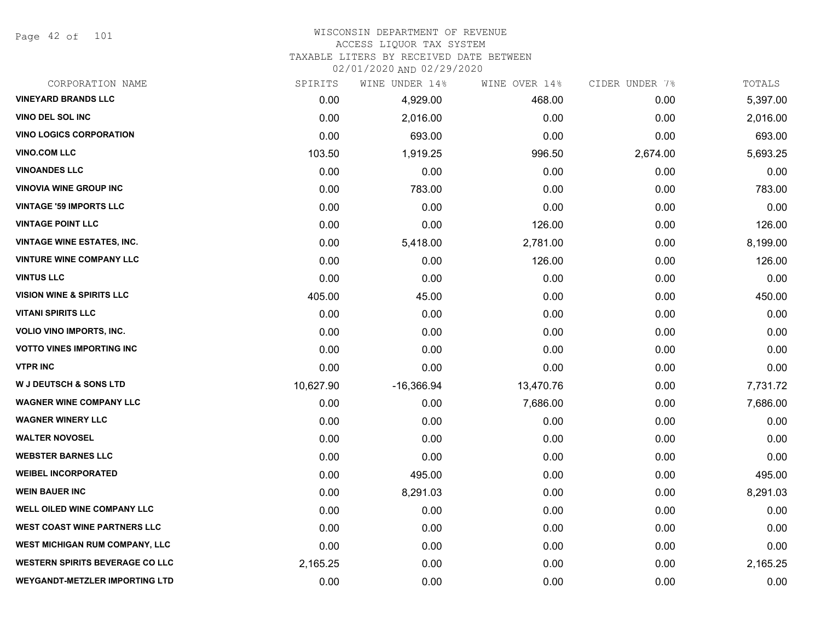Page 42 of 101

#### WISCONSIN DEPARTMENT OF REVENUE ACCESS LIQUOR TAX SYSTEM

TAXABLE LITERS BY RECEIVED DATE BETWEEN

| CORPORATION NAME                       | SPIRITS   | WINE UNDER 14% | WINE OVER 14% | CIDER UNDER 7% | TOTALS   |
|----------------------------------------|-----------|----------------|---------------|----------------|----------|
| <b>VINEYARD BRANDS LLC</b>             | 0.00      | 4,929.00       | 468.00        | 0.00           | 5,397.00 |
| <b>VINO DEL SOL INC</b>                | 0.00      | 2,016.00       | 0.00          | 0.00           | 2,016.00 |
| <b>VINO LOGICS CORPORATION</b>         | 0.00      | 693.00         | 0.00          | 0.00           | 693.00   |
| <b>VINO.COM LLC</b>                    | 103.50    | 1,919.25       | 996.50        | 2,674.00       | 5,693.25 |
| <b>VINOANDES LLC</b>                   | 0.00      | 0.00           | 0.00          | 0.00           | 0.00     |
| <b>VINOVIA WINE GROUP INC</b>          | 0.00      | 783.00         | 0.00          | 0.00           | 783.00   |
| <b>VINTAGE '59 IMPORTS LLC</b>         | 0.00      | 0.00           | 0.00          | 0.00           | 0.00     |
| <b>VINTAGE POINT LLC</b>               | 0.00      | 0.00           | 126.00        | 0.00           | 126.00   |
| <b>VINTAGE WINE ESTATES, INC.</b>      | 0.00      | 5,418.00       | 2,781.00      | 0.00           | 8,199.00 |
| <b>VINTURE WINE COMPANY LLC</b>        | 0.00      | 0.00           | 126.00        | 0.00           | 126.00   |
| <b>VINTUS LLC</b>                      | 0.00      | 0.00           | 0.00          | 0.00           | 0.00     |
| <b>VISION WINE &amp; SPIRITS LLC</b>   | 405.00    | 45.00          | 0.00          | 0.00           | 450.00   |
| <b>VITANI SPIRITS LLC</b>              | 0.00      | 0.00           | 0.00          | 0.00           | 0.00     |
| <b>VOLIO VINO IMPORTS, INC.</b>        | 0.00      | 0.00           | 0.00          | 0.00           | 0.00     |
| <b>VOTTO VINES IMPORTING INC</b>       | 0.00      | 0.00           | 0.00          | 0.00           | 0.00     |
| <b>VTPR INC</b>                        | 0.00      | 0.00           | 0.00          | 0.00           | 0.00     |
| <b>W J DEUTSCH &amp; SONS LTD</b>      | 10,627.90 | $-16,366.94$   | 13,470.76     | 0.00           | 7,731.72 |
| <b>WAGNER WINE COMPANY LLC</b>         | 0.00      | 0.00           | 7,686.00      | 0.00           | 7,686.00 |
| <b>WAGNER WINERY LLC</b>               | 0.00      | 0.00           | 0.00          | 0.00           | 0.00     |
| <b>WALTER NOVOSEL</b>                  | 0.00      | 0.00           | 0.00          | 0.00           | 0.00     |
| <b>WEBSTER BARNES LLC</b>              | 0.00      | 0.00           | 0.00          | 0.00           | 0.00     |
| <b>WEIBEL INCORPORATED</b>             | 0.00      | 495.00         | 0.00          | 0.00           | 495.00   |
| <b>WEIN BAUER INC</b>                  | 0.00      | 8,291.03       | 0.00          | 0.00           | 8,291.03 |
| <b>WELL OILED WINE COMPANY LLC</b>     | 0.00      | 0.00           | 0.00          | 0.00           | 0.00     |
| <b>WEST COAST WINE PARTNERS LLC</b>    | 0.00      | 0.00           | 0.00          | 0.00           | 0.00     |
| <b>WEST MICHIGAN RUM COMPANY, LLC</b>  | 0.00      | 0.00           | 0.00          | 0.00           | 0.00     |
| <b>WESTERN SPIRITS BEVERAGE CO LLC</b> | 2,165.25  | 0.00           | 0.00          | 0.00           | 2,165.25 |
| <b>WEYGANDT-METZLER IMPORTING LTD</b>  | 0.00      | 0.00           | 0.00          | 0.00           | 0.00     |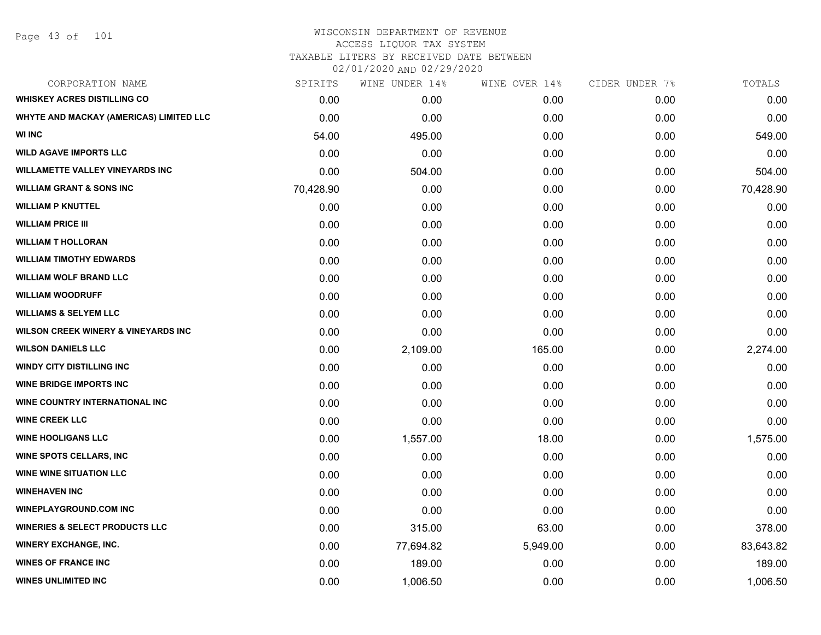| CORPORATION NAME                               | SPIRITS   | WINE UNDER 14% | WINE OVER 14% | CIDER UNDER 7% | TOTALS    |
|------------------------------------------------|-----------|----------------|---------------|----------------|-----------|
| <b>WHISKEY ACRES DISTILLING CO</b>             | 0.00      | 0.00           | 0.00          | 0.00           | 0.00      |
| WHYTE AND MACKAY (AMERICAS) LIMITED LLC        | 0.00      | 0.00           | 0.00          | 0.00           | 0.00      |
| <b>WI INC</b>                                  | 54.00     | 495.00         | 0.00          | 0.00           | 549.00    |
| <b>WILD AGAVE IMPORTS LLC</b>                  | 0.00      | 0.00           | 0.00          | 0.00           | 0.00      |
| <b>WILLAMETTE VALLEY VINEYARDS INC</b>         | 0.00      | 504.00         | 0.00          | 0.00           | 504.00    |
| <b>WILLIAM GRANT &amp; SONS INC</b>            | 70,428.90 | 0.00           | 0.00          | 0.00           | 70,428.90 |
| <b>WILLIAM P KNUTTEL</b>                       | 0.00      | 0.00           | 0.00          | 0.00           | 0.00      |
| <b>WILLIAM PRICE III</b>                       | 0.00      | 0.00           | 0.00          | 0.00           | 0.00      |
| <b>WILLIAM T HOLLORAN</b>                      | 0.00      | 0.00           | 0.00          | 0.00           | 0.00      |
| <b>WILLIAM TIMOTHY EDWARDS</b>                 | 0.00      | 0.00           | 0.00          | 0.00           | 0.00      |
| <b>WILLIAM WOLF BRAND LLC</b>                  | 0.00      | 0.00           | 0.00          | 0.00           | 0.00      |
| <b>WILLIAM WOODRUFF</b>                        | 0.00      | 0.00           | 0.00          | 0.00           | 0.00      |
| <b>WILLIAMS &amp; SELYEM LLC</b>               | 0.00      | 0.00           | 0.00          | 0.00           | 0.00      |
| <b>WILSON CREEK WINERY &amp; VINEYARDS INC</b> | 0.00      | 0.00           | 0.00          | 0.00           | 0.00      |
| <b>WILSON DANIELS LLC</b>                      | 0.00      | 2,109.00       | 165.00        | 0.00           | 2,274.00  |
| <b>WINDY CITY DISTILLING INC</b>               | 0.00      | 0.00           | 0.00          | 0.00           | 0.00      |
| <b>WINE BRIDGE IMPORTS INC</b>                 | 0.00      | 0.00           | 0.00          | 0.00           | 0.00      |
| WINE COUNTRY INTERNATIONAL INC                 | 0.00      | 0.00           | 0.00          | 0.00           | 0.00      |
| <b>WINE CREEK LLC</b>                          | 0.00      | 0.00           | 0.00          | 0.00           | 0.00      |
| <b>WINE HOOLIGANS LLC</b>                      | 0.00      | 1,557.00       | 18.00         | 0.00           | 1,575.00  |
| <b>WINE SPOTS CELLARS, INC</b>                 | 0.00      | 0.00           | 0.00          | 0.00           | 0.00      |
| <b>WINE WINE SITUATION LLC</b>                 | 0.00      | 0.00           | 0.00          | 0.00           | 0.00      |
| <b>WINEHAVEN INC</b>                           | 0.00      | 0.00           | 0.00          | 0.00           | 0.00      |
| <b>WINEPLAYGROUND.COM INC</b>                  | 0.00      | 0.00           | 0.00          | 0.00           | 0.00      |
| <b>WINERIES &amp; SELECT PRODUCTS LLC</b>      | 0.00      | 315.00         | 63.00         | 0.00           | 378.00    |
| <b>WINERY EXCHANGE, INC.</b>                   | 0.00      | 77,694.82      | 5,949.00      | 0.00           | 83,643.82 |
| <b>WINES OF FRANCE INC</b>                     | 0.00      | 189.00         | 0.00          | 0.00           | 189.00    |
| <b>WINES UNLIMITED INC</b>                     | 0.00      | 1,006.50       | 0.00          | 0.00           | 1,006.50  |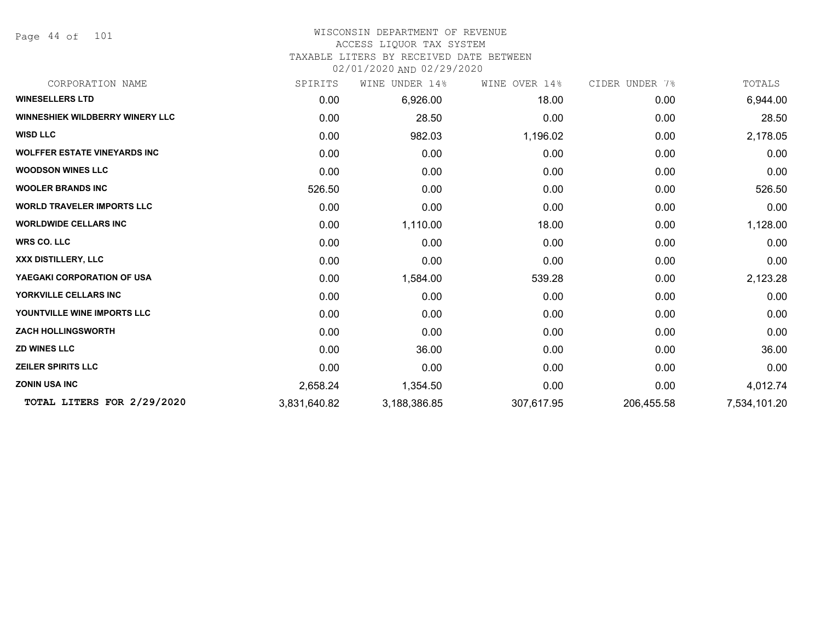Page 44 of 101

# WISCONSIN DEPARTMENT OF REVENUE ACCESS LIQUOR TAX SYSTEM

TAXABLE LITERS BY RECEIVED DATE BETWEEN

| CORPORATION NAME                       | SPIRITS      | WINE<br>UNDER 14% | WINE OVER 14% | CIDER UNDER 7% | TOTALS       |
|----------------------------------------|--------------|-------------------|---------------|----------------|--------------|
| <b>WINESELLERS LTD</b>                 | 0.00         | 6,926.00          | 18.00         | 0.00           | 6,944.00     |
| <b>WINNESHIEK WILDBERRY WINERY LLC</b> | 0.00         | 28.50             | 0.00          | 0.00           | 28.50        |
| <b>WISD LLC</b>                        | 0.00         | 982.03            | 1,196.02      | 0.00           | 2,178.05     |
| <b>WOLFFER ESTATE VINEYARDS INC</b>    | 0.00         | 0.00              | 0.00          | 0.00           | 0.00         |
| <b>WOODSON WINES LLC</b>               | 0.00         | 0.00              | 0.00          | 0.00           | 0.00         |
| <b>WOOLER BRANDS INC</b>               | 526.50       | 0.00              | 0.00          | 0.00           | 526.50       |
| <b>WORLD TRAVELER IMPORTS LLC</b>      | 0.00         | 0.00              | 0.00          | 0.00           | 0.00         |
| <b>WORLDWIDE CELLARS INC</b>           | 0.00         | 1,110.00          | 18.00         | 0.00           | 1,128.00     |
| <b>WRS CO. LLC</b>                     | 0.00         | 0.00              | 0.00          | 0.00           | 0.00         |
| <b>XXX DISTILLERY, LLC</b>             | 0.00         | 0.00              | 0.00          | 0.00           | 0.00         |
| YAEGAKI CORPORATION OF USA             | 0.00         | 1,584.00          | 539.28        | 0.00           | 2,123.28     |
| YORKVILLE CELLARS INC                  | 0.00         | 0.00              | 0.00          | 0.00           | 0.00         |
| YOUNTVILLE WINE IMPORTS LLC            | 0.00         | 0.00              | 0.00          | 0.00           | 0.00         |
| <b>ZACH HOLLINGSWORTH</b>              | 0.00         | 0.00              | 0.00          | 0.00           | 0.00         |
| <b>ZD WINES LLC</b>                    | 0.00         | 36.00             | 0.00          | 0.00           | 36.00        |
| <b>ZEILER SPIRITS LLC</b>              | 0.00         | 0.00              | 0.00          | 0.00           | 0.00         |
| <b>ZONIN USA INC</b>                   | 2,658.24     | 1,354.50          | 0.00          | 0.00           | 4,012.74     |
| TOTAL LITERS FOR 2/29/2020             | 3,831,640.82 | 3,188,386.85      | 307,617.95    | 206,455.58     | 7,534,101.20 |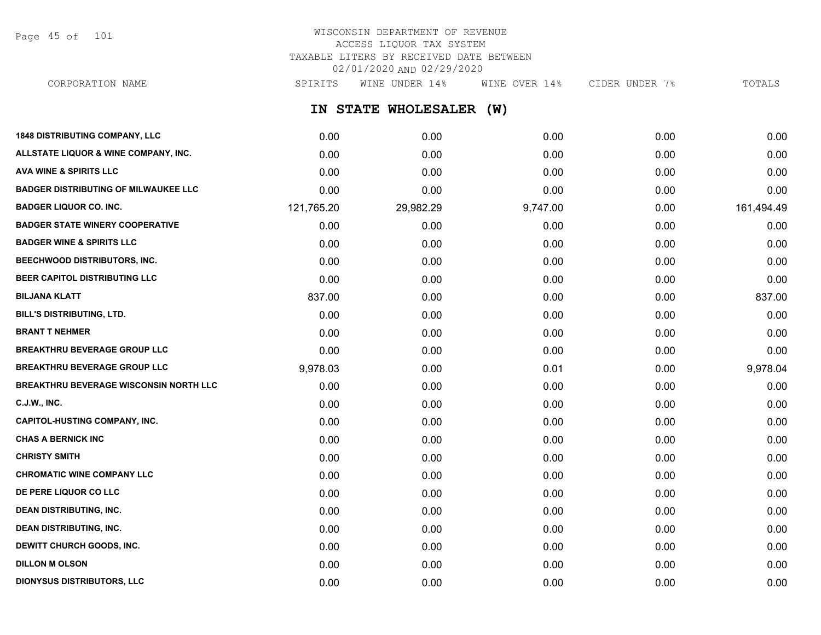Page 45 of 101

# WISCONSIN DEPARTMENT OF REVENUE ACCESS LIQUOR TAX SYSTEM TAXABLE LITERS BY RECEIVED DATE BETWEEN 02/01/2020 AND 02/29/2020

CORPORATION NAME SPIRITS WINE UNDER 14% WINE OVER 14% CIDER UNDER 7% TOTALS

**IN STATE WHOLESALER (W)**

| <b>1848 DISTRIBUTING COMPANY, LLC</b>         | 0.00       | 0.00      | 0.00     | 0.00 | 0.00       |
|-----------------------------------------------|------------|-----------|----------|------|------------|
| ALLSTATE LIQUOR & WINE COMPANY, INC.          | 0.00       | 0.00      | 0.00     | 0.00 | 0.00       |
| <b>AVA WINE &amp; SPIRITS LLC</b>             | 0.00       | 0.00      | 0.00     | 0.00 | 0.00       |
| <b>BADGER DISTRIBUTING OF MILWAUKEE LLC</b>   | 0.00       | 0.00      | 0.00     | 0.00 | 0.00       |
| <b>BADGER LIQUOR CO. INC.</b>                 | 121,765.20 | 29,982.29 | 9,747.00 | 0.00 | 161,494.49 |
| <b>BADGER STATE WINERY COOPERATIVE</b>        | 0.00       | 0.00      | 0.00     | 0.00 | 0.00       |
| <b>BADGER WINE &amp; SPIRITS LLC</b>          | 0.00       | 0.00      | 0.00     | 0.00 | 0.00       |
| BEECHWOOD DISTRIBUTORS, INC.                  | 0.00       | 0.00      | 0.00     | 0.00 | 0.00       |
| BEER CAPITOL DISTRIBUTING LLC                 | 0.00       | 0.00      | 0.00     | 0.00 | 0.00       |
| <b>BILJANA KLATT</b>                          | 837.00     | 0.00      | 0.00     | 0.00 | 837.00     |
| BILL'S DISTRIBUTING, LTD.                     | 0.00       | 0.00      | 0.00     | 0.00 | 0.00       |
| <b>BRANT T NEHMER</b>                         | 0.00       | 0.00      | 0.00     | 0.00 | 0.00       |
| <b>BREAKTHRU BEVERAGE GROUP LLC</b>           | 0.00       | 0.00      | 0.00     | 0.00 | 0.00       |
| <b>BREAKTHRU BEVERAGE GROUP LLC</b>           | 9,978.03   | 0.00      | 0.01     | 0.00 | 9,978.04   |
| <b>BREAKTHRU BEVERAGE WISCONSIN NORTH LLC</b> | 0.00       | 0.00      | 0.00     | 0.00 | 0.00       |
| <b>C.J.W., INC.</b>                           | 0.00       | 0.00      | 0.00     | 0.00 | 0.00       |
| <b>CAPITOL-HUSTING COMPANY, INC.</b>          | 0.00       | 0.00      | 0.00     | 0.00 | 0.00       |
| <b>CHAS A BERNICK INC</b>                     | 0.00       | 0.00      | 0.00     | 0.00 | 0.00       |
| <b>CHRISTY SMITH</b>                          | 0.00       | 0.00      | 0.00     | 0.00 | 0.00       |
| <b>CHROMATIC WINE COMPANY LLC</b>             | 0.00       | 0.00      | 0.00     | 0.00 | 0.00       |
| DE PERE LIQUOR CO LLC                         | 0.00       | 0.00      | 0.00     | 0.00 | 0.00       |
| <b>DEAN DISTRIBUTING, INC.</b>                | 0.00       | 0.00      | 0.00     | 0.00 | 0.00       |
| <b>DEAN DISTRIBUTING, INC.</b>                | 0.00       | 0.00      | 0.00     | 0.00 | 0.00       |
| DEWITT CHURCH GOODS, INC.                     | 0.00       | 0.00      | 0.00     | 0.00 | 0.00       |
| <b>DILLON M OLSON</b>                         | 0.00       | 0.00      | 0.00     | 0.00 | 0.00       |
| <b>DIONYSUS DISTRIBUTORS, LLC</b>             | 0.00       | 0.00      | 0.00     | 0.00 | 0.00       |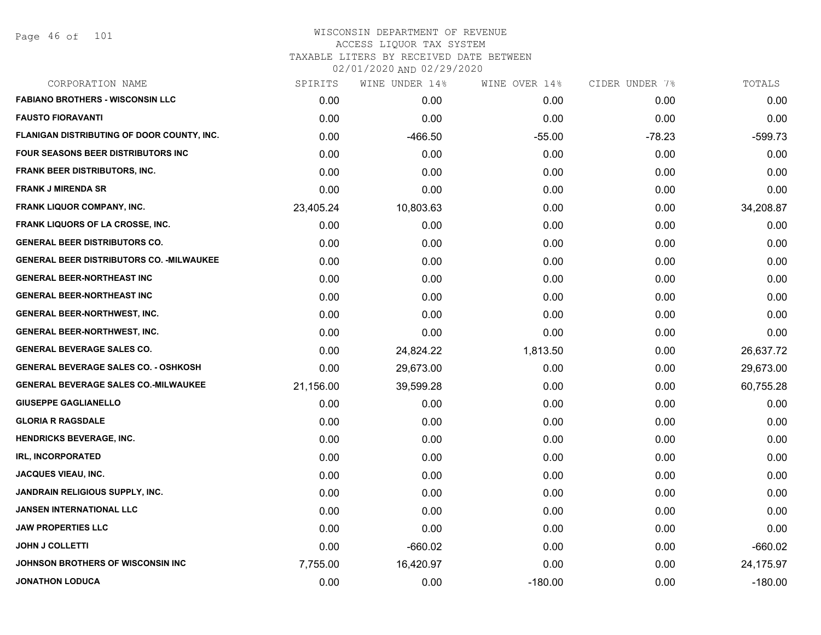| CORPORATION NAME                                 | SPIRITS   | WINE UNDER 14% | WINE OVER 14% | CIDER UNDER 7% | TOTALS    |
|--------------------------------------------------|-----------|----------------|---------------|----------------|-----------|
| <b>FABIANO BROTHERS - WISCONSIN LLC</b>          | 0.00      | 0.00           | 0.00          | 0.00           | 0.00      |
| <b>FAUSTO FIORAVANTI</b>                         | 0.00      | 0.00           | 0.00          | 0.00           | 0.00      |
| FLANIGAN DISTRIBUTING OF DOOR COUNTY, INC.       | 0.00      | $-466.50$      | $-55.00$      | $-78.23$       | $-599.73$ |
| FOUR SEASONS BEER DISTRIBUTORS INC               | 0.00      | 0.00           | 0.00          | 0.00           | 0.00      |
| <b>FRANK BEER DISTRIBUTORS, INC.</b>             | 0.00      | 0.00           | 0.00          | 0.00           | 0.00      |
| <b>FRANK J MIRENDA SR</b>                        | 0.00      | 0.00           | 0.00          | 0.00           | 0.00      |
| FRANK LIQUOR COMPANY, INC.                       | 23,405.24 | 10,803.63      | 0.00          | 0.00           | 34,208.87 |
| <b>FRANK LIQUORS OF LA CROSSE, INC.</b>          | 0.00      | 0.00           | 0.00          | 0.00           | 0.00      |
| <b>GENERAL BEER DISTRIBUTORS CO.</b>             | 0.00      | 0.00           | 0.00          | 0.00           | 0.00      |
| <b>GENERAL BEER DISTRIBUTORS CO. - MILWAUKEE</b> | 0.00      | 0.00           | 0.00          | 0.00           | 0.00      |
| <b>GENERAL BEER-NORTHEAST INC</b>                | 0.00      | 0.00           | 0.00          | 0.00           | 0.00      |
| <b>GENERAL BEER-NORTHEAST INC</b>                | 0.00      | 0.00           | 0.00          | 0.00           | 0.00      |
| <b>GENERAL BEER-NORTHWEST, INC.</b>              | 0.00      | 0.00           | 0.00          | 0.00           | 0.00      |
| <b>GENERAL BEER-NORTHWEST, INC.</b>              | 0.00      | 0.00           | 0.00          | 0.00           | 0.00      |
| <b>GENERAL BEVERAGE SALES CO.</b>                | 0.00      | 24,824.22      | 1,813.50      | 0.00           | 26,637.72 |
| <b>GENERAL BEVERAGE SALES CO. - OSHKOSH</b>      | 0.00      | 29,673.00      | 0.00          | 0.00           | 29,673.00 |
| <b>GENERAL BEVERAGE SALES CO.-MILWAUKEE</b>      | 21,156.00 | 39,599.28      | 0.00          | 0.00           | 60,755.28 |
| <b>GIUSEPPE GAGLIANELLO</b>                      | 0.00      | 0.00           | 0.00          | 0.00           | 0.00      |
| <b>GLORIA R RAGSDALE</b>                         | 0.00      | 0.00           | 0.00          | 0.00           | 0.00      |
| <b>HENDRICKS BEVERAGE, INC.</b>                  | 0.00      | 0.00           | 0.00          | 0.00           | 0.00      |
| <b>IRL, INCORPORATED</b>                         | 0.00      | 0.00           | 0.00          | 0.00           | 0.00      |
| <b>JACQUES VIEAU, INC.</b>                       | 0.00      | 0.00           | 0.00          | 0.00           | 0.00      |
| <b>JANDRAIN RELIGIOUS SUPPLY, INC.</b>           | 0.00      | 0.00           | 0.00          | 0.00           | 0.00      |
| <b>JANSEN INTERNATIONAL LLC</b>                  | 0.00      | 0.00           | 0.00          | 0.00           | 0.00      |
| <b>JAW PROPERTIES LLC</b>                        | 0.00      | 0.00           | 0.00          | 0.00           | 0.00      |
| <b>JOHN J COLLETTI</b>                           | 0.00      | $-660.02$      | 0.00          | 0.00           | $-660.02$ |
| JOHNSON BROTHERS OF WISCONSIN INC                | 7,755.00  | 16,420.97      | 0.00          | 0.00           | 24,175.97 |
| <b>JONATHON LODUCA</b>                           | 0.00      | 0.00           | $-180.00$     | 0.00           | $-180.00$ |
|                                                  |           |                |               |                |           |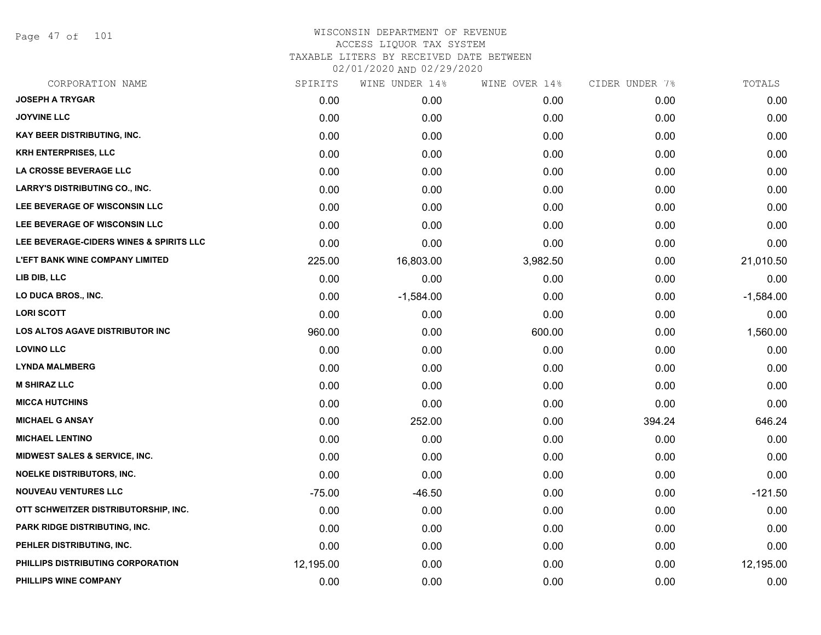Page 47 of 101

| CORPORATION NAME                         | SPIRITS   | WINE UNDER 14% | WINE OVER 14% | CIDER UNDER 7% | TOTALS      |
|------------------------------------------|-----------|----------------|---------------|----------------|-------------|
| <b>JOSEPH A TRYGAR</b>                   | 0.00      | 0.00           | 0.00          | 0.00           | 0.00        |
| <b>JOYVINE LLC</b>                       | 0.00      | 0.00           | 0.00          | 0.00           | 0.00        |
| <b>KAY BEER DISTRIBUTING, INC.</b>       | 0.00      | 0.00           | 0.00          | 0.00           | 0.00        |
| <b>KRH ENTERPRISES, LLC</b>              | 0.00      | 0.00           | 0.00          | 0.00           | 0.00        |
| LA CROSSE BEVERAGE LLC                   | 0.00      | 0.00           | 0.00          | 0.00           | 0.00        |
| <b>LARRY'S DISTRIBUTING CO., INC.</b>    | 0.00      | 0.00           | 0.00          | 0.00           | 0.00        |
| LEE BEVERAGE OF WISCONSIN LLC            | 0.00      | 0.00           | 0.00          | 0.00           | 0.00        |
| LEE BEVERAGE OF WISCONSIN LLC            | 0.00      | 0.00           | 0.00          | 0.00           | 0.00        |
| LEE BEVERAGE-CIDERS WINES & SPIRITS LLC  | 0.00      | 0.00           | 0.00          | 0.00           | 0.00        |
| <b>L'EFT BANK WINE COMPANY LIMITED</b>   | 225.00    | 16,803.00      | 3,982.50      | 0.00           | 21,010.50   |
| LIB DIB, LLC                             | 0.00      | 0.00           | 0.00          | 0.00           | 0.00        |
| LO DUCA BROS., INC.                      | 0.00      | $-1,584.00$    | 0.00          | 0.00           | $-1,584.00$ |
| <b>LORI SCOTT</b>                        | 0.00      | 0.00           | 0.00          | 0.00           | 0.00        |
| <b>LOS ALTOS AGAVE DISTRIBUTOR INC</b>   | 960.00    | 0.00           | 600.00        | 0.00           | 1,560.00    |
| <b>LOVINO LLC</b>                        | 0.00      | 0.00           | 0.00          | 0.00           | 0.00        |
| <b>LYNDA MALMBERG</b>                    | 0.00      | 0.00           | 0.00          | 0.00           | 0.00        |
| <b>M SHIRAZ LLC</b>                      | 0.00      | 0.00           | 0.00          | 0.00           | 0.00        |
| <b>MICCA HUTCHINS</b>                    | 0.00      | 0.00           | 0.00          | 0.00           | 0.00        |
| <b>MICHAEL G ANSAY</b>                   | 0.00      | 252.00         | 0.00          | 394.24         | 646.24      |
| <b>MICHAEL LENTINO</b>                   | 0.00      | 0.00           | 0.00          | 0.00           | 0.00        |
| <b>MIDWEST SALES &amp; SERVICE, INC.</b> | 0.00      | 0.00           | 0.00          | 0.00           | 0.00        |
| <b>NOELKE DISTRIBUTORS, INC.</b>         | 0.00      | 0.00           | 0.00          | 0.00           | 0.00        |
| <b>NOUVEAU VENTURES LLC</b>              | $-75.00$  | $-46.50$       | 0.00          | 0.00           | $-121.50$   |
| OTT SCHWEITZER DISTRIBUTORSHIP, INC.     | 0.00      | 0.00           | 0.00          | 0.00           | 0.00        |
| PARK RIDGE DISTRIBUTING, INC.            | 0.00      | 0.00           | 0.00          | 0.00           | 0.00        |
| PEHLER DISTRIBUTING, INC.                | 0.00      | 0.00           | 0.00          | 0.00           | 0.00        |
| PHILLIPS DISTRIBUTING CORPORATION        | 12,195.00 | 0.00           | 0.00          | 0.00           | 12,195.00   |
| PHILLIPS WINE COMPANY                    | 0.00      | 0.00           | 0.00          | 0.00           | 0.00        |
|                                          |           |                |               |                |             |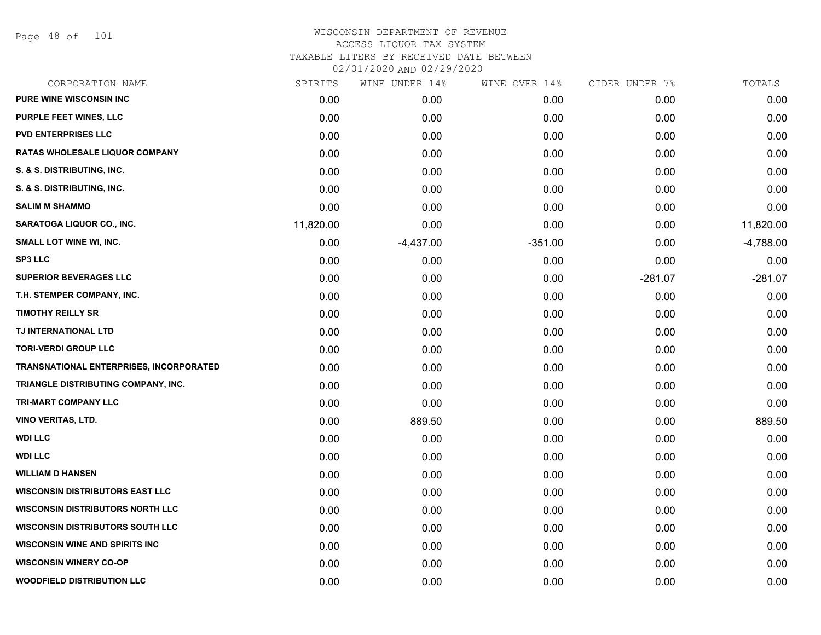Page 48 of 101

| CORPORATION NAME                        | SPIRITS   | WINE UNDER 14% | WINE OVER 14% | CIDER UNDER 7% | TOTALS      |
|-----------------------------------------|-----------|----------------|---------------|----------------|-------------|
| <b>PURE WINE WISCONSIN INC</b>          | 0.00      | 0.00           | 0.00          | 0.00           | 0.00        |
| <b>PURPLE FEET WINES, LLC</b>           | 0.00      | 0.00           | 0.00          | 0.00           | 0.00        |
| <b>PVD ENTERPRISES LLC</b>              | 0.00      | 0.00           | 0.00          | 0.00           | 0.00        |
| <b>RATAS WHOLESALE LIQUOR COMPANY</b>   | 0.00      | 0.00           | 0.00          | 0.00           | 0.00        |
| S. & S. DISTRIBUTING, INC.              | 0.00      | 0.00           | 0.00          | 0.00           | 0.00        |
| S. & S. DISTRIBUTING, INC.              | 0.00      | 0.00           | 0.00          | 0.00           | 0.00        |
| <b>SALIM M SHAMMO</b>                   | 0.00      | 0.00           | 0.00          | 0.00           | 0.00        |
| SARATOGA LIQUOR CO., INC.               | 11,820.00 | 0.00           | 0.00          | 0.00           | 11,820.00   |
| SMALL LOT WINE WI, INC.                 | 0.00      | $-4,437.00$    | $-351.00$     | 0.00           | $-4,788.00$ |
| <b>SP3 LLC</b>                          | 0.00      | 0.00           | 0.00          | 0.00           | 0.00        |
| <b>SUPERIOR BEVERAGES LLC</b>           | 0.00      | 0.00           | 0.00          | $-281.07$      | $-281.07$   |
| T.H. STEMPER COMPANY, INC.              | 0.00      | 0.00           | 0.00          | 0.00           | 0.00        |
| <b>TIMOTHY REILLY SR</b>                | 0.00      | 0.00           | 0.00          | 0.00           | 0.00        |
| TJ INTERNATIONAL LTD                    | 0.00      | 0.00           | 0.00          | 0.00           | 0.00        |
| <b>TORI-VERDI GROUP LLC</b>             | 0.00      | 0.00           | 0.00          | 0.00           | 0.00        |
| TRANSNATIONAL ENTERPRISES, INCORPORATED | 0.00      | 0.00           | 0.00          | 0.00           | 0.00        |
| TRIANGLE DISTRIBUTING COMPANY, INC.     | 0.00      | 0.00           | 0.00          | 0.00           | 0.00        |
| TRI-MART COMPANY LLC                    | 0.00      | 0.00           | 0.00          | 0.00           | 0.00        |
| <b>VINO VERITAS, LTD.</b>               | 0.00      | 889.50         | 0.00          | 0.00           | 889.50      |
| <b>WDI LLC</b>                          | 0.00      | 0.00           | 0.00          | 0.00           | 0.00        |
| <b>WDI LLC</b>                          | 0.00      | 0.00           | 0.00          | 0.00           | 0.00        |
| <b>WILLIAM D HANSEN</b>                 | 0.00      | 0.00           | 0.00          | 0.00           | 0.00        |
| <b>WISCONSIN DISTRIBUTORS EAST LLC</b>  | 0.00      | 0.00           | 0.00          | 0.00           | 0.00        |
| <b>WISCONSIN DISTRIBUTORS NORTH LLC</b> | 0.00      | 0.00           | 0.00          | 0.00           | 0.00        |
| <b>WISCONSIN DISTRIBUTORS SOUTH LLC</b> | 0.00      | 0.00           | 0.00          | 0.00           | 0.00        |
| <b>WISCONSIN WINE AND SPIRITS INC</b>   | 0.00      | 0.00           | 0.00          | 0.00           | 0.00        |
| <b>WISCONSIN WINERY CO-OP</b>           | 0.00      | 0.00           | 0.00          | 0.00           | 0.00        |
| <b>WOODFIELD DISTRIBUTION LLC</b>       | 0.00      | 0.00           | 0.00          | 0.00           | 0.00        |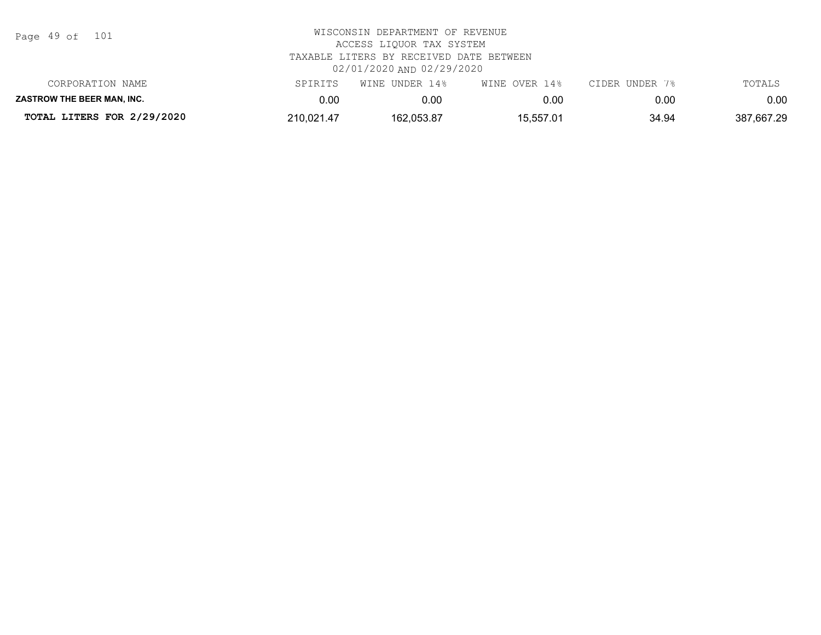| Page 49 of |  |  | 101 |
|------------|--|--|-----|
|------------|--|--|-----|

| CORPORATION NAME                  | SPIRITS    | WINE UNDER 14% | WINE OVER 14% | CIDER UNDER 7% | TOTALS     |
|-----------------------------------|------------|----------------|---------------|----------------|------------|
| <b>ZASTROW THE BEER MAN. INC.</b> | ).OC       | 0.OC           | 0.00          | 0.00           | 0.00       |
| TOTAL LITERS FOR 2/29/2020        | 210,021.47 | 162,053.87     | 15,557.01     | 34.94          | 387,667.29 |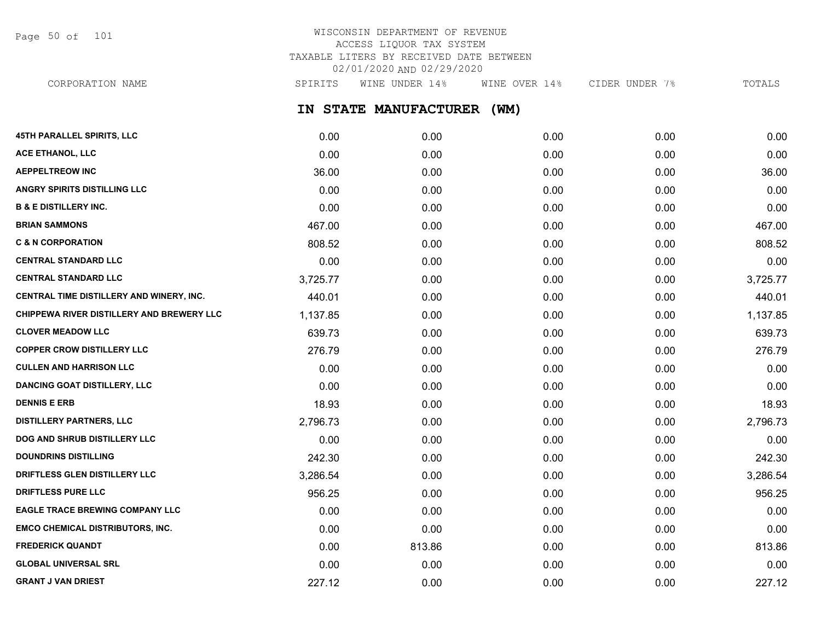Page 50 of 101

# WISCONSIN DEPARTMENT OF REVENUE ACCESS LIQUOR TAX SYSTEM TAXABLE LITERS BY RECEIVED DATE BETWEEN 02/01/2020 AND 02/29/2020

**IN STATE MANUFACTURER (WM) 45TH PARALLEL SPIRITS, LLC** 0.00 0.00 0.00 0.00 0.00 CORPORATION NAME SPIRITS WINE UNDER 14% WINE OVER 14% CIDER UNDER 7% TOTALS

| <b>ACE ETHANOL, LLC</b>                   | 0.00     | 0.00   | 0.00 | 0.00 | 0.00     |
|-------------------------------------------|----------|--------|------|------|----------|
| <b>AEPPELTREOW INC</b>                    | 36.00    | 0.00   | 0.00 | 0.00 | 36.00    |
| ANGRY SPIRITS DISTILLING LLC              | 0.00     | 0.00   | 0.00 | 0.00 | 0.00     |
| <b>B &amp; E DISTILLERY INC.</b>          | 0.00     | 0.00   | 0.00 | 0.00 | 0.00     |
| <b>BRIAN SAMMONS</b>                      | 467.00   | 0.00   | 0.00 | 0.00 | 467.00   |
| <b>C &amp; N CORPORATION</b>              | 808.52   | 0.00   | 0.00 | 0.00 | 808.52   |
| <b>CENTRAL STANDARD LLC</b>               | 0.00     | 0.00   | 0.00 | 0.00 | 0.00     |
| <b>CENTRAL STANDARD LLC</b>               | 3,725.77 | 0.00   | 0.00 | 0.00 | 3,725.77 |
| CENTRAL TIME DISTILLERY AND WINERY, INC.  | 440.01   | 0.00   | 0.00 | 0.00 | 440.01   |
| CHIPPEWA RIVER DISTILLERY AND BREWERY LLC | 1,137.85 | 0.00   | 0.00 | 0.00 | 1,137.85 |
| <b>CLOVER MEADOW LLC</b>                  | 639.73   | 0.00   | 0.00 | 0.00 | 639.73   |
| <b>COPPER CROW DISTILLERY LLC</b>         | 276.79   | 0.00   | 0.00 | 0.00 | 276.79   |
| <b>CULLEN AND HARRISON LLC</b>            | 0.00     | 0.00   | 0.00 | 0.00 | 0.00     |
| <b>DANCING GOAT DISTILLERY, LLC</b>       | 0.00     | 0.00   | 0.00 | 0.00 | 0.00     |
| <b>DENNIS E ERB</b>                       | 18.93    | 0.00   | 0.00 | 0.00 | 18.93    |
| <b>DISTILLERY PARTNERS, LLC</b>           | 2,796.73 | 0.00   | 0.00 | 0.00 | 2,796.73 |
| DOG AND SHRUB DISTILLERY LLC              | 0.00     | 0.00   | 0.00 | 0.00 | 0.00     |
| <b>DOUNDRINS DISTILLING</b>               | 242.30   | 0.00   | 0.00 | 0.00 | 242.30   |
| DRIFTLESS GLEN DISTILLERY LLC             | 3,286.54 | 0.00   | 0.00 | 0.00 | 3,286.54 |
| <b>DRIFTLESS PURE LLC</b>                 | 956.25   | 0.00   | 0.00 | 0.00 | 956.25   |
| EAGLE TRACE BREWING COMPANY LLC           | 0.00     | 0.00   | 0.00 | 0.00 | 0.00     |
| <b>EMCO CHEMICAL DISTRIBUTORS, INC.</b>   | 0.00     | 0.00   | 0.00 | 0.00 | 0.00     |
| <b>FREDERICK QUANDT</b>                   | 0.00     | 813.86 | 0.00 | 0.00 | 813.86   |
| <b>GLOBAL UNIVERSAL SRL</b>               | 0.00     | 0.00   | 0.00 | 0.00 | 0.00     |
| <b>GRANT J VAN DRIEST</b>                 | 227.12   | 0.00   | 0.00 | 0.00 | 227.12   |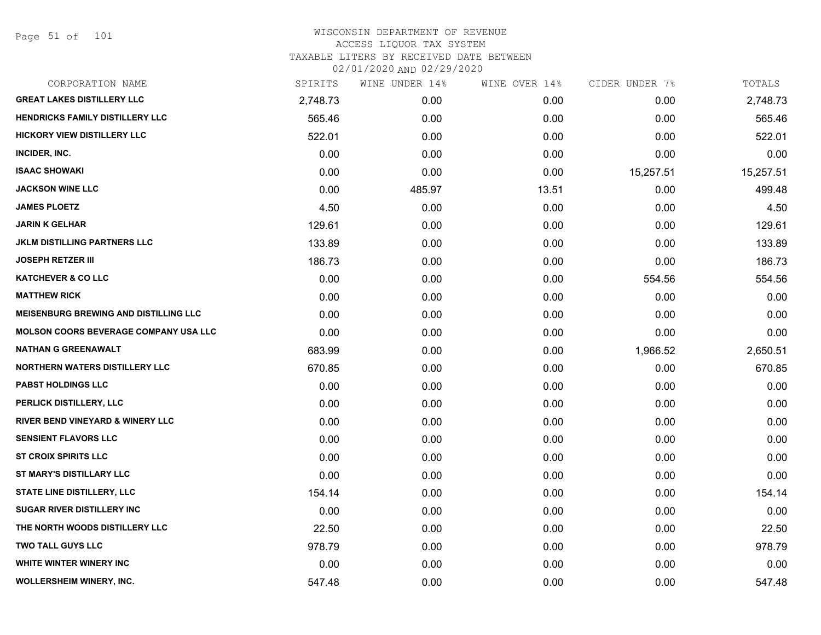Page 51 of 101

| CORPORATION NAME                             | SPIRITS  | WINE UNDER 14% | WINE OVER 14% | CIDER UNDER 7% | TOTALS    |
|----------------------------------------------|----------|----------------|---------------|----------------|-----------|
| <b>GREAT LAKES DISTILLERY LLC</b>            | 2,748.73 | 0.00           | 0.00          | 0.00           | 2,748.73  |
| HENDRICKS FAMILY DISTILLERY LLC              | 565.46   | 0.00           | 0.00          | 0.00           | 565.46    |
| <b>HICKORY VIEW DISTILLERY LLC</b>           | 522.01   | 0.00           | 0.00          | 0.00           | 522.01    |
| INCIDER, INC.                                | 0.00     | 0.00           | 0.00          | 0.00           | 0.00      |
| <b>ISAAC SHOWAKI</b>                         | 0.00     | 0.00           | 0.00          | 15,257.51      | 15,257.51 |
| <b>JACKSON WINE LLC</b>                      | 0.00     | 485.97         | 13.51         | 0.00           | 499.48    |
| <b>JAMES PLOETZ</b>                          | 4.50     | 0.00           | 0.00          | 0.00           | 4.50      |
| <b>JARIN K GELHAR</b>                        | 129.61   | 0.00           | 0.00          | 0.00           | 129.61    |
| <b>JKLM DISTILLING PARTNERS LLC</b>          | 133.89   | 0.00           | 0.00          | 0.00           | 133.89    |
| <b>JOSEPH RETZER III</b>                     | 186.73   | 0.00           | 0.00          | 0.00           | 186.73    |
| <b>KATCHEVER &amp; CO LLC</b>                | 0.00     | 0.00           | 0.00          | 554.56         | 554.56    |
| <b>MATTHEW RICK</b>                          | 0.00     | 0.00           | 0.00          | 0.00           | 0.00      |
| <b>MEISENBURG BREWING AND DISTILLING LLC</b> | 0.00     | 0.00           | 0.00          | 0.00           | 0.00      |
| <b>MOLSON COORS BEVERAGE COMPANY USA LLC</b> | 0.00     | 0.00           | 0.00          | 0.00           | 0.00      |
| <b>NATHAN G GREENAWALT</b>                   | 683.99   | 0.00           | 0.00          | 1,966.52       | 2,650.51  |
| <b>NORTHERN WATERS DISTILLERY LLC</b>        | 670.85   | 0.00           | 0.00          | 0.00           | 670.85    |
| <b>PABST HOLDINGS LLC</b>                    | 0.00     | 0.00           | 0.00          | 0.00           | 0.00      |
| PERLICK DISTILLERY, LLC                      | 0.00     | 0.00           | 0.00          | 0.00           | 0.00      |
| <b>RIVER BEND VINEYARD &amp; WINERY LLC</b>  | 0.00     | 0.00           | 0.00          | 0.00           | 0.00      |
| <b>SENSIENT FLAVORS LLC</b>                  | 0.00     | 0.00           | 0.00          | 0.00           | 0.00      |
| <b>ST CROIX SPIRITS LLC</b>                  | 0.00     | 0.00           | 0.00          | 0.00           | 0.00      |
| ST MARY'S DISTILLARY LLC                     | 0.00     | 0.00           | 0.00          | 0.00           | 0.00      |
| STATE LINE DISTILLERY, LLC                   | 154.14   | 0.00           | 0.00          | 0.00           | 154.14    |
| <b>SUGAR RIVER DISTILLERY INC</b>            | 0.00     | 0.00           | 0.00          | 0.00           | 0.00      |
| THE NORTH WOODS DISTILLERY LLC               | 22.50    | 0.00           | 0.00          | 0.00           | 22.50     |
| <b>TWO TALL GUYS LLC</b>                     | 978.79   | 0.00           | 0.00          | 0.00           | 978.79    |
| <b>WHITE WINTER WINERY INC</b>               | 0.00     | 0.00           | 0.00          | 0.00           | 0.00      |
| <b>WOLLERSHEIM WINERY, INC.</b>              | 547.48   | 0.00           | 0.00          | 0.00           | 547.48    |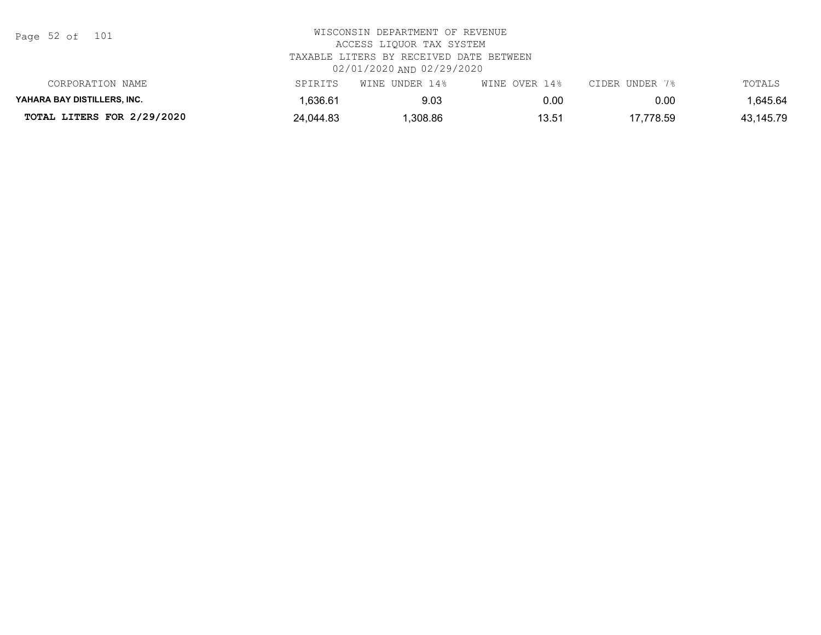Page 52 of 101

| CORPORATION NAME            | SPIRITS   | WINE UNDER 14% | WINE OVER 14% | CIDER UNDER 7% | TOTALS    |
|-----------------------------|-----------|----------------|---------------|----------------|-----------|
| YAHARA BAY DISTILLERS. INC. | .636.61   | 9.03           | 0.00          | 0.00           | 1.645.64  |
| TOTAL LITERS FOR 2/29/2020  | 24,044.83 | .308.86        | 13.51         | 17,778.59      | 43,145.79 |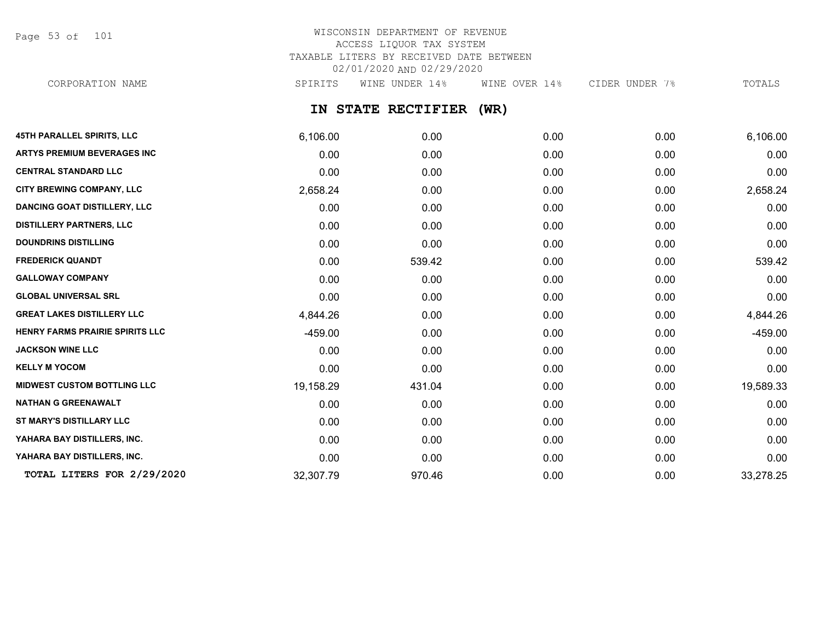Page 53 of 101

# WISCONSIN DEPARTMENT OF REVENUE ACCESS LIQUOR TAX SYSTEM TAXABLE LITERS BY RECEIVED DATE BETWEEN 02/01/2020 AND 02/29/2020

CORPORATION NAME SPIRITS WINE UNDER 14% WINE OVER 14% CIDER UNDER 7% TOTALS

## **IN STATE RECTIFIER (WR)**

| <b>45TH PARALLEL SPIRITS, LLC</b>   | 6,106.00  | 0.00   | 0.00 | 0.00 | 6,106.00  |
|-------------------------------------|-----------|--------|------|------|-----------|
| <b>ARTYS PREMIUM BEVERAGES INC</b>  | 0.00      | 0.00   | 0.00 | 0.00 | 0.00      |
| <b>CENTRAL STANDARD LLC</b>         | 0.00      | 0.00   | 0.00 | 0.00 | 0.00      |
| <b>CITY BREWING COMPANY, LLC</b>    | 2,658.24  | 0.00   | 0.00 | 0.00 | 2,658.24  |
| <b>DANCING GOAT DISTILLERY, LLC</b> | 0.00      | 0.00   | 0.00 | 0.00 | 0.00      |
| <b>DISTILLERY PARTNERS, LLC</b>     | 0.00      | 0.00   | 0.00 | 0.00 | 0.00      |
| <b>DOUNDRINS DISTILLING</b>         | 0.00      | 0.00   | 0.00 | 0.00 | 0.00      |
| <b>FREDERICK QUANDT</b>             | 0.00      | 539.42 | 0.00 | 0.00 | 539.42    |
| <b>GALLOWAY COMPANY</b>             | 0.00      | 0.00   | 0.00 | 0.00 | 0.00      |
| <b>GLOBAL UNIVERSAL SRL</b>         | 0.00      | 0.00   | 0.00 | 0.00 | 0.00      |
| <b>GREAT LAKES DISTILLERY LLC</b>   | 4,844.26  | 0.00   | 0.00 | 0.00 | 4,844.26  |
| HENRY FARMS PRAIRIE SPIRITS LLC     | $-459.00$ | 0.00   | 0.00 | 0.00 | $-459.00$ |
| <b>JACKSON WINE LLC</b>             | 0.00      | 0.00   | 0.00 | 0.00 | 0.00      |
| <b>KELLY M YOCOM</b>                | 0.00      | 0.00   | 0.00 | 0.00 | 0.00      |
| <b>MIDWEST CUSTOM BOTTLING LLC</b>  | 19,158.29 | 431.04 | 0.00 | 0.00 | 19,589.33 |
| <b>NATHAN G GREENAWALT</b>          | 0.00      | 0.00   | 0.00 | 0.00 | 0.00      |
| <b>ST MARY'S DISTILLARY LLC</b>     | 0.00      | 0.00   | 0.00 | 0.00 | 0.00      |
| YAHARA BAY DISTILLERS, INC.         | 0.00      | 0.00   | 0.00 | 0.00 | 0.00      |
| YAHARA BAY DISTILLERS, INC.         | 0.00      | 0.00   | 0.00 | 0.00 | 0.00      |
| TOTAL LITERS FOR 2/29/2020          | 32,307.79 | 970.46 | 0.00 | 0.00 | 33,278.25 |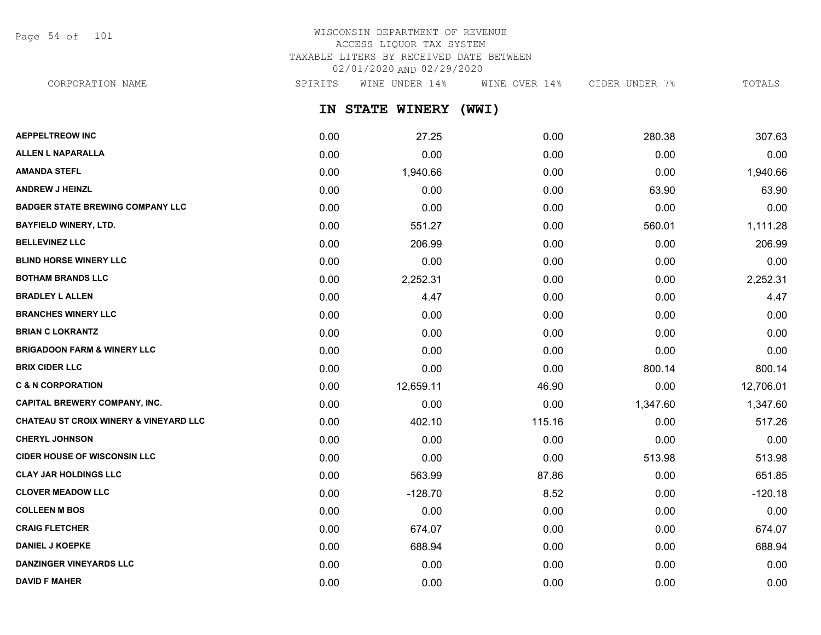Page 54 of 101

# WISCONSIN DEPARTMENT OF REVENUE ACCESS LIQUOR TAX SYSTEM TAXABLE LITERS BY RECEIVED DATE BETWEEN 02/01/2020 AND 02/29/2020

CORPORATION NAME SPIRITS WINE UNDER 14% WINE OVER 14% CIDER UNDER 7% TOTALS

**IN STATE WINERY (WWI)**

| <b>AEPPELTREOW INC</b>                            | 0.00 | 27.25     | 0.00   | 280.38   | 307.63    |
|---------------------------------------------------|------|-----------|--------|----------|-----------|
| <b>ALLEN L NAPARALLA</b>                          | 0.00 | 0.00      | 0.00   | 0.00     | 0.00      |
| <b>AMANDA STEFL</b>                               | 0.00 | 1,940.66  | 0.00   | 0.00     | 1,940.66  |
| <b>ANDREW J HEINZL</b>                            | 0.00 | 0.00      | 0.00   | 63.90    | 63.90     |
| <b>BADGER STATE BREWING COMPANY LLC</b>           | 0.00 | 0.00      | 0.00   | 0.00     | 0.00      |
| <b>BAYFIELD WINERY, LTD.</b>                      | 0.00 | 551.27    | 0.00   | 560.01   | 1,111.28  |
| <b>BELLEVINEZ LLC</b>                             | 0.00 | 206.99    | 0.00   | 0.00     | 206.99    |
| <b>BLIND HORSE WINERY LLC</b>                     | 0.00 | 0.00      | 0.00   | 0.00     | 0.00      |
| <b>BOTHAM BRANDS LLC</b>                          | 0.00 | 2,252.31  | 0.00   | 0.00     | 2,252.31  |
| <b>BRADLEY L ALLEN</b>                            | 0.00 | 4.47      | 0.00   | 0.00     | 4.47      |
| <b>BRANCHES WINERY LLC</b>                        | 0.00 | 0.00      | 0.00   | 0.00     | 0.00      |
| <b>BRIAN C LOKRANTZ</b>                           | 0.00 | 0.00      | 0.00   | 0.00     | 0.00      |
| <b>BRIGADOON FARM &amp; WINERY LLC</b>            | 0.00 | 0.00      | 0.00   | 0.00     | 0.00      |
| <b>BRIX CIDER LLC</b>                             | 0.00 | 0.00      | 0.00   | 800.14   | 800.14    |
| <b>C &amp; N CORPORATION</b>                      | 0.00 | 12,659.11 | 46.90  | 0.00     | 12,706.01 |
| <b>CAPITAL BREWERY COMPANY, INC.</b>              | 0.00 | 0.00      | 0.00   | 1,347.60 | 1,347.60  |
| <b>CHATEAU ST CROIX WINERY &amp; VINEYARD LLC</b> | 0.00 | 402.10    | 115.16 | 0.00     | 517.26    |
| <b>CHERYL JOHNSON</b>                             | 0.00 | 0.00      | 0.00   | 0.00     | 0.00      |
| <b>CIDER HOUSE OF WISCONSIN LLC</b>               | 0.00 | 0.00      | 0.00   | 513.98   | 513.98    |
| <b>CLAY JAR HOLDINGS LLC</b>                      | 0.00 | 563.99    | 87.86  | 0.00     | 651.85    |
| <b>CLOVER MEADOW LLC</b>                          | 0.00 | $-128.70$ | 8.52   | 0.00     | $-120.18$ |
| <b>COLLEEN M BOS</b>                              | 0.00 | 0.00      | 0.00   | 0.00     | 0.00      |
| <b>CRAIG FLETCHER</b>                             | 0.00 | 674.07    | 0.00   | 0.00     | 674.07    |
| <b>DANIEL J KOEPKE</b>                            | 0.00 | 688.94    | 0.00   | 0.00     | 688.94    |
| <b>DANZINGER VINEYARDS LLC</b>                    | 0.00 | 0.00      | 0.00   | 0.00     | 0.00      |
| <b>DAVID F MAHER</b>                              | 0.00 | 0.00      | 0.00   | 0.00     | 0.00      |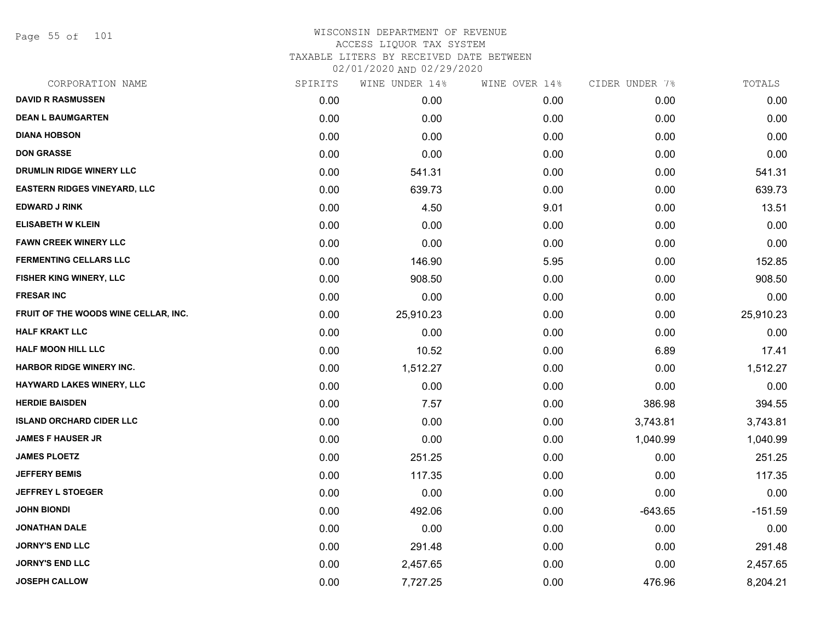Page 55 of 101

|      | WINE UNDER 14% |      |               | TOTALS         |
|------|----------------|------|---------------|----------------|
| 0.00 | 0.00           | 0.00 | 0.00          | 0.00           |
| 0.00 | 0.00           | 0.00 | 0.00          | 0.00           |
| 0.00 | 0.00           | 0.00 | 0.00          | 0.00           |
| 0.00 | 0.00           | 0.00 | 0.00          | 0.00           |
| 0.00 | 541.31         | 0.00 | 0.00          | 541.31         |
| 0.00 | 639.73         | 0.00 | 0.00          | 639.73         |
| 0.00 | 4.50           | 9.01 | 0.00          | 13.51          |
| 0.00 | 0.00           | 0.00 | 0.00          | 0.00           |
| 0.00 | 0.00           | 0.00 | 0.00          | 0.00           |
| 0.00 | 146.90         | 5.95 | 0.00          | 152.85         |
| 0.00 | 908.50         | 0.00 | 0.00          | 908.50         |
| 0.00 | 0.00           | 0.00 | 0.00          | 0.00           |
| 0.00 | 25,910.23      | 0.00 | 0.00          | 25,910.23      |
| 0.00 | 0.00           | 0.00 | 0.00          | 0.00           |
| 0.00 | 10.52          | 0.00 | 6.89          | 17.41          |
| 0.00 | 1,512.27       | 0.00 | 0.00          | 1,512.27       |
| 0.00 | 0.00           | 0.00 | 0.00          | 0.00           |
| 0.00 | 7.57           | 0.00 | 386.98        | 394.55         |
| 0.00 | 0.00           | 0.00 | 3,743.81      | 3,743.81       |
| 0.00 | 0.00           | 0.00 | 1,040.99      | 1,040.99       |
| 0.00 | 251.25         | 0.00 | 0.00          | 251.25         |
| 0.00 | 117.35         | 0.00 | 0.00          | 117.35         |
| 0.00 | 0.00           | 0.00 | 0.00          | 0.00           |
| 0.00 | 492.06         | 0.00 | $-643.65$     | $-151.59$      |
| 0.00 | 0.00           | 0.00 | 0.00          | 0.00           |
| 0.00 | 291.48         | 0.00 | 0.00          | 291.48         |
| 0.00 | 2,457.65       | 0.00 | 0.00          | 2,457.65       |
| 0.00 | 7,727.25       | 0.00 | 476.96        | 8,204.21       |
|      | SPIRITS        |      | WINE OVER 14% | CIDER UNDER 7% |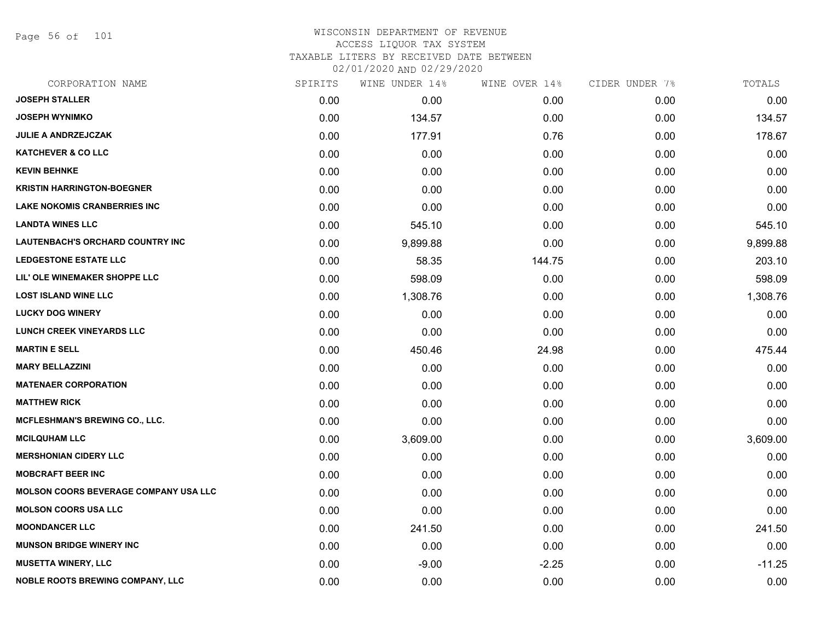Page 56 of 101

| SPIRITS | WINE UNDER 14% |         |               | TOTALS         |
|---------|----------------|---------|---------------|----------------|
| 0.00    | 0.00           | 0.00    | 0.00          | 0.00           |
| 0.00    | 134.57         | 0.00    | 0.00          | 134.57         |
| 0.00    | 177.91         | 0.76    | 0.00          | 178.67         |
| 0.00    | 0.00           | 0.00    | 0.00          | 0.00           |
| 0.00    | 0.00           | 0.00    | 0.00          | 0.00           |
| 0.00    | 0.00           | 0.00    | 0.00          | 0.00           |
| 0.00    | 0.00           | 0.00    | 0.00          | 0.00           |
| 0.00    | 545.10         | 0.00    | 0.00          | 545.10         |
| 0.00    | 9,899.88       | 0.00    | 0.00          | 9,899.88       |
| 0.00    | 58.35          | 144.75  | 0.00          | 203.10         |
| 0.00    | 598.09         | 0.00    | 0.00          | 598.09         |
| 0.00    | 1,308.76       | 0.00    | 0.00          | 1,308.76       |
| 0.00    | 0.00           | 0.00    | 0.00          | 0.00           |
| 0.00    | 0.00           | 0.00    | 0.00          | 0.00           |
| 0.00    | 450.46         | 24.98   | 0.00          | 475.44         |
| 0.00    | 0.00           | 0.00    | 0.00          | 0.00           |
| 0.00    | 0.00           | 0.00    | 0.00          | 0.00           |
| 0.00    | 0.00           | 0.00    | 0.00          | 0.00           |
| 0.00    | 0.00           | 0.00    | 0.00          | 0.00           |
| 0.00    | 3,609.00       | 0.00    | 0.00          | 3,609.00       |
| 0.00    | 0.00           | 0.00    | 0.00          | 0.00           |
| 0.00    | 0.00           | 0.00    | 0.00          | 0.00           |
| 0.00    | 0.00           | 0.00    | 0.00          | 0.00           |
| 0.00    | 0.00           | 0.00    | 0.00          | 0.00           |
| 0.00    | 241.50         | 0.00    | 0.00          | 241.50         |
| 0.00    | 0.00           | 0.00    | 0.00          | 0.00           |
| 0.00    | $-9.00$        | $-2.25$ | 0.00          | $-11.25$       |
| 0.00    | 0.00           | 0.00    | 0.00          | 0.00           |
|         |                |         | WINE OVER 14% | CIDER UNDER 7% |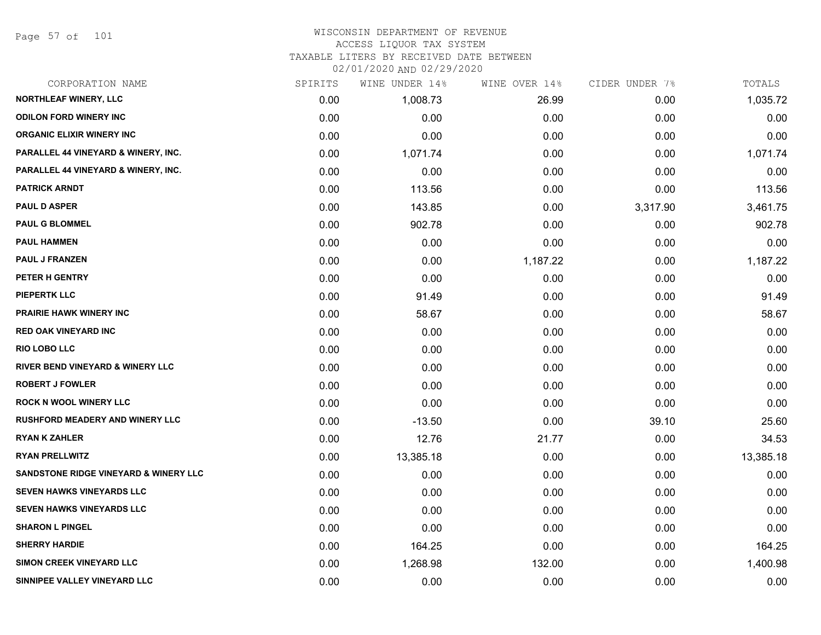Page 57 of 101

#### WISCONSIN DEPARTMENT OF REVENUE ACCESS LIQUOR TAX SYSTEM TAXABLE LITERS BY RECEIVED DATE BETWEEN

| CORPORATION NAME                                 | SPIRITS | WINE UNDER 14% | WINE OVER 14% | CIDER UNDER 7% | TOTALS    |
|--------------------------------------------------|---------|----------------|---------------|----------------|-----------|
| NORTHLEAF WINERY, LLC                            | 0.00    | 1,008.73       | 26.99         | 0.00           | 1,035.72  |
| <b>ODILON FORD WINERY INC</b>                    | 0.00    | 0.00           | 0.00          | 0.00           | 0.00      |
| <b>ORGANIC ELIXIR WINERY INC</b>                 | 0.00    | 0.00           | 0.00          | 0.00           | 0.00      |
| PARALLEL 44 VINEYARD & WINERY, INC.              | 0.00    | 1,071.74       | 0.00          | 0.00           | 1,071.74  |
| PARALLEL 44 VINEYARD & WINERY, INC.              | 0.00    | 0.00           | 0.00          | 0.00           | 0.00      |
| <b>PATRICK ARNDT</b>                             | 0.00    | 113.56         | 0.00          | 0.00           | 113.56    |
| <b>PAUL D ASPER</b>                              | 0.00    | 143.85         | 0.00          | 3,317.90       | 3,461.75  |
| <b>PAUL G BLOMMEL</b>                            | 0.00    | 902.78         | 0.00          | 0.00           | 902.78    |
| <b>PAUL HAMMEN</b>                               | 0.00    | 0.00           | 0.00          | 0.00           | 0.00      |
| <b>PAUL J FRANZEN</b>                            | 0.00    | 0.00           | 1,187.22      | 0.00           | 1,187.22  |
| PETER H GENTRY                                   | 0.00    | 0.00           | 0.00          | 0.00           | 0.00      |
| PIEPERTK LLC                                     | 0.00    | 91.49          | 0.00          | 0.00           | 91.49     |
| <b>PRAIRIE HAWK WINERY INC</b>                   | 0.00    | 58.67          | 0.00          | 0.00           | 58.67     |
| <b>RED OAK VINEYARD INC</b>                      | 0.00    | 0.00           | 0.00          | 0.00           | 0.00      |
| <b>RIO LOBO LLC</b>                              | 0.00    | 0.00           | 0.00          | 0.00           | 0.00      |
| <b>RIVER BEND VINEYARD &amp; WINERY LLC</b>      | 0.00    | 0.00           | 0.00          | 0.00           | 0.00      |
| <b>ROBERT J FOWLER</b>                           | 0.00    | 0.00           | 0.00          | 0.00           | 0.00      |
| <b>ROCK N WOOL WINERY LLC</b>                    | 0.00    | 0.00           | 0.00          | 0.00           | 0.00      |
| <b>RUSHFORD MEADERY AND WINERY LLC</b>           | 0.00    | $-13.50$       | 0.00          | 39.10          | 25.60     |
| <b>RYAN K ZAHLER</b>                             | 0.00    | 12.76          | 21.77         | 0.00           | 34.53     |
| <b>RYAN PRELLWITZ</b>                            | 0.00    | 13,385.18      | 0.00          | 0.00           | 13,385.18 |
| <b>SANDSTONE RIDGE VINEYARD &amp; WINERY LLC</b> | 0.00    | 0.00           | 0.00          | 0.00           | 0.00      |
| <b>SEVEN HAWKS VINEYARDS LLC</b>                 | 0.00    | 0.00           | 0.00          | 0.00           | 0.00      |
| SEVEN HAWKS VINEYARDS LLC                        | 0.00    | 0.00           | 0.00          | 0.00           | 0.00      |
| <b>SHARON L PINGEL</b>                           | 0.00    | 0.00           | 0.00          | 0.00           | 0.00      |
| <b>SHERRY HARDIE</b>                             | 0.00    | 164.25         | 0.00          | 0.00           | 164.25    |
| <b>SIMON CREEK VINEYARD LLC</b>                  | 0.00    | 1,268.98       | 132.00        | 0.00           | 1,400.98  |
| SINNIPEE VALLEY VINEYARD LLC                     | 0.00    | 0.00           | 0.00          | 0.00           | 0.00      |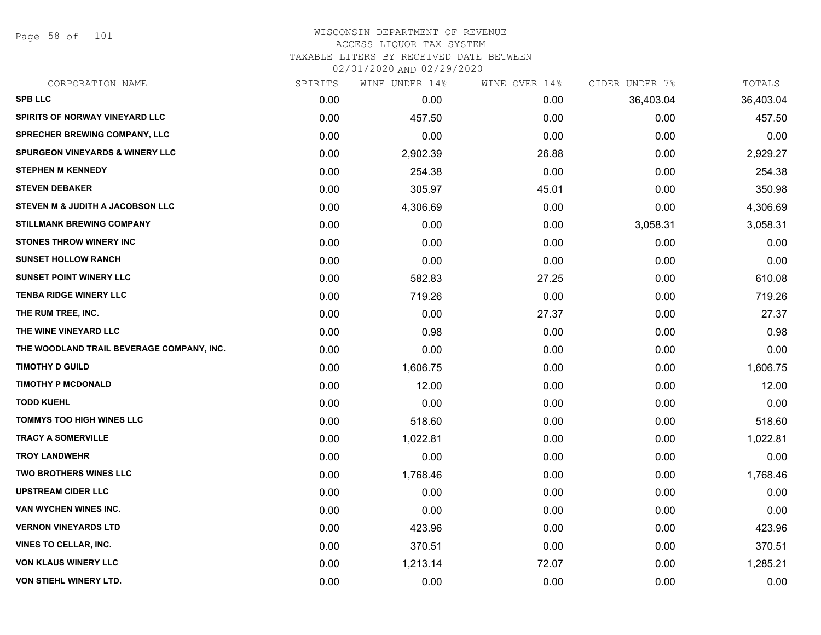Page 58 of 101

# WISCONSIN DEPARTMENT OF REVENUE ACCESS LIQUOR TAX SYSTEM TAXABLE LITERS BY RECEIVED DATE BETWEEN

| CORPORATION NAME                            | SPIRITS | WINE UNDER 14% | WINE OVER 14% | CIDER UNDER 7% | TOTALS    |
|---------------------------------------------|---------|----------------|---------------|----------------|-----------|
| <b>SPB LLC</b>                              | 0.00    | 0.00           | 0.00          | 36,403.04      | 36,403.04 |
| <b>SPIRITS OF NORWAY VINEYARD LLC</b>       | 0.00    | 457.50         | 0.00          | 0.00           | 457.50    |
| SPRECHER BREWING COMPANY, LLC               | 0.00    | 0.00           | 0.00          | 0.00           | 0.00      |
| <b>SPURGEON VINEYARDS &amp; WINERY LLC</b>  | 0.00    | 2,902.39       | 26.88         | 0.00           | 2,929.27  |
| <b>STEPHEN M KENNEDY</b>                    | 0.00    | 254.38         | 0.00          | 0.00           | 254.38    |
| <b>STEVEN DEBAKER</b>                       | 0.00    | 305.97         | 45.01         | 0.00           | 350.98    |
| <b>STEVEN M &amp; JUDITH A JACOBSON LLC</b> | 0.00    | 4,306.69       | 0.00          | 0.00           | 4,306.69  |
| <b>STILLMANK BREWING COMPANY</b>            | 0.00    | 0.00           | 0.00          | 3,058.31       | 3,058.31  |
| <b>STONES THROW WINERY INC</b>              | 0.00    | 0.00           | 0.00          | 0.00           | 0.00      |
| <b>SUNSET HOLLOW RANCH</b>                  | 0.00    | 0.00           | 0.00          | 0.00           | 0.00      |
| <b>SUNSET POINT WINERY LLC</b>              | 0.00    | 582.83         | 27.25         | 0.00           | 610.08    |
| <b>TENBA RIDGE WINERY LLC</b>               | 0.00    | 719.26         | 0.00          | 0.00           | 719.26    |
| THE RUM TREE, INC.                          | 0.00    | 0.00           | 27.37         | 0.00           | 27.37     |
| THE WINE VINEYARD LLC                       | 0.00    | 0.98           | 0.00          | 0.00           | 0.98      |
| THE WOODLAND TRAIL BEVERAGE COMPANY, INC.   | 0.00    | 0.00           | 0.00          | 0.00           | 0.00      |
| <b>TIMOTHY D GUILD</b>                      | 0.00    | 1,606.75       | 0.00          | 0.00           | 1,606.75  |
| <b>TIMOTHY P MCDONALD</b>                   | 0.00    | 12.00          | 0.00          | 0.00           | 12.00     |
| <b>TODD KUEHL</b>                           | 0.00    | 0.00           | 0.00          | 0.00           | 0.00      |
| <b>TOMMYS TOO HIGH WINES LLC</b>            | 0.00    | 518.60         | 0.00          | 0.00           | 518.60    |
| <b>TRACY A SOMERVILLE</b>                   | 0.00    | 1,022.81       | 0.00          | 0.00           | 1,022.81  |
| <b>TROY LANDWEHR</b>                        | 0.00    | 0.00           | 0.00          | 0.00           | 0.00      |
| TWO BROTHERS WINES LLC                      | 0.00    | 1,768.46       | 0.00          | 0.00           | 1,768.46  |
| <b>UPSTREAM CIDER LLC</b>                   | 0.00    | 0.00           | 0.00          | 0.00           | 0.00      |
| VAN WYCHEN WINES INC.                       | 0.00    | 0.00           | 0.00          | 0.00           | 0.00      |
| <b>VERNON VINEYARDS LTD</b>                 | 0.00    | 423.96         | 0.00          | 0.00           | 423.96    |
| <b>VINES TO CELLAR, INC.</b>                | 0.00    | 370.51         | 0.00          | 0.00           | 370.51    |
| <b>VON KLAUS WINERY LLC</b>                 | 0.00    | 1,213.14       | 72.07         | 0.00           | 1,285.21  |
| <b>VON STIEHL WINERY LTD.</b>               | 0.00    | 0.00           | 0.00          | 0.00           | 0.00      |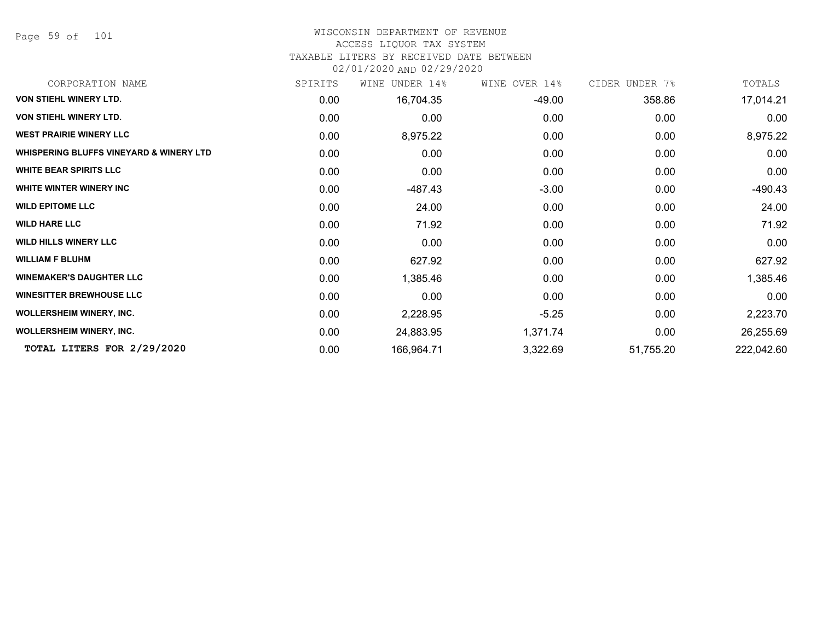Page 59 of 101

#### WISCONSIN DEPARTMENT OF REVENUE

#### ACCESS LIQUOR TAX SYSTEM

TAXABLE LITERS BY RECEIVED DATE BETWEEN

| CORPORATION NAME                                   | SPIRITS | UNDER 14%<br>WINE | WINE OVER 14% | CIDER UNDER 7% | TOTALS     |
|----------------------------------------------------|---------|-------------------|---------------|----------------|------------|
| <b>VON STIEHL WINERY LTD.</b>                      | 0.00    | 16,704.35         | -49.00        | 358.86         | 17,014.21  |
| VON STIEHL WINERY LTD.                             | 0.00    | 0.00              | 0.00          | 0.00           | 0.00       |
| <b>WEST PRAIRIE WINERY LLC</b>                     | 0.00    | 8,975.22          | 0.00          | 0.00           | 8,975.22   |
| <b>WHISPERING BLUFFS VINEYARD &amp; WINERY LTD</b> | 0.00    | 0.00              | 0.00          | 0.00           | 0.00       |
| <b>WHITE BEAR SPIRITS LLC</b>                      | 0.00    | 0.00              | 0.00          | 0.00           | 0.00       |
| WHITE WINTER WINERY INC                            | 0.00    | -487.43           | $-3.00$       | 0.00           | -490.43    |
| <b>WILD EPITOME LLC</b>                            | 0.00    | 24.00             | 0.00          | 0.00           | 24.00      |
| <b>WILD HARE LLC</b>                               | 0.00    | 71.92             | 0.00          | 0.00           | 71.92      |
| <b>WILD HILLS WINERY LLC</b>                       | 0.00    | 0.00              | 0.00          | 0.00           | 0.00       |
| <b>WILLIAM F BLUHM</b>                             | 0.00    | 627.92            | 0.00          | 0.00           | 627.92     |
| <b>WINEMAKER'S DAUGHTER LLC</b>                    | 0.00    | 1,385.46          | 0.00          | 0.00           | 1,385.46   |
| <b>WINESITTER BREWHOUSE LLC</b>                    | 0.00    | 0.00              | 0.00          | 0.00           | 0.00       |
| WOLLERSHEIM WINERY, INC.                           | 0.00    | 2,228.95          | $-5.25$       | 0.00           | 2,223.70   |
| <b>WOLLERSHEIM WINERY, INC.</b>                    | 0.00    | 24,883.95         | 1,371.74      | 0.00           | 26,255.69  |
| TOTAL LITERS FOR 2/29/2020                         | 0.00    | 166,964.71        | 3,322.69      | 51,755.20      | 222,042.60 |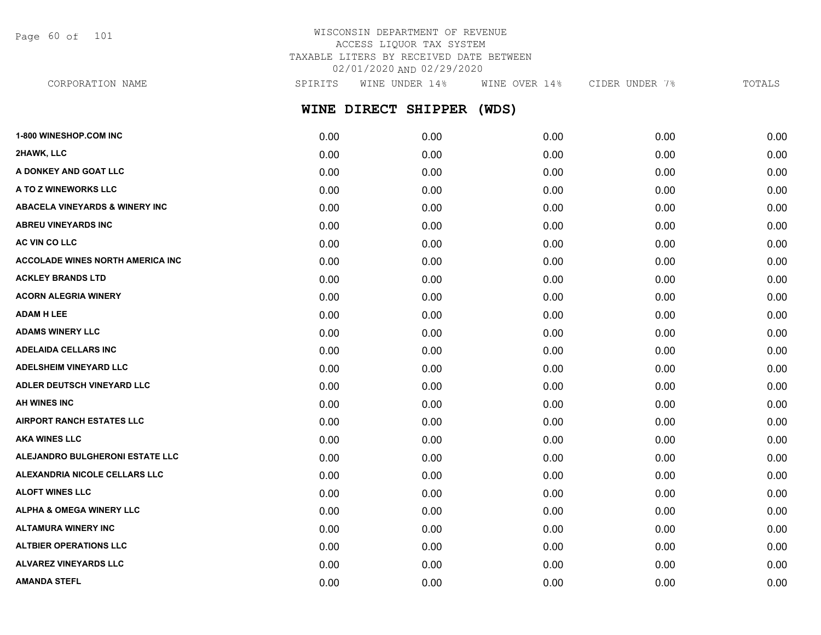Page 60 of 101

# WISCONSIN DEPARTMENT OF REVENUE ACCESS LIQUOR TAX SYSTEM TAXABLE LITERS BY RECEIVED DATE BETWEEN 02/01/2020 AND 02/29/2020

**WINE DIRECT SHIPPER (WDS)** CORPORATION NAME SPIRITS WINE UNDER 14% WINE OVER 14% CIDER UNDER 7% TOTALS

| 1-800 WINESHOP.COM INC                    | 0.00 | 0.00 | 0.00 | 0.00 | 0.00 |
|-------------------------------------------|------|------|------|------|------|
| 2HAWK, LLC                                | 0.00 | 0.00 | 0.00 | 0.00 | 0.00 |
| A DONKEY AND GOAT LLC                     | 0.00 | 0.00 | 0.00 | 0.00 | 0.00 |
| A TO Z WINEWORKS LLC                      | 0.00 | 0.00 | 0.00 | 0.00 | 0.00 |
| <b>ABACELA VINEYARDS &amp; WINERY INC</b> | 0.00 | 0.00 | 0.00 | 0.00 | 0.00 |
| <b>ABREU VINEYARDS INC</b>                | 0.00 | 0.00 | 0.00 | 0.00 | 0.00 |
| AC VIN CO LLC                             | 0.00 | 0.00 | 0.00 | 0.00 | 0.00 |
| <b>ACCOLADE WINES NORTH AMERICA INC</b>   | 0.00 | 0.00 | 0.00 | 0.00 | 0.00 |
| <b>ACKLEY BRANDS LTD</b>                  | 0.00 | 0.00 | 0.00 | 0.00 | 0.00 |
| <b>ACORN ALEGRIA WINERY</b>               | 0.00 | 0.00 | 0.00 | 0.00 | 0.00 |
| <b>ADAM H LEE</b>                         | 0.00 | 0.00 | 0.00 | 0.00 | 0.00 |
| <b>ADAMS WINERY LLC</b>                   | 0.00 | 0.00 | 0.00 | 0.00 | 0.00 |
| <b>ADELAIDA CELLARS INC</b>               | 0.00 | 0.00 | 0.00 | 0.00 | 0.00 |
| ADELSHEIM VINEYARD LLC                    | 0.00 | 0.00 | 0.00 | 0.00 | 0.00 |
| ADLER DEUTSCH VINEYARD LLC                | 0.00 | 0.00 | 0.00 | 0.00 | 0.00 |
| <b>AH WINES INC</b>                       | 0.00 | 0.00 | 0.00 | 0.00 | 0.00 |
| <b>AIRPORT RANCH ESTATES LLC</b>          | 0.00 | 0.00 | 0.00 | 0.00 | 0.00 |
| <b>AKA WINES LLC</b>                      | 0.00 | 0.00 | 0.00 | 0.00 | 0.00 |
| ALEJANDRO BULGHERONI ESTATE LLC           | 0.00 | 0.00 | 0.00 | 0.00 | 0.00 |
| ALEXANDRIA NICOLE CELLARS LLC             | 0.00 | 0.00 | 0.00 | 0.00 | 0.00 |
| <b>ALOFT WINES LLC</b>                    | 0.00 | 0.00 | 0.00 | 0.00 | 0.00 |
| <b>ALPHA &amp; OMEGA WINERY LLC</b>       | 0.00 | 0.00 | 0.00 | 0.00 | 0.00 |
| <b>ALTAMURA WINERY INC</b>                | 0.00 | 0.00 | 0.00 | 0.00 | 0.00 |
| <b>ALTBIER OPERATIONS LLC</b>             | 0.00 | 0.00 | 0.00 | 0.00 | 0.00 |
| ALVAREZ VINEYARDS LLC                     | 0.00 | 0.00 | 0.00 | 0.00 | 0.00 |
| <b>AMANDA STEFL</b>                       | 0.00 | 0.00 | 0.00 | 0.00 | 0.00 |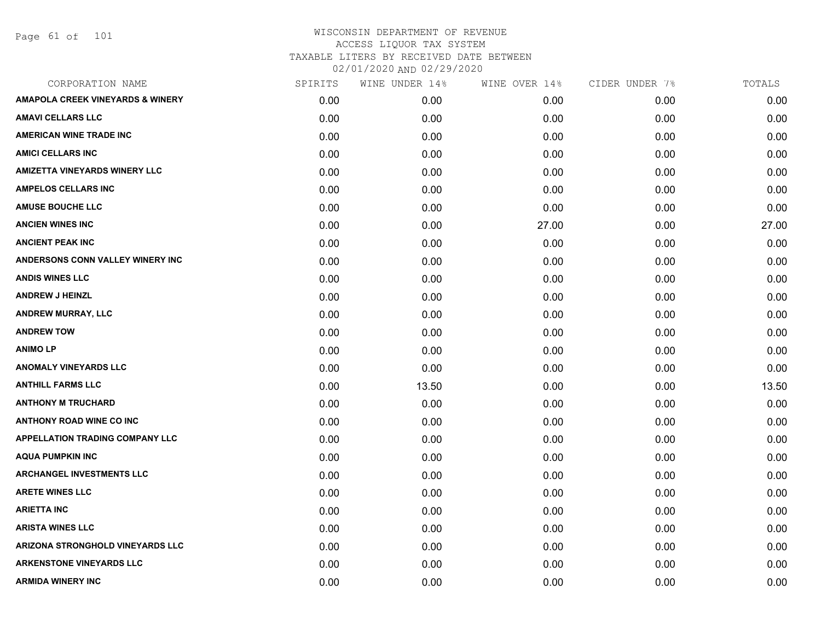Page 61 of 101

| CORPORATION NAME                            | SPIRITS | WINE UNDER 14% | WINE OVER 14% | CIDER UNDER 7% | TOTALS |
|---------------------------------------------|---------|----------------|---------------|----------------|--------|
| <b>AMAPOLA CREEK VINEYARDS &amp; WINERY</b> | 0.00    | 0.00           | 0.00          | 0.00           | 0.00   |
| <b>AMAVI CELLARS LLC</b>                    | 0.00    | 0.00           | 0.00          | 0.00           | 0.00   |
| <b>AMERICAN WINE TRADE INC</b>              | 0.00    | 0.00           | 0.00          | 0.00           | 0.00   |
| <b>AMICI CELLARS INC</b>                    | 0.00    | 0.00           | 0.00          | 0.00           | 0.00   |
| <b>AMIZETTA VINEYARDS WINERY LLC</b>        | 0.00    | 0.00           | 0.00          | 0.00           | 0.00   |
| <b>AMPELOS CELLARS INC</b>                  | 0.00    | 0.00           | 0.00          | 0.00           | 0.00   |
| <b>AMUSE BOUCHE LLC</b>                     | 0.00    | 0.00           | 0.00          | 0.00           | 0.00   |
| <b>ANCIEN WINES INC</b>                     | 0.00    | 0.00           | 27.00         | 0.00           | 27.00  |
| <b>ANCIENT PEAK INC</b>                     | 0.00    | 0.00           | 0.00          | 0.00           | 0.00   |
| ANDERSONS CONN VALLEY WINERY INC            | 0.00    | 0.00           | 0.00          | 0.00           | 0.00   |
| <b>ANDIS WINES LLC</b>                      | 0.00    | 0.00           | 0.00          | 0.00           | 0.00   |
| <b>ANDREW J HEINZL</b>                      | 0.00    | 0.00           | 0.00          | 0.00           | 0.00   |
| <b>ANDREW MURRAY, LLC</b>                   | 0.00    | 0.00           | 0.00          | 0.00           | 0.00   |
| <b>ANDREW TOW</b>                           | 0.00    | 0.00           | 0.00          | 0.00           | 0.00   |
| <b>ANIMOLP</b>                              | 0.00    | 0.00           | 0.00          | 0.00           | 0.00   |
| <b>ANOMALY VINEYARDS LLC</b>                | 0.00    | 0.00           | 0.00          | 0.00           | 0.00   |
| <b>ANTHILL FARMS LLC</b>                    | 0.00    | 13.50          | 0.00          | 0.00           | 13.50  |
| <b>ANTHONY M TRUCHARD</b>                   | 0.00    | 0.00           | 0.00          | 0.00           | 0.00   |
| <b>ANTHONY ROAD WINE CO INC</b>             | 0.00    | 0.00           | 0.00          | 0.00           | 0.00   |
| APPELLATION TRADING COMPANY LLC             | 0.00    | 0.00           | 0.00          | 0.00           | 0.00   |
| <b>AQUA PUMPKIN INC</b>                     | 0.00    | 0.00           | 0.00          | 0.00           | 0.00   |
| ARCHANGEL INVESTMENTS LLC                   | 0.00    | 0.00           | 0.00          | 0.00           | 0.00   |
| <b>ARETE WINES LLC</b>                      | 0.00    | 0.00           | 0.00          | 0.00           | 0.00   |
| <b>ARIETTA INC</b>                          | 0.00    | 0.00           | 0.00          | 0.00           | 0.00   |
| <b>ARISTA WINES LLC</b>                     | 0.00    | 0.00           | 0.00          | 0.00           | 0.00   |
| ARIZONA STRONGHOLD VINEYARDS LLC            | 0.00    | 0.00           | 0.00          | 0.00           | 0.00   |
| <b>ARKENSTONE VINEYARDS LLC</b>             | 0.00    | 0.00           | 0.00          | 0.00           | 0.00   |
| <b>ARMIDA WINERY INC</b>                    | 0.00    | 0.00           | 0.00          | 0.00           | 0.00   |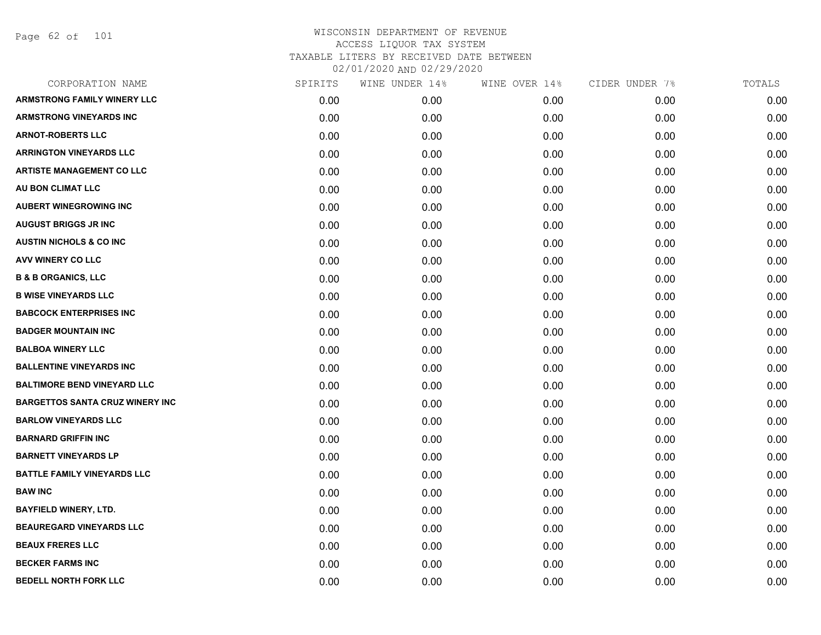Page 62 of 101

| CORPORATION NAME                       | SPIRITS | WINE UNDER 14% | WINE OVER 14% | CIDER UNDER 7% | TOTALS |
|----------------------------------------|---------|----------------|---------------|----------------|--------|
| <b>ARMSTRONG FAMILY WINERY LLC</b>     | 0.00    | 0.00           | 0.00          | 0.00           | 0.00   |
| <b>ARMSTRONG VINEYARDS INC</b>         | 0.00    | 0.00           | 0.00          | 0.00           | 0.00   |
| <b>ARNOT-ROBERTS LLC</b>               | 0.00    | 0.00           | 0.00          | 0.00           | 0.00   |
| <b>ARRINGTON VINEYARDS LLC</b>         | 0.00    | 0.00           | 0.00          | 0.00           | 0.00   |
| <b>ARTISTE MANAGEMENT CO LLC</b>       | 0.00    | 0.00           | 0.00          | 0.00           | 0.00   |
| AU BON CLIMAT LLC                      | 0.00    | 0.00           | 0.00          | 0.00           | 0.00   |
| <b>AUBERT WINEGROWING INC</b>          | 0.00    | 0.00           | 0.00          | 0.00           | 0.00   |
| <b>AUGUST BRIGGS JR INC</b>            | 0.00    | 0.00           | 0.00          | 0.00           | 0.00   |
| <b>AUSTIN NICHOLS &amp; CO INC</b>     | 0.00    | 0.00           | 0.00          | 0.00           | 0.00   |
| <b>AVV WINERY CO LLC</b>               | 0.00    | 0.00           | 0.00          | 0.00           | 0.00   |
| <b>B &amp; B ORGANICS, LLC</b>         | 0.00    | 0.00           | 0.00          | 0.00           | 0.00   |
| <b>B WISE VINEYARDS LLC</b>            | 0.00    | 0.00           | 0.00          | 0.00           | 0.00   |
| <b>BABCOCK ENTERPRISES INC</b>         | 0.00    | 0.00           | 0.00          | 0.00           | 0.00   |
| <b>BADGER MOUNTAIN INC</b>             | 0.00    | 0.00           | 0.00          | 0.00           | 0.00   |
| <b>BALBOA WINERY LLC</b>               | 0.00    | 0.00           | 0.00          | 0.00           | 0.00   |
| <b>BALLENTINE VINEYARDS INC</b>        | 0.00    | 0.00           | 0.00          | 0.00           | 0.00   |
| <b>BALTIMORE BEND VINEYARD LLC</b>     | 0.00    | 0.00           | 0.00          | 0.00           | 0.00   |
| <b>BARGETTOS SANTA CRUZ WINERY INC</b> | 0.00    | 0.00           | 0.00          | 0.00           | 0.00   |
| <b>BARLOW VINEYARDS LLC</b>            | 0.00    | 0.00           | 0.00          | 0.00           | 0.00   |
| <b>BARNARD GRIFFIN INC</b>             | 0.00    | 0.00           | 0.00          | 0.00           | 0.00   |
| <b>BARNETT VINEYARDS LP</b>            | 0.00    | 0.00           | 0.00          | 0.00           | 0.00   |
| <b>BATTLE FAMILY VINEYARDS LLC</b>     | 0.00    | 0.00           | 0.00          | 0.00           | 0.00   |
| <b>BAW INC</b>                         | 0.00    | 0.00           | 0.00          | 0.00           | 0.00   |
| <b>BAYFIELD WINERY, LTD.</b>           | 0.00    | 0.00           | 0.00          | 0.00           | 0.00   |
| <b>BEAUREGARD VINEYARDS LLC</b>        | 0.00    | 0.00           | 0.00          | 0.00           | 0.00   |
| <b>BEAUX FRERES LLC</b>                | 0.00    | 0.00           | 0.00          | 0.00           | 0.00   |
| <b>BECKER FARMS INC</b>                | 0.00    | 0.00           | 0.00          | 0.00           | 0.00   |
| <b>BEDELL NORTH FORK LLC</b>           | 0.00    | 0.00           | 0.00          | 0.00           | 0.00   |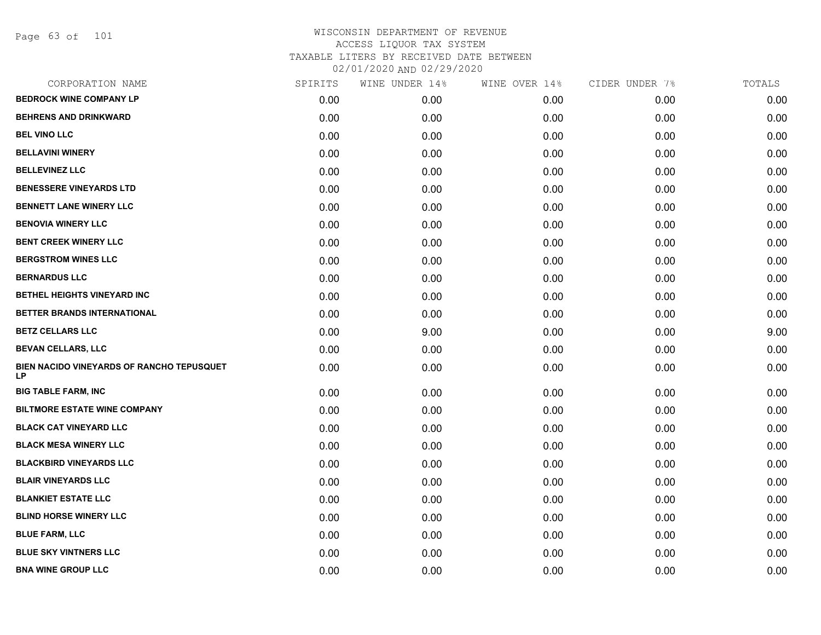Page 63 of 101

| CORPORATION NAME                                | SPIRITS | WINE UNDER 14% | WINE OVER 14% | CIDER UNDER 7% | TOTALS |
|-------------------------------------------------|---------|----------------|---------------|----------------|--------|
| <b>BEDROCK WINE COMPANY LP</b>                  | 0.00    | 0.00           | 0.00          | 0.00           | 0.00   |
| <b>BEHRENS AND DRINKWARD</b>                    | 0.00    | 0.00           | 0.00          | 0.00           | 0.00   |
| <b>BEL VINO LLC</b>                             | 0.00    | 0.00           | 0.00          | 0.00           | 0.00   |
| <b>BELLAVINI WINERY</b>                         | 0.00    | 0.00           | 0.00          | 0.00           | 0.00   |
| <b>BELLEVINEZ LLC</b>                           | 0.00    | 0.00           | 0.00          | 0.00           | 0.00   |
| <b>BENESSERE VINEYARDS LTD</b>                  | 0.00    | 0.00           | 0.00          | 0.00           | 0.00   |
| <b>BENNETT LANE WINERY LLC</b>                  | 0.00    | 0.00           | 0.00          | 0.00           | 0.00   |
| <b>BENOVIA WINERY LLC</b>                       | 0.00    | 0.00           | 0.00          | 0.00           | 0.00   |
| <b>BENT CREEK WINERY LLC</b>                    | 0.00    | 0.00           | 0.00          | 0.00           | 0.00   |
| <b>BERGSTROM WINES LLC</b>                      | 0.00    | 0.00           | 0.00          | 0.00           | 0.00   |
| <b>BERNARDUS LLC</b>                            | 0.00    | 0.00           | 0.00          | 0.00           | 0.00   |
| BETHEL HEIGHTS VINEYARD INC                     | 0.00    | 0.00           | 0.00          | 0.00           | 0.00   |
| BETTER BRANDS INTERNATIONAL                     | 0.00    | 0.00           | 0.00          | 0.00           | 0.00   |
| <b>BETZ CELLARS LLC</b>                         | 0.00    | 9.00           | 0.00          | 0.00           | 9.00   |
| <b>BEVAN CELLARS, LLC</b>                       | 0.00    | 0.00           | 0.00          | 0.00           | 0.00   |
| BIEN NACIDO VINEYARDS OF RANCHO TEPUSQUET<br>LP | 0.00    | 0.00           | 0.00          | 0.00           | 0.00   |
| <b>BIG TABLE FARM, INC</b>                      | 0.00    | 0.00           | 0.00          | 0.00           | 0.00   |
| <b>BILTMORE ESTATE WINE COMPANY</b>             | 0.00    | 0.00           | 0.00          | 0.00           | 0.00   |
| <b>BLACK CAT VINEYARD LLC</b>                   | 0.00    | 0.00           | 0.00          | 0.00           | 0.00   |
| <b>BLACK MESA WINERY LLC</b>                    | 0.00    | 0.00           | 0.00          | 0.00           | 0.00   |
| <b>BLACKBIRD VINEYARDS LLC</b>                  | 0.00    | 0.00           | 0.00          | 0.00           | 0.00   |
| <b>BLAIR VINEYARDS LLC</b>                      | 0.00    | 0.00           | 0.00          | 0.00           | 0.00   |
| <b>BLANKIET ESTATE LLC</b>                      | 0.00    | 0.00           | 0.00          | 0.00           | 0.00   |
| <b>BLIND HORSE WINERY LLC</b>                   | 0.00    | 0.00           | 0.00          | 0.00           | 0.00   |
| <b>BLUE FARM, LLC</b>                           | 0.00    | 0.00           | 0.00          | 0.00           | 0.00   |
| <b>BLUE SKY VINTNERS LLC</b>                    | 0.00    | 0.00           | 0.00          | 0.00           | 0.00   |
| <b>BNA WINE GROUP LLC</b>                       | 0.00    | 0.00           | 0.00          | 0.00           | 0.00   |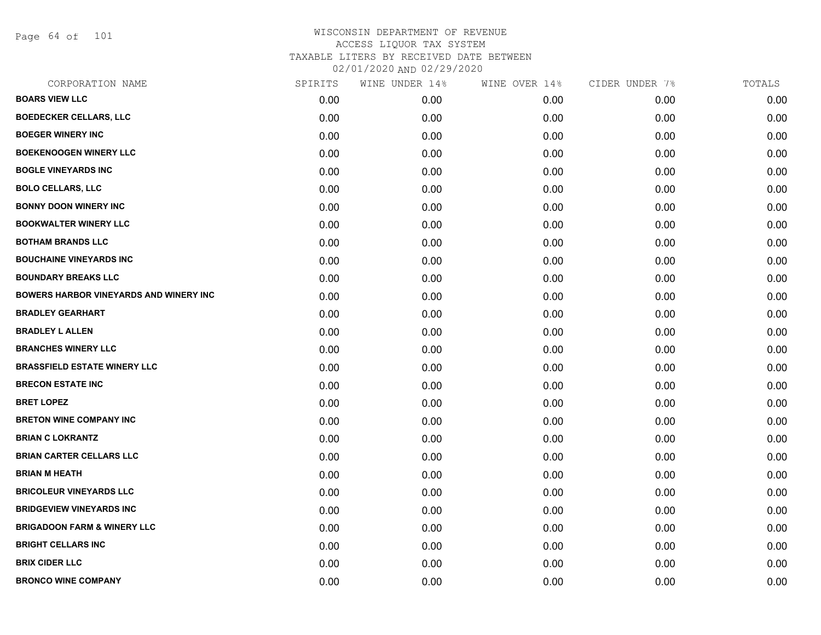Page 64 of 101

| CORPORATION NAME                       | SPIRITS | WINE UNDER 14% | WINE OVER 14% | CIDER UNDER 7% | TOTALS |
|----------------------------------------|---------|----------------|---------------|----------------|--------|
| <b>BOARS VIEW LLC</b>                  | 0.00    | 0.00           | 0.00          | 0.00           | 0.00   |
| <b>BOEDECKER CELLARS, LLC</b>          | 0.00    | 0.00           | 0.00          | 0.00           | 0.00   |
| <b>BOEGER WINERY INC</b>               | 0.00    | 0.00           | 0.00          | 0.00           | 0.00   |
| <b>BOEKENOOGEN WINERY LLC</b>          | 0.00    | 0.00           | 0.00          | 0.00           | 0.00   |
| <b>BOGLE VINEYARDS INC</b>             | 0.00    | 0.00           | 0.00          | 0.00           | 0.00   |
| <b>BOLO CELLARS, LLC</b>               | 0.00    | 0.00           | 0.00          | 0.00           | 0.00   |
| <b>BONNY DOON WINERY INC</b>           | 0.00    | 0.00           | 0.00          | 0.00           | 0.00   |
| <b>BOOKWALTER WINERY LLC</b>           | 0.00    | 0.00           | 0.00          | 0.00           | 0.00   |
| <b>BOTHAM BRANDS LLC</b>               | 0.00    | 0.00           | 0.00          | 0.00           | 0.00   |
| <b>BOUCHAINE VINEYARDS INC</b>         | 0.00    | 0.00           | 0.00          | 0.00           | 0.00   |
| <b>BOUNDARY BREAKS LLC</b>             | 0.00    | 0.00           | 0.00          | 0.00           | 0.00   |
| BOWERS HARBOR VINEYARDS AND WINERY INC | 0.00    | 0.00           | 0.00          | 0.00           | 0.00   |
| <b>BRADLEY GEARHART</b>                | 0.00    | 0.00           | 0.00          | 0.00           | 0.00   |
| <b>BRADLEY L ALLEN</b>                 | 0.00    | 0.00           | 0.00          | 0.00           | 0.00   |
| <b>BRANCHES WINERY LLC</b>             | 0.00    | 0.00           | 0.00          | 0.00           | 0.00   |
| <b>BRASSFIELD ESTATE WINERY LLC</b>    | 0.00    | 0.00           | 0.00          | 0.00           | 0.00   |
| <b>BRECON ESTATE INC</b>               | 0.00    | 0.00           | 0.00          | 0.00           | 0.00   |
| <b>BRET LOPEZ</b>                      | 0.00    | 0.00           | 0.00          | 0.00           | 0.00   |
| <b>BRETON WINE COMPANY INC</b>         | 0.00    | 0.00           | 0.00          | 0.00           | 0.00   |
| <b>BRIAN C LOKRANTZ</b>                | 0.00    | 0.00           | 0.00          | 0.00           | 0.00   |
| <b>BRIAN CARTER CELLARS LLC</b>        | 0.00    | 0.00           | 0.00          | 0.00           | 0.00   |
| <b>BRIAN M HEATH</b>                   | 0.00    | 0.00           | 0.00          | 0.00           | 0.00   |
| <b>BRICOLEUR VINEYARDS LLC</b>         | 0.00    | 0.00           | 0.00          | 0.00           | 0.00   |
| <b>BRIDGEVIEW VINEYARDS INC</b>        | 0.00    | 0.00           | 0.00          | 0.00           | 0.00   |
| <b>BRIGADOON FARM &amp; WINERY LLC</b> | 0.00    | 0.00           | 0.00          | 0.00           | 0.00   |
| <b>BRIGHT CELLARS INC</b>              | 0.00    | 0.00           | 0.00          | 0.00           | 0.00   |
| <b>BRIX CIDER LLC</b>                  | 0.00    | 0.00           | 0.00          | 0.00           | 0.00   |
| <b>BRONCO WINE COMPANY</b>             | 0.00    | 0.00           | 0.00          | 0.00           | 0.00   |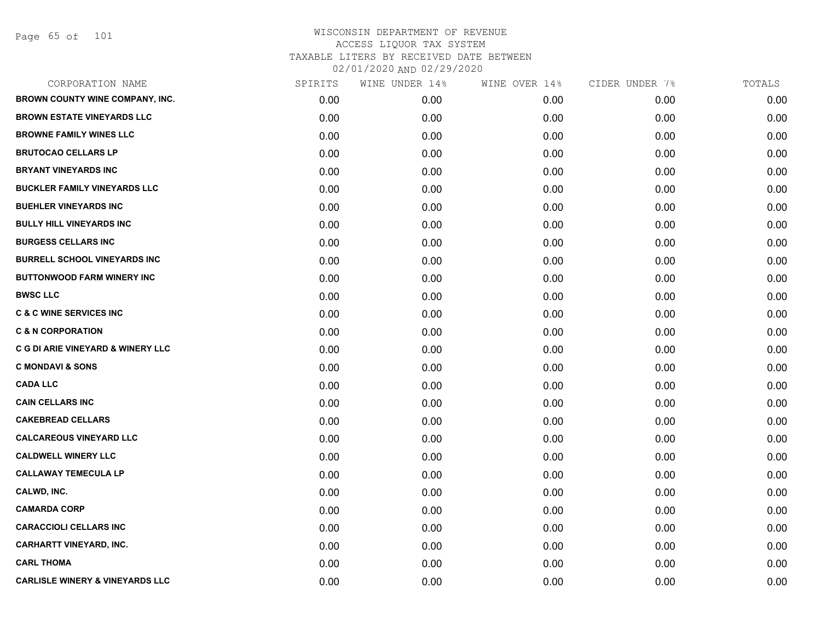Page 65 of 101

| CORPORATION NAME                           | SPIRITS | WINE UNDER 14% | WINE OVER 14% | CIDER UNDER 7% | TOTALS |
|--------------------------------------------|---------|----------------|---------------|----------------|--------|
| BROWN COUNTY WINE COMPANY, INC.            | 0.00    | 0.00           | 0.00          | 0.00           | 0.00   |
| <b>BROWN ESTATE VINEYARDS LLC</b>          | 0.00    | 0.00           | 0.00          | 0.00           | 0.00   |
| <b>BROWNE FAMILY WINES LLC</b>             | 0.00    | 0.00           | 0.00          | 0.00           | 0.00   |
| <b>BRUTOCAO CELLARS LP</b>                 | 0.00    | 0.00           | 0.00          | 0.00           | 0.00   |
| <b>BRYANT VINEYARDS INC</b>                | 0.00    | 0.00           | 0.00          | 0.00           | 0.00   |
| <b>BUCKLER FAMILY VINEYARDS LLC</b>        | 0.00    | 0.00           | 0.00          | 0.00           | 0.00   |
| <b>BUEHLER VINEYARDS INC</b>               | 0.00    | 0.00           | 0.00          | 0.00           | 0.00   |
| <b>BULLY HILL VINEYARDS INC</b>            | 0.00    | 0.00           | 0.00          | 0.00           | 0.00   |
| <b>BURGESS CELLARS INC</b>                 | 0.00    | 0.00           | 0.00          | 0.00           | 0.00   |
| <b>BURRELL SCHOOL VINEYARDS INC</b>        | 0.00    | 0.00           | 0.00          | 0.00           | 0.00   |
| <b>BUTTONWOOD FARM WINERY INC</b>          | 0.00    | 0.00           | 0.00          | 0.00           | 0.00   |
| <b>BWSC LLC</b>                            | 0.00    | 0.00           | 0.00          | 0.00           | 0.00   |
| <b>C &amp; C WINE SERVICES INC</b>         | 0.00    | 0.00           | 0.00          | 0.00           | 0.00   |
| <b>C &amp; N CORPORATION</b>               | 0.00    | 0.00           | 0.00          | 0.00           | 0.00   |
| C G DI ARIE VINEYARD & WINERY LLC          | 0.00    | 0.00           | 0.00          | 0.00           | 0.00   |
| <b>C MONDAVI &amp; SONS</b>                | 0.00    | 0.00           | 0.00          | 0.00           | 0.00   |
| <b>CADA LLC</b>                            | 0.00    | 0.00           | 0.00          | 0.00           | 0.00   |
| <b>CAIN CELLARS INC</b>                    | 0.00    | 0.00           | 0.00          | 0.00           | 0.00   |
| <b>CAKEBREAD CELLARS</b>                   | 0.00    | 0.00           | 0.00          | 0.00           | 0.00   |
| <b>CALCAREOUS VINEYARD LLC</b>             | 0.00    | 0.00           | 0.00          | 0.00           | 0.00   |
| <b>CALDWELL WINERY LLC</b>                 | 0.00    | 0.00           | 0.00          | 0.00           | 0.00   |
| <b>CALLAWAY TEMECULA LP</b>                | 0.00    | 0.00           | 0.00          | 0.00           | 0.00   |
| CALWD, INC.                                | 0.00    | 0.00           | 0.00          | 0.00           | 0.00   |
| <b>CAMARDA CORP</b>                        | 0.00    | 0.00           | 0.00          | 0.00           | 0.00   |
| <b>CARACCIOLI CELLARS INC</b>              | 0.00    | 0.00           | 0.00          | 0.00           | 0.00   |
| <b>CARHARTT VINEYARD, INC.</b>             | 0.00    | 0.00           | 0.00          | 0.00           | 0.00   |
| <b>CARL THOMA</b>                          | 0.00    | 0.00           | 0.00          | 0.00           | 0.00   |
| <b>CARLISLE WINERY &amp; VINEYARDS LLC</b> | 0.00    | 0.00           | 0.00          | 0.00           | 0.00   |
|                                            |         |                |               |                |        |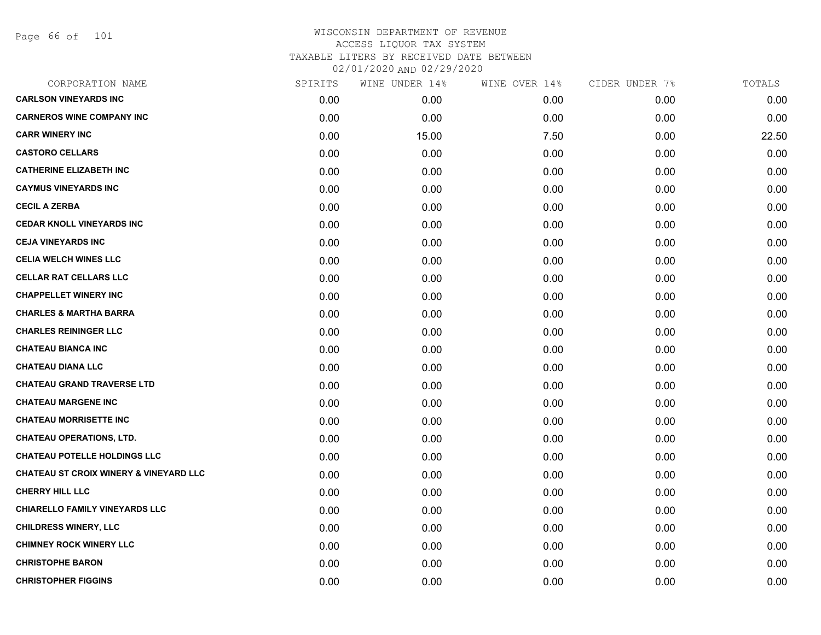Page 66 of 101

| <b>CARLSON VINEYARDS INC</b><br>0.00<br>0.00<br>0.00<br>0.00<br><b>CARNEROS WINE COMPANY INC</b><br>0.00<br>0.00<br>0.00<br>0.00<br><b>CARR WINERY INC</b><br>0.00<br>15.00<br>7.50<br>0.00<br><b>CASTORO CELLARS</b><br>0.00<br>0.00<br>0.00<br>0.00<br><b>CATHERINE ELIZABETH INC</b><br>0.00<br>0.00<br>0.00<br>0.00<br><b>CAYMUS VINEYARDS INC</b><br>0.00<br>0.00<br>0.00<br>0.00<br><b>CECIL A ZERBA</b><br>0.00<br>0.00<br>0.00<br>0.00<br><b>CEDAR KNOLL VINEYARDS INC</b><br>0.00<br>0.00<br>0.00<br>0.00<br><b>CEJA VINEYARDS INC</b><br>0.00<br>0.00<br>0.00<br>0.00<br><b>CELIA WELCH WINES LLC</b><br>0.00<br>0.00<br>0.00<br>0.00<br><b>CELLAR RAT CELLARS LLC</b><br>0.00<br>0.00<br>0.00<br>0.00<br><b>CHAPPELLET WINERY INC</b><br>0.00<br>0.00<br>0.00<br>0.00<br><b>CHARLES &amp; MARTHA BARRA</b><br>0.00<br>0.00<br>0.00<br>0.00<br><b>CHARLES REININGER LLC</b><br>0.00<br>0.00<br>0.00<br>0.00<br><b>CHATEAU BIANCA INC</b><br>0.00<br>0.00<br>0.00<br>0.00<br><b>CHATEAU DIANA LLC</b><br>0.00<br>0.00<br>0.00<br>0.00<br><b>CHATEAU GRAND TRAVERSE LTD</b><br>0.00<br>0.00<br>0.00<br>0.00<br><b>CHATEAU MARGENE INC</b><br>0.00<br>0.00<br>0.00<br>0.00<br><b>CHATEAU MORRISETTE INC</b><br>0.00<br>0.00<br>0.00<br>0.00<br><b>CHATEAU OPERATIONS, LTD.</b><br>0.00<br>0.00<br>0.00<br>0.00<br><b>CHATEAU POTELLE HOLDINGS LLC</b><br>0.00<br>0.00<br>0.00<br>0.00<br><b>CHATEAU ST CROIX WINERY &amp; VINEYARD LLC</b><br>0.00<br>0.00<br>0.00<br>0.00<br><b>CHERRY HILL LLC</b><br>0.00<br>0.00<br>0.00<br>0.00<br><b>CHIARELLO FAMILY VINEYARDS LLC</b><br>0.00<br>0.00<br>0.00<br>0.00<br><b>CHILDRESS WINERY, LLC</b><br>0.00<br>0.00<br>0.00<br>0.00<br><b>CHIMNEY ROCK WINERY LLC</b><br>0.00<br>0.00<br>0.00<br>0.00<br><b>CHRISTOPHE BARON</b><br>0.00<br>0.00<br>0.00<br>0.00<br><b>CHRISTOPHER FIGGINS</b><br>0.00<br>0.00<br>0.00<br>0.00 | CORPORATION NAME | SPIRITS | WINE UNDER 14% | WINE OVER 14% | CIDER UNDER 7% | TOTALS |
|---------------------------------------------------------------------------------------------------------------------------------------------------------------------------------------------------------------------------------------------------------------------------------------------------------------------------------------------------------------------------------------------------------------------------------------------------------------------------------------------------------------------------------------------------------------------------------------------------------------------------------------------------------------------------------------------------------------------------------------------------------------------------------------------------------------------------------------------------------------------------------------------------------------------------------------------------------------------------------------------------------------------------------------------------------------------------------------------------------------------------------------------------------------------------------------------------------------------------------------------------------------------------------------------------------------------------------------------------------------------------------------------------------------------------------------------------------------------------------------------------------------------------------------------------------------------------------------------------------------------------------------------------------------------------------------------------------------------------------------------------------------------------------------------------------------------------------------------------------------------------------|------------------|---------|----------------|---------------|----------------|--------|
|                                                                                                                                                                                                                                                                                                                                                                                                                                                                                                                                                                                                                                                                                                                                                                                                                                                                                                                                                                                                                                                                                                                                                                                                                                                                                                                                                                                                                                                                                                                                                                                                                                                                                                                                                                                                                                                                                 |                  |         |                |               |                | 0.00   |
|                                                                                                                                                                                                                                                                                                                                                                                                                                                                                                                                                                                                                                                                                                                                                                                                                                                                                                                                                                                                                                                                                                                                                                                                                                                                                                                                                                                                                                                                                                                                                                                                                                                                                                                                                                                                                                                                                 |                  |         |                |               |                | 0.00   |
|                                                                                                                                                                                                                                                                                                                                                                                                                                                                                                                                                                                                                                                                                                                                                                                                                                                                                                                                                                                                                                                                                                                                                                                                                                                                                                                                                                                                                                                                                                                                                                                                                                                                                                                                                                                                                                                                                 |                  |         |                |               |                | 22.50  |
|                                                                                                                                                                                                                                                                                                                                                                                                                                                                                                                                                                                                                                                                                                                                                                                                                                                                                                                                                                                                                                                                                                                                                                                                                                                                                                                                                                                                                                                                                                                                                                                                                                                                                                                                                                                                                                                                                 |                  |         |                |               |                | 0.00   |
|                                                                                                                                                                                                                                                                                                                                                                                                                                                                                                                                                                                                                                                                                                                                                                                                                                                                                                                                                                                                                                                                                                                                                                                                                                                                                                                                                                                                                                                                                                                                                                                                                                                                                                                                                                                                                                                                                 |                  |         |                |               |                | 0.00   |
|                                                                                                                                                                                                                                                                                                                                                                                                                                                                                                                                                                                                                                                                                                                                                                                                                                                                                                                                                                                                                                                                                                                                                                                                                                                                                                                                                                                                                                                                                                                                                                                                                                                                                                                                                                                                                                                                                 |                  |         |                |               |                | 0.00   |
|                                                                                                                                                                                                                                                                                                                                                                                                                                                                                                                                                                                                                                                                                                                                                                                                                                                                                                                                                                                                                                                                                                                                                                                                                                                                                                                                                                                                                                                                                                                                                                                                                                                                                                                                                                                                                                                                                 |                  |         |                |               |                | 0.00   |
|                                                                                                                                                                                                                                                                                                                                                                                                                                                                                                                                                                                                                                                                                                                                                                                                                                                                                                                                                                                                                                                                                                                                                                                                                                                                                                                                                                                                                                                                                                                                                                                                                                                                                                                                                                                                                                                                                 |                  |         |                |               |                | 0.00   |
|                                                                                                                                                                                                                                                                                                                                                                                                                                                                                                                                                                                                                                                                                                                                                                                                                                                                                                                                                                                                                                                                                                                                                                                                                                                                                                                                                                                                                                                                                                                                                                                                                                                                                                                                                                                                                                                                                 |                  |         |                |               |                | 0.00   |
|                                                                                                                                                                                                                                                                                                                                                                                                                                                                                                                                                                                                                                                                                                                                                                                                                                                                                                                                                                                                                                                                                                                                                                                                                                                                                                                                                                                                                                                                                                                                                                                                                                                                                                                                                                                                                                                                                 |                  |         |                |               |                | 0.00   |
|                                                                                                                                                                                                                                                                                                                                                                                                                                                                                                                                                                                                                                                                                                                                                                                                                                                                                                                                                                                                                                                                                                                                                                                                                                                                                                                                                                                                                                                                                                                                                                                                                                                                                                                                                                                                                                                                                 |                  |         |                |               |                | 0.00   |
|                                                                                                                                                                                                                                                                                                                                                                                                                                                                                                                                                                                                                                                                                                                                                                                                                                                                                                                                                                                                                                                                                                                                                                                                                                                                                                                                                                                                                                                                                                                                                                                                                                                                                                                                                                                                                                                                                 |                  |         |                |               |                | 0.00   |
|                                                                                                                                                                                                                                                                                                                                                                                                                                                                                                                                                                                                                                                                                                                                                                                                                                                                                                                                                                                                                                                                                                                                                                                                                                                                                                                                                                                                                                                                                                                                                                                                                                                                                                                                                                                                                                                                                 |                  |         |                |               |                | 0.00   |
|                                                                                                                                                                                                                                                                                                                                                                                                                                                                                                                                                                                                                                                                                                                                                                                                                                                                                                                                                                                                                                                                                                                                                                                                                                                                                                                                                                                                                                                                                                                                                                                                                                                                                                                                                                                                                                                                                 |                  |         |                |               |                | 0.00   |
|                                                                                                                                                                                                                                                                                                                                                                                                                                                                                                                                                                                                                                                                                                                                                                                                                                                                                                                                                                                                                                                                                                                                                                                                                                                                                                                                                                                                                                                                                                                                                                                                                                                                                                                                                                                                                                                                                 |                  |         |                |               |                | 0.00   |
|                                                                                                                                                                                                                                                                                                                                                                                                                                                                                                                                                                                                                                                                                                                                                                                                                                                                                                                                                                                                                                                                                                                                                                                                                                                                                                                                                                                                                                                                                                                                                                                                                                                                                                                                                                                                                                                                                 |                  |         |                |               |                | 0.00   |
|                                                                                                                                                                                                                                                                                                                                                                                                                                                                                                                                                                                                                                                                                                                                                                                                                                                                                                                                                                                                                                                                                                                                                                                                                                                                                                                                                                                                                                                                                                                                                                                                                                                                                                                                                                                                                                                                                 |                  |         |                |               |                | 0.00   |
|                                                                                                                                                                                                                                                                                                                                                                                                                                                                                                                                                                                                                                                                                                                                                                                                                                                                                                                                                                                                                                                                                                                                                                                                                                                                                                                                                                                                                                                                                                                                                                                                                                                                                                                                                                                                                                                                                 |                  |         |                |               |                | 0.00   |
|                                                                                                                                                                                                                                                                                                                                                                                                                                                                                                                                                                                                                                                                                                                                                                                                                                                                                                                                                                                                                                                                                                                                                                                                                                                                                                                                                                                                                                                                                                                                                                                                                                                                                                                                                                                                                                                                                 |                  |         |                |               |                | 0.00   |
|                                                                                                                                                                                                                                                                                                                                                                                                                                                                                                                                                                                                                                                                                                                                                                                                                                                                                                                                                                                                                                                                                                                                                                                                                                                                                                                                                                                                                                                                                                                                                                                                                                                                                                                                                                                                                                                                                 |                  |         |                |               |                | 0.00   |
|                                                                                                                                                                                                                                                                                                                                                                                                                                                                                                                                                                                                                                                                                                                                                                                                                                                                                                                                                                                                                                                                                                                                                                                                                                                                                                                                                                                                                                                                                                                                                                                                                                                                                                                                                                                                                                                                                 |                  |         |                |               |                | 0.00   |
|                                                                                                                                                                                                                                                                                                                                                                                                                                                                                                                                                                                                                                                                                                                                                                                                                                                                                                                                                                                                                                                                                                                                                                                                                                                                                                                                                                                                                                                                                                                                                                                                                                                                                                                                                                                                                                                                                 |                  |         |                |               |                | 0.00   |
|                                                                                                                                                                                                                                                                                                                                                                                                                                                                                                                                                                                                                                                                                                                                                                                                                                                                                                                                                                                                                                                                                                                                                                                                                                                                                                                                                                                                                                                                                                                                                                                                                                                                                                                                                                                                                                                                                 |                  |         |                |               |                | 0.00   |
|                                                                                                                                                                                                                                                                                                                                                                                                                                                                                                                                                                                                                                                                                                                                                                                                                                                                                                                                                                                                                                                                                                                                                                                                                                                                                                                                                                                                                                                                                                                                                                                                                                                                                                                                                                                                                                                                                 |                  |         |                |               |                | 0.00   |
|                                                                                                                                                                                                                                                                                                                                                                                                                                                                                                                                                                                                                                                                                                                                                                                                                                                                                                                                                                                                                                                                                                                                                                                                                                                                                                                                                                                                                                                                                                                                                                                                                                                                                                                                                                                                                                                                                 |                  |         |                |               |                | 0.00   |
|                                                                                                                                                                                                                                                                                                                                                                                                                                                                                                                                                                                                                                                                                                                                                                                                                                                                                                                                                                                                                                                                                                                                                                                                                                                                                                                                                                                                                                                                                                                                                                                                                                                                                                                                                                                                                                                                                 |                  |         |                |               |                | 0.00   |
|                                                                                                                                                                                                                                                                                                                                                                                                                                                                                                                                                                                                                                                                                                                                                                                                                                                                                                                                                                                                                                                                                                                                                                                                                                                                                                                                                                                                                                                                                                                                                                                                                                                                                                                                                                                                                                                                                 |                  |         |                |               |                | 0.00   |
|                                                                                                                                                                                                                                                                                                                                                                                                                                                                                                                                                                                                                                                                                                                                                                                                                                                                                                                                                                                                                                                                                                                                                                                                                                                                                                                                                                                                                                                                                                                                                                                                                                                                                                                                                                                                                                                                                 |                  |         |                |               |                | 0.00   |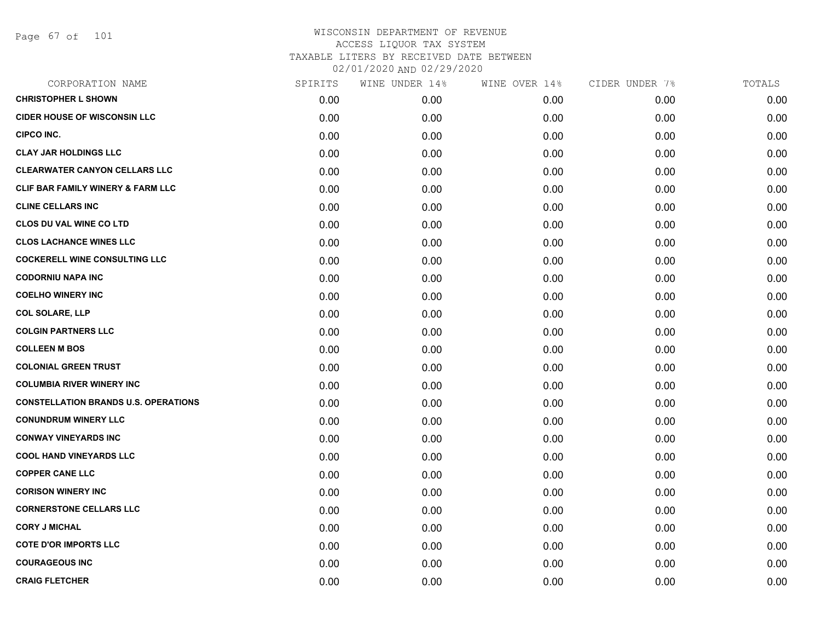Page 67 of 101

| CORPORATION NAME                            | SPIRITS | WINE UNDER 14% | WINE OVER 14% | CIDER UNDER 7% | TOTALS |
|---------------------------------------------|---------|----------------|---------------|----------------|--------|
| <b>CHRISTOPHER L SHOWN</b>                  | 0.00    | 0.00           | 0.00          | 0.00           | 0.00   |
| <b>CIDER HOUSE OF WISCONSIN LLC</b>         | 0.00    | 0.00           | 0.00          | 0.00           | 0.00   |
| <b>CIPCO INC.</b>                           | 0.00    | 0.00           | 0.00          | 0.00           | 0.00   |
| <b>CLAY JAR HOLDINGS LLC</b>                | 0.00    | 0.00           | 0.00          | 0.00           | 0.00   |
| <b>CLEARWATER CANYON CELLARS LLC</b>        | 0.00    | 0.00           | 0.00          | 0.00           | 0.00   |
| CLIF BAR FAMILY WINERY & FARM LLC           | 0.00    | 0.00           | 0.00          | 0.00           | 0.00   |
| <b>CLINE CELLARS INC</b>                    | 0.00    | 0.00           | 0.00          | 0.00           | 0.00   |
| <b>CLOS DU VAL WINE CO LTD</b>              | 0.00    | 0.00           | 0.00          | 0.00           | 0.00   |
| <b>CLOS LACHANCE WINES LLC</b>              | 0.00    | 0.00           | 0.00          | 0.00           | 0.00   |
| <b>COCKERELL WINE CONSULTING LLC</b>        | 0.00    | 0.00           | 0.00          | 0.00           | 0.00   |
| <b>CODORNIU NAPA INC</b>                    | 0.00    | 0.00           | 0.00          | 0.00           | 0.00   |
| <b>COELHO WINERY INC</b>                    | 0.00    | 0.00           | 0.00          | 0.00           | 0.00   |
| <b>COL SOLARE, LLP</b>                      | 0.00    | 0.00           | 0.00          | 0.00           | 0.00   |
| <b>COLGIN PARTNERS LLC</b>                  | 0.00    | 0.00           | 0.00          | 0.00           | 0.00   |
| <b>COLLEEN M BOS</b>                        | 0.00    | 0.00           | 0.00          | 0.00           | 0.00   |
| <b>COLONIAL GREEN TRUST</b>                 | 0.00    | 0.00           | 0.00          | 0.00           | 0.00   |
| <b>COLUMBIA RIVER WINERY INC</b>            | 0.00    | 0.00           | 0.00          | 0.00           | 0.00   |
| <b>CONSTELLATION BRANDS U.S. OPERATIONS</b> | 0.00    | 0.00           | 0.00          | 0.00           | 0.00   |
| <b>CONUNDRUM WINERY LLC</b>                 | 0.00    | 0.00           | 0.00          | 0.00           | 0.00   |
| <b>CONWAY VINEYARDS INC</b>                 | 0.00    | 0.00           | 0.00          | 0.00           | 0.00   |
| <b>COOL HAND VINEYARDS LLC</b>              | 0.00    | 0.00           | 0.00          | 0.00           | 0.00   |
| <b>COPPER CANE LLC</b>                      | 0.00    | 0.00           | 0.00          | 0.00           | 0.00   |
| <b>CORISON WINERY INC</b>                   | 0.00    | 0.00           | 0.00          | 0.00           | 0.00   |
| <b>CORNERSTONE CELLARS LLC</b>              | 0.00    | 0.00           | 0.00          | 0.00           | 0.00   |
| <b>CORY J MICHAL</b>                        | 0.00    | 0.00           | 0.00          | 0.00           | 0.00   |
| <b>COTE D'OR IMPORTS LLC</b>                | 0.00    | 0.00           | 0.00          | 0.00           | 0.00   |
| <b>COURAGEOUS INC</b>                       | 0.00    | 0.00           | 0.00          | 0.00           | 0.00   |
| <b>CRAIG FLETCHER</b>                       | 0.00    | 0.00           | 0.00          | 0.00           | 0.00   |
|                                             |         |                |               |                |        |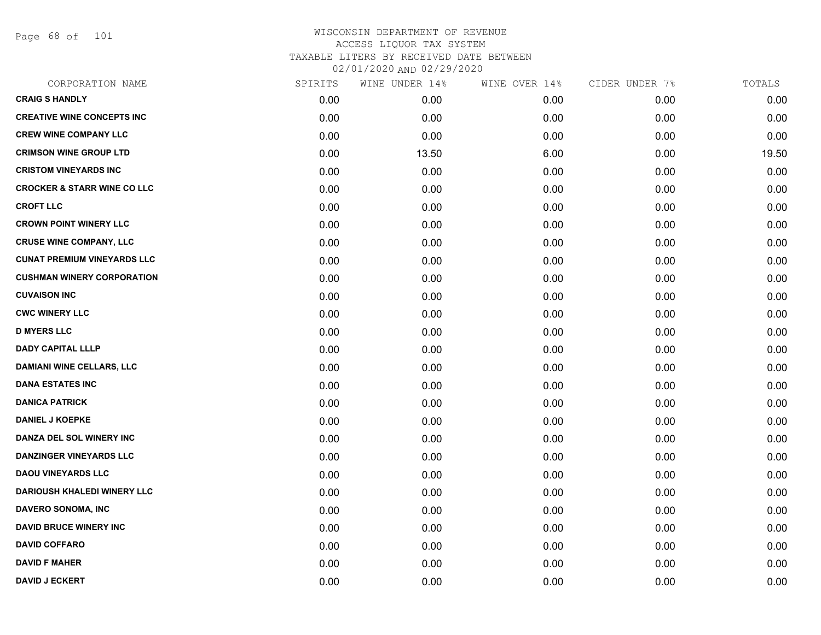Page 68 of 101

| CORPORATION NAME                       | SPIRITS | WINE UNDER 14% | WINE OVER 14% | CIDER UNDER 7% | TOTALS |
|----------------------------------------|---------|----------------|---------------|----------------|--------|
| <b>CRAIG S HANDLY</b>                  | 0.00    | 0.00           | 0.00          | 0.00           | 0.00   |
| <b>CREATIVE WINE CONCEPTS INC</b>      | 0.00    | 0.00           | 0.00          | 0.00           | 0.00   |
| <b>CREW WINE COMPANY LLC</b>           | 0.00    | 0.00           | 0.00          | 0.00           | 0.00   |
| <b>CRIMSON WINE GROUP LTD</b>          | 0.00    | 13.50          | 6.00          | 0.00           | 19.50  |
| <b>CRISTOM VINEYARDS INC</b>           | 0.00    | 0.00           | 0.00          | 0.00           | 0.00   |
| <b>CROCKER &amp; STARR WINE CO LLC</b> | 0.00    | 0.00           | 0.00          | 0.00           | 0.00   |
| <b>CROFT LLC</b>                       | 0.00    | 0.00           | 0.00          | 0.00           | 0.00   |
| <b>CROWN POINT WINERY LLC</b>          | 0.00    | 0.00           | 0.00          | 0.00           | 0.00   |
| <b>CRUSE WINE COMPANY, LLC</b>         | 0.00    | 0.00           | 0.00          | 0.00           | 0.00   |
| <b>CUNAT PREMIUM VINEYARDS LLC</b>     | 0.00    | 0.00           | 0.00          | 0.00           | 0.00   |
| <b>CUSHMAN WINERY CORPORATION</b>      | 0.00    | 0.00           | 0.00          | 0.00           | 0.00   |
| <b>CUVAISON INC</b>                    | 0.00    | 0.00           | 0.00          | 0.00           | 0.00   |
| <b>CWC WINERY LLC</b>                  | 0.00    | 0.00           | 0.00          | 0.00           | 0.00   |
| <b>D MYERS LLC</b>                     | 0.00    | 0.00           | 0.00          | 0.00           | 0.00   |
| <b>DADY CAPITAL LLLP</b>               | 0.00    | 0.00           | 0.00          | 0.00           | 0.00   |
| <b>DAMIANI WINE CELLARS, LLC</b>       | 0.00    | 0.00           | 0.00          | 0.00           | 0.00   |
| <b>DANA ESTATES INC</b>                | 0.00    | 0.00           | 0.00          | 0.00           | 0.00   |
| <b>DANICA PATRICK</b>                  | 0.00    | 0.00           | 0.00          | 0.00           | 0.00   |
| <b>DANIEL J KOEPKE</b>                 | 0.00    | 0.00           | 0.00          | 0.00           | 0.00   |
| DANZA DEL SOL WINERY INC               | 0.00    | 0.00           | 0.00          | 0.00           | 0.00   |
| <b>DANZINGER VINEYARDS LLC</b>         | 0.00    | 0.00           | 0.00          | 0.00           | 0.00   |
| <b>DAOU VINEYARDS LLC</b>              | 0.00    | 0.00           | 0.00          | 0.00           | 0.00   |
| <b>DARIOUSH KHALEDI WINERY LLC</b>     | 0.00    | 0.00           | 0.00          | 0.00           | 0.00   |
| <b>DAVERO SONOMA, INC</b>              | 0.00    | 0.00           | 0.00          | 0.00           | 0.00   |
| <b>DAVID BRUCE WINERY INC</b>          | 0.00    | 0.00           | 0.00          | 0.00           | 0.00   |
| <b>DAVID COFFARO</b>                   | 0.00    | 0.00           | 0.00          | 0.00           | 0.00   |
| <b>DAVID F MAHER</b>                   | 0.00    | 0.00           | 0.00          | 0.00           | 0.00   |
| <b>DAVID J ECKERT</b>                  | 0.00    | 0.00           | 0.00          | 0.00           | 0.00   |
|                                        |         |                |               |                |        |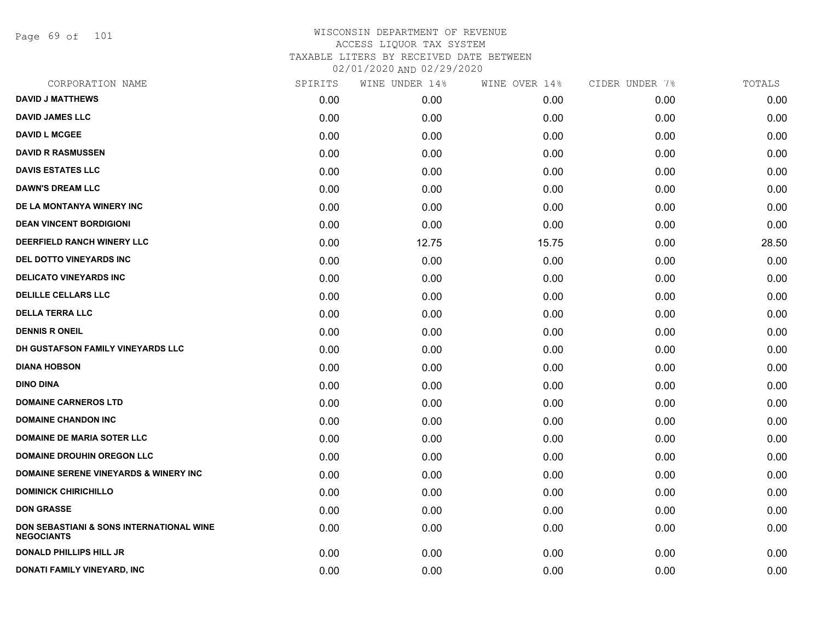Page 69 of 101

| CORPORATION NAME                                              | SPIRITS | WINE UNDER 14% | WINE OVER 14% | CIDER UNDER 7% | TOTALS |
|---------------------------------------------------------------|---------|----------------|---------------|----------------|--------|
| <b>DAVID J MATTHEWS</b>                                       | 0.00    | 0.00           | 0.00          | 0.00           | 0.00   |
| <b>DAVID JAMES LLC</b>                                        | 0.00    | 0.00           | 0.00          | 0.00           | 0.00   |
| <b>DAVID L MCGEE</b>                                          | 0.00    | 0.00           | 0.00          | 0.00           | 0.00   |
| <b>DAVID R RASMUSSEN</b>                                      | 0.00    | 0.00           | 0.00          | 0.00           | 0.00   |
| <b>DAVIS ESTATES LLC</b>                                      | 0.00    | 0.00           | 0.00          | 0.00           | 0.00   |
| <b>DAWN'S DREAM LLC</b>                                       | 0.00    | 0.00           | 0.00          | 0.00           | 0.00   |
| DE LA MONTANYA WINERY INC                                     | 0.00    | 0.00           | 0.00          | 0.00           | 0.00   |
| <b>DEAN VINCENT BORDIGIONI</b>                                | 0.00    | 0.00           | 0.00          | 0.00           | 0.00   |
| <b>DEERFIELD RANCH WINERY LLC</b>                             | 0.00    | 12.75          | 15.75         | 0.00           | 28.50  |
| <b>DEL DOTTO VINEYARDS INC</b>                                | 0.00    | 0.00           | 0.00          | 0.00           | 0.00   |
| <b>DELICATO VINEYARDS INC</b>                                 | 0.00    | 0.00           | 0.00          | 0.00           | 0.00   |
| <b>DELILLE CELLARS LLC</b>                                    | 0.00    | 0.00           | 0.00          | 0.00           | 0.00   |
| <b>DELLA TERRA LLC</b>                                        | 0.00    | 0.00           | 0.00          | 0.00           | 0.00   |
| <b>DENNIS R ONEIL</b>                                         | 0.00    | 0.00           | 0.00          | 0.00           | 0.00   |
| DH GUSTAFSON FAMILY VINEYARDS LLC                             | 0.00    | 0.00           | 0.00          | 0.00           | 0.00   |
| <b>DIANA HOBSON</b>                                           | 0.00    | 0.00           | 0.00          | 0.00           | 0.00   |
| <b>DINO DINA</b>                                              | 0.00    | 0.00           | 0.00          | 0.00           | 0.00   |
| <b>DOMAINE CARNEROS LTD</b>                                   | 0.00    | 0.00           | 0.00          | 0.00           | 0.00   |
| <b>DOMAINE CHANDON INC</b>                                    | 0.00    | 0.00           | 0.00          | 0.00           | 0.00   |
| <b>DOMAINE DE MARIA SOTER LLC</b>                             | 0.00    | 0.00           | 0.00          | 0.00           | 0.00   |
| <b>DOMAINE DROUHIN OREGON LLC</b>                             | 0.00    | 0.00           | 0.00          | 0.00           | 0.00   |
| <b>DOMAINE SERENE VINEYARDS &amp; WINERY INC</b>              | 0.00    | 0.00           | 0.00          | 0.00           | 0.00   |
| <b>DOMINICK CHIRICHILLO</b>                                   | 0.00    | 0.00           | 0.00          | 0.00           | 0.00   |
| <b>DON GRASSE</b>                                             | 0.00    | 0.00           | 0.00          | 0.00           | 0.00   |
| DON SEBASTIANI & SONS INTERNATIONAL WINE<br><b>NEGOCIANTS</b> | 0.00    | 0.00           | 0.00          | 0.00           | 0.00   |
| <b>DONALD PHILLIPS HILL JR</b>                                | 0.00    | 0.00           | 0.00          | 0.00           | 0.00   |
| DONATI FAMILY VINEYARD, INC                                   | 0.00    | 0.00           | 0.00          | 0.00           | 0.00   |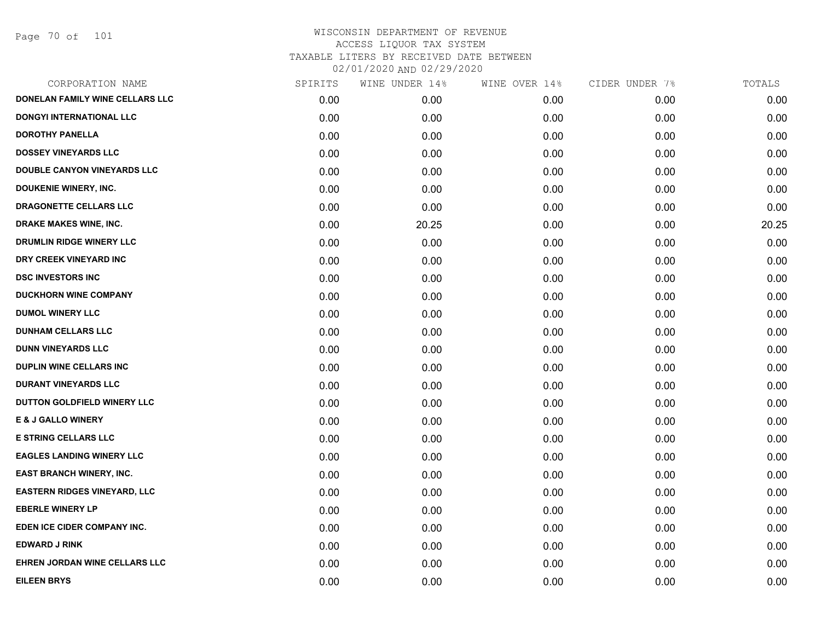Page 70 of 101

|      | WINE UNDER 14% | WINE OVER 14% | CIDER UNDER 7% | TOTALS |
|------|----------------|---------------|----------------|--------|
| 0.00 | 0.00           | 0.00          | 0.00           | 0.00   |
| 0.00 | 0.00           | 0.00          | 0.00           | 0.00   |
| 0.00 | 0.00           | 0.00          | 0.00           | 0.00   |
| 0.00 | 0.00           | 0.00          | 0.00           | 0.00   |
| 0.00 | 0.00           | 0.00          | 0.00           | 0.00   |
| 0.00 | 0.00           | 0.00          | 0.00           | 0.00   |
| 0.00 | 0.00           | 0.00          | 0.00           | 0.00   |
| 0.00 | 20.25          | 0.00          | 0.00           | 20.25  |
| 0.00 | 0.00           | 0.00          | 0.00           | 0.00   |
| 0.00 | 0.00           | 0.00          | 0.00           | 0.00   |
| 0.00 | 0.00           | 0.00          | 0.00           | 0.00   |
| 0.00 | 0.00           | 0.00          | 0.00           | 0.00   |
| 0.00 | 0.00           | 0.00          | 0.00           | 0.00   |
| 0.00 | 0.00           | 0.00          | 0.00           | 0.00   |
| 0.00 | 0.00           | 0.00          | 0.00           | 0.00   |
| 0.00 | 0.00           | 0.00          | 0.00           | 0.00   |
| 0.00 | 0.00           | 0.00          | 0.00           | 0.00   |
| 0.00 | 0.00           | 0.00          | 0.00           | 0.00   |
| 0.00 | 0.00           | 0.00          | 0.00           | 0.00   |
| 0.00 | 0.00           | 0.00          | 0.00           | 0.00   |
| 0.00 | 0.00           | 0.00          | 0.00           | 0.00   |
| 0.00 | 0.00           | 0.00          | 0.00           | 0.00   |
| 0.00 | 0.00           | 0.00          | 0.00           | 0.00   |
| 0.00 | 0.00           | 0.00          | 0.00           | 0.00   |
| 0.00 | 0.00           | 0.00          | 0.00           | 0.00   |
| 0.00 | 0.00           | 0.00          | 0.00           | 0.00   |
| 0.00 | 0.00           | 0.00          | 0.00           | 0.00   |
| 0.00 | 0.00           | 0.00          | 0.00           | 0.00   |
|      | SPIRITS        |               |                |        |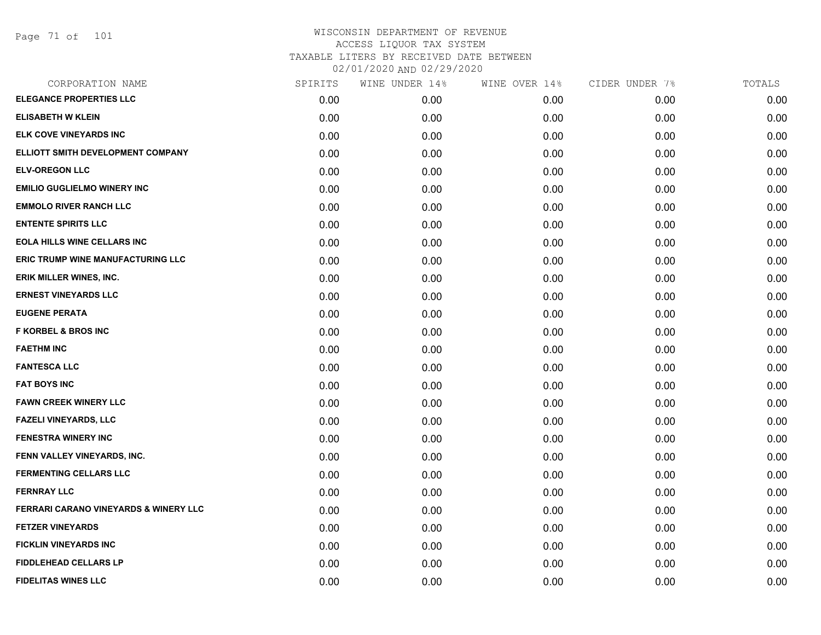| CORPORATION NAME                                 | SPIRITS | WINE UNDER 14% | WINE OVER 14% | CIDER UNDER 7% | TOTALS |
|--------------------------------------------------|---------|----------------|---------------|----------------|--------|
| <b>ELEGANCE PROPERTIES LLC</b>                   | 0.00    | 0.00           | 0.00          | 0.00           | 0.00   |
| <b>ELISABETH W KLEIN</b>                         | 0.00    | 0.00           | 0.00          | 0.00           | 0.00   |
| ELK COVE VINEYARDS INC                           | 0.00    | 0.00           | 0.00          | 0.00           | 0.00   |
| ELLIOTT SMITH DEVELOPMENT COMPANY                | 0.00    | 0.00           | 0.00          | 0.00           | 0.00   |
| <b>ELV-OREGON LLC</b>                            | 0.00    | 0.00           | 0.00          | 0.00           | 0.00   |
| <b>EMILIO GUGLIELMO WINERY INC</b>               | 0.00    | 0.00           | 0.00          | 0.00           | 0.00   |
| <b>EMMOLO RIVER RANCH LLC</b>                    | 0.00    | 0.00           | 0.00          | 0.00           | 0.00   |
| <b>ENTENTE SPIRITS LLC</b>                       | 0.00    | 0.00           | 0.00          | 0.00           | 0.00   |
| <b>EOLA HILLS WINE CELLARS INC</b>               | 0.00    | 0.00           | 0.00          | 0.00           | 0.00   |
| ERIC TRUMP WINE MANUFACTURING LLC                | 0.00    | 0.00           | 0.00          | 0.00           | 0.00   |
| <b>ERIK MILLER WINES, INC.</b>                   | 0.00    | 0.00           | 0.00          | 0.00           | 0.00   |
| <b>ERNEST VINEYARDS LLC</b>                      | 0.00    | 0.00           | 0.00          | 0.00           | 0.00   |
| <b>EUGENE PERATA</b>                             | 0.00    | 0.00           | 0.00          | 0.00           | 0.00   |
| <b>F KORBEL &amp; BROS INC</b>                   | 0.00    | 0.00           | 0.00          | 0.00           | 0.00   |
| <b>FAETHM INC</b>                                | 0.00    | 0.00           | 0.00          | 0.00           | 0.00   |
| <b>FANTESCA LLC</b>                              | 0.00    | 0.00           | 0.00          | 0.00           | 0.00   |
| <b>FAT BOYS INC</b>                              | 0.00    | 0.00           | 0.00          | 0.00           | 0.00   |
| <b>FAWN CREEK WINERY LLC</b>                     | 0.00    | 0.00           | 0.00          | 0.00           | 0.00   |
| <b>FAZELI VINEYARDS, LLC</b>                     | 0.00    | 0.00           | 0.00          | 0.00           | 0.00   |
| <b>FENESTRA WINERY INC</b>                       | 0.00    | 0.00           | 0.00          | 0.00           | 0.00   |
| FENN VALLEY VINEYARDS, INC.                      | 0.00    | 0.00           | 0.00          | 0.00           | 0.00   |
| <b>FERMENTING CELLARS LLC</b>                    | 0.00    | 0.00           | 0.00          | 0.00           | 0.00   |
| <b>FERNRAY LLC</b>                               | 0.00    | 0.00           | 0.00          | 0.00           | 0.00   |
| <b>FERRARI CARANO VINEYARDS &amp; WINERY LLC</b> | 0.00    | 0.00           | 0.00          | 0.00           | 0.00   |
| <b>FETZER VINEYARDS</b>                          | 0.00    | 0.00           | 0.00          | 0.00           | 0.00   |
| <b>FICKLIN VINEYARDS INC</b>                     | 0.00    | 0.00           | 0.00          | 0.00           | 0.00   |
| <b>FIDDLEHEAD CELLARS LP</b>                     | 0.00    | 0.00           | 0.00          | 0.00           | 0.00   |
| <b>FIDELITAS WINES LLC</b>                       | 0.00    | 0.00           | 0.00          | 0.00           | 0.00   |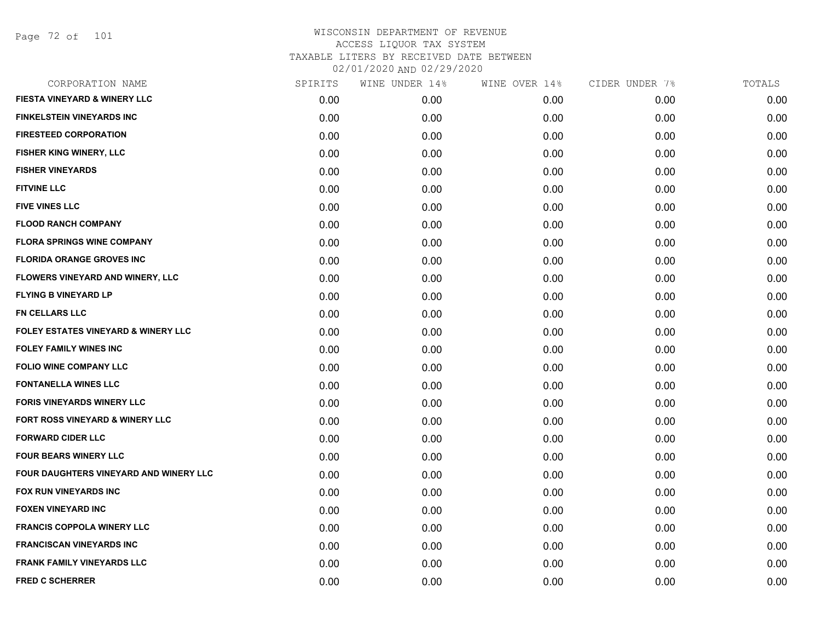Page 72 of 101

| CORPORATION NAME                           | SPIRITS | WINE UNDER 14% | WINE OVER 14% | CIDER UNDER 7% | TOTALS |
|--------------------------------------------|---------|----------------|---------------|----------------|--------|
| <b>FIESTA VINEYARD &amp; WINERY LLC</b>    | 0.00    | 0.00           | 0.00          | 0.00           | 0.00   |
| <b>FINKELSTEIN VINEYARDS INC</b>           | 0.00    | 0.00           | 0.00          | 0.00           | 0.00   |
| <b>FIRESTEED CORPORATION</b>               | 0.00    | 0.00           | 0.00          | 0.00           | 0.00   |
| <b>FISHER KING WINERY, LLC</b>             | 0.00    | 0.00           | 0.00          | 0.00           | 0.00   |
| <b>FISHER VINEYARDS</b>                    | 0.00    | 0.00           | 0.00          | 0.00           | 0.00   |
| <b>FITVINE LLC</b>                         | 0.00    | 0.00           | 0.00          | 0.00           | 0.00   |
| <b>FIVE VINES LLC</b>                      | 0.00    | 0.00           | 0.00          | 0.00           | 0.00   |
| <b>FLOOD RANCH COMPANY</b>                 | 0.00    | 0.00           | 0.00          | 0.00           | 0.00   |
| <b>FLORA SPRINGS WINE COMPANY</b>          | 0.00    | 0.00           | 0.00          | 0.00           | 0.00   |
| <b>FLORIDA ORANGE GROVES INC</b>           | 0.00    | 0.00           | 0.00          | 0.00           | 0.00   |
| FLOWERS VINEYARD AND WINERY, LLC           | 0.00    | 0.00           | 0.00          | 0.00           | 0.00   |
| <b>FLYING B VINEYARD LP</b>                | 0.00    | 0.00           | 0.00          | 0.00           | 0.00   |
| <b>FN CELLARS LLC</b>                      | 0.00    | 0.00           | 0.00          | 0.00           | 0.00   |
| FOLEY ESTATES VINEYARD & WINERY LLC        | 0.00    | 0.00           | 0.00          | 0.00           | 0.00   |
| <b>FOLEY FAMILY WINES INC</b>              | 0.00    | 0.00           | 0.00          | 0.00           | 0.00   |
| <b>FOLIO WINE COMPANY LLC</b>              | 0.00    | 0.00           | 0.00          | 0.00           | 0.00   |
| <b>FONTANELLA WINES LLC</b>                | 0.00    | 0.00           | 0.00          | 0.00           | 0.00   |
| <b>FORIS VINEYARDS WINERY LLC</b>          | 0.00    | 0.00           | 0.00          | 0.00           | 0.00   |
| <b>FORT ROSS VINEYARD &amp; WINERY LLC</b> | 0.00    | 0.00           | 0.00          | 0.00           | 0.00   |
| <b>FORWARD CIDER LLC</b>                   | 0.00    | 0.00           | 0.00          | 0.00           | 0.00   |
| <b>FOUR BEARS WINERY LLC</b>               | 0.00    | 0.00           | 0.00          | 0.00           | 0.00   |
| FOUR DAUGHTERS VINEYARD AND WINERY LLC     | 0.00    | 0.00           | 0.00          | 0.00           | 0.00   |
| <b>FOX RUN VINEYARDS INC</b>               | 0.00    | 0.00           | 0.00          | 0.00           | 0.00   |
| <b>FOXEN VINEYARD INC</b>                  | 0.00    | 0.00           | 0.00          | 0.00           | 0.00   |
| <b>FRANCIS COPPOLA WINERY LLC</b>          | 0.00    | 0.00           | 0.00          | 0.00           | 0.00   |
| <b>FRANCISCAN VINEYARDS INC</b>            | 0.00    | 0.00           | 0.00          | 0.00           | 0.00   |
| <b>FRANK FAMILY VINEYARDS LLC</b>          | 0.00    | 0.00           | 0.00          | 0.00           | 0.00   |
| <b>FRED C SCHERRER</b>                     | 0.00    | 0.00           | 0.00          | 0.00           | 0.00   |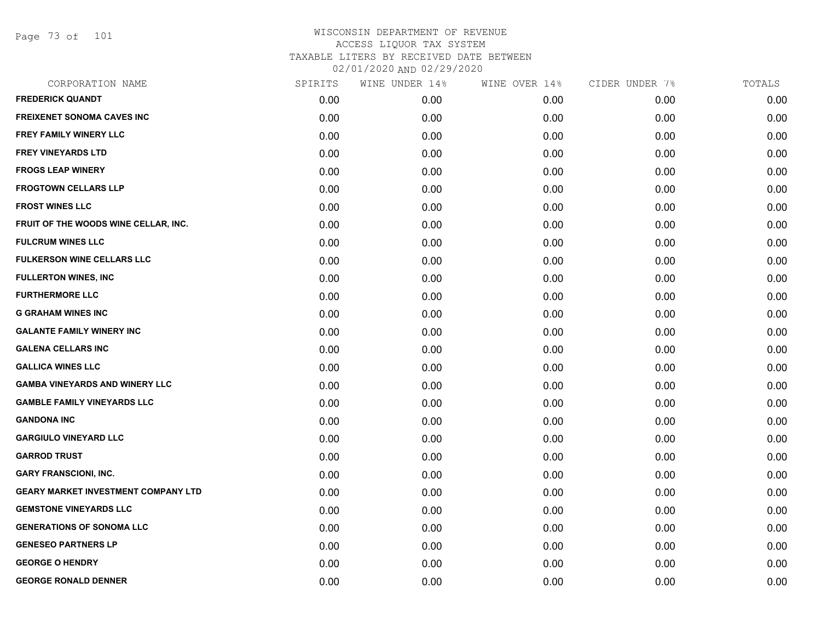Page 73 of 101

| CORPORATION NAME                           | SPIRITS | WINE UNDER 14% | WINE OVER 14% | CIDER UNDER 7% | TOTALS |
|--------------------------------------------|---------|----------------|---------------|----------------|--------|
| <b>FREDERICK QUANDT</b>                    | 0.00    | 0.00           | 0.00          | 0.00           | 0.00   |
| <b>FREIXENET SONOMA CAVES INC</b>          | 0.00    | 0.00           | 0.00          | 0.00           | 0.00   |
| FREY FAMILY WINERY LLC                     | 0.00    | 0.00           | 0.00          | 0.00           | 0.00   |
| <b>FREY VINEYARDS LTD</b>                  | 0.00    | 0.00           | 0.00          | 0.00           | 0.00   |
| <b>FROGS LEAP WINERY</b>                   | 0.00    | 0.00           | 0.00          | 0.00           | 0.00   |
| <b>FROGTOWN CELLARS LLP</b>                | 0.00    | 0.00           | 0.00          | 0.00           | 0.00   |
| <b>FROST WINES LLC</b>                     | 0.00    | 0.00           | 0.00          | 0.00           | 0.00   |
| FRUIT OF THE WOODS WINE CELLAR, INC.       | 0.00    | 0.00           | 0.00          | 0.00           | 0.00   |
| <b>FULCRUM WINES LLC</b>                   | 0.00    | 0.00           | 0.00          | 0.00           | 0.00   |
| <b>FULKERSON WINE CELLARS LLC</b>          | 0.00    | 0.00           | 0.00          | 0.00           | 0.00   |
| <b>FULLERTON WINES, INC</b>                | 0.00    | 0.00           | 0.00          | 0.00           | 0.00   |
| <b>FURTHERMORE LLC</b>                     | 0.00    | 0.00           | 0.00          | 0.00           | 0.00   |
| <b>G GRAHAM WINES INC</b>                  | 0.00    | 0.00           | 0.00          | 0.00           | 0.00   |
| <b>GALANTE FAMILY WINERY INC</b>           | 0.00    | 0.00           | 0.00          | 0.00           | 0.00   |
| <b>GALENA CELLARS INC</b>                  | 0.00    | 0.00           | 0.00          | 0.00           | 0.00   |
| <b>GALLICA WINES LLC</b>                   | 0.00    | 0.00           | 0.00          | 0.00           | 0.00   |
| <b>GAMBA VINEYARDS AND WINERY LLC</b>      | 0.00    | 0.00           | 0.00          | 0.00           | 0.00   |
| <b>GAMBLE FAMILY VINEYARDS LLC</b>         | 0.00    | 0.00           | 0.00          | 0.00           | 0.00   |
| <b>GANDONA INC</b>                         | 0.00    | 0.00           | 0.00          | 0.00           | 0.00   |
| <b>GARGIULO VINEYARD LLC</b>               | 0.00    | 0.00           | 0.00          | 0.00           | 0.00   |
| <b>GARROD TRUST</b>                        | 0.00    | 0.00           | 0.00          | 0.00           | 0.00   |
| <b>GARY FRANSCIONI, INC.</b>               | 0.00    | 0.00           | 0.00          | 0.00           | 0.00   |
| <b>GEARY MARKET INVESTMENT COMPANY LTD</b> | 0.00    | 0.00           | 0.00          | 0.00           | 0.00   |
| <b>GEMSTONE VINEYARDS LLC</b>              | 0.00    | 0.00           | 0.00          | 0.00           | 0.00   |
| <b>GENERATIONS OF SONOMA LLC</b>           | 0.00    | 0.00           | 0.00          | 0.00           | 0.00   |
| <b>GENESEO PARTNERS LP</b>                 | 0.00    | 0.00           | 0.00          | 0.00           | 0.00   |
| <b>GEORGE O HENDRY</b>                     | 0.00    | 0.00           | 0.00          | 0.00           | 0.00   |
| <b>GEORGE RONALD DENNER</b>                | 0.00    | 0.00           | 0.00          | 0.00           | 0.00   |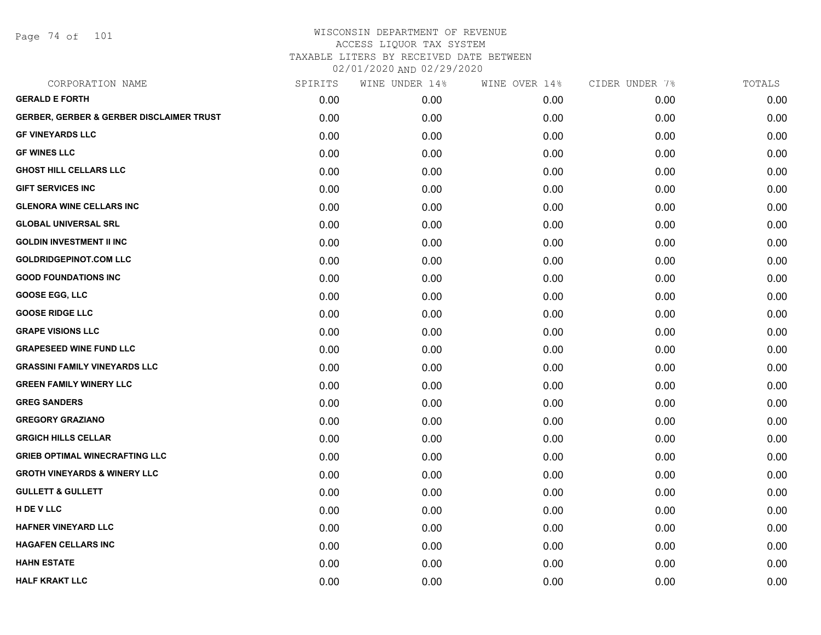Page 74 of 101

| CORPORATION NAME                                    | SPIRITS | WINE UNDER 14% | WINE OVER 14% | CIDER UNDER 7% | TOTALS |
|-----------------------------------------------------|---------|----------------|---------------|----------------|--------|
| <b>GERALD E FORTH</b>                               | 0.00    | 0.00           | 0.00          | 0.00           | 0.00   |
| <b>GERBER, GERBER &amp; GERBER DISCLAIMER TRUST</b> | 0.00    | 0.00           | 0.00          | 0.00           | 0.00   |
| <b>GF VINEYARDS LLC</b>                             | 0.00    | 0.00           | 0.00          | 0.00           | 0.00   |
| <b>GF WINES LLC</b>                                 | 0.00    | 0.00           | 0.00          | 0.00           | 0.00   |
| <b>GHOST HILL CELLARS LLC</b>                       | 0.00    | 0.00           | 0.00          | 0.00           | 0.00   |
| <b>GIFT SERVICES INC</b>                            | 0.00    | 0.00           | 0.00          | 0.00           | 0.00   |
| <b>GLENORA WINE CELLARS INC</b>                     | 0.00    | 0.00           | 0.00          | 0.00           | 0.00   |
| <b>GLOBAL UNIVERSAL SRL</b>                         | 0.00    | 0.00           | 0.00          | 0.00           | 0.00   |
| <b>GOLDIN INVESTMENT II INC</b>                     | 0.00    | 0.00           | 0.00          | 0.00           | 0.00   |
| <b>GOLDRIDGEPINOT.COM LLC</b>                       | 0.00    | 0.00           | 0.00          | 0.00           | 0.00   |
| <b>GOOD FOUNDATIONS INC</b>                         | 0.00    | 0.00           | 0.00          | 0.00           | 0.00   |
| <b>GOOSE EGG, LLC</b>                               | 0.00    | 0.00           | 0.00          | 0.00           | 0.00   |
| <b>GOOSE RIDGE LLC</b>                              | 0.00    | 0.00           | 0.00          | 0.00           | 0.00   |
| <b>GRAPE VISIONS LLC</b>                            | 0.00    | 0.00           | 0.00          | 0.00           | 0.00   |
| <b>GRAPESEED WINE FUND LLC</b>                      | 0.00    | 0.00           | 0.00          | 0.00           | 0.00   |
| <b>GRASSINI FAMILY VINEYARDS LLC</b>                | 0.00    | 0.00           | 0.00          | 0.00           | 0.00   |
| <b>GREEN FAMILY WINERY LLC</b>                      | 0.00    | 0.00           | 0.00          | 0.00           | 0.00   |
| <b>GREG SANDERS</b>                                 | 0.00    | 0.00           | 0.00          | 0.00           | 0.00   |
| <b>GREGORY GRAZIANO</b>                             | 0.00    | 0.00           | 0.00          | 0.00           | 0.00   |
| <b>GRGICH HILLS CELLAR</b>                          | 0.00    | 0.00           | 0.00          | 0.00           | 0.00   |
| <b>GRIEB OPTIMAL WINECRAFTING LLC</b>               | 0.00    | 0.00           | 0.00          | 0.00           | 0.00   |
| <b>GROTH VINEYARDS &amp; WINERY LLC</b>             | 0.00    | 0.00           | 0.00          | 0.00           | 0.00   |
| <b>GULLETT &amp; GULLETT</b>                        | 0.00    | 0.00           | 0.00          | 0.00           | 0.00   |
| H DE V LLC                                          | 0.00    | 0.00           | 0.00          | 0.00           | 0.00   |
| <b>HAFNER VINEYARD LLC</b>                          | 0.00    | 0.00           | 0.00          | 0.00           | 0.00   |
| <b>HAGAFEN CELLARS INC</b>                          | 0.00    | 0.00           | 0.00          | 0.00           | 0.00   |
| <b>HAHN ESTATE</b>                                  | 0.00    | 0.00           | 0.00          | 0.00           | 0.00   |
| <b>HALF KRAKT LLC</b>                               | 0.00    | 0.00           | 0.00          | 0.00           | 0.00   |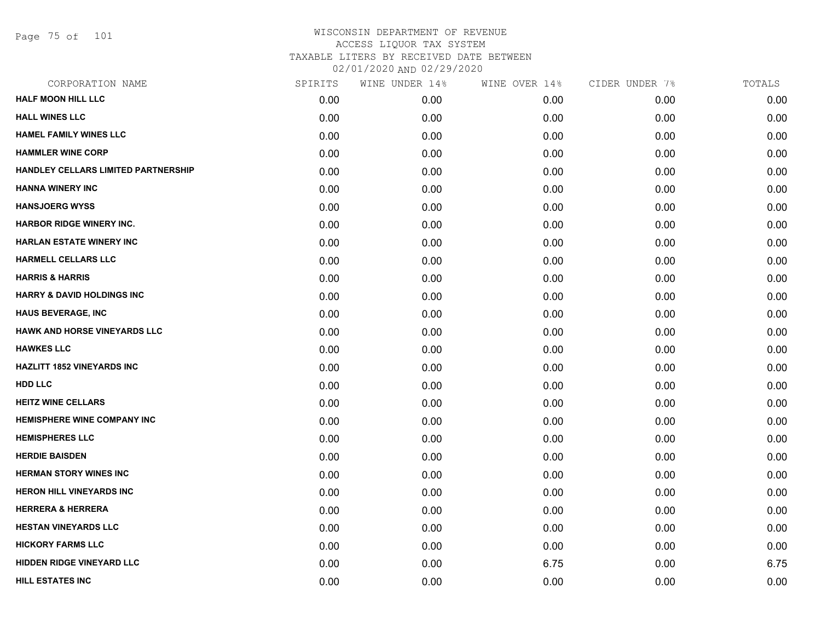Page 75 of 101

| CORPORATION NAME                           | SPIRITS | WINE UNDER 14% | WINE OVER 14% | CIDER UNDER 7% | TOTALS |
|--------------------------------------------|---------|----------------|---------------|----------------|--------|
| <b>HALF MOON HILL LLC</b>                  | 0.00    | 0.00           | 0.00          | 0.00           | 0.00   |
| <b>HALL WINES LLC</b>                      | 0.00    | 0.00           | 0.00          | 0.00           | 0.00   |
| <b>HAMEL FAMILY WINES LLC</b>              | 0.00    | 0.00           | 0.00          | 0.00           | 0.00   |
| <b>HAMMLER WINE CORP</b>                   | 0.00    | 0.00           | 0.00          | 0.00           | 0.00   |
| <b>HANDLEY CELLARS LIMITED PARTNERSHIP</b> | 0.00    | 0.00           | 0.00          | 0.00           | 0.00   |
| <b>HANNA WINERY INC</b>                    | 0.00    | 0.00           | 0.00          | 0.00           | 0.00   |
| <b>HANSJOERG WYSS</b>                      | 0.00    | 0.00           | 0.00          | 0.00           | 0.00   |
| <b>HARBOR RIDGE WINERY INC.</b>            | 0.00    | 0.00           | 0.00          | 0.00           | 0.00   |
| <b>HARLAN ESTATE WINERY INC</b>            | 0.00    | 0.00           | 0.00          | 0.00           | 0.00   |
| <b>HARMELL CELLARS LLC</b>                 | 0.00    | 0.00           | 0.00          | 0.00           | 0.00   |
| <b>HARRIS &amp; HARRIS</b>                 | 0.00    | 0.00           | 0.00          | 0.00           | 0.00   |
| <b>HARRY &amp; DAVID HOLDINGS INC</b>      | 0.00    | 0.00           | 0.00          | 0.00           | 0.00   |
| <b>HAUS BEVERAGE, INC</b>                  | 0.00    | 0.00           | 0.00          | 0.00           | 0.00   |
| HAWK AND HORSE VINEYARDS LLC               | 0.00    | 0.00           | 0.00          | 0.00           | 0.00   |
| <b>HAWKES LLC</b>                          | 0.00    | 0.00           | 0.00          | 0.00           | 0.00   |
| <b>HAZLITT 1852 VINEYARDS INC</b>          | 0.00    | 0.00           | 0.00          | 0.00           | 0.00   |
| <b>HDD LLC</b>                             | 0.00    | 0.00           | 0.00          | 0.00           | 0.00   |
| <b>HEITZ WINE CELLARS</b>                  | 0.00    | 0.00           | 0.00          | 0.00           | 0.00   |
| <b>HEMISPHERE WINE COMPANY INC</b>         | 0.00    | 0.00           | 0.00          | 0.00           | 0.00   |
| <b>HEMISPHERES LLC</b>                     | 0.00    | 0.00           | 0.00          | 0.00           | 0.00   |
| <b>HERDIE BAISDEN</b>                      | 0.00    | 0.00           | 0.00          | 0.00           | 0.00   |
| <b>HERMAN STORY WINES INC</b>              | 0.00    | 0.00           | 0.00          | 0.00           | 0.00   |
| <b>HERON HILL VINEYARDS INC</b>            | 0.00    | 0.00           | 0.00          | 0.00           | 0.00   |
| <b>HERRERA &amp; HERRERA</b>               | 0.00    | 0.00           | 0.00          | 0.00           | 0.00   |
| <b>HESTAN VINEYARDS LLC</b>                | 0.00    | 0.00           | 0.00          | 0.00           | 0.00   |
| <b>HICKORY FARMS LLC</b>                   | 0.00    | 0.00           | 0.00          | 0.00           | 0.00   |
| HIDDEN RIDGE VINEYARD LLC                  | 0.00    | 0.00           | 6.75          | 0.00           | 6.75   |
| <b>HILL ESTATES INC</b>                    | 0.00    | 0.00           | 0.00          | 0.00           | 0.00   |
|                                            |         |                |               |                |        |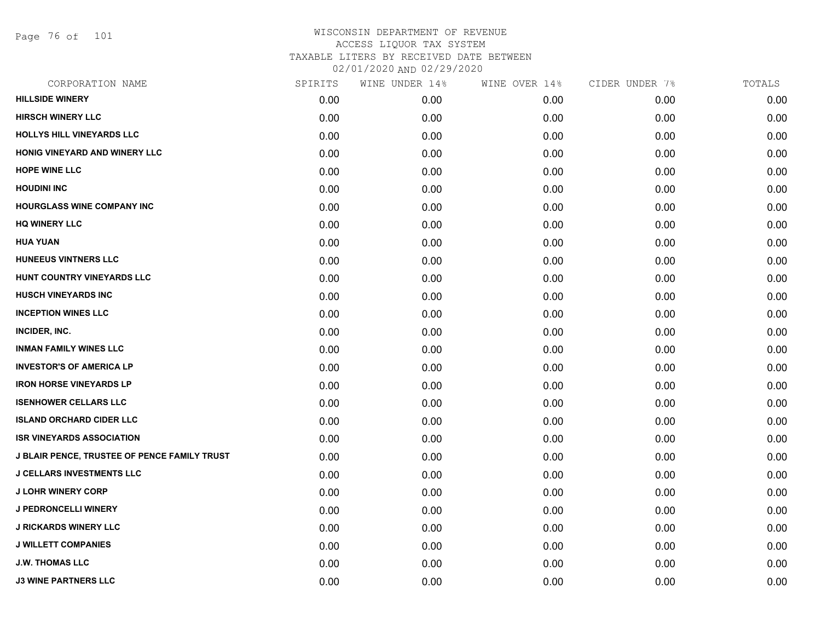Page 76 of 101

| CORPORATION NAME                             | SPIRITS | WINE UNDER 14% | WINE OVER 14% | CIDER UNDER 7% | TOTALS |
|----------------------------------------------|---------|----------------|---------------|----------------|--------|
| <b>HILLSIDE WINERY</b>                       | 0.00    | 0.00           | 0.00          | 0.00           | 0.00   |
| <b>HIRSCH WINERY LLC</b>                     | 0.00    | 0.00           | 0.00          | 0.00           | 0.00   |
| <b>HOLLYS HILL VINEYARDS LLC</b>             | 0.00    | 0.00           | 0.00          | 0.00           | 0.00   |
| HONIG VINEYARD AND WINERY LLC                | 0.00    | 0.00           | 0.00          | 0.00           | 0.00   |
| <b>HOPE WINE LLC</b>                         | 0.00    | 0.00           | 0.00          | 0.00           | 0.00   |
| <b>HOUDINI INC</b>                           | 0.00    | 0.00           | 0.00          | 0.00           | 0.00   |
| <b>HOURGLASS WINE COMPANY INC</b>            | 0.00    | 0.00           | 0.00          | 0.00           | 0.00   |
| <b>HQ WINERY LLC</b>                         | 0.00    | 0.00           | 0.00          | 0.00           | 0.00   |
| <b>HUA YUAN</b>                              | 0.00    | 0.00           | 0.00          | 0.00           | 0.00   |
| <b>HUNEEUS VINTNERS LLC</b>                  | 0.00    | 0.00           | 0.00          | 0.00           | 0.00   |
| HUNT COUNTRY VINEYARDS LLC                   | 0.00    | 0.00           | 0.00          | 0.00           | 0.00   |
| <b>HUSCH VINEYARDS INC</b>                   | 0.00    | 0.00           | 0.00          | 0.00           | 0.00   |
| <b>INCEPTION WINES LLC</b>                   | 0.00    | 0.00           | 0.00          | 0.00           | 0.00   |
| INCIDER, INC.                                | 0.00    | 0.00           | 0.00          | 0.00           | 0.00   |
| <b>INMAN FAMILY WINES LLC</b>                | 0.00    | 0.00           | 0.00          | 0.00           | 0.00   |
| <b>INVESTOR'S OF AMERICA LP</b>              | 0.00    | 0.00           | 0.00          | 0.00           | 0.00   |
| <b>IRON HORSE VINEYARDS LP</b>               | 0.00    | 0.00           | 0.00          | 0.00           | 0.00   |
| <b>ISENHOWER CELLARS LLC</b>                 | 0.00    | 0.00           | 0.00          | 0.00           | 0.00   |
| <b>ISLAND ORCHARD CIDER LLC</b>              | 0.00    | 0.00           | 0.00          | 0.00           | 0.00   |
| <b>ISR VINEYARDS ASSOCIATION</b>             | 0.00    | 0.00           | 0.00          | 0.00           | 0.00   |
| J BLAIR PENCE, TRUSTEE OF PENCE FAMILY TRUST | 0.00    | 0.00           | 0.00          | 0.00           | 0.00   |
| <b>J CELLARS INVESTMENTS LLC</b>             | 0.00    | 0.00           | 0.00          | 0.00           | 0.00   |
| <b>J LOHR WINERY CORP</b>                    | 0.00    | 0.00           | 0.00          | 0.00           | 0.00   |
| J PEDRONCELLI WINERY                         | 0.00    | 0.00           | 0.00          | 0.00           | 0.00   |
| <b>J RICKARDS WINERY LLC</b>                 | 0.00    | 0.00           | 0.00          | 0.00           | 0.00   |
| <b>J WILLETT COMPANIES</b>                   | 0.00    | 0.00           | 0.00          | 0.00           | 0.00   |
| <b>J.W. THOMAS LLC</b>                       | 0.00    | 0.00           | 0.00          | 0.00           | 0.00   |
| <b>J3 WINE PARTNERS LLC</b>                  | 0.00    | 0.00           | 0.00          | 0.00           | 0.00   |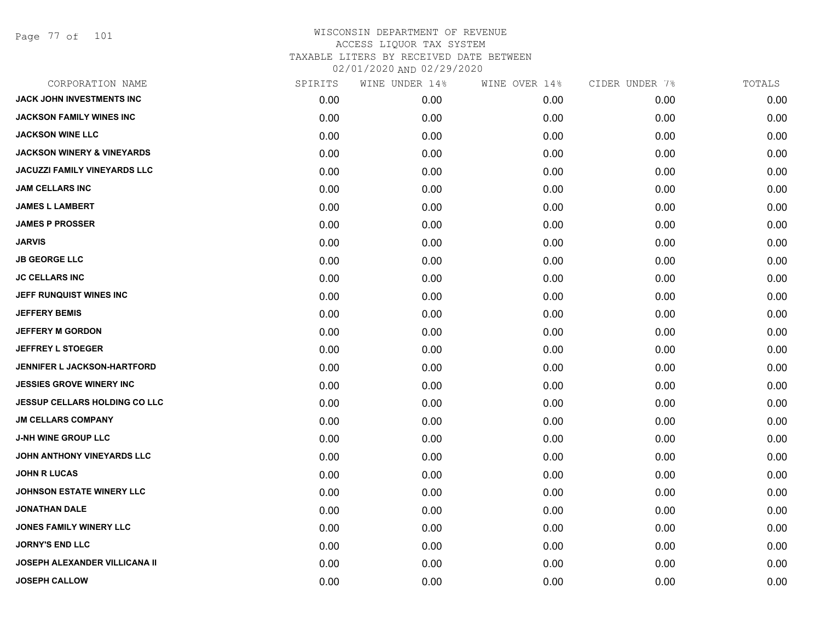Page 77 of 101

| CORPORATION NAME                      | SPIRITS | WINE UNDER 14% | WINE OVER 14% | CIDER UNDER 7% | TOTALS |
|---------------------------------------|---------|----------------|---------------|----------------|--------|
| JACK JOHN INVESTMENTS INC             | 0.00    | 0.00           | 0.00          | 0.00           | 0.00   |
| <b>JACKSON FAMILY WINES INC</b>       | 0.00    | 0.00           | 0.00          | 0.00           | 0.00   |
| <b>JACKSON WINE LLC</b>               | 0.00    | 0.00           | 0.00          | 0.00           | 0.00   |
| <b>JACKSON WINERY &amp; VINEYARDS</b> | 0.00    | 0.00           | 0.00          | 0.00           | 0.00   |
| <b>JACUZZI FAMILY VINEYARDS LLC</b>   | 0.00    | 0.00           | 0.00          | 0.00           | 0.00   |
| <b>JAM CELLARS INC</b>                | 0.00    | 0.00           | 0.00          | 0.00           | 0.00   |
| <b>JAMES L LAMBERT</b>                | 0.00    | 0.00           | 0.00          | 0.00           | 0.00   |
| <b>JAMES P PROSSER</b>                | 0.00    | 0.00           | 0.00          | 0.00           | 0.00   |
| <b>JARVIS</b>                         | 0.00    | 0.00           | 0.00          | 0.00           | 0.00   |
| <b>JB GEORGE LLC</b>                  | 0.00    | 0.00           | 0.00          | 0.00           | 0.00   |
| <b>JC CELLARS INC</b>                 | 0.00    | 0.00           | 0.00          | 0.00           | 0.00   |
| JEFF RUNQUIST WINES INC               | 0.00    | 0.00           | 0.00          | 0.00           | 0.00   |
| <b>JEFFERY BEMIS</b>                  | 0.00    | 0.00           | 0.00          | 0.00           | 0.00   |
| <b>JEFFERY M GORDON</b>               | 0.00    | 0.00           | 0.00          | 0.00           | 0.00   |
| <b>JEFFREY L STOEGER</b>              | 0.00    | 0.00           | 0.00          | 0.00           | 0.00   |
| JENNIFER L JACKSON-HARTFORD           | 0.00    | 0.00           | 0.00          | 0.00           | 0.00   |
| <b>JESSIES GROVE WINERY INC</b>       | 0.00    | 0.00           | 0.00          | 0.00           | 0.00   |
| <b>JESSUP CELLARS HOLDING CO LLC</b>  | 0.00    | 0.00           | 0.00          | 0.00           | 0.00   |
| <b>JM CELLARS COMPANY</b>             | 0.00    | 0.00           | 0.00          | 0.00           | 0.00   |
| <b>J-NH WINE GROUP LLC</b>            | 0.00    | 0.00           | 0.00          | 0.00           | 0.00   |
| JOHN ANTHONY VINEYARDS LLC            | 0.00    | 0.00           | 0.00          | 0.00           | 0.00   |
| <b>JOHN R LUCAS</b>                   | 0.00    | 0.00           | 0.00          | 0.00           | 0.00   |
| <b>JOHNSON ESTATE WINERY LLC</b>      | 0.00    | 0.00           | 0.00          | 0.00           | 0.00   |
| <b>JONATHAN DALE</b>                  | 0.00    | 0.00           | 0.00          | 0.00           | 0.00   |
| <b>JONES FAMILY WINERY LLC</b>        | 0.00    | 0.00           | 0.00          | 0.00           | 0.00   |
| <b>JORNY'S END LLC</b>                | 0.00    | 0.00           | 0.00          | 0.00           | 0.00   |
| JOSEPH ALEXANDER VILLICANA II         | 0.00    | 0.00           | 0.00          | 0.00           | 0.00   |
| <b>JOSEPH CALLOW</b>                  | 0.00    | 0.00           | 0.00          | 0.00           | 0.00   |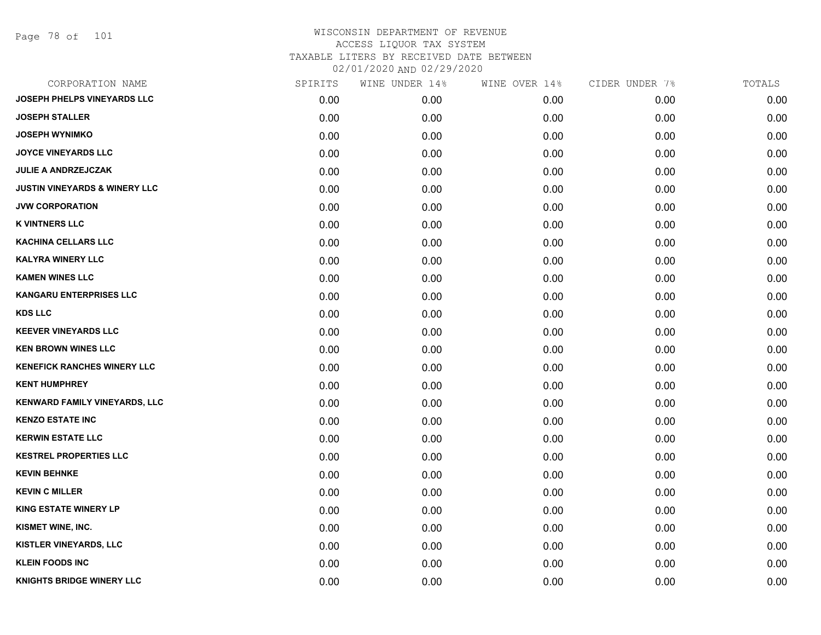Page 78 of 101

| CORPORATION NAME                         | SPIRITS | WINE UNDER 14% | WINE OVER 14% | CIDER UNDER 7% | TOTALS |
|------------------------------------------|---------|----------------|---------------|----------------|--------|
| <b>JOSEPH PHELPS VINEYARDS LLC</b>       | 0.00    | 0.00           | 0.00          | 0.00           | 0.00   |
| <b>JOSEPH STALLER</b>                    | 0.00    | 0.00           | 0.00          | 0.00           | 0.00   |
| <b>JOSEPH WYNIMKO</b>                    | 0.00    | 0.00           | 0.00          | 0.00           | 0.00   |
| <b>JOYCE VINEYARDS LLC</b>               | 0.00    | 0.00           | 0.00          | 0.00           | 0.00   |
| <b>JULIE A ANDRZEJCZAK</b>               | 0.00    | 0.00           | 0.00          | 0.00           | 0.00   |
| <b>JUSTIN VINEYARDS &amp; WINERY LLC</b> | 0.00    | 0.00           | 0.00          | 0.00           | 0.00   |
| <b>JVW CORPORATION</b>                   | 0.00    | 0.00           | 0.00          | 0.00           | 0.00   |
| <b>K VINTNERS LLC</b>                    | 0.00    | 0.00           | 0.00          | 0.00           | 0.00   |
| <b>KACHINA CELLARS LLC</b>               | 0.00    | 0.00           | 0.00          | 0.00           | 0.00   |
| <b>KALYRA WINERY LLC</b>                 | 0.00    | 0.00           | 0.00          | 0.00           | 0.00   |
| <b>KAMEN WINES LLC</b>                   | 0.00    | 0.00           | 0.00          | 0.00           | 0.00   |
| <b>KANGARU ENTERPRISES LLC</b>           | 0.00    | 0.00           | 0.00          | 0.00           | 0.00   |
| <b>KDS LLC</b>                           | 0.00    | 0.00           | 0.00          | 0.00           | 0.00   |
| <b>KEEVER VINEYARDS LLC</b>              | 0.00    | 0.00           | 0.00          | 0.00           | 0.00   |
| <b>KEN BROWN WINES LLC</b>               | 0.00    | 0.00           | 0.00          | 0.00           | 0.00   |
| <b>KENEFICK RANCHES WINERY LLC</b>       | 0.00    | 0.00           | 0.00          | 0.00           | 0.00   |
| <b>KENT HUMPHREY</b>                     | 0.00    | 0.00           | 0.00          | 0.00           | 0.00   |
| KENWARD FAMILY VINEYARDS, LLC            | 0.00    | 0.00           | 0.00          | 0.00           | 0.00   |
| <b>KENZO ESTATE INC</b>                  | 0.00    | 0.00           | 0.00          | 0.00           | 0.00   |
| <b>KERWIN ESTATE LLC</b>                 | 0.00    | 0.00           | 0.00          | 0.00           | 0.00   |
| <b>KESTREL PROPERTIES LLC</b>            | 0.00    | 0.00           | 0.00          | 0.00           | 0.00   |
| <b>KEVIN BEHNKE</b>                      | 0.00    | 0.00           | 0.00          | 0.00           | 0.00   |
| <b>KEVIN C MILLER</b>                    | 0.00    | 0.00           | 0.00          | 0.00           | 0.00   |
| <b>KING ESTATE WINERY LP</b>             | 0.00    | 0.00           | 0.00          | 0.00           | 0.00   |
| KISMET WINE, INC.                        | 0.00    | 0.00           | 0.00          | 0.00           | 0.00   |
| KISTLER VINEYARDS, LLC                   | 0.00    | 0.00           | 0.00          | 0.00           | 0.00   |
| <b>KLEIN FOODS INC</b>                   | 0.00    | 0.00           | 0.00          | 0.00           | 0.00   |
| <b>KNIGHTS BRIDGE WINERY LLC</b>         | 0.00    | 0.00           | 0.00          | 0.00           | 0.00   |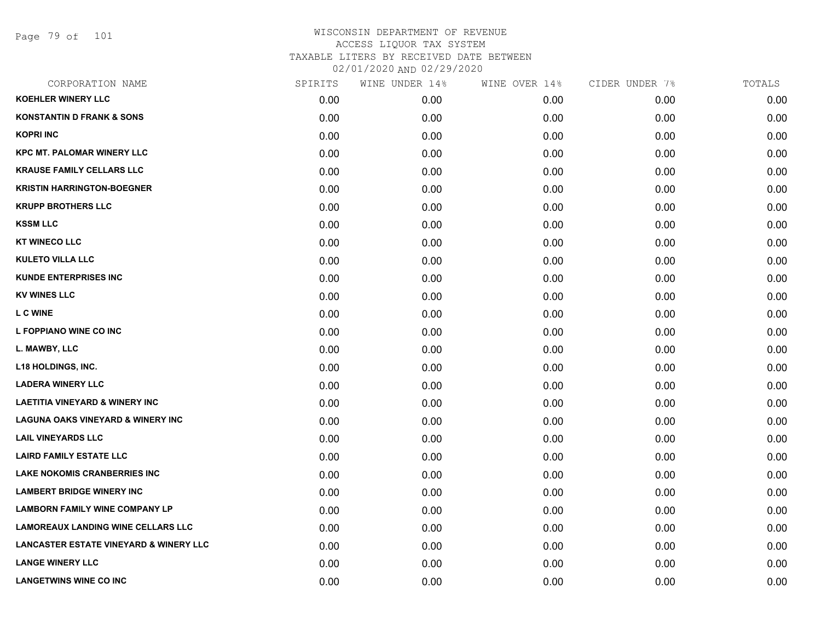Page 79 of 101

| <b>KOEHLER WINERY LLC</b><br>0.00<br>0.00<br>0.00<br>0.00<br><b>KONSTANTIN D FRANK &amp; SONS</b><br>0.00<br>0.00<br>0.00<br>0.00<br><b>KOPRI INC</b><br>0.00<br>0.00<br>0.00<br>0.00<br><b>KPC MT. PALOMAR WINERY LLC</b><br>0.00<br>0.00<br>0.00<br>0.00<br><b>KRAUSE FAMILY CELLARS LLC</b><br>0.00<br>0.00<br>0.00<br>0.00<br><b>KRISTIN HARRINGTON-BOEGNER</b><br>0.00<br>0.00<br>0.00<br>0.00<br><b>KRUPP BROTHERS LLC</b><br>0.00<br>0.00<br>0.00<br>0.00<br><b>KSSM LLC</b><br>0.00<br>0.00<br>0.00<br>0.00<br><b>KT WINECO LLC</b><br>0.00<br>0.00<br>0.00<br>0.00<br><b>KULETO VILLA LLC</b><br>0.00<br>0.00<br>0.00<br>0.00<br><b>KUNDE ENTERPRISES INC</b><br>0.00<br>0.00<br>0.00<br>0.00<br><b>KV WINES LLC</b><br>0.00<br>0.00<br>0.00<br>0.00<br><b>L C WINE</b><br>0.00<br>0.00<br>0.00<br>0.00<br>L FOPPIANO WINE CO INC<br>0.00<br>0.00<br>0.00<br>0.00<br>L. MAWBY, LLC<br>0.00<br>0.00<br>0.00<br>0.00<br><b>L18 HOLDINGS, INC.</b><br>0.00<br>0.00<br>0.00<br>0.00<br><b>LADERA WINERY LLC</b><br>0.00<br>0.00<br>0.00<br>0.00<br><b>LAETITIA VINEYARD &amp; WINERY INC</b><br>0.00<br>0.00<br>0.00<br>0.00<br><b>LAGUNA OAKS VINEYARD &amp; WINERY INC</b><br>0.00<br>0.00<br>0.00<br>0.00<br><b>LAIL VINEYARDS LLC</b><br>0.00<br>0.00<br>0.00<br>0.00<br><b>LAIRD FAMILY ESTATE LLC</b><br>0.00<br>0.00<br>0.00<br>0.00<br><b>LAKE NOKOMIS CRANBERRIES INC</b><br>0.00<br>0.00<br>0.00<br>0.00<br><b>LAMBERT BRIDGE WINERY INC</b><br>0.00<br>0.00<br>0.00<br>0.00<br><b>LAMBORN FAMILY WINE COMPANY LP</b><br>0.00<br>0.00<br>0.00<br>0.00<br><b>LAMOREAUX LANDING WINE CELLARS LLC</b><br>0.00<br>0.00<br>0.00<br>0.00<br><b>LANCASTER ESTATE VINEYARD &amp; WINERY LLC</b><br>0.00<br>0.00<br>0.00<br>0.00<br><b>LANGE WINERY LLC</b><br>0.00<br>0.00<br>0.00<br>0.00<br><b>LANGETWINS WINE CO INC</b><br>0.00<br>0.00<br>0.00<br>0.00 | CORPORATION NAME | SPIRITS | WINE UNDER 14% | WINE OVER 14% | CIDER UNDER 7% | TOTALS |
|--------------------------------------------------------------------------------------------------------------------------------------------------------------------------------------------------------------------------------------------------------------------------------------------------------------------------------------------------------------------------------------------------------------------------------------------------------------------------------------------------------------------------------------------------------------------------------------------------------------------------------------------------------------------------------------------------------------------------------------------------------------------------------------------------------------------------------------------------------------------------------------------------------------------------------------------------------------------------------------------------------------------------------------------------------------------------------------------------------------------------------------------------------------------------------------------------------------------------------------------------------------------------------------------------------------------------------------------------------------------------------------------------------------------------------------------------------------------------------------------------------------------------------------------------------------------------------------------------------------------------------------------------------------------------------------------------------------------------------------------------------------------------------------------------------------------------------------------------------------------|------------------|---------|----------------|---------------|----------------|--------|
|                                                                                                                                                                                                                                                                                                                                                                                                                                                                                                                                                                                                                                                                                                                                                                                                                                                                                                                                                                                                                                                                                                                                                                                                                                                                                                                                                                                                                                                                                                                                                                                                                                                                                                                                                                                                                                                                    |                  |         |                |               |                | 0.00   |
|                                                                                                                                                                                                                                                                                                                                                                                                                                                                                                                                                                                                                                                                                                                                                                                                                                                                                                                                                                                                                                                                                                                                                                                                                                                                                                                                                                                                                                                                                                                                                                                                                                                                                                                                                                                                                                                                    |                  |         |                |               |                | 0.00   |
|                                                                                                                                                                                                                                                                                                                                                                                                                                                                                                                                                                                                                                                                                                                                                                                                                                                                                                                                                                                                                                                                                                                                                                                                                                                                                                                                                                                                                                                                                                                                                                                                                                                                                                                                                                                                                                                                    |                  |         |                |               |                | 0.00   |
|                                                                                                                                                                                                                                                                                                                                                                                                                                                                                                                                                                                                                                                                                                                                                                                                                                                                                                                                                                                                                                                                                                                                                                                                                                                                                                                                                                                                                                                                                                                                                                                                                                                                                                                                                                                                                                                                    |                  |         |                |               |                | 0.00   |
|                                                                                                                                                                                                                                                                                                                                                                                                                                                                                                                                                                                                                                                                                                                                                                                                                                                                                                                                                                                                                                                                                                                                                                                                                                                                                                                                                                                                                                                                                                                                                                                                                                                                                                                                                                                                                                                                    |                  |         |                |               |                | 0.00   |
|                                                                                                                                                                                                                                                                                                                                                                                                                                                                                                                                                                                                                                                                                                                                                                                                                                                                                                                                                                                                                                                                                                                                                                                                                                                                                                                                                                                                                                                                                                                                                                                                                                                                                                                                                                                                                                                                    |                  |         |                |               |                | 0.00   |
|                                                                                                                                                                                                                                                                                                                                                                                                                                                                                                                                                                                                                                                                                                                                                                                                                                                                                                                                                                                                                                                                                                                                                                                                                                                                                                                                                                                                                                                                                                                                                                                                                                                                                                                                                                                                                                                                    |                  |         |                |               |                | 0.00   |
|                                                                                                                                                                                                                                                                                                                                                                                                                                                                                                                                                                                                                                                                                                                                                                                                                                                                                                                                                                                                                                                                                                                                                                                                                                                                                                                                                                                                                                                                                                                                                                                                                                                                                                                                                                                                                                                                    |                  |         |                |               |                | 0.00   |
|                                                                                                                                                                                                                                                                                                                                                                                                                                                                                                                                                                                                                                                                                                                                                                                                                                                                                                                                                                                                                                                                                                                                                                                                                                                                                                                                                                                                                                                                                                                                                                                                                                                                                                                                                                                                                                                                    |                  |         |                |               |                | 0.00   |
|                                                                                                                                                                                                                                                                                                                                                                                                                                                                                                                                                                                                                                                                                                                                                                                                                                                                                                                                                                                                                                                                                                                                                                                                                                                                                                                                                                                                                                                                                                                                                                                                                                                                                                                                                                                                                                                                    |                  |         |                |               |                | 0.00   |
|                                                                                                                                                                                                                                                                                                                                                                                                                                                                                                                                                                                                                                                                                                                                                                                                                                                                                                                                                                                                                                                                                                                                                                                                                                                                                                                                                                                                                                                                                                                                                                                                                                                                                                                                                                                                                                                                    |                  |         |                |               |                | 0.00   |
|                                                                                                                                                                                                                                                                                                                                                                                                                                                                                                                                                                                                                                                                                                                                                                                                                                                                                                                                                                                                                                                                                                                                                                                                                                                                                                                                                                                                                                                                                                                                                                                                                                                                                                                                                                                                                                                                    |                  |         |                |               |                | 0.00   |
|                                                                                                                                                                                                                                                                                                                                                                                                                                                                                                                                                                                                                                                                                                                                                                                                                                                                                                                                                                                                                                                                                                                                                                                                                                                                                                                                                                                                                                                                                                                                                                                                                                                                                                                                                                                                                                                                    |                  |         |                |               |                | 0.00   |
|                                                                                                                                                                                                                                                                                                                                                                                                                                                                                                                                                                                                                                                                                                                                                                                                                                                                                                                                                                                                                                                                                                                                                                                                                                                                                                                                                                                                                                                                                                                                                                                                                                                                                                                                                                                                                                                                    |                  |         |                |               |                | 0.00   |
|                                                                                                                                                                                                                                                                                                                                                                                                                                                                                                                                                                                                                                                                                                                                                                                                                                                                                                                                                                                                                                                                                                                                                                                                                                                                                                                                                                                                                                                                                                                                                                                                                                                                                                                                                                                                                                                                    |                  |         |                |               |                | 0.00   |
|                                                                                                                                                                                                                                                                                                                                                                                                                                                                                                                                                                                                                                                                                                                                                                                                                                                                                                                                                                                                                                                                                                                                                                                                                                                                                                                                                                                                                                                                                                                                                                                                                                                                                                                                                                                                                                                                    |                  |         |                |               |                | 0.00   |
|                                                                                                                                                                                                                                                                                                                                                                                                                                                                                                                                                                                                                                                                                                                                                                                                                                                                                                                                                                                                                                                                                                                                                                                                                                                                                                                                                                                                                                                                                                                                                                                                                                                                                                                                                                                                                                                                    |                  |         |                |               |                | 0.00   |
|                                                                                                                                                                                                                                                                                                                                                                                                                                                                                                                                                                                                                                                                                                                                                                                                                                                                                                                                                                                                                                                                                                                                                                                                                                                                                                                                                                                                                                                                                                                                                                                                                                                                                                                                                                                                                                                                    |                  |         |                |               |                | 0.00   |
|                                                                                                                                                                                                                                                                                                                                                                                                                                                                                                                                                                                                                                                                                                                                                                                                                                                                                                                                                                                                                                                                                                                                                                                                                                                                                                                                                                                                                                                                                                                                                                                                                                                                                                                                                                                                                                                                    |                  |         |                |               |                | 0.00   |
|                                                                                                                                                                                                                                                                                                                                                                                                                                                                                                                                                                                                                                                                                                                                                                                                                                                                                                                                                                                                                                                                                                                                                                                                                                                                                                                                                                                                                                                                                                                                                                                                                                                                                                                                                                                                                                                                    |                  |         |                |               |                | 0.00   |
|                                                                                                                                                                                                                                                                                                                                                                                                                                                                                                                                                                                                                                                                                                                                                                                                                                                                                                                                                                                                                                                                                                                                                                                                                                                                                                                                                                                                                                                                                                                                                                                                                                                                                                                                                                                                                                                                    |                  |         |                |               |                | 0.00   |
|                                                                                                                                                                                                                                                                                                                                                                                                                                                                                                                                                                                                                                                                                                                                                                                                                                                                                                                                                                                                                                                                                                                                                                                                                                                                                                                                                                                                                                                                                                                                                                                                                                                                                                                                                                                                                                                                    |                  |         |                |               |                | 0.00   |
|                                                                                                                                                                                                                                                                                                                                                                                                                                                                                                                                                                                                                                                                                                                                                                                                                                                                                                                                                                                                                                                                                                                                                                                                                                                                                                                                                                                                                                                                                                                                                                                                                                                                                                                                                                                                                                                                    |                  |         |                |               |                | 0.00   |
|                                                                                                                                                                                                                                                                                                                                                                                                                                                                                                                                                                                                                                                                                                                                                                                                                                                                                                                                                                                                                                                                                                                                                                                                                                                                                                                                                                                                                                                                                                                                                                                                                                                                                                                                                                                                                                                                    |                  |         |                |               |                | 0.00   |
|                                                                                                                                                                                                                                                                                                                                                                                                                                                                                                                                                                                                                                                                                                                                                                                                                                                                                                                                                                                                                                                                                                                                                                                                                                                                                                                                                                                                                                                                                                                                                                                                                                                                                                                                                                                                                                                                    |                  |         |                |               |                | 0.00   |
|                                                                                                                                                                                                                                                                                                                                                                                                                                                                                                                                                                                                                                                                                                                                                                                                                                                                                                                                                                                                                                                                                                                                                                                                                                                                                                                                                                                                                                                                                                                                                                                                                                                                                                                                                                                                                                                                    |                  |         |                |               |                | 0.00   |
|                                                                                                                                                                                                                                                                                                                                                                                                                                                                                                                                                                                                                                                                                                                                                                                                                                                                                                                                                                                                                                                                                                                                                                                                                                                                                                                                                                                                                                                                                                                                                                                                                                                                                                                                                                                                                                                                    |                  |         |                |               |                | 0.00   |
|                                                                                                                                                                                                                                                                                                                                                                                                                                                                                                                                                                                                                                                                                                                                                                                                                                                                                                                                                                                                                                                                                                                                                                                                                                                                                                                                                                                                                                                                                                                                                                                                                                                                                                                                                                                                                                                                    |                  |         |                |               |                | 0.00   |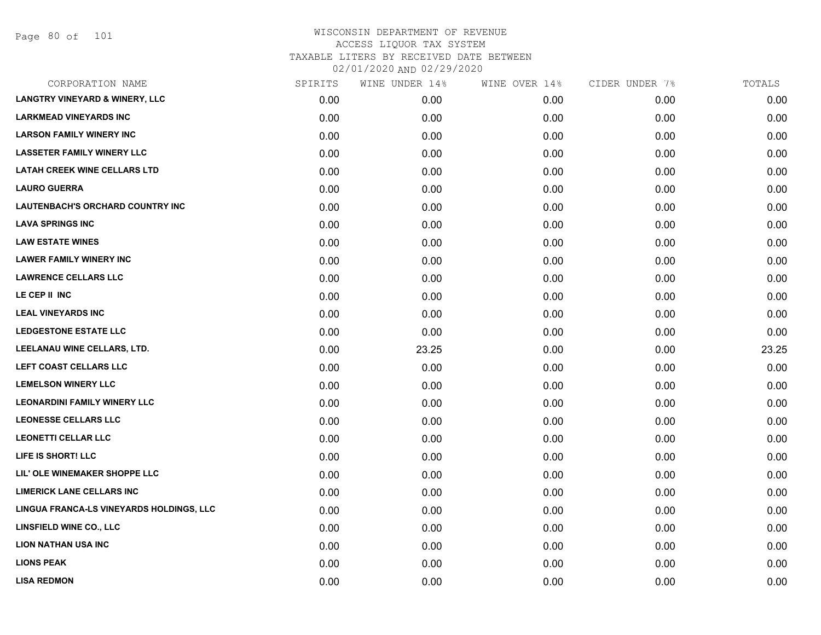Page 80 of 101

| CORPORATION NAME                          | SPIRITS | WINE UNDER 14% | WINE OVER 14% | CIDER UNDER 7% | TOTALS |
|-------------------------------------------|---------|----------------|---------------|----------------|--------|
| <b>LANGTRY VINEYARD &amp; WINERY, LLC</b> | 0.00    | 0.00           | 0.00          | 0.00           | 0.00   |
| <b>LARKMEAD VINEYARDS INC</b>             | 0.00    | 0.00           | 0.00          | 0.00           | 0.00   |
| <b>LARSON FAMILY WINERY INC</b>           | 0.00    | 0.00           | 0.00          | 0.00           | 0.00   |
| <b>LASSETER FAMILY WINERY LLC</b>         | 0.00    | 0.00           | 0.00          | 0.00           | 0.00   |
| <b>LATAH CREEK WINE CELLARS LTD</b>       | 0.00    | 0.00           | 0.00          | 0.00           | 0.00   |
| <b>LAURO GUERRA</b>                       | 0.00    | 0.00           | 0.00          | 0.00           | 0.00   |
| <b>LAUTENBACH'S ORCHARD COUNTRY INC</b>   | 0.00    | 0.00           | 0.00          | 0.00           | 0.00   |
| <b>LAVA SPRINGS INC</b>                   | 0.00    | 0.00           | 0.00          | 0.00           | 0.00   |
| <b>LAW ESTATE WINES</b>                   | 0.00    | 0.00           | 0.00          | 0.00           | 0.00   |
| <b>LAWER FAMILY WINERY INC</b>            | 0.00    | 0.00           | 0.00          | 0.00           | 0.00   |
| <b>LAWRENCE CELLARS LLC</b>               | 0.00    | 0.00           | 0.00          | 0.00           | 0.00   |
| LE CEP II INC                             | 0.00    | 0.00           | 0.00          | 0.00           | 0.00   |
| <b>LEAL VINEYARDS INC</b>                 | 0.00    | 0.00           | 0.00          | 0.00           | 0.00   |
| <b>LEDGESTONE ESTATE LLC</b>              | 0.00    | 0.00           | 0.00          | 0.00           | 0.00   |
| LEELANAU WINE CELLARS, LTD.               | 0.00    | 23.25          | 0.00          | 0.00           | 23.25  |
| LEFT COAST CELLARS LLC                    | 0.00    | 0.00           | 0.00          | 0.00           | 0.00   |
| <b>LEMELSON WINERY LLC</b>                | 0.00    | 0.00           | 0.00          | 0.00           | 0.00   |
| <b>LEONARDINI FAMILY WINERY LLC</b>       | 0.00    | 0.00           | 0.00          | 0.00           | 0.00   |
| <b>LEONESSE CELLARS LLC</b>               | 0.00    | 0.00           | 0.00          | 0.00           | 0.00   |
| <b>LEONETTI CELLAR LLC</b>                | 0.00    | 0.00           | 0.00          | 0.00           | 0.00   |
| LIFE IS SHORT! LLC                        | 0.00    | 0.00           | 0.00          | 0.00           | 0.00   |
| LIL' OLE WINEMAKER SHOPPE LLC             | 0.00    | 0.00           | 0.00          | 0.00           | 0.00   |
| <b>LIMERICK LANE CELLARS INC</b>          | 0.00    | 0.00           | 0.00          | 0.00           | 0.00   |
| LINGUA FRANCA-LS VINEYARDS HOLDINGS, LLC  | 0.00    | 0.00           | 0.00          | 0.00           | 0.00   |
| <b>LINSFIELD WINE CO., LLC</b>            | 0.00    | 0.00           | 0.00          | 0.00           | 0.00   |
| <b>LION NATHAN USA INC</b>                | 0.00    | 0.00           | 0.00          | 0.00           | 0.00   |
| <b>LIONS PEAK</b>                         | 0.00    | 0.00           | 0.00          | 0.00           | 0.00   |
| <b>LISA REDMON</b>                        | 0.00    | 0.00           | 0.00          | 0.00           | 0.00   |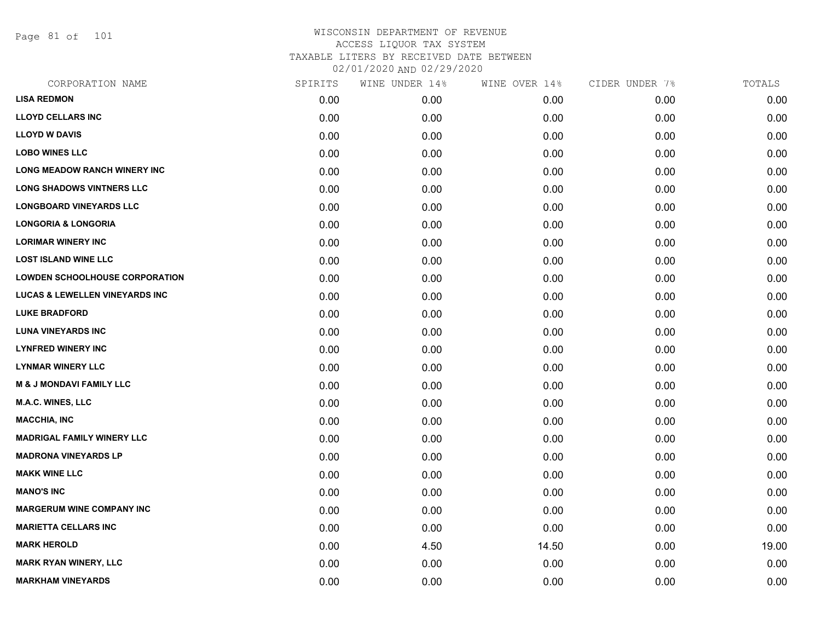Page 81 of 101

|      | WINE UNDER 14% | WINE OVER 14% | CIDER UNDER 7% | TOTALS |
|------|----------------|---------------|----------------|--------|
| 0.00 | 0.00           | 0.00          | 0.00           | 0.00   |
| 0.00 | 0.00           | 0.00          | 0.00           | 0.00   |
| 0.00 | 0.00           | 0.00          | 0.00           | 0.00   |
| 0.00 | 0.00           | 0.00          | 0.00           | 0.00   |
| 0.00 | 0.00           | 0.00          | 0.00           | 0.00   |
| 0.00 | 0.00           | 0.00          | 0.00           | 0.00   |
| 0.00 | 0.00           | 0.00          | 0.00           | 0.00   |
| 0.00 | 0.00           | 0.00          | 0.00           | 0.00   |
| 0.00 | 0.00           | 0.00          | 0.00           | 0.00   |
| 0.00 | 0.00           | 0.00          | 0.00           | 0.00   |
| 0.00 | 0.00           | 0.00          | 0.00           | 0.00   |
| 0.00 | 0.00           | 0.00          | 0.00           | 0.00   |
| 0.00 | 0.00           | 0.00          | 0.00           | 0.00   |
| 0.00 | 0.00           | 0.00          | 0.00           | 0.00   |
| 0.00 | 0.00           | 0.00          | 0.00           | 0.00   |
| 0.00 | 0.00           | 0.00          | 0.00           | 0.00   |
| 0.00 | 0.00           | 0.00          | 0.00           | 0.00   |
| 0.00 | 0.00           | 0.00          | 0.00           | 0.00   |
| 0.00 | 0.00           | 0.00          | 0.00           | 0.00   |
| 0.00 | 0.00           | 0.00          | 0.00           | 0.00   |
| 0.00 | 0.00           | 0.00          | 0.00           | 0.00   |
| 0.00 | 0.00           | 0.00          | 0.00           | 0.00   |
| 0.00 | 0.00           | 0.00          | 0.00           | 0.00   |
| 0.00 | 0.00           | 0.00          | 0.00           | 0.00   |
| 0.00 | 0.00           | 0.00          | 0.00           | 0.00   |
| 0.00 | 4.50           | 14.50         | 0.00           | 19.00  |
| 0.00 | 0.00           | 0.00          | 0.00           | 0.00   |
| 0.00 | 0.00           | 0.00          | 0.00           | 0.00   |
|      | SPIRITS        |               |                |        |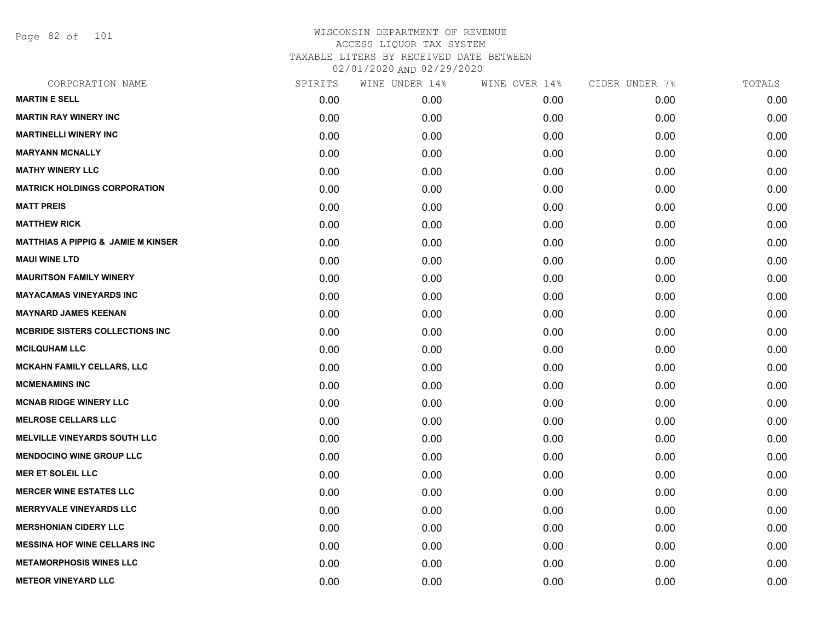Page 82 of 101

| SPIRITS | WINE UNDER 14% | WINE OVER 14% | CIDER UNDER 7% | TOTALS |
|---------|----------------|---------------|----------------|--------|
| 0.00    | 0.00           | 0.00          | 0.00           | 0.00   |
| 0.00    | 0.00           | 0.00          | 0.00           | 0.00   |
| 0.00    | 0.00           | 0.00          | 0.00           | 0.00   |
| 0.00    | 0.00           | 0.00          | 0.00           | 0.00   |
| 0.00    | 0.00           | 0.00          | 0.00           | 0.00   |
| 0.00    | 0.00           | 0.00          | 0.00           | 0.00   |
| 0.00    | 0.00           | 0.00          | 0.00           | 0.00   |
| 0.00    | 0.00           | 0.00          | 0.00           | 0.00   |
| 0.00    | 0.00           | 0.00          | 0.00           | 0.00   |
| 0.00    | 0.00           | 0.00          | 0.00           | 0.00   |
| 0.00    | 0.00           | 0.00          | 0.00           | 0.00   |
| 0.00    | 0.00           | 0.00          | 0.00           | 0.00   |
| 0.00    | 0.00           | 0.00          | 0.00           | 0.00   |
| 0.00    | 0.00           | 0.00          | 0.00           | 0.00   |
| 0.00    | 0.00           | 0.00          | 0.00           | 0.00   |
| 0.00    | 0.00           | 0.00          | 0.00           | 0.00   |
| 0.00    | 0.00           | 0.00          | 0.00           | 0.00   |
| 0.00    | 0.00           | 0.00          | 0.00           | 0.00   |
| 0.00    | 0.00           | 0.00          | 0.00           | 0.00   |
| 0.00    | 0.00           | 0.00          | 0.00           | 0.00   |
| 0.00    | 0.00           | 0.00          | 0.00           | 0.00   |
| 0.00    | 0.00           | 0.00          | 0.00           | 0.00   |
| 0.00    | 0.00           | 0.00          | 0.00           | 0.00   |
| 0.00    | 0.00           | 0.00          | 0.00           | 0.00   |
| 0.00    | 0.00           | 0.00          | 0.00           | 0.00   |
| 0.00    | 0.00           | 0.00          | 0.00           | 0.00   |
| 0.00    | 0.00           | 0.00          | 0.00           | 0.00   |
| 0.00    | 0.00           | 0.00          | 0.00           | 0.00   |
|         |                |               |                |        |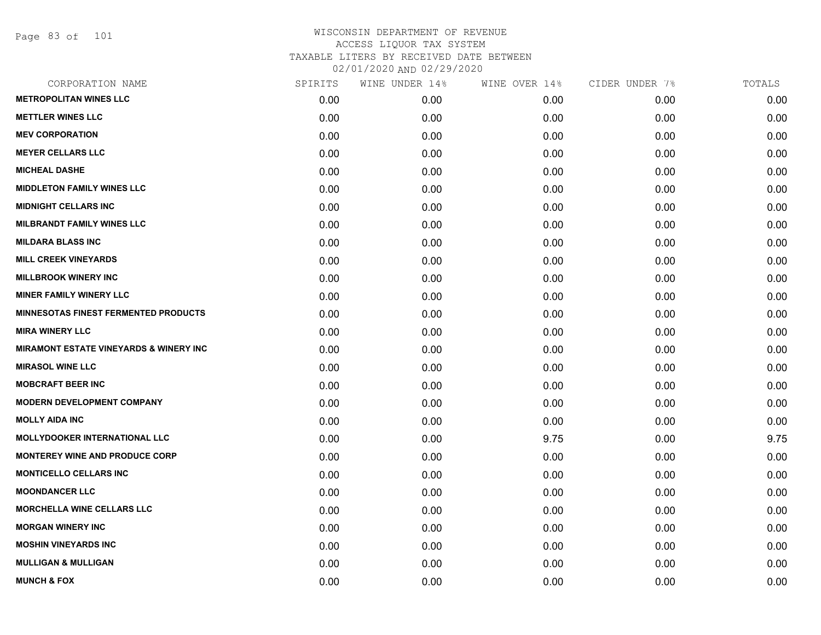Page 83 of 101

| CORPORATION NAME                                  | SPIRITS | WINE UNDER 14%    | WINE OVER 14% | CIDER UNDER 7% | TOTALS |
|---------------------------------------------------|---------|-------------------|---------------|----------------|--------|
| <b>METROPOLITAN WINES LLC</b>                     | 0.00    | 0.00 <sub>1</sub> | 0.00          | 0.00           | 0.00   |
| <b>METTLER WINES LLC</b>                          | 0.00    | 0.00              | 0.00          | 0.00           | 0.00   |
| <b>MEV CORPORATION</b>                            | 0.00    | 0.00              | 0.00          | 0.00           | 0.00   |
| <b>MEYER CELLARS LLC</b>                          | 0.00    | 0.00              | 0.00          | 0.00           | 0.00   |
| <b>MICHEAL DASHE</b>                              | 0.00    | 0.00              | 0.00          | 0.00           | 0.00   |
| <b>MIDDLETON FAMILY WINES LLC</b>                 | 0.00    | 0.00              | 0.00          | 0.00           | 0.00   |
| <b>MIDNIGHT CELLARS INC</b>                       | 0.00    | 0.00              | 0.00          | 0.00           | 0.00   |
| <b>MILBRANDT FAMILY WINES LLC</b>                 | 0.00    | 0.00              | 0.00          | 0.00           | 0.00   |
| <b>MILDARA BLASS INC</b>                          | 0.00    | 0.00              | 0.00          | 0.00           | 0.00   |
| <b>MILL CREEK VINEYARDS</b>                       | 0.00    | 0.00              | 0.00          | 0.00           | 0.00   |
| <b>MILLBROOK WINERY INC</b>                       | 0.00    | 0.00              | 0.00          | 0.00           | 0.00   |
| <b>MINER FAMILY WINERY LLC</b>                    | 0.00    | 0.00              | 0.00          | 0.00           | 0.00   |
| <b>MINNESOTAS FINEST FERMENTED PRODUCTS</b>       | 0.00    | 0.00              | 0.00          | 0.00           | 0.00   |
| <b>MIRA WINERY LLC</b>                            | 0.00    | 0.00              | 0.00          | 0.00           | 0.00   |
| <b>MIRAMONT ESTATE VINEYARDS &amp; WINERY INC</b> | 0.00    | 0.00              | 0.00          | 0.00           | 0.00   |
| <b>MIRASOL WINE LLC</b>                           | 0.00    | 0.00              | 0.00          | 0.00           | 0.00   |
| <b>MOBCRAFT BEER INC</b>                          | 0.00    | 0.00              | 0.00          | 0.00           | 0.00   |
| <b>MODERN DEVELOPMENT COMPANY</b>                 | 0.00    | 0.00              | 0.00          | 0.00           | 0.00   |
| <b>MOLLY AIDA INC</b>                             | 0.00    | 0.00              | 0.00          | 0.00           | 0.00   |
| <b>MOLLYDOOKER INTERNATIONAL LLC</b>              | 0.00    | 0.00              | 9.75          | 0.00           | 9.75   |
| <b>MONTEREY WINE AND PRODUCE CORP</b>             | 0.00    | 0.00              | 0.00          | 0.00           | 0.00   |
| <b>MONTICELLO CELLARS INC</b>                     | 0.00    | 0.00              | 0.00          | 0.00           | 0.00   |
| <b>MOONDANCER LLC</b>                             | 0.00    | 0.00              | 0.00          | 0.00           | 0.00   |
| <b>MORCHELLA WINE CELLARS LLC</b>                 | 0.00    | 0.00              | 0.00          | 0.00           | 0.00   |
| <b>MORGAN WINERY INC</b>                          | 0.00    | 0.00              | 0.00          | 0.00           | 0.00   |
| <b>MOSHIN VINEYARDS INC</b>                       | 0.00    | 0.00              | 0.00          | 0.00           | 0.00   |
| <b>MULLIGAN &amp; MULLIGAN</b>                    | 0.00    | 0.00              | 0.00          | 0.00           | 0.00   |
| <b>MUNCH &amp; FOX</b>                            | 0.00    | 0.00              | 0.00          | 0.00           | 0.00   |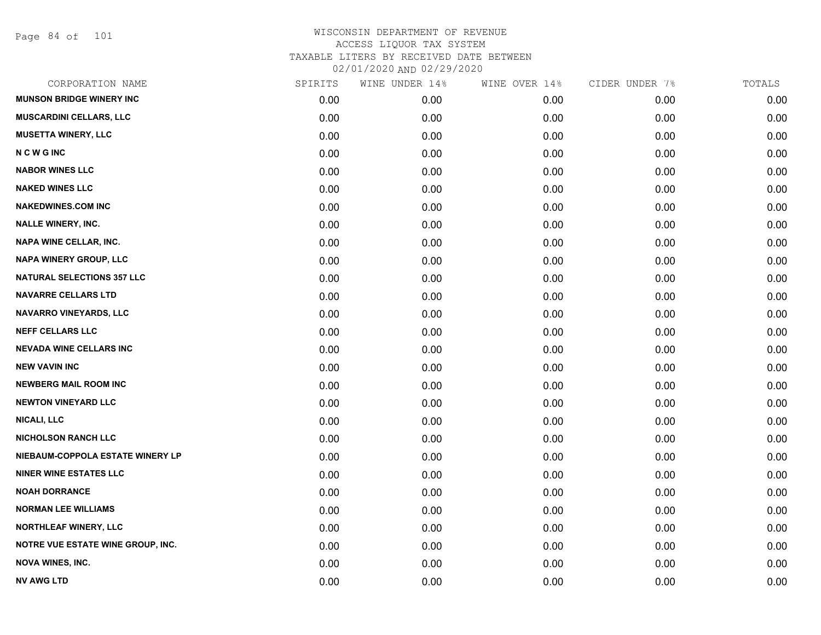Page 84 of 101

| CORPORATION NAME                  | SPIRITS | WINE UNDER 14% | WINE OVER 14% | CIDER UNDER 7% | TOTALS |
|-----------------------------------|---------|----------------|---------------|----------------|--------|
| <b>MUNSON BRIDGE WINERY INC</b>   | 0.00    | 0.00           | 0.00          | 0.00           | 0.00   |
| <b>MUSCARDINI CELLARS, LLC</b>    | 0.00    | 0.00           | 0.00          | 0.00           | 0.00   |
| <b>MUSETTA WINERY, LLC</b>        | 0.00    | 0.00           | 0.00          | 0.00           | 0.00   |
| <b>NCWGINC</b>                    | 0.00    | 0.00           | 0.00          | 0.00           | 0.00   |
| <b>NABOR WINES LLC</b>            | 0.00    | 0.00           | 0.00          | 0.00           | 0.00   |
| <b>NAKED WINES LLC</b>            | 0.00    | 0.00           | 0.00          | 0.00           | 0.00   |
| <b>NAKEDWINES.COM INC</b>         | 0.00    | 0.00           | 0.00          | 0.00           | 0.00   |
| <b>NALLE WINERY, INC.</b>         | 0.00    | 0.00           | 0.00          | 0.00           | 0.00   |
| NAPA WINE CELLAR, INC.            | 0.00    | 0.00           | 0.00          | 0.00           | 0.00   |
| <b>NAPA WINERY GROUP, LLC</b>     | 0.00    | 0.00           | 0.00          | 0.00           | 0.00   |
| <b>NATURAL SELECTIONS 357 LLC</b> | 0.00    | 0.00           | 0.00          | 0.00           | 0.00   |
| <b>NAVARRE CELLARS LTD</b>        | 0.00    | 0.00           | 0.00          | 0.00           | 0.00   |
| NAVARRO VINEYARDS, LLC            | 0.00    | 0.00           | 0.00          | 0.00           | 0.00   |
| <b>NEFF CELLARS LLC</b>           | 0.00    | 0.00           | 0.00          | 0.00           | 0.00   |
| <b>NEVADA WINE CELLARS INC</b>    | 0.00    | 0.00           | 0.00          | 0.00           | 0.00   |
| <b>NEW VAVIN INC</b>              | 0.00    | 0.00           | 0.00          | 0.00           | 0.00   |
| <b>NEWBERG MAIL ROOM INC</b>      | 0.00    | 0.00           | 0.00          | 0.00           | 0.00   |
| <b>NEWTON VINEYARD LLC</b>        | 0.00    | 0.00           | 0.00          | 0.00           | 0.00   |
| <b>NICALI, LLC</b>                | 0.00    | 0.00           | 0.00          | 0.00           | 0.00   |
| <b>NICHOLSON RANCH LLC</b>        | 0.00    | 0.00           | 0.00          | 0.00           | 0.00   |
| NIEBAUM-COPPOLA ESTATE WINERY LP  | 0.00    | 0.00           | 0.00          | 0.00           | 0.00   |
| <b>NINER WINE ESTATES LLC</b>     | 0.00    | 0.00           | 0.00          | 0.00           | 0.00   |
| <b>NOAH DORRANCE</b>              | 0.00    | 0.00           | 0.00          | 0.00           | 0.00   |
| <b>NORMAN LEE WILLIAMS</b>        | 0.00    | 0.00           | 0.00          | 0.00           | 0.00   |
| <b>NORTHLEAF WINERY, LLC</b>      | 0.00    | 0.00           | 0.00          | 0.00           | 0.00   |
| NOTRE VUE ESTATE WINE GROUP, INC. | 0.00    | 0.00           | 0.00          | 0.00           | 0.00   |
| <b>NOVA WINES, INC.</b>           | 0.00    | 0.00           | 0.00          | 0.00           | 0.00   |
| NV AWG LTD                        | 0.00    | 0.00           | 0.00          | 0.00           | 0.00   |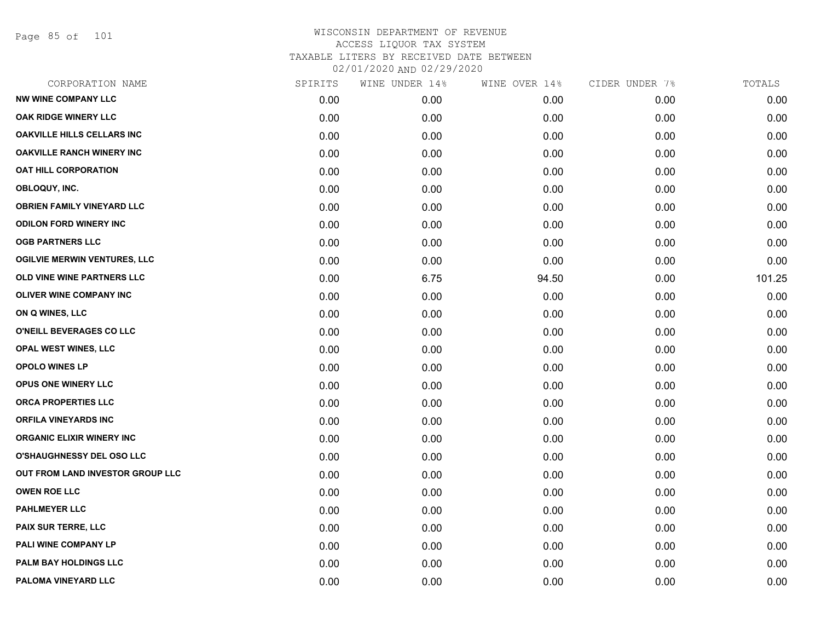Page 85 of 101

|      | WINE UNDER 14% |       | CIDER UNDER 7% | TOTALS |
|------|----------------|-------|----------------|--------|
| 0.00 | 0.00           | 0.00  | 0.00           | 0.00   |
| 0.00 | 0.00           | 0.00  | 0.00           | 0.00   |
| 0.00 | 0.00           | 0.00  | 0.00           | 0.00   |
| 0.00 | 0.00           | 0.00  | 0.00           | 0.00   |
| 0.00 | 0.00           | 0.00  | 0.00           | 0.00   |
| 0.00 | 0.00           | 0.00  | 0.00           | 0.00   |
| 0.00 | 0.00           | 0.00  | 0.00           | 0.00   |
| 0.00 | 0.00           | 0.00  | 0.00           | 0.00   |
| 0.00 | 0.00           | 0.00  | 0.00           | 0.00   |
| 0.00 | 0.00           | 0.00  | 0.00           | 0.00   |
| 0.00 | 6.75           | 94.50 | 0.00           | 101.25 |
| 0.00 | 0.00           | 0.00  | 0.00           | 0.00   |
| 0.00 | 0.00           | 0.00  | 0.00           | 0.00   |
| 0.00 | 0.00           | 0.00  | 0.00           | 0.00   |
| 0.00 | 0.00           | 0.00  | 0.00           | 0.00   |
| 0.00 | 0.00           | 0.00  | 0.00           | 0.00   |
| 0.00 | 0.00           | 0.00  | 0.00           | 0.00   |
| 0.00 | 0.00           | 0.00  | 0.00           | 0.00   |
| 0.00 | 0.00           | 0.00  | 0.00           | 0.00   |
| 0.00 | 0.00           | 0.00  | 0.00           | 0.00   |
| 0.00 | 0.00           | 0.00  | 0.00           | 0.00   |
| 0.00 | 0.00           | 0.00  | 0.00           | 0.00   |
| 0.00 | 0.00           | 0.00  | 0.00           | 0.00   |
| 0.00 | 0.00           | 0.00  | 0.00           | 0.00   |
| 0.00 | 0.00           | 0.00  | 0.00           | 0.00   |
| 0.00 | 0.00           | 0.00  | 0.00           | 0.00   |
| 0.00 | 0.00           | 0.00  | 0.00           | 0.00   |
| 0.00 | 0.00           | 0.00  | 0.00           | 0.00   |
|      | SPIRITS        |       | WINE OVER 14%  |        |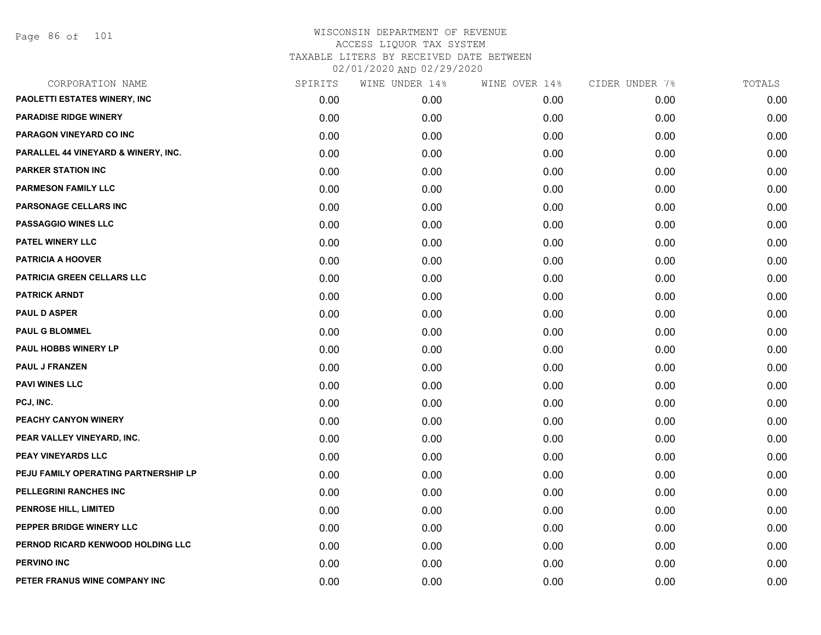Page 86 of 101

| CORPORATION NAME                     | SPIRITS | WINE UNDER 14% | WINE OVER 14% | CIDER UNDER 7% | TOTALS |
|--------------------------------------|---------|----------------|---------------|----------------|--------|
| PAOLETTI ESTATES WINERY, INC         | 0.00    | 0.00           | 0.00          | 0.00           | 0.00   |
| <b>PARADISE RIDGE WINERY</b>         | 0.00    | 0.00           | 0.00          | 0.00           | 0.00   |
| PARAGON VINEYARD CO INC              | 0.00    | 0.00           | 0.00          | 0.00           | 0.00   |
| PARALLEL 44 VINEYARD & WINERY, INC.  | 0.00    | 0.00           | 0.00          | 0.00           | 0.00   |
| <b>PARKER STATION INC</b>            | 0.00    | 0.00           | 0.00          | 0.00           | 0.00   |
| <b>PARMESON FAMILY LLC</b>           | 0.00    | 0.00           | 0.00          | 0.00           | 0.00   |
| PARSONAGE CELLARS INC                | 0.00    | 0.00           | 0.00          | 0.00           | 0.00   |
| <b>PASSAGGIO WINES LLC</b>           | 0.00    | 0.00           | 0.00          | 0.00           | 0.00   |
| PATEL WINERY LLC                     | 0.00    | 0.00           | 0.00          | 0.00           | 0.00   |
| <b>PATRICIA A HOOVER</b>             | 0.00    | 0.00           | 0.00          | 0.00           | 0.00   |
| PATRICIA GREEN CELLARS LLC           | 0.00    | 0.00           | 0.00          | 0.00           | 0.00   |
| <b>PATRICK ARNDT</b>                 | 0.00    | 0.00           | 0.00          | 0.00           | 0.00   |
| <b>PAUL D ASPER</b>                  | 0.00    | 0.00           | 0.00          | 0.00           | 0.00   |
| <b>PAUL G BLOMMEL</b>                | 0.00    | 0.00           | 0.00          | 0.00           | 0.00   |
| PAUL HOBBS WINERY LP                 | 0.00    | 0.00           | 0.00          | 0.00           | 0.00   |
| <b>PAUL J FRANZEN</b>                | 0.00    | 0.00           | 0.00          | 0.00           | 0.00   |
| <b>PAVI WINES LLC</b>                | 0.00    | 0.00           | 0.00          | 0.00           | 0.00   |
| PCJ, INC.                            | 0.00    | 0.00           | 0.00          | 0.00           | 0.00   |
| PEACHY CANYON WINERY                 | 0.00    | 0.00           | 0.00          | 0.00           | 0.00   |
| PEAR VALLEY VINEYARD, INC.           | 0.00    | 0.00           | 0.00          | 0.00           | 0.00   |
| <b>PEAY VINEYARDS LLC</b>            | 0.00    | 0.00           | 0.00          | 0.00           | 0.00   |
| PEJU FAMILY OPERATING PARTNERSHIP LP | 0.00    | 0.00           | 0.00          | 0.00           | 0.00   |
| PELLEGRINI RANCHES INC               | 0.00    | 0.00           | 0.00          | 0.00           | 0.00   |
| <b>PENROSE HILL, LIMITED</b>         | 0.00    | 0.00           | 0.00          | 0.00           | 0.00   |
| PEPPER BRIDGE WINERY LLC             | 0.00    | 0.00           | 0.00          | 0.00           | 0.00   |
| PERNOD RICARD KENWOOD HOLDING LLC    | 0.00    | 0.00           | 0.00          | 0.00           | 0.00   |
| <b>PERVINO INC</b>                   | 0.00    | 0.00           | 0.00          | 0.00           | 0.00   |
| PETER FRANUS WINE COMPANY INC        | 0.00    | 0.00           | 0.00          | 0.00           | 0.00   |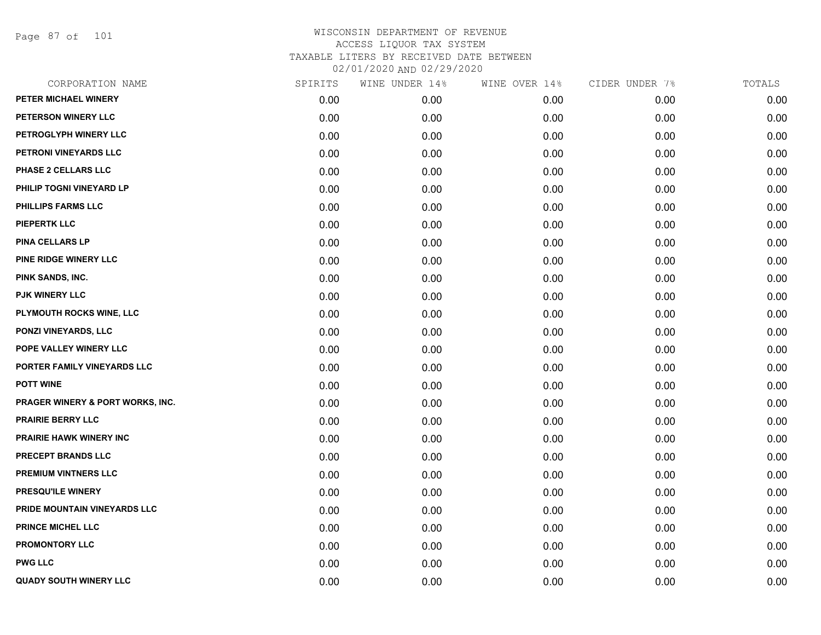Page 87 of 101

| CORPORATION NAME                 | SPIRITS | WINE UNDER 14% | WINE OVER 14% | CIDER UNDER 7% | TOTALS |
|----------------------------------|---------|----------------|---------------|----------------|--------|
| PETER MICHAEL WINERY             | 0.00    | 0.00           | 0.00          | 0.00           | 0.00   |
| PETERSON WINERY LLC              | 0.00    | 0.00           | 0.00          | 0.00           | 0.00   |
| PETROGLYPH WINERY LLC            | 0.00    | 0.00           | 0.00          | 0.00           | 0.00   |
| PETRONI VINEYARDS LLC            | 0.00    | 0.00           | 0.00          | 0.00           | 0.00   |
| PHASE 2 CELLARS LLC              | 0.00    | 0.00           | 0.00          | 0.00           | 0.00   |
| PHILIP TOGNI VINEYARD LP         | 0.00    | 0.00           | 0.00          | 0.00           | 0.00   |
| PHILLIPS FARMS LLC               | 0.00    | 0.00           | 0.00          | 0.00           | 0.00   |
| <b>PIEPERTK LLC</b>              | 0.00    | 0.00           | 0.00          | 0.00           | 0.00   |
| <b>PINA CELLARS LP</b>           | 0.00    | 0.00           | 0.00          | 0.00           | 0.00   |
| PINE RIDGE WINERY LLC            | 0.00    | 0.00           | 0.00          | 0.00           | 0.00   |
| PINK SANDS, INC.                 | 0.00    | 0.00           | 0.00          | 0.00           | 0.00   |
| <b>PJK WINERY LLC</b>            | 0.00    | 0.00           | 0.00          | 0.00           | 0.00   |
| PLYMOUTH ROCKS WINE, LLC         | 0.00    | 0.00           | 0.00          | 0.00           | 0.00   |
| <b>PONZI VINEYARDS, LLC</b>      | 0.00    | 0.00           | 0.00          | 0.00           | 0.00   |
| POPE VALLEY WINERY LLC           | 0.00    | 0.00           | 0.00          | 0.00           | 0.00   |
| PORTER FAMILY VINEYARDS LLC      | 0.00    | 0.00           | 0.00          | 0.00           | 0.00   |
| <b>POTT WINE</b>                 | 0.00    | 0.00           | 0.00          | 0.00           | 0.00   |
| PRAGER WINERY & PORT WORKS, INC. | 0.00    | 0.00           | 0.00          | 0.00           | 0.00   |
| <b>PRAIRIE BERRY LLC</b>         | 0.00    | 0.00           | 0.00          | 0.00           | 0.00   |
| <b>PRAIRIE HAWK WINERY INC</b>   | 0.00    | 0.00           | 0.00          | 0.00           | 0.00   |
| <b>PRECEPT BRANDS LLC</b>        | 0.00    | 0.00           | 0.00          | 0.00           | 0.00   |
| <b>PREMIUM VINTNERS LLC</b>      | 0.00    | 0.00           | 0.00          | 0.00           | 0.00   |
| PRESQU'ILE WINERY                | 0.00    | 0.00           | 0.00          | 0.00           | 0.00   |
| PRIDE MOUNTAIN VINEYARDS LLC     | 0.00    | 0.00           | 0.00          | 0.00           | 0.00   |
| <b>PRINCE MICHEL LLC</b>         | 0.00    | 0.00           | 0.00          | 0.00           | 0.00   |
| PROMONTORY LLC                   | 0.00    | 0.00           | 0.00          | 0.00           | 0.00   |
| <b>PWG LLC</b>                   | 0.00    | 0.00           | 0.00          | 0.00           | 0.00   |
| <b>QUADY SOUTH WINERY LLC</b>    | 0.00    | 0.00           | 0.00          | 0.00           | 0.00   |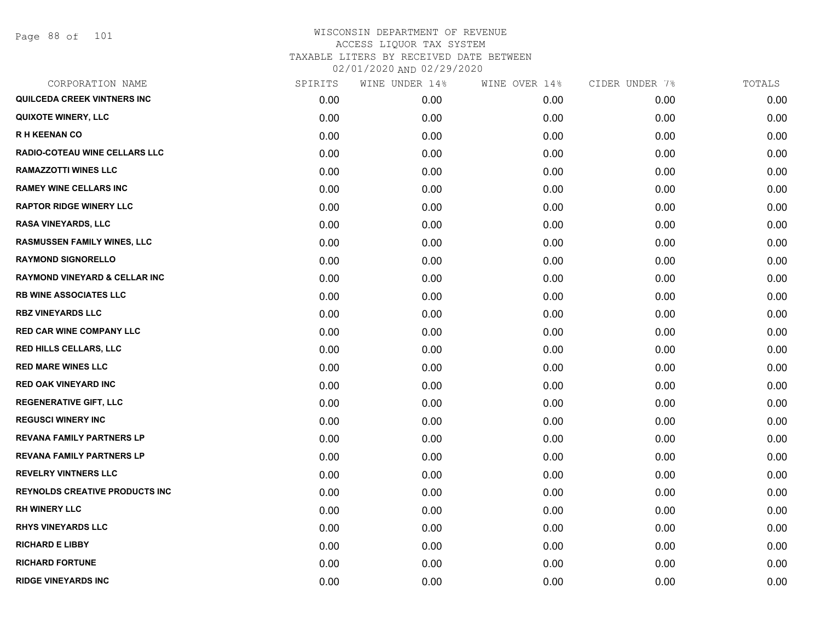Page 88 of 101

|      | WINE UNDER 14% |      | CIDER UNDER 7% | TOTALS |
|------|----------------|------|----------------|--------|
| 0.00 | 0.00           | 0.00 | 0.00           | 0.00   |
| 0.00 | 0.00           | 0.00 | 0.00           | 0.00   |
| 0.00 | 0.00           | 0.00 | 0.00           | 0.00   |
| 0.00 | 0.00           | 0.00 | 0.00           | 0.00   |
| 0.00 | 0.00           | 0.00 | 0.00           | 0.00   |
| 0.00 | 0.00           | 0.00 | 0.00           | 0.00   |
| 0.00 | 0.00           | 0.00 | 0.00           | 0.00   |
| 0.00 | 0.00           | 0.00 | 0.00           | 0.00   |
| 0.00 | 0.00           | 0.00 | 0.00           | 0.00   |
| 0.00 | 0.00           | 0.00 | 0.00           | 0.00   |
| 0.00 | 0.00           | 0.00 | 0.00           | 0.00   |
| 0.00 | 0.00           | 0.00 | 0.00           | 0.00   |
| 0.00 | 0.00           | 0.00 | 0.00           | 0.00   |
| 0.00 | 0.00           | 0.00 | 0.00           | 0.00   |
| 0.00 | 0.00           | 0.00 | 0.00           | 0.00   |
| 0.00 | 0.00           | 0.00 | 0.00           | 0.00   |
| 0.00 | 0.00           | 0.00 | 0.00           | 0.00   |
| 0.00 | 0.00           | 0.00 | 0.00           | 0.00   |
| 0.00 | 0.00           | 0.00 | 0.00           | 0.00   |
| 0.00 | 0.00           | 0.00 | 0.00           | 0.00   |
| 0.00 | 0.00           | 0.00 | 0.00           | 0.00   |
| 0.00 | 0.00           | 0.00 | 0.00           | 0.00   |
| 0.00 | 0.00           | 0.00 | 0.00           | 0.00   |
| 0.00 | 0.00           | 0.00 | 0.00           | 0.00   |
| 0.00 | 0.00           | 0.00 | 0.00           | 0.00   |
| 0.00 | 0.00           | 0.00 | 0.00           | 0.00   |
| 0.00 | 0.00           | 0.00 | 0.00           | 0.00   |
| 0.00 | 0.00           | 0.00 | 0.00           | 0.00   |
|      | SPIRITS        |      | WINE OVER 14%  |        |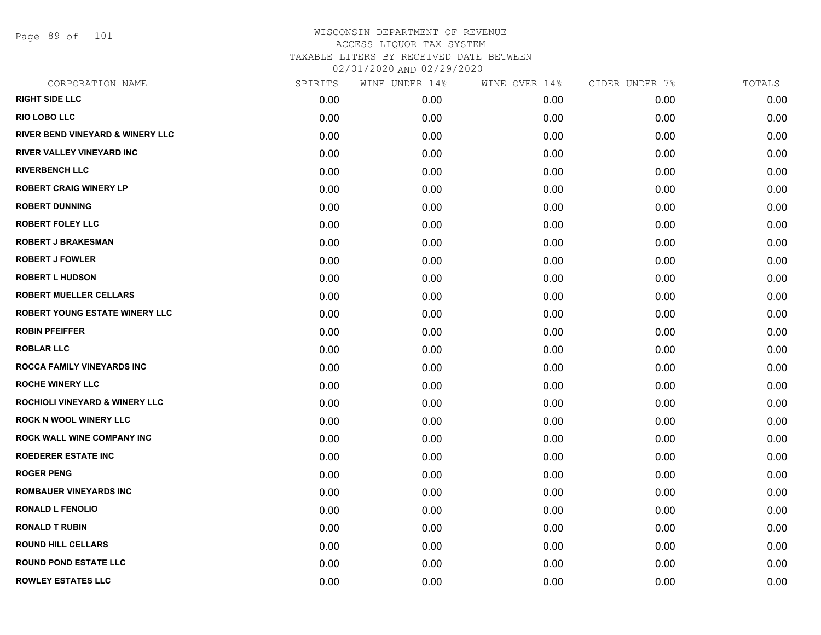Page 89 of 101

| CORPORATION NAME                          | SPIRITS | WINE UNDER 14% | WINE OVER 14% | CIDER UNDER 7% | TOTALS |
|-------------------------------------------|---------|----------------|---------------|----------------|--------|
| <b>RIGHT SIDE LLC</b>                     | 0.00    | 0.00           | 0.00          | 0.00           | 0.00   |
| <b>RIO LOBO LLC</b>                       | 0.00    | 0.00           | 0.00          | 0.00           | 0.00   |
| RIVER BEND VINEYARD & WINERY LLC          | 0.00    | 0.00           | 0.00          | 0.00           | 0.00   |
| <b>RIVER VALLEY VINEYARD INC</b>          | 0.00    | 0.00           | 0.00          | 0.00           | 0.00   |
| <b>RIVERBENCH LLC</b>                     | 0.00    | 0.00           | 0.00          | 0.00           | 0.00   |
| <b>ROBERT CRAIG WINERY LP</b>             | 0.00    | 0.00           | 0.00          | 0.00           | 0.00   |
| <b>ROBERT DUNNING</b>                     | 0.00    | 0.00           | 0.00          | 0.00           | 0.00   |
| <b>ROBERT FOLEY LLC</b>                   | 0.00    | 0.00           | 0.00          | 0.00           | 0.00   |
| <b>ROBERT J BRAKESMAN</b>                 | 0.00    | 0.00           | 0.00          | 0.00           | 0.00   |
| <b>ROBERT J FOWLER</b>                    | 0.00    | 0.00           | 0.00          | 0.00           | 0.00   |
| <b>ROBERT L HUDSON</b>                    | 0.00    | 0.00           | 0.00          | 0.00           | 0.00   |
| <b>ROBERT MUELLER CELLARS</b>             | 0.00    | 0.00           | 0.00          | 0.00           | 0.00   |
| <b>ROBERT YOUNG ESTATE WINERY LLC</b>     | 0.00    | 0.00           | 0.00          | 0.00           | 0.00   |
| <b>ROBIN PFEIFFER</b>                     | 0.00    | 0.00           | 0.00          | 0.00           | 0.00   |
| <b>ROBLAR LLC</b>                         | 0.00    | 0.00           | 0.00          | 0.00           | 0.00   |
| <b>ROCCA FAMILY VINEYARDS INC</b>         | 0.00    | 0.00           | 0.00          | 0.00           | 0.00   |
| <b>ROCHE WINERY LLC</b>                   | 0.00    | 0.00           | 0.00          | 0.00           | 0.00   |
| <b>ROCHIOLI VINEYARD &amp; WINERY LLC</b> | 0.00    | 0.00           | 0.00          | 0.00           | 0.00   |
| <b>ROCK N WOOL WINERY LLC</b>             | 0.00    | 0.00           | 0.00          | 0.00           | 0.00   |
| <b>ROCK WALL WINE COMPANY INC</b>         | 0.00    | 0.00           | 0.00          | 0.00           | 0.00   |
| <b>ROEDERER ESTATE INC</b>                | 0.00    | 0.00           | 0.00          | 0.00           | 0.00   |
| <b>ROGER PENG</b>                         | 0.00    | 0.00           | 0.00          | 0.00           | 0.00   |
| <b>ROMBAUER VINEYARDS INC</b>             | 0.00    | 0.00           | 0.00          | 0.00           | 0.00   |
| <b>RONALD L FENOLIO</b>                   | 0.00    | 0.00           | 0.00          | 0.00           | 0.00   |
| <b>RONALD T RUBIN</b>                     | 0.00    | 0.00           | 0.00          | 0.00           | 0.00   |
| <b>ROUND HILL CELLARS</b>                 | 0.00    | 0.00           | 0.00          | 0.00           | 0.00   |
| <b>ROUND POND ESTATE LLC</b>              | 0.00    | 0.00           | 0.00          | 0.00           | 0.00   |
| <b>ROWLEY ESTATES LLC</b>                 | 0.00    | 0.00           | 0.00          | 0.00           | 0.00   |
|                                           |         |                |               |                |        |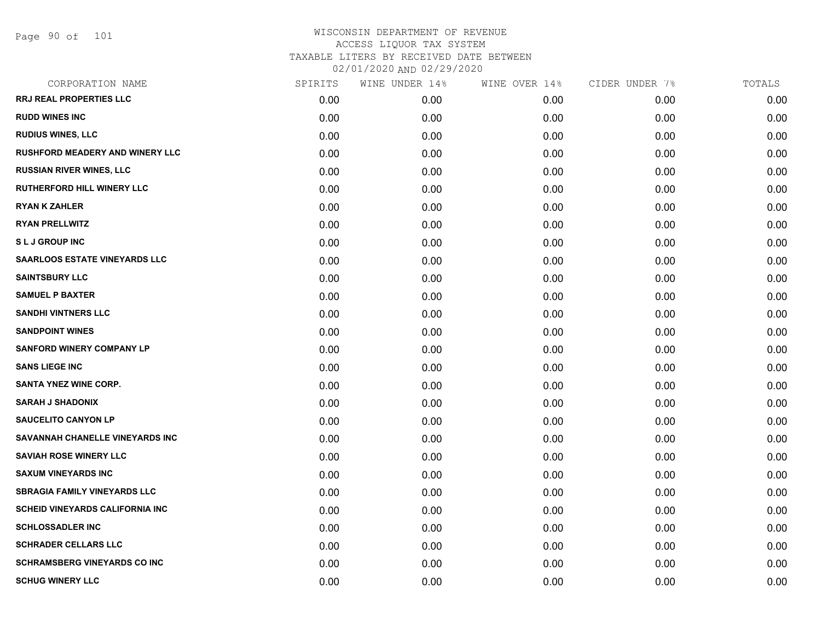| CORPORATION NAME                       | SPIRITS | WINE UNDER 14% | WINE OVER 14% | CIDER UNDER 7% | TOTALS |
|----------------------------------------|---------|----------------|---------------|----------------|--------|
| RRJ REAL PROPERTIES LLC                | 0.00    | 0.00           | 0.00          | 0.00           | 0.00   |
| <b>RUDD WINES INC</b>                  | 0.00    | 0.00           | 0.00          | 0.00           | 0.00   |
| <b>RUDIUS WINES, LLC</b>               | 0.00    | 0.00           | 0.00          | 0.00           | 0.00   |
| <b>RUSHFORD MEADERY AND WINERY LLC</b> | 0.00    | 0.00           | 0.00          | 0.00           | 0.00   |
| <b>RUSSIAN RIVER WINES, LLC</b>        | 0.00    | 0.00           | 0.00          | 0.00           | 0.00   |
| RUTHERFORD HILL WINERY LLC             | 0.00    | 0.00           | 0.00          | 0.00           | 0.00   |
| <b>RYAN K ZAHLER</b>                   | 0.00    | 0.00           | 0.00          | 0.00           | 0.00   |
| <b>RYAN PRELLWITZ</b>                  | 0.00    | 0.00           | 0.00          | 0.00           | 0.00   |
| <b>SLJ GROUP INC</b>                   | 0.00    | 0.00           | 0.00          | 0.00           | 0.00   |
| <b>SAARLOOS ESTATE VINEYARDS LLC</b>   | 0.00    | 0.00           | 0.00          | 0.00           | 0.00   |
| <b>SAINTSBURY LLC</b>                  | 0.00    | 0.00           | 0.00          | 0.00           | 0.00   |
| <b>SAMUEL P BAXTER</b>                 | 0.00    | 0.00           | 0.00          | 0.00           | 0.00   |
| <b>SANDHI VINTNERS LLC</b>             | 0.00    | 0.00           | 0.00          | 0.00           | 0.00   |
| <b>SANDPOINT WINES</b>                 | 0.00    | 0.00           | 0.00          | 0.00           | 0.00   |
| <b>SANFORD WINERY COMPANY LP</b>       | 0.00    | 0.00           | 0.00          | 0.00           | 0.00   |
| <b>SANS LIEGE INC</b>                  | 0.00    | 0.00           | 0.00          | 0.00           | 0.00   |
| <b>SANTA YNEZ WINE CORP.</b>           | 0.00    | 0.00           | 0.00          | 0.00           | 0.00   |
| <b>SARAH J SHADONIX</b>                | 0.00    | 0.00           | 0.00          | 0.00           | 0.00   |
| <b>SAUCELITO CANYON LP</b>             | 0.00    | 0.00           | 0.00          | 0.00           | 0.00   |
| SAVANNAH CHANELLE VINEYARDS INC        | 0.00    | 0.00           | 0.00          | 0.00           | 0.00   |
| <b>SAVIAH ROSE WINERY LLC</b>          | 0.00    | 0.00           | 0.00          | 0.00           | 0.00   |
| <b>SAXUM VINEYARDS INC</b>             | 0.00    | 0.00           | 0.00          | 0.00           | 0.00   |
| <b>SBRAGIA FAMILY VINEYARDS LLC</b>    | 0.00    | 0.00           | 0.00          | 0.00           | 0.00   |
| <b>SCHEID VINEYARDS CALIFORNIA INC</b> | 0.00    | 0.00           | 0.00          | 0.00           | 0.00   |
| <b>SCHLOSSADLER INC</b>                | 0.00    | 0.00           | 0.00          | 0.00           | 0.00   |
| <b>SCHRADER CELLARS LLC</b>            | 0.00    | 0.00           | 0.00          | 0.00           | 0.00   |
| <b>SCHRAMSBERG VINEYARDS CO INC</b>    | 0.00    | 0.00           | 0.00          | 0.00           | 0.00   |
| <b>SCHUG WINERY LLC</b>                | 0.00    | 0.00           | 0.00          | 0.00           | 0.00   |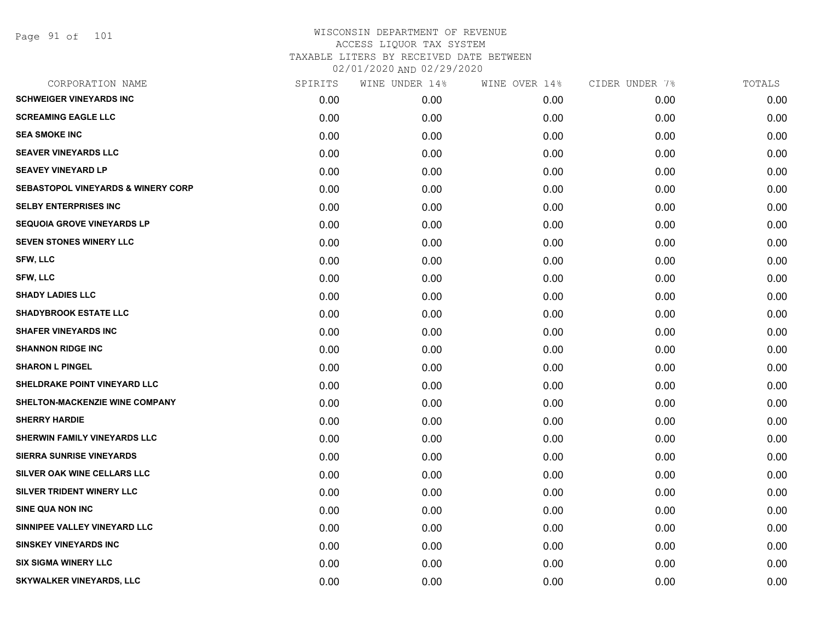| CORPORATION NAME                              | SPIRITS | WINE UNDER 14% | WINE OVER 14% | CIDER UNDER 7% | TOTALS |
|-----------------------------------------------|---------|----------------|---------------|----------------|--------|
| <b>SCHWEIGER VINEYARDS INC</b>                | 0.00    | 0.00           | 0.00          | 0.00           | 0.00   |
| <b>SCREAMING EAGLE LLC</b>                    | 0.00    | 0.00           | 0.00          | 0.00           | 0.00   |
| <b>SEA SMOKE INC</b>                          | 0.00    | 0.00           | 0.00          | 0.00           | 0.00   |
| <b>SEAVER VINEYARDS LLC</b>                   | 0.00    | 0.00           | 0.00          | 0.00           | 0.00   |
| <b>SEAVEY VINEYARD LP</b>                     | 0.00    | 0.00           | 0.00          | 0.00           | 0.00   |
| <b>SEBASTOPOL VINEYARDS &amp; WINERY CORP</b> | 0.00    | 0.00           | 0.00          | 0.00           | 0.00   |
| <b>SELBY ENTERPRISES INC</b>                  | 0.00    | 0.00           | 0.00          | 0.00           | 0.00   |
| <b>SEQUOIA GROVE VINEYARDS LP</b>             | 0.00    | 0.00           | 0.00          | 0.00           | 0.00   |
| SEVEN STONES WINERY LLC                       | 0.00    | 0.00           | 0.00          | 0.00           | 0.00   |
| SFW, LLC                                      | 0.00    | 0.00           | 0.00          | 0.00           | 0.00   |
| SFW, LLC                                      | 0.00    | 0.00           | 0.00          | 0.00           | 0.00   |
| <b>SHADY LADIES LLC</b>                       | 0.00    | 0.00           | 0.00          | 0.00           | 0.00   |
| <b>SHADYBROOK ESTATE LLC</b>                  | 0.00    | 0.00           | 0.00          | 0.00           | 0.00   |
| <b>SHAFER VINEYARDS INC</b>                   | 0.00    | 0.00           | 0.00          | 0.00           | 0.00   |
| <b>SHANNON RIDGE INC</b>                      | 0.00    | 0.00           | 0.00          | 0.00           | 0.00   |
| <b>SHARON L PINGEL</b>                        | 0.00    | 0.00           | 0.00          | 0.00           | 0.00   |
| SHELDRAKE POINT VINEYARD LLC                  | 0.00    | 0.00           | 0.00          | 0.00           | 0.00   |
| SHELTON-MACKENZIE WINE COMPANY                | 0.00    | 0.00           | 0.00          | 0.00           | 0.00   |
| <b>SHERRY HARDIE</b>                          | 0.00    | 0.00           | 0.00          | 0.00           | 0.00   |
| SHERWIN FAMILY VINEYARDS LLC                  | 0.00    | 0.00           | 0.00          | 0.00           | 0.00   |
| <b>SIERRA SUNRISE VINEYARDS</b>               | 0.00    | 0.00           | 0.00          | 0.00           | 0.00   |
| SILVER OAK WINE CELLARS LLC                   | 0.00    | 0.00           | 0.00          | 0.00           | 0.00   |
| SILVER TRIDENT WINERY LLC                     | 0.00    | 0.00           | 0.00          | 0.00           | 0.00   |
| <b>SINE QUA NON INC</b>                       | 0.00    | 0.00           | 0.00          | 0.00           | 0.00   |
| SINNIPEE VALLEY VINEYARD LLC                  | 0.00    | 0.00           | 0.00          | 0.00           | 0.00   |
| <b>SINSKEY VINEYARDS INC</b>                  | 0.00    | 0.00           | 0.00          | 0.00           | 0.00   |
| <b>SIX SIGMA WINERY LLC</b>                   | 0.00    | 0.00           | 0.00          | 0.00           | 0.00   |
| <b>SKYWALKER VINEYARDS, LLC</b>               | 0.00    | 0.00           | 0.00          | 0.00           | 0.00   |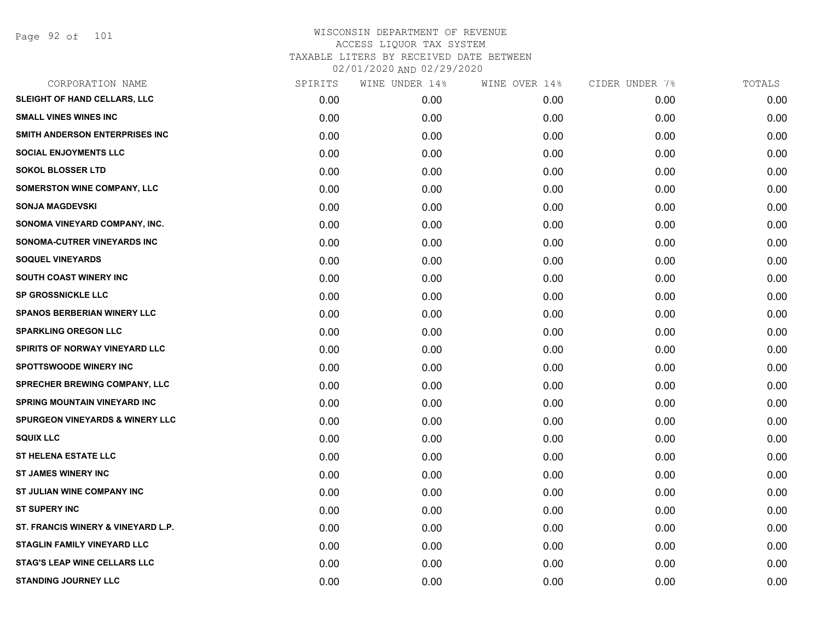| CORPORATION NAME                           | SPIRITS | WINE UNDER 14% | WINE OVER 14% | CIDER UNDER 7% | TOTALS |
|--------------------------------------------|---------|----------------|---------------|----------------|--------|
| SLEIGHT OF HAND CELLARS, LLC               | 0.00    | 0.00           | 0.00          | 0.00           | 0.00   |
| <b>SMALL VINES WINES INC</b>               | 0.00    | 0.00           | 0.00          | 0.00           | 0.00   |
| SMITH ANDERSON ENTERPRISES INC             | 0.00    | 0.00           | 0.00          | 0.00           | 0.00   |
| <b>SOCIAL ENJOYMENTS LLC</b>               | 0.00    | 0.00           | 0.00          | 0.00           | 0.00   |
| <b>SOKOL BLOSSER LTD</b>                   | 0.00    | 0.00           | 0.00          | 0.00           | 0.00   |
| <b>SOMERSTON WINE COMPANY, LLC</b>         | 0.00    | 0.00           | 0.00          | 0.00           | 0.00   |
| <b>SONJA MAGDEVSKI</b>                     | 0.00    | 0.00           | 0.00          | 0.00           | 0.00   |
| SONOMA VINEYARD COMPANY, INC.              | 0.00    | 0.00           | 0.00          | 0.00           | 0.00   |
| SONOMA-CUTRER VINEYARDS INC                | 0.00    | 0.00           | 0.00          | 0.00           | 0.00   |
| <b>SOQUEL VINEYARDS</b>                    | 0.00    | 0.00           | 0.00          | 0.00           | 0.00   |
| <b>SOUTH COAST WINERY INC</b>              | 0.00    | 0.00           | 0.00          | 0.00           | 0.00   |
| <b>SP GROSSNICKLE LLC</b>                  | 0.00    | 0.00           | 0.00          | 0.00           | 0.00   |
| <b>SPANOS BERBERIAN WINERY LLC</b>         | 0.00    | 0.00           | 0.00          | 0.00           | 0.00   |
| <b>SPARKLING OREGON LLC</b>                | 0.00    | 0.00           | 0.00          | 0.00           | 0.00   |
| SPIRITS OF NORWAY VINEYARD LLC             | 0.00    | 0.00           | 0.00          | 0.00           | 0.00   |
| <b>SPOTTSWOODE WINERY INC</b>              | 0.00    | 0.00           | 0.00          | 0.00           | 0.00   |
| SPRECHER BREWING COMPANY, LLC              | 0.00    | 0.00           | 0.00          | 0.00           | 0.00   |
| SPRING MOUNTAIN VINEYARD INC               | 0.00    | 0.00           | 0.00          | 0.00           | 0.00   |
| <b>SPURGEON VINEYARDS &amp; WINERY LLC</b> | 0.00    | 0.00           | 0.00          | 0.00           | 0.00   |
| <b>SQUIX LLC</b>                           | 0.00    | 0.00           | 0.00          | 0.00           | 0.00   |
| <b>ST HELENA ESTATE LLC</b>                | 0.00    | 0.00           | 0.00          | 0.00           | 0.00   |
| <b>ST JAMES WINERY INC</b>                 | 0.00    | 0.00           | 0.00          | 0.00           | 0.00   |
| ST JULIAN WINE COMPANY INC                 | 0.00    | 0.00           | 0.00          | 0.00           | 0.00   |
| <b>ST SUPERY INC</b>                       | 0.00    | 0.00           | 0.00          | 0.00           | 0.00   |
| ST. FRANCIS WINERY & VINEYARD L.P.         | 0.00    | 0.00           | 0.00          | 0.00           | 0.00   |
| <b>STAGLIN FAMILY VINEYARD LLC</b>         | 0.00    | 0.00           | 0.00          | 0.00           | 0.00   |
| <b>STAG'S LEAP WINE CELLARS LLC</b>        | 0.00    | 0.00           | 0.00          | 0.00           | 0.00   |
| <b>STANDING JOURNEY LLC</b>                | 0.00    | 0.00           | 0.00          | 0.00           | 0.00   |
|                                            |         |                |               |                |        |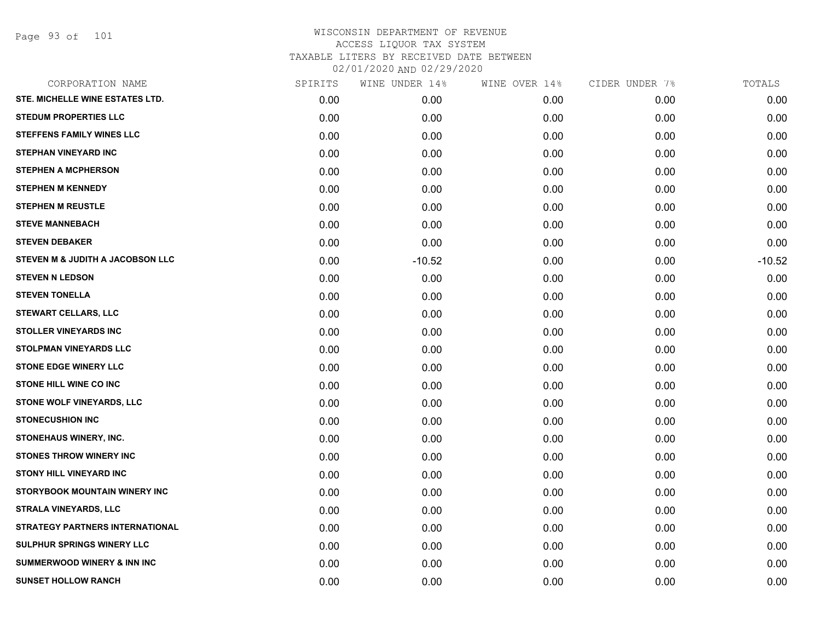Page 93 of 101

| CORPORATION NAME                       | SPIRITS | WINE UNDER 14% | WINE OVER 14% | CIDER UNDER 7% | TOTALS   |
|----------------------------------------|---------|----------------|---------------|----------------|----------|
| STE. MICHELLE WINE ESTATES LTD.        | 0.00    | 0.00           | 0.00          | 0.00           | 0.00     |
| <b>STEDUM PROPERTIES LLC</b>           | 0.00    | 0.00           | 0.00          | 0.00           | 0.00     |
| <b>STEFFENS FAMILY WINES LLC</b>       | 0.00    | 0.00           | 0.00          | 0.00           | 0.00     |
| <b>STEPHAN VINEYARD INC</b>            | 0.00    | 0.00           | 0.00          | 0.00           | 0.00     |
| <b>STEPHEN A MCPHERSON</b>             | 0.00    | 0.00           | 0.00          | 0.00           | 0.00     |
| <b>STEPHEN M KENNEDY</b>               | 0.00    | 0.00           | 0.00          | 0.00           | 0.00     |
| <b>STEPHEN M REUSTLE</b>               | 0.00    | 0.00           | 0.00          | 0.00           | 0.00     |
| <b>STEVE MANNEBACH</b>                 | 0.00    | 0.00           | 0.00          | 0.00           | 0.00     |
| <b>STEVEN DEBAKER</b>                  | 0.00    | 0.00           | 0.00          | 0.00           | 0.00     |
| STEVEN M & JUDITH A JACOBSON LLC       | 0.00    | $-10.52$       | 0.00          | 0.00           | $-10.52$ |
| <b>STEVEN N LEDSON</b>                 | 0.00    | 0.00           | 0.00          | 0.00           | 0.00     |
| <b>STEVEN TONELLA</b>                  | 0.00    | 0.00           | 0.00          | 0.00           | 0.00     |
| STEWART CELLARS, LLC                   | 0.00    | 0.00           | 0.00          | 0.00           | 0.00     |
| <b>STOLLER VINEYARDS INC</b>           | 0.00    | 0.00           | 0.00          | 0.00           | 0.00     |
| <b>STOLPMAN VINEYARDS LLC</b>          | 0.00    | 0.00           | 0.00          | 0.00           | 0.00     |
| <b>STONE EDGE WINERY LLC</b>           | 0.00    | 0.00           | 0.00          | 0.00           | 0.00     |
| <b>STONE HILL WINE CO INC</b>          | 0.00    | 0.00           | 0.00          | 0.00           | 0.00     |
| STONE WOLF VINEYARDS, LLC              | 0.00    | 0.00           | 0.00          | 0.00           | 0.00     |
| <b>STONECUSHION INC</b>                | 0.00    | 0.00           | 0.00          | 0.00           | 0.00     |
| STONEHAUS WINERY, INC.                 | 0.00    | 0.00           | 0.00          | 0.00           | 0.00     |
| <b>STONES THROW WINERY INC</b>         | 0.00    | 0.00           | 0.00          | 0.00           | 0.00     |
| <b>STONY HILL VINEYARD INC</b>         | 0.00    | 0.00           | 0.00          | 0.00           | 0.00     |
| STORYBOOK MOUNTAIN WINERY INC          | 0.00    | 0.00           | 0.00          | 0.00           | 0.00     |
| <b>STRALA VINEYARDS, LLC</b>           | 0.00    | 0.00           | 0.00          | 0.00           | 0.00     |
| <b>STRATEGY PARTNERS INTERNATIONAL</b> | 0.00    | 0.00           | 0.00          | 0.00           | 0.00     |
| SULPHUR SPRINGS WINERY LLC             | 0.00    | 0.00           | 0.00          | 0.00           | 0.00     |
| <b>SUMMERWOOD WINERY &amp; INN INC</b> | 0.00    | 0.00           | 0.00          | 0.00           | 0.00     |
| <b>SUNSET HOLLOW RANCH</b>             | 0.00    | 0.00           | 0.00          | 0.00           | 0.00     |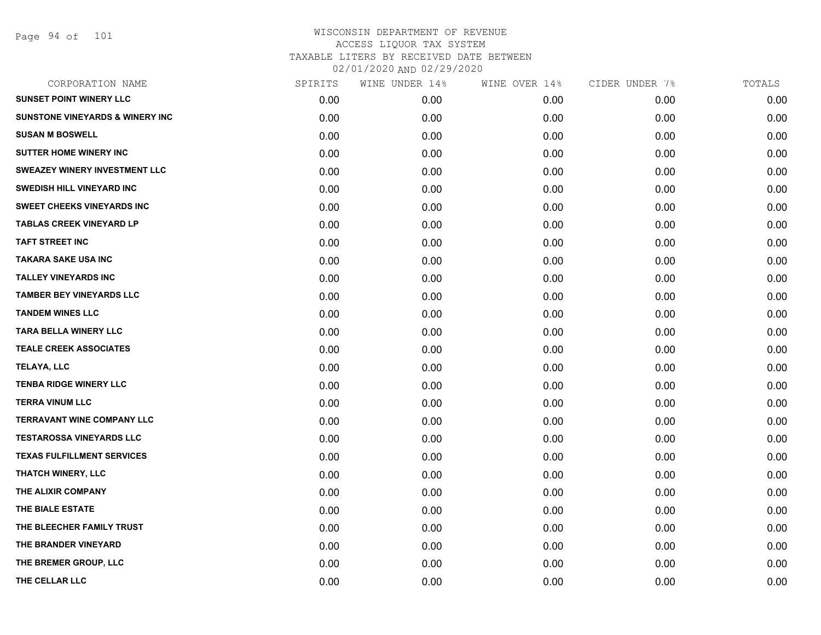Page 94 of 101

| CORPORATION NAME                           | SPIRITS | WINE UNDER 14% | WINE OVER 14% | CIDER UNDER 7% | TOTALS |
|--------------------------------------------|---------|----------------|---------------|----------------|--------|
| <b>SUNSET POINT WINERY LLC</b>             | 0.00    | 0.00           | 0.00          | 0.00           | 0.00   |
| <b>SUNSTONE VINEYARDS &amp; WINERY INC</b> | 0.00    | 0.00           | 0.00          | 0.00           | 0.00   |
| <b>SUSAN M BOSWELL</b>                     | 0.00    | 0.00           | 0.00          | 0.00           | 0.00   |
| <b>SUTTER HOME WINERY INC</b>              | 0.00    | 0.00           | 0.00          | 0.00           | 0.00   |
| <b>SWEAZEY WINERY INVESTMENT LLC</b>       | 0.00    | 0.00           | 0.00          | 0.00           | 0.00   |
| SWEDISH HILL VINEYARD INC                  | 0.00    | 0.00           | 0.00          | 0.00           | 0.00   |
| <b>SWEET CHEEKS VINEYARDS INC</b>          | 0.00    | 0.00           | 0.00          | 0.00           | 0.00   |
| <b>TABLAS CREEK VINEYARD LP</b>            | 0.00    | 0.00           | 0.00          | 0.00           | 0.00   |
| <b>TAFT STREET INC</b>                     | 0.00    | 0.00           | 0.00          | 0.00           | 0.00   |
| <b>TAKARA SAKE USA INC</b>                 | 0.00    | 0.00           | 0.00          | 0.00           | 0.00   |
| <b>TALLEY VINEYARDS INC</b>                | 0.00    | 0.00           | 0.00          | 0.00           | 0.00   |
| <b>TAMBER BEY VINEYARDS LLC</b>            | 0.00    | 0.00           | 0.00          | 0.00           | 0.00   |
| <b>TANDEM WINES LLC</b>                    | 0.00    | 0.00           | 0.00          | 0.00           | 0.00   |
| <b>TARA BELLA WINERY LLC</b>               | 0.00    | 0.00           | 0.00          | 0.00           | 0.00   |
| <b>TEALE CREEK ASSOCIATES</b>              | 0.00    | 0.00           | 0.00          | 0.00           | 0.00   |
| <b>TELAYA, LLC</b>                         | 0.00    | 0.00           | 0.00          | 0.00           | 0.00   |
| <b>TENBA RIDGE WINERY LLC</b>              | 0.00    | 0.00           | 0.00          | 0.00           | 0.00   |
| <b>TERRA VINUM LLC</b>                     | 0.00    | 0.00           | 0.00          | 0.00           | 0.00   |
| <b>TERRAVANT WINE COMPANY LLC</b>          | 0.00    | 0.00           | 0.00          | 0.00           | 0.00   |
| <b>TESTAROSSA VINEYARDS LLC</b>            | 0.00    | 0.00           | 0.00          | 0.00           | 0.00   |
| <b>TEXAS FULFILLMENT SERVICES</b>          | 0.00    | 0.00           | 0.00          | 0.00           | 0.00   |
| THATCH WINERY, LLC                         | 0.00    | 0.00           | 0.00          | 0.00           | 0.00   |
| THE ALIXIR COMPANY                         | 0.00    | 0.00           | 0.00          | 0.00           | 0.00   |
| THE BIALE ESTATE                           | 0.00    | 0.00           | 0.00          | 0.00           | 0.00   |
| THE BLEECHER FAMILY TRUST                  | 0.00    | 0.00           | 0.00          | 0.00           | 0.00   |
| THE BRANDER VINEYARD                       | 0.00    | 0.00           | 0.00          | 0.00           | 0.00   |
| THE BREMER GROUP, LLC                      | 0.00    | 0.00           | 0.00          | 0.00           | 0.00   |
| THE CELLAR LLC                             | 0.00    | 0.00           | 0.00          | 0.00           | 0.00   |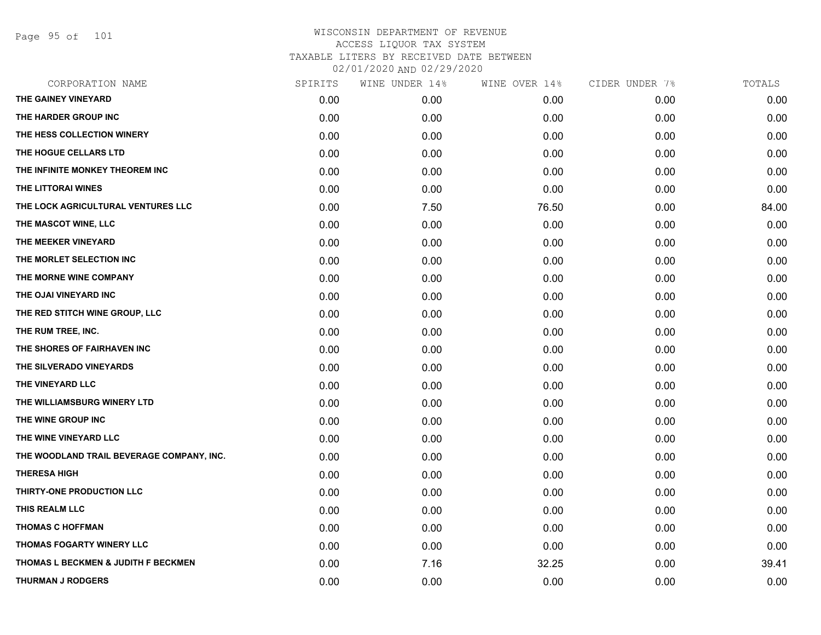Page 95 of 101

| SPIRITS | WINE UNDER 14% | WINE OVER 14% | CIDER UNDER 7% | TOTALS |
|---------|----------------|---------------|----------------|--------|
| 0.00    | 0.00           | 0.00          | 0.00           | 0.00   |
| 0.00    | 0.00           | 0.00          | 0.00           | 0.00   |
| 0.00    | 0.00           | 0.00          | 0.00           | 0.00   |
| 0.00    | 0.00           | 0.00          | 0.00           | 0.00   |
| 0.00    | 0.00           | 0.00          | 0.00           | 0.00   |
| 0.00    | 0.00           | 0.00          | 0.00           | 0.00   |
| 0.00    | 7.50           | 76.50         | 0.00           | 84.00  |
| 0.00    | 0.00           | 0.00          | 0.00           | 0.00   |
| 0.00    | 0.00           | 0.00          | 0.00           | 0.00   |
| 0.00    | 0.00           | 0.00          | 0.00           | 0.00   |
| 0.00    | 0.00           | 0.00          | 0.00           | 0.00   |
| 0.00    | 0.00           | 0.00          | 0.00           | 0.00   |
| 0.00    | 0.00           | 0.00          | 0.00           | 0.00   |
| 0.00    | 0.00           | 0.00          | 0.00           | 0.00   |
| 0.00    | 0.00           | 0.00          | 0.00           | 0.00   |
| 0.00    | 0.00           | 0.00          | 0.00           | 0.00   |
| 0.00    | 0.00           | 0.00          | 0.00           | 0.00   |
| 0.00    | 0.00           | 0.00          | 0.00           | 0.00   |
| 0.00    | 0.00           | 0.00          | 0.00           | 0.00   |
| 0.00    | 0.00           | 0.00          | 0.00           | 0.00   |
| 0.00    | 0.00           | 0.00          | 0.00           | 0.00   |
| 0.00    | 0.00           | 0.00          | 0.00           | 0.00   |
| 0.00    | 0.00           | 0.00          | 0.00           | 0.00   |
| 0.00    | 0.00           | 0.00          | 0.00           | 0.00   |
| 0.00    | 0.00           | 0.00          | 0.00           | 0.00   |
| 0.00    | 0.00           | 0.00          | 0.00           | 0.00   |
| 0.00    | 7.16           | 32.25         | 0.00           | 39.41  |
| 0.00    | 0.00           | 0.00          | 0.00           | 0.00   |
|         |                |               |                |        |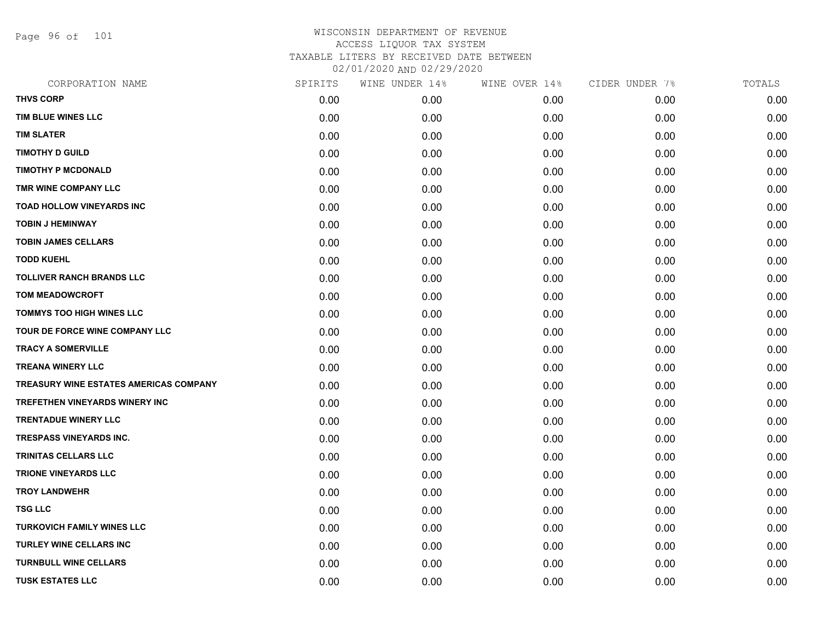Page 96 of 101

| CORPORATION NAME                              | SPIRITS | WINE UNDER 14% | WINE OVER 14% | CIDER UNDER 7% | TOTALS |
|-----------------------------------------------|---------|----------------|---------------|----------------|--------|
| <b>THVS CORP</b>                              | 0.00    | 0.00           | 0.00          | 0.00           | 0.00   |
| TIM BLUE WINES LLC                            | 0.00    | 0.00           | 0.00          | 0.00           | 0.00   |
| <b>TIM SLATER</b>                             | 0.00    | 0.00           | 0.00          | 0.00           | 0.00   |
| <b>TIMOTHY D GUILD</b>                        | 0.00    | 0.00           | 0.00          | 0.00           | 0.00   |
| <b>TIMOTHY P MCDONALD</b>                     | 0.00    | 0.00           | 0.00          | 0.00           | 0.00   |
| TMR WINE COMPANY LLC                          | 0.00    | 0.00           | 0.00          | 0.00           | 0.00   |
| <b>TOAD HOLLOW VINEYARDS INC</b>              | 0.00    | 0.00           | 0.00          | 0.00           | 0.00   |
| <b>TOBIN J HEMINWAY</b>                       | 0.00    | 0.00           | 0.00          | 0.00           | 0.00   |
| <b>TOBIN JAMES CELLARS</b>                    | 0.00    | 0.00           | 0.00          | 0.00           | 0.00   |
| <b>TODD KUEHL</b>                             | 0.00    | 0.00           | 0.00          | 0.00           | 0.00   |
| <b>TOLLIVER RANCH BRANDS LLC</b>              | 0.00    | 0.00           | 0.00          | 0.00           | 0.00   |
| <b>TOM MEADOWCROFT</b>                        | 0.00    | 0.00           | 0.00          | 0.00           | 0.00   |
| <b>TOMMYS TOO HIGH WINES LLC</b>              | 0.00    | 0.00           | 0.00          | 0.00           | 0.00   |
| TOUR DE FORCE WINE COMPANY LLC                | 0.00    | 0.00           | 0.00          | 0.00           | 0.00   |
| <b>TRACY A SOMERVILLE</b>                     | 0.00    | 0.00           | 0.00          | 0.00           | 0.00   |
| <b>TREANA WINERY LLC</b>                      | 0.00    | 0.00           | 0.00          | 0.00           | 0.00   |
| <b>TREASURY WINE ESTATES AMERICAS COMPANY</b> | 0.00    | 0.00           | 0.00          | 0.00           | 0.00   |
| TREFETHEN VINEYARDS WINERY INC                | 0.00    | 0.00           | 0.00          | 0.00           | 0.00   |
| <b>TRENTADUE WINERY LLC</b>                   | 0.00    | 0.00           | 0.00          | 0.00           | 0.00   |
| <b>TRESPASS VINEYARDS INC.</b>                | 0.00    | 0.00           | 0.00          | 0.00           | 0.00   |
| <b>TRINITAS CELLARS LLC</b>                   | 0.00    | 0.00           | 0.00          | 0.00           | 0.00   |
| <b>TRIONE VINEYARDS LLC</b>                   | 0.00    | 0.00           | 0.00          | 0.00           | 0.00   |
| <b>TROY LANDWEHR</b>                          | 0.00    | 0.00           | 0.00          | 0.00           | 0.00   |
| <b>TSG LLC</b>                                | 0.00    | 0.00           | 0.00          | 0.00           | 0.00   |
| <b>TURKOVICH FAMILY WINES LLC</b>             | 0.00    | 0.00           | 0.00          | 0.00           | 0.00   |
| <b>TURLEY WINE CELLARS INC</b>                | 0.00    | 0.00           | 0.00          | 0.00           | 0.00   |
| <b>TURNBULL WINE CELLARS</b>                  | 0.00    | 0.00           | 0.00          | 0.00           | 0.00   |
| <b>TUSK ESTATES LLC</b>                       | 0.00    | 0.00           | 0.00          | 0.00           | 0.00   |
|                                               |         |                |               |                |        |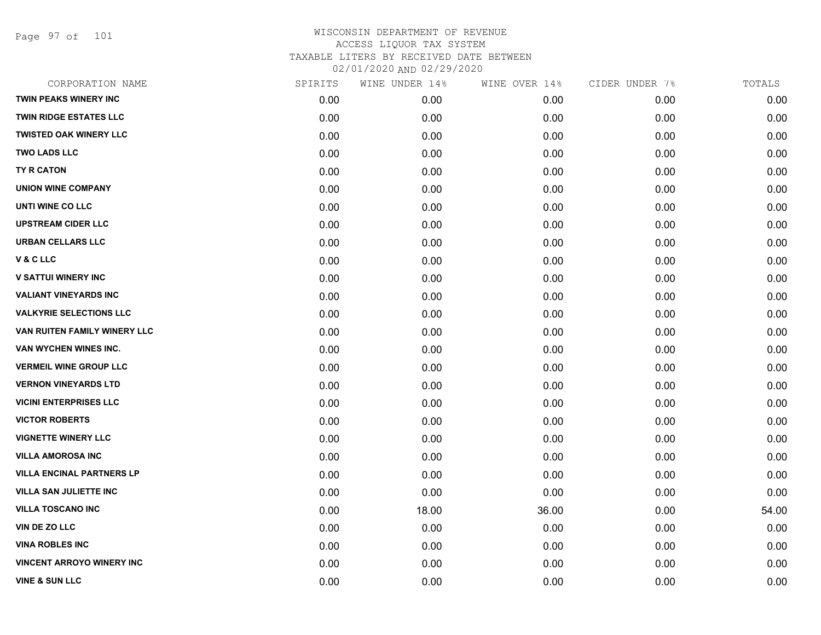Page 97 of 101

| CORPORATION NAME                 | SPIRITS | WINE UNDER 14% | WINE OVER 14% | CIDER UNDER 7% | TOTALS |
|----------------------------------|---------|----------------|---------------|----------------|--------|
| TWIN PEAKS WINERY INC            | 0.00    | 0.00           | 0.00          | 0.00           | 0.00   |
| <b>TWIN RIDGE ESTATES LLC</b>    | 0.00    | 0.00           | 0.00          | 0.00           | 0.00   |
| <b>TWISTED OAK WINERY LLC</b>    | 0.00    | 0.00           | 0.00          | 0.00           | 0.00   |
| <b>TWO LADS LLC</b>              | 0.00    | 0.00           | 0.00          | 0.00           | 0.00   |
| <b>TY R CATON</b>                | 0.00    | 0.00           | 0.00          | 0.00           | 0.00   |
| <b>UNION WINE COMPANY</b>        | 0.00    | 0.00           | 0.00          | 0.00           | 0.00   |
| UNTI WINE CO LLC                 | 0.00    | 0.00           | 0.00          | 0.00           | 0.00   |
| <b>UPSTREAM CIDER LLC</b>        | 0.00    | 0.00           | 0.00          | 0.00           | 0.00   |
| <b>URBAN CELLARS LLC</b>         | 0.00    | 0.00           | 0.00          | 0.00           | 0.00   |
| V & C LLC                        | 0.00    | 0.00           | 0.00          | 0.00           | 0.00   |
| <b>V SATTUI WINERY INC</b>       | 0.00    | 0.00           | 0.00          | 0.00           | 0.00   |
| <b>VALIANT VINEYARDS INC</b>     | 0.00    | 0.00           | 0.00          | 0.00           | 0.00   |
| <b>VALKYRIE SELECTIONS LLC</b>   | 0.00    | 0.00           | 0.00          | 0.00           | 0.00   |
| VAN RUITEN FAMILY WINERY LLC     | 0.00    | 0.00           | 0.00          | 0.00           | 0.00   |
| VAN WYCHEN WINES INC.            | 0.00    | 0.00           | 0.00          | 0.00           | 0.00   |
| <b>VERMEIL WINE GROUP LLC</b>    | 0.00    | 0.00           | 0.00          | 0.00           | 0.00   |
| <b>VERNON VINEYARDS LTD</b>      | 0.00    | 0.00           | 0.00          | 0.00           | 0.00   |
| <b>VICINI ENTERPRISES LLC</b>    | 0.00    | 0.00           | 0.00          | 0.00           | 0.00   |
| <b>VICTOR ROBERTS</b>            | 0.00    | 0.00           | 0.00          | 0.00           | 0.00   |
| <b>VIGNETTE WINERY LLC</b>       | 0.00    | 0.00           | 0.00          | 0.00           | 0.00   |
| <b>VILLA AMOROSA INC</b>         | 0.00    | 0.00           | 0.00          | 0.00           | 0.00   |
| <b>VILLA ENCINAL PARTNERS LP</b> | 0.00    | 0.00           | 0.00          | 0.00           | 0.00   |
| <b>VILLA SAN JULIETTE INC</b>    | 0.00    | 0.00           | 0.00          | 0.00           | 0.00   |
| <b>VILLA TOSCANO INC</b>         | 0.00    | 18.00          | 36.00         | 0.00           | 54.00  |
| <b>VIN DE ZO LLC</b>             | 0.00    | 0.00           | 0.00          | 0.00           | 0.00   |
| <b>VINA ROBLES INC</b>           | 0.00    | 0.00           | 0.00          | 0.00           | 0.00   |
| <b>VINCENT ARROYO WINERY INC</b> | 0.00    | 0.00           | 0.00          | 0.00           | 0.00   |
| <b>VINE &amp; SUN LLC</b>        | 0.00    | 0.00           | 0.00          | 0.00           | 0.00   |
|                                  |         |                |               |                |        |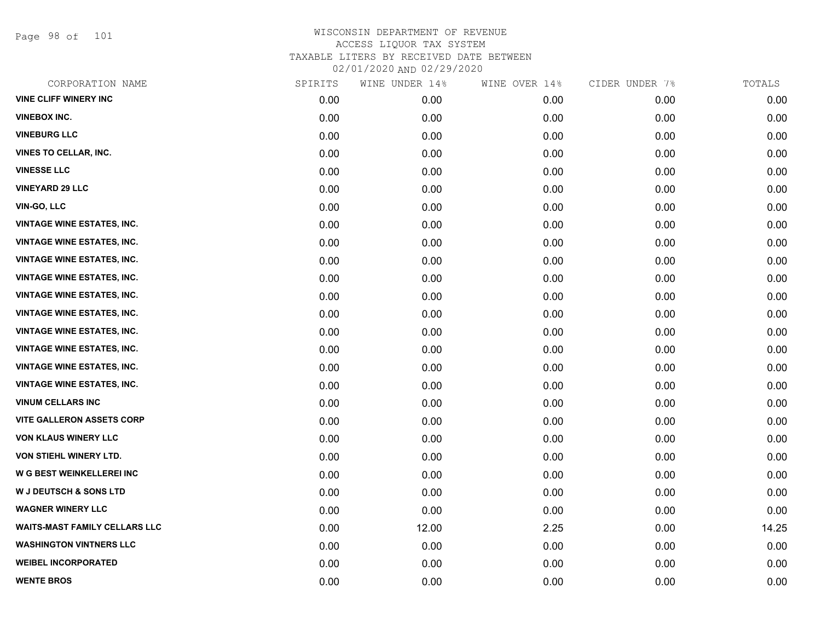Page 98 of 101

| CORPORATION NAME                     | SPIRITS | WINE UNDER 14% | WINE OVER 14% | CIDER UNDER 7% | TOTALS |
|--------------------------------------|---------|----------------|---------------|----------------|--------|
| <b>VINE CLIFF WINERY INC</b>         | 0.00    | 0.00           | 0.00          | 0.00           | 0.00   |
| <b>VINEBOX INC.</b>                  | 0.00    | 0.00           | 0.00          | 0.00           | 0.00   |
| <b>VINEBURG LLC</b>                  | 0.00    | 0.00           | 0.00          | 0.00           | 0.00   |
| <b>VINES TO CELLAR, INC.</b>         | 0.00    | 0.00           | 0.00          | 0.00           | 0.00   |
| <b>VINESSE LLC</b>                   | 0.00    | 0.00           | 0.00          | 0.00           | 0.00   |
| <b>VINEYARD 29 LLC</b>               | 0.00    | 0.00           | 0.00          | 0.00           | 0.00   |
| VIN-GO, LLC                          | 0.00    | 0.00           | 0.00          | 0.00           | 0.00   |
| <b>VINTAGE WINE ESTATES, INC.</b>    | 0.00    | 0.00           | 0.00          | 0.00           | 0.00   |
| <b>VINTAGE WINE ESTATES, INC.</b>    | 0.00    | 0.00           | 0.00          | 0.00           | 0.00   |
| <b>VINTAGE WINE ESTATES, INC.</b>    | 0.00    | 0.00           | 0.00          | 0.00           | 0.00   |
| <b>VINTAGE WINE ESTATES, INC.</b>    | 0.00    | 0.00           | 0.00          | 0.00           | 0.00   |
| <b>VINTAGE WINE ESTATES, INC.</b>    | 0.00    | 0.00           | 0.00          | 0.00           | 0.00   |
| <b>VINTAGE WINE ESTATES, INC.</b>    | 0.00    | 0.00           | 0.00          | 0.00           | 0.00   |
| <b>VINTAGE WINE ESTATES, INC.</b>    | 0.00    | 0.00           | 0.00          | 0.00           | 0.00   |
| <b>VINTAGE WINE ESTATES, INC.</b>    | 0.00    | 0.00           | 0.00          | 0.00           | 0.00   |
| <b>VINTAGE WINE ESTATES, INC.</b>    | 0.00    | 0.00           | 0.00          | 0.00           | 0.00   |
| <b>VINTAGE WINE ESTATES, INC.</b>    | 0.00    | 0.00           | 0.00          | 0.00           | 0.00   |
| <b>VINUM CELLARS INC</b>             | 0.00    | 0.00           | 0.00          | 0.00           | 0.00   |
| <b>VITE GALLERON ASSETS CORP</b>     | 0.00    | 0.00           | 0.00          | 0.00           | 0.00   |
| <b>VON KLAUS WINERY LLC</b>          | 0.00    | 0.00           | 0.00          | 0.00           | 0.00   |
| VON STIEHL WINERY LTD.               | 0.00    | 0.00           | 0.00          | 0.00           | 0.00   |
| <b>W G BEST WEINKELLEREI INC</b>     | 0.00    | 0.00           | 0.00          | 0.00           | 0.00   |
| W J DEUTSCH & SONS LTD               | 0.00    | 0.00           | 0.00          | 0.00           | 0.00   |
| <b>WAGNER WINERY LLC</b>             | 0.00    | 0.00           | 0.00          | 0.00           | 0.00   |
| <b>WAITS-MAST FAMILY CELLARS LLC</b> | 0.00    | 12.00          | 2.25          | 0.00           | 14.25  |
| <b>WASHINGTON VINTNERS LLC</b>       | 0.00    | 0.00           | 0.00          | 0.00           | 0.00   |
| <b>WEIBEL INCORPORATED</b>           | 0.00    | 0.00           | 0.00          | 0.00           | 0.00   |
| <b>WENTE BROS</b>                    | 0.00    | 0.00           | 0.00          | 0.00           | 0.00   |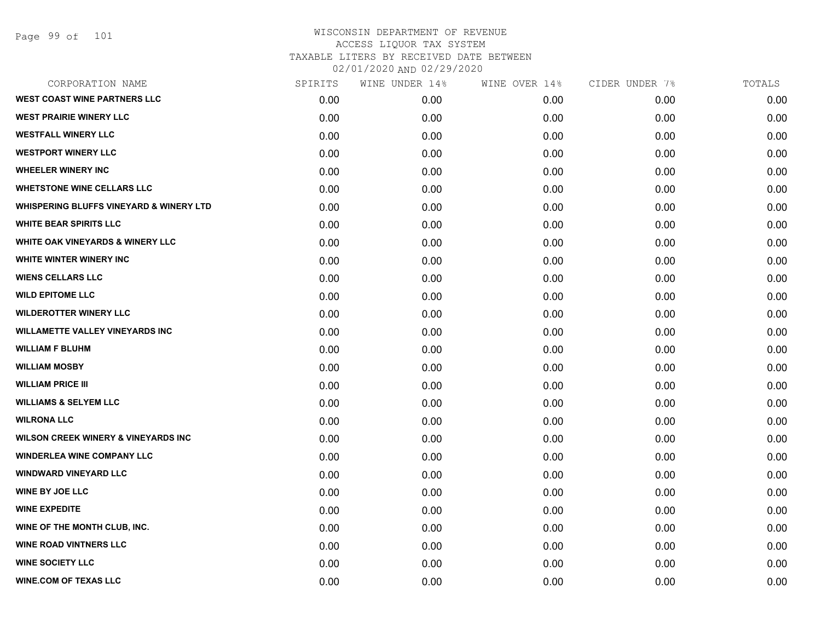Page 99 of 101

| CORPORATION NAME                                   | SPIRITS | WINE UNDER 14% | WINE OVER 14% | CIDER UNDER 7% | TOTALS |
|----------------------------------------------------|---------|----------------|---------------|----------------|--------|
| <b>WEST COAST WINE PARTNERS LLC</b>                | 0.00    | 0.00           | 0.00          | 0.00           | 0.00   |
| <b>WEST PRAIRIE WINERY LLC</b>                     | 0.00    | 0.00           | 0.00          | 0.00           | 0.00   |
| <b>WESTFALL WINERY LLC</b>                         | 0.00    | 0.00           | 0.00          | 0.00           | 0.00   |
| <b>WESTPORT WINERY LLC</b>                         | 0.00    | 0.00           | 0.00          | 0.00           | 0.00   |
| <b>WHEELER WINERY INC</b>                          | 0.00    | 0.00           | 0.00          | 0.00           | 0.00   |
| <b>WHETSTONE WINE CELLARS LLC</b>                  | 0.00    | 0.00           | 0.00          | 0.00           | 0.00   |
| <b>WHISPERING BLUFFS VINEYARD &amp; WINERY LTD</b> | 0.00    | 0.00           | 0.00          | 0.00           | 0.00   |
| <b>WHITE BEAR SPIRITS LLC</b>                      | 0.00    | 0.00           | 0.00          | 0.00           | 0.00   |
| WHITE OAK VINEYARDS & WINERY LLC                   | 0.00    | 0.00           | 0.00          | 0.00           | 0.00   |
| WHITE WINTER WINERY INC                            | 0.00    | 0.00           | 0.00          | 0.00           | 0.00   |
| <b>WIENS CELLARS LLC</b>                           | 0.00    | 0.00           | 0.00          | 0.00           | 0.00   |
| <b>WILD EPITOME LLC</b>                            | 0.00    | 0.00           | 0.00          | 0.00           | 0.00   |
| <b>WILDEROTTER WINERY LLC</b>                      | 0.00    | 0.00           | 0.00          | 0.00           | 0.00   |
| <b>WILLAMETTE VALLEY VINEYARDS INC</b>             | 0.00    | 0.00           | 0.00          | 0.00           | 0.00   |
| <b>WILLIAM F BLUHM</b>                             | 0.00    | 0.00           | 0.00          | 0.00           | 0.00   |
| <b>WILLIAM MOSBY</b>                               | 0.00    | 0.00           | 0.00          | 0.00           | 0.00   |
| <b>WILLIAM PRICE III</b>                           | 0.00    | 0.00           | 0.00          | 0.00           | 0.00   |
| <b>WILLIAMS &amp; SELYEM LLC</b>                   | 0.00    | 0.00           | 0.00          | 0.00           | 0.00   |
| <b>WILRONA LLC</b>                                 | 0.00    | 0.00           | 0.00          | 0.00           | 0.00   |
| <b>WILSON CREEK WINERY &amp; VINEYARDS INC</b>     | 0.00    | 0.00           | 0.00          | 0.00           | 0.00   |
| <b>WINDERLEA WINE COMPANY LLC</b>                  | 0.00    | 0.00           | 0.00          | 0.00           | 0.00   |
| <b>WINDWARD VINEYARD LLC</b>                       | 0.00    | 0.00           | 0.00          | 0.00           | 0.00   |
| <b>WINE BY JOE LLC</b>                             | 0.00    | 0.00           | 0.00          | 0.00           | 0.00   |
| <b>WINE EXPEDITE</b>                               | 0.00    | 0.00           | 0.00          | 0.00           | 0.00   |
| WINE OF THE MONTH CLUB, INC.                       | 0.00    | 0.00           | 0.00          | 0.00           | 0.00   |
| <b>WINE ROAD VINTNERS LLC</b>                      | 0.00    | 0.00           | 0.00          | 0.00           | 0.00   |
| <b>WINE SOCIETY LLC</b>                            | 0.00    | 0.00           | 0.00          | 0.00           | 0.00   |
| <b>WINE.COM OF TEXAS LLC</b>                       | 0.00    | 0.00           | 0.00          | 0.00           | 0.00   |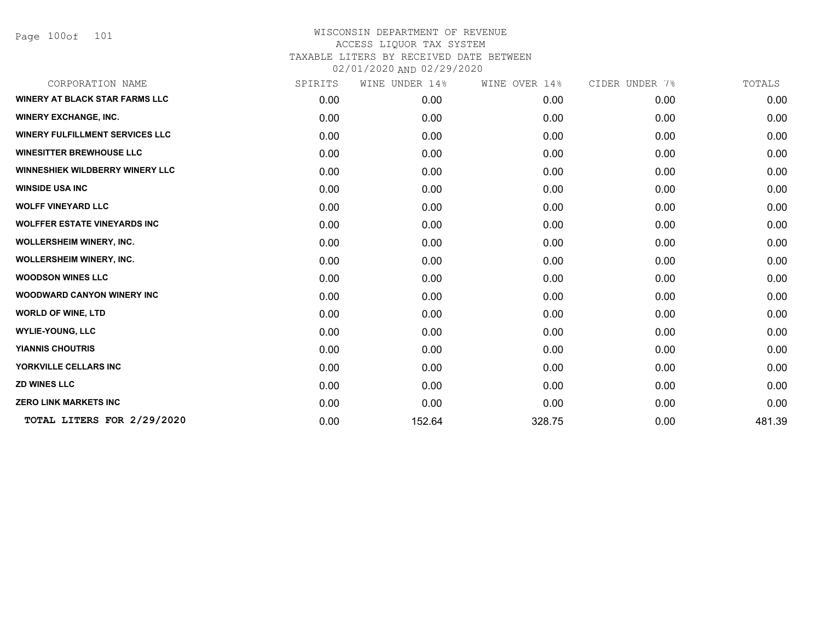Page 100of 101

| CORPORATION NAME                       | SPIRITS | WINE UNDER 14% | WINE OVER 14% | CIDER UNDER 7% | TOTALS |
|----------------------------------------|---------|----------------|---------------|----------------|--------|
| <b>WINERY AT BLACK STAR FARMS LLC</b>  | 0.00    | 0.00           | 0.00          | 0.00           | 0.00   |
| <b>WINERY EXCHANGE, INC.</b>           | 0.00    | 0.00           | 0.00          | 0.00           | 0.00   |
| <b>WINERY FULFILLMENT SERVICES LLC</b> | 0.00    | 0.00           | 0.00          | 0.00           | 0.00   |
| <b>WINESITTER BREWHOUSE LLC</b>        | 0.00    | 0.00           | 0.00          | 0.00           | 0.00   |
| <b>WINNESHIEK WILDBERRY WINERY LLC</b> | 0.00    | 0.00           | 0.00          | 0.00           | 0.00   |
| <b>WINSIDE USA INC</b>                 | 0.00    | 0.00           | 0.00          | 0.00           | 0.00   |
| <b>WOLFF VINEYARD LLC</b>              | 0.00    | 0.00           | 0.00          | 0.00           | 0.00   |
| <b>WOLFFER ESTATE VINEYARDS INC</b>    | 0.00    | 0.00           | 0.00          | 0.00           | 0.00   |
| <b>WOLLERSHEIM WINERY, INC.</b>        | 0.00    | 0.00           | 0.00          | 0.00           | 0.00   |
| <b>WOLLERSHEIM WINERY, INC.</b>        | 0.00    | 0.00           | 0.00          | 0.00           | 0.00   |
| <b>WOODSON WINES LLC</b>               | 0.00    | 0.00           | 0.00          | 0.00           | 0.00   |
| <b>WOODWARD CANYON WINERY INC</b>      | 0.00    | 0.00           | 0.00          | 0.00           | 0.00   |
| <b>WORLD OF WINE, LTD</b>              | 0.00    | 0.00           | 0.00          | 0.00           | 0.00   |
| <b>WYLIE-YOUNG, LLC</b>                | 0.00    | 0.00           | 0.00          | 0.00           | 0.00   |
| <b>YIANNIS CHOUTRIS</b>                | 0.00    | 0.00           | 0.00          | 0.00           | 0.00   |
| YORKVILLE CELLARS INC                  | 0.00    | 0.00           | 0.00          | 0.00           | 0.00   |
| <b>ZD WINES LLC</b>                    | 0.00    | 0.00           | 0.00          | 0.00           | 0.00   |
| <b>ZERO LINK MARKETS INC</b>           | 0.00    | 0.00           | 0.00          | 0.00           | 0.00   |
| TOTAL LITERS FOR 2/29/2020             | 0.00    | 152.64         | 328.75        | 0.00           | 481.39 |